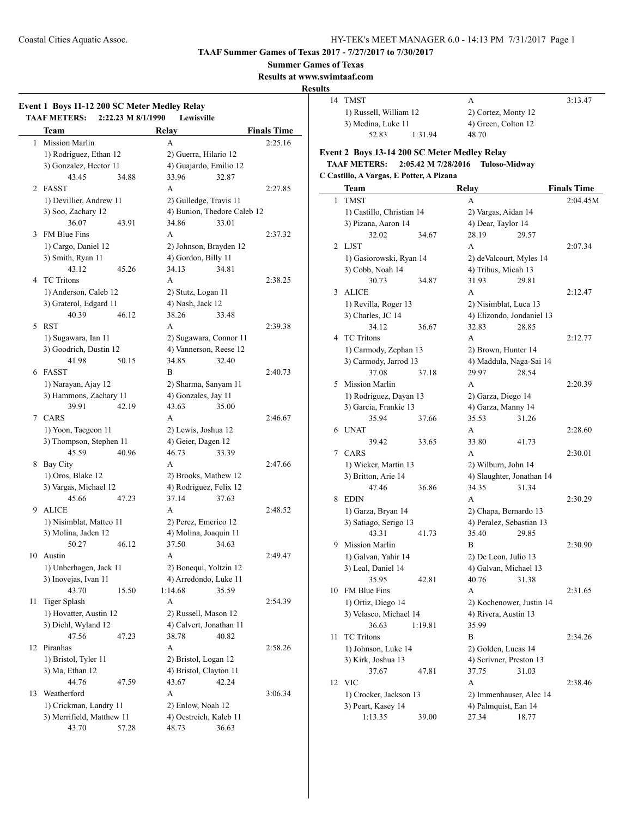**TAAF Summer Games of Texas 2017 - 7/27/2017 to 7/30/2017**

**Summer Games of Texas**

**Results at www.swimtaaf.com**

**Results**

### **Event 1 Boys 11-12 200 SC Meter Medley Relay TAAF METERS: 2:22.23 M 8/1/1990 Lewisville Team Relay Finals Time** 1 Mission Marlin A 2:25.16 1) Rodriguez, Ethan 12 2) Guerra, Hilario 12 3) Gonzalez, Hector 11 4) Guajardo, Emilio 12 43.45 34.88 33.96 32.87 2 FASST A 2:27.85 1) Devillier, Andrew 11 2) Gulledge, Travis 11 3) Soo, Zachary 12 4) Bunion, Thedore Caleb 12 36.07 43.91 34.86 33.01 3 FM Blue Fins A 2:37.32 1) Cargo, Daniel 12 2) Johnson, Brayden 12 3) Smith, Ryan 11 4) Gordon, Billy 11 43.12 45.26 34.13 34.81 4 TC Tritons A 2:38.25 1) Anderson, Caleb 12 2) Stutz, Logan 11 3) Graterol, Edgard 11 4) Nash, Jack 12 40.39 46.12 38.26 33.48 5 RST A 2:39.38 1) Sugawara, Ian 11 2) Sugawara, Connor 11 3) Goodrich, Dustin 12 4) Vannerson, Reese 12 41.98 50.15 34.85 32.40 6 FASST B 2:40.73 1) Narayan, Ajay 12 2) Sharma, Sanyam 11 3) Hammons, Zachary 11 4) Gonzales, Jay 11 39.91 42.19 43.63 35.00 7 CARS A 2:46.67 1) Yoon, Taegeon 11 2) Lewis, Joshua 12 3) Thompson, Stephen 11 4) Geier, Dagen 12 45.59 40.96 46.73 33.39

8 Bay City **A** 2:47.66

1) Oros, Blake 12 2) Brooks, Mathew 12 3) Vargas, Michael 12 4) Rodriguez, Felix 12 45.66 47.23 37.14 37.63 9 ALICE A 2:48.52

1) Nisimblat, Matteo 11 2) Perez, Emerico 12 3) Molina, Jaden 12 4) Molina, Joaquin 11 50.27 46.12 37.50 34.63 10 Austin **A** 2:49.47

1) Unberhagen, Jack 11 2) Bonequi, Yoltzin 12 3) Inovejas, Ivan 11 4) Arredondo, Luke 11 43.70 15.50 1:14.68 35.59 11 Tiger Splash A 2:54.39

1) Hovatter, Austin 12 2) Russell, Mason 12 3) Diehl, Wyland 12 4) Calvert, Jonathan 11 47.56 47.23 38.78 40.82 12 Piranhas A 2:58.26

1) Bristol, Tyler 11 2) Bristol, Logan 12 3) Ma, Ethan 12 4) Bristol, Clayton 11 44.76 47.59 43.67 42.24

1) Crickman, Landry 11 2) Enlow, Noah 12 3) Merrifield, Matthew 11 4) Oestreich, Kaleb 11 43.70 57.28 48.73 36.63

|  | 14 TMST                                      |         | А                   | 3:13.47 |
|--|----------------------------------------------|---------|---------------------|---------|
|  | 1) Russell, William 12<br>3) Medina, Luke 11 |         | 2) Cortez, Monty 12 |         |
|  |                                              |         | 4) Green, Colton 12 |         |
|  | 52.83                                        | 1:31.94 | 48.70               |         |

### **Event 2 Boys 13-14 200 SC Meter Medley Relay TAAF METERS: 2:05.42 M 7/28/2016 Tuloso-Midway**

**C Castillo, A Vargas, E Potter, A Pizana**

|                | Team                      |         | <b>Relay</b>              |                       | <b>Finals Time</b> |
|----------------|---------------------------|---------|---------------------------|-----------------------|--------------------|
| $\mathbf{1}$   | <b>TMST</b>               |         | A                         |                       | 2:04.45M           |
|                | 1) Castillo, Christian 14 |         | 2) Vargas, Aidan 14       |                       |                    |
|                | 3) Pizana, Aaron 14       |         | 4) Dear, Taylor 14        |                       |                    |
|                | 32.02                     | 34.67   | 28.19                     | 29.57                 |                    |
| $\overline{2}$ | LJST                      |         | A                         |                       | 2:07.34            |
|                | 1) Gasiorowski, Ryan 14   |         | 2) deValcourt, Myles 14   |                       |                    |
|                | 3) Cobb, Noah 14          |         | 4) Trihus, Micah 13       |                       |                    |
|                | 30.73                     | 34.87   | 31.93                     | 29.81                 |                    |
| 3              | <b>ALICE</b>              |         | A                         |                       | 2:12.47            |
|                | 1) Revilla, Roger 13      |         | 2) Nisimblat, Luca 13     |                       |                    |
|                | 3) Charles, JC 14         |         | 4) Elizondo, Jondaniel 13 |                       |                    |
|                | 34.12                     | 36.67   | 32.83                     | 28.85                 |                    |
| 4              | <b>TC</b> Tritons         |         | A                         |                       | 2:12.77            |
|                | 1) Carmody, Zephan 13     |         | 2) Brown, Hunter 14       |                       |                    |
|                | 3) Carmody, Jarrod 13     |         | 4) Maddula, Naga-Sai 14   |                       |                    |
|                | 37.08                     | 37.18   | 29.97                     | 28.54                 |                    |
| 5              | <b>Mission Marlin</b>     |         | A                         |                       | 2:20.39            |
|                | 1) Rodriguez, Dayan 13    |         | 2) Garza, Diego 14        |                       |                    |
|                | 3) Garcia, Frankie 13     |         | 4) Garza, Manny 14        |                       |                    |
|                | 35.94                     | 37.66   | 35.53                     | 31.26                 |                    |
| 6              | <b>UNAT</b>               |         | A                         |                       | 2:28.60            |
|                | 39.42                     | 33.65   | 33.80                     | 41.73                 |                    |
| 7              | CARS                      |         | A                         |                       | 2:30.01            |
|                | 1) Wicker, Martin 13      |         | 2) Wilburn, John 14       |                       |                    |
|                | 3) Britton, Arie 14       |         | 4) Slaughter, Jonathan 14 |                       |                    |
|                | 47.46                     | 36.86   | 34.35                     | 31.34                 |                    |
| 8              | <b>EDIN</b>               |         | A                         |                       | 2:30.29            |
|                | 1) Garza, Bryan 14        |         |                           | 2) Chapa, Bernardo 13 |                    |
|                | 3) Satiago, Serigo 13     |         | 4) Peralez, Sebastian 13  |                       |                    |
|                | 43.31                     | 41.73   | 35.40                     | 29.85                 |                    |
| 9              | Mission Marlin            |         | B                         |                       | 2:30.90            |
|                | 1) Galvan, Yahir 14       |         | 2) De Leon, Julio 13      |                       |                    |
|                | 3) Leal, Daniel 14        |         | 4) Galvan, Michael 13     |                       |                    |
|                | 35.95                     | 42.81   | 40.76                     | 31.38                 |                    |
| 10             | FM Blue Fins              |         | A                         |                       | 2:31.65            |
|                | 1) Ortiz, Diego 14        |         | 2) Kochenower, Justin 14  |                       |                    |
|                | 3) Velasco, Michael 14    |         | 4) Rivera, Austin 13      |                       |                    |
|                | 36.63                     | 1:19.81 | 35.99                     |                       |                    |
| 11             | <b>TC</b> Tritons         |         | B                         |                       | 2:34.26            |
|                | 1) Johnson, Luke 14       |         | 2) Golden, Lucas 14       |                       |                    |
|                | 3) Kirk, Joshua 13        |         | 4) Scrivner, Preston 13   |                       |                    |
|                | 37.67                     | 47.81   | 37.75                     | 31.03                 |                    |
| 12             | <b>VIC</b>                |         | A                         |                       | 2:38.46            |
|                | 1) Crocker, Jackson 13    |         | 2) Immenhauser, Alec 14   |                       |                    |
|                | 3) Peart, Kasey 14        |         | 4) Palmquist, Ean 14      |                       |                    |
|                | 1:13.35                   | 39.00   | 27.34                     | 18.77                 |                    |

13 Weatherford A 3:06.34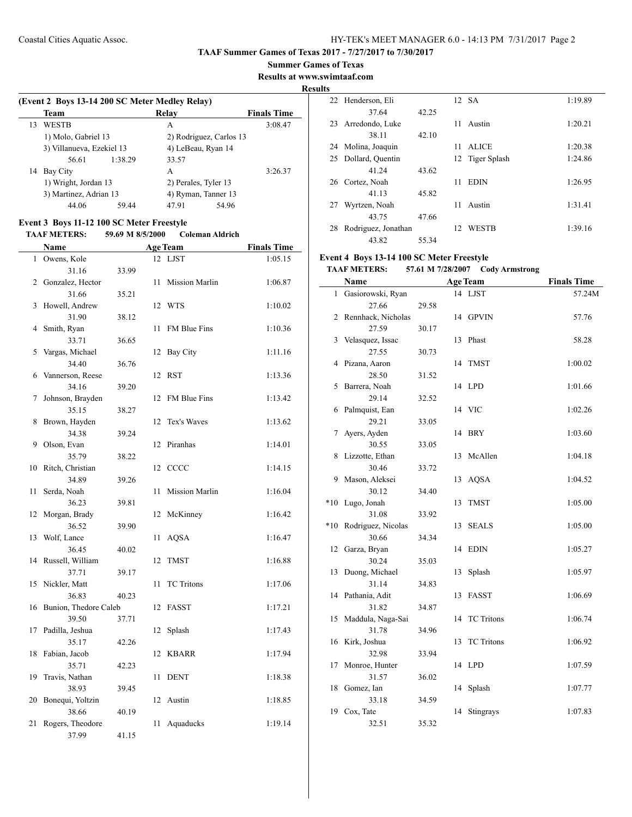#### **Summer Games of Texas**

**Results at www.swimtaaf.com**

### **Results**

 $\frac{1}{2}$ 

| (Event 2 Boys 13-14 200 SC Meter Medley Relay) |                           |         |                         |                     |         |  |
|------------------------------------------------|---------------------------|---------|-------------------------|---------------------|---------|--|
|                                                | Team                      |         | Relay                   | <b>Finals Time</b>  |         |  |
| 13                                             | <b>WESTB</b>              |         | A                       |                     | 3:08.47 |  |
|                                                | 1) Molo, Gabriel 13       |         | 2) Rodriguez, Carlos 13 |                     |         |  |
|                                                | 3) Villanueva, Ezekiel 13 |         | 4) LeBeau, Ryan 14      |                     |         |  |
|                                                | 56.61                     | 1:38.29 | 33.57                   |                     |         |  |
| 14                                             | Bay City                  |         | A                       |                     | 3:26.37 |  |
|                                                | 1) Wright, Jordan 13      |         | 2) Perales, Tyler 13    |                     |         |  |
|                                                | 3) Martinez, Adrian 13    |         |                         | 4) Ryman, Tanner 13 |         |  |
|                                                | 44.06                     | 59 44   | 47.91                   | 54.96               |         |  |

# **Event 3 Boys 11-12 100 SC Meter Freestyle**

#### **TAAF METERS: 59.69 M 8/5/2000 Coleman Aldrich**

|              | <b>Name</b>                    |       |    | <b>Age Team</b>       | <b>Finals Time</b> |
|--------------|--------------------------------|-------|----|-----------------------|--------------------|
| $\mathbf{1}$ | Owens, Kole                    |       | 12 | <b>LJST</b>           | 1:05.15            |
|              | 31.16                          | 33.99 |    |                       |                    |
| 2            | Gonzalez, Hector               |       | 11 | <b>Mission Marlin</b> | 1:06.87            |
|              | 31.66                          | 35.21 |    |                       |                    |
| 3            | Howell, Andrew                 |       | 12 | <b>WTS</b>            | 1:10.02            |
|              | 31.90                          | 38.12 |    |                       |                    |
| 4            | Smith, Ryan                    |       | 11 | FM Blue Fins          | 1:10.36            |
|              | 33.71                          | 36.65 |    |                       |                    |
| 5            | Vargas, Michael                |       | 12 | Bay City              | 1:11.16            |
|              | 34.40                          | 36.76 |    |                       |                    |
| 6            | Vannerson, Reese               |       | 12 | <b>RST</b>            | 1:13.36            |
|              | 34.16                          | 39.20 |    |                       |                    |
| 7            | Johnson, Brayden               |       | 12 | FM Blue Fins          | 1:13.42            |
|              | 35.15                          | 38.27 |    |                       |                    |
| 8            | Brown, Hayden                  |       | 12 | Tex's Waves           | 1:13.62            |
|              | 34.38                          | 39.24 |    |                       |                    |
| 9            | Olson, Evan                    |       | 12 | Piranhas              | 1:14.01            |
|              | 35.79                          | 38.22 |    |                       |                    |
| 10           | Ritch, Christian               |       |    | 12 CCCC               | 1:14.15            |
|              | 34.89                          | 39.26 |    |                       |                    |
| 11           | Serda, Noah                    |       | 11 | <b>Mission Marlin</b> | 1:16.04            |
|              | 36.23                          | 39.81 |    |                       |                    |
| 12           | Morgan, Brady                  |       | 12 | McKinney              | 1:16.42            |
|              | 36.52                          | 39.90 |    |                       |                    |
| 13           | Wolf, Lance                    |       | 11 | <b>AQSA</b>           | 1:16.47            |
|              | 36.45                          | 40.02 |    |                       |                    |
| 14           | Russell, William               |       | 12 | <b>TMST</b>           | 1:16.88            |
|              | 37.71                          | 39.17 |    |                       |                    |
| 15           | Nickler, Matt                  |       | 11 | <b>TC</b> Tritons     | 1:17.06            |
|              | 36.83                          | 40.23 |    |                       |                    |
| 16           | Bunion, Thedore Caleb<br>39.50 |       | 12 | <b>FASST</b>          | 1:17.21            |
| 17           | Padilla, Jeshua                | 37.71 | 12 |                       | 1:17.43            |
|              | 35.17                          | 42.26 |    | Splash                |                    |
| 18           | Fabian, Jacob                  |       | 12 | <b>KBARR</b>          | 1:17.94            |
|              | 35.71                          | 42.23 |    |                       |                    |
| 19           | Travis, Nathan                 |       | 11 | <b>DENT</b>           | 1:18.38            |
|              | 38.93                          | 39.45 |    |                       |                    |
| 20           | Bonequi, Yoltzin               |       | 12 | Austin                | 1:18.85            |
|              | 38.66                          | 40.19 |    |                       |                    |
| 21           | Rogers, Theodore               |       | 11 | Aquaducks             | 1:19.14            |
|              | 37.99                          | 41.15 |    |                       |                    |

|    | 22 Henderson, Eli   |       |    | 12 SA           | 1:19.89 |
|----|---------------------|-------|----|-----------------|---------|
|    | 37.64               | 42.25 |    |                 |         |
| 23 | Arredondo, Luke     |       | 11 | Austin          | 1:20.21 |
|    | 38.11               | 42.10 |    |                 |         |
| 24 | Molina, Joaquin     |       | 11 | <b>ALICE</b>    | 1:20.38 |
| 25 | Dollard, Quentin    |       |    | 12 Tiger Splash | 1:24.86 |
|    | 41.24               | 43.62 |    |                 |         |
| 26 | Cortez, Noah        |       | 11 | <b>EDIN</b>     | 1:26.95 |
|    | 41.13               | 45.82 |    |                 |         |
| 27 | Wyrtzen, Noah       |       | 11 | Austin          | 1:31.41 |
|    | 43.75               | 47.66 |    |                 |         |
| 28 | Rodriguez, Jonathan |       | 12 | <b>WESTB</b>    | 1:39.16 |
|    | 43.82               | 55.34 |    |                 |         |

# **Event 4 Boys 13-14 100 SC Meter Freestyle**

#### **TAAF METERS: 57.61 M 7/28/2007 Cody Armstrong**

|              | Name               | <b>Age Team</b> |    |                   | <b>Finals Time</b> |  |
|--------------|--------------------|-----------------|----|-------------------|--------------------|--|
| $\mathbf{1}$ | Gasiorowski, Ryan  |                 | 14 | <b>LJST</b>       | 57.24M             |  |
|              | 27.66              | 29.58           |    |                   |                    |  |
| 2            | Rennhack, Nicholas |                 | 14 | <b>GPVIN</b>      | 57.76              |  |
|              | 27.59              | 30.17           |    |                   |                    |  |
| 3            | Velasquez, Issac   |                 | 13 | Phast             | 58.28              |  |
|              | 27.55              | 30.73           |    |                   |                    |  |
| 4            | Pizana, Aaron      |                 | 14 | <b>TMST</b>       | 1:00.02            |  |
|              | 28.50              | 31.52           |    |                   |                    |  |
| 5            | Barrera, Noah      |                 | 14 | <b>LPD</b>        | 1:01.66            |  |
|              | 29.14              | 32.52           |    |                   |                    |  |
| 6            | Palmquist, Ean     |                 | 14 | <b>VIC</b>        | 1:02.26            |  |
|              | 29.21              | 33.05           |    |                   |                    |  |
| 7            | Ayers, Ayden       |                 | 14 | <b>BRY</b>        | 1:03.60            |  |
|              | 30.55              | 33.05           |    |                   |                    |  |
| 8            | Lizzotte, Ethan    |                 | 13 | McAllen           | 1:04.18            |  |
|              | 30.46              | 33.72           |    |                   |                    |  |
| 9            | Mason, Aleksei     |                 | 13 | <b>AQSA</b>       | 1:04.52            |  |
|              | 30.12              | 34.40           |    |                   |                    |  |
| $*10$        | Lugo, Jonah        |                 | 13 | TMST              | 1:05.00            |  |
|              | 31.08              | 33.92           |    |                   |                    |  |
| $*10$        | Rodriguez, Nicolas |                 | 13 | <b>SEALS</b>      | 1:05.00            |  |
|              | 30.66              | 34.34           |    |                   |                    |  |
| 12           | Garza, Bryan       |                 | 14 | <b>EDIN</b>       | 1:05.27            |  |
|              | 30.24              | 35.03           |    |                   |                    |  |
| 13           | Duong, Michael     |                 | 13 | Splash            | 1:05.97            |  |
|              | 31.14              | 34.83           |    |                   |                    |  |
| 14           | Pathania, Adit     |                 | 13 | <b>FASST</b>      | 1:06.69            |  |
|              | 31.82              | 34.87           |    |                   |                    |  |
| 15           | Maddula, Naga-Sai  |                 | 14 | <b>TC</b> Tritons | 1:06.74            |  |
|              | 31.78              | 34.96           |    |                   |                    |  |
| 16           | Kirk, Joshua       |                 | 13 | <b>TC</b> Tritons | 1:06.92            |  |
|              | 32.98              | 33.94           |    |                   |                    |  |
| 17           | Monroe, Hunter     |                 | 14 | <b>LPD</b>        | 1:07.59            |  |
|              | 31.57              | 36.02           |    |                   |                    |  |
| 18           | Gomez, Ian         |                 | 14 | Splash            | 1:07.77            |  |
|              | 33.18              | 34.59           |    |                   |                    |  |
| 19           | Cox, Tate          |                 | 14 | Stingrays         | 1:07.83            |  |
|              | 32.51              | 35.32           |    |                   |                    |  |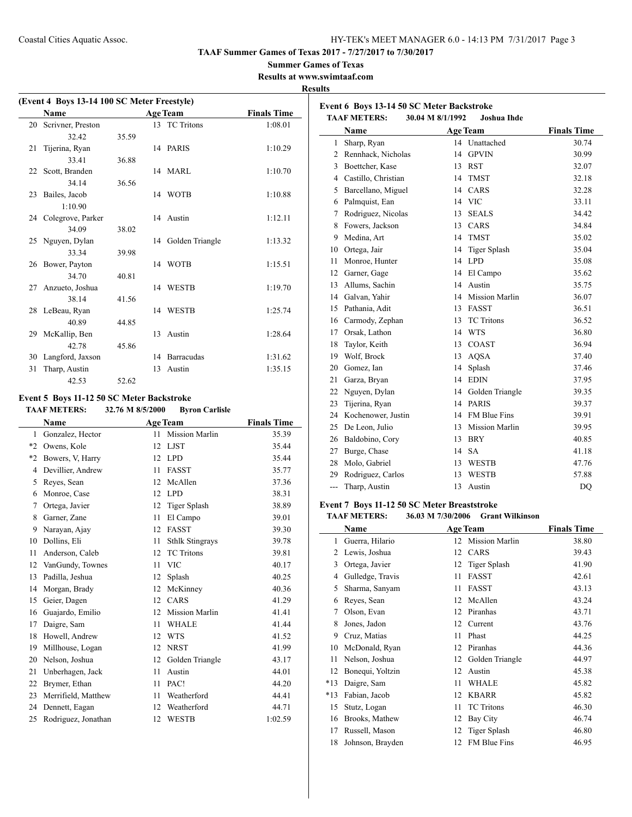**Event 6 Boys 13-14 50 SC Meter Backstroke**

**TAAF Summer Games of Texas 2017 - 7/27/2017 to 7/30/2017**

### **Summer Games of Texas**

**Results at www.swimtaaf.com**

### **Results**

 $\overline{a}$ 

| (Event 4 Boys 13-14 100 SC Meter Freestyle) |                      |       |    |                    |                    |  |
|---------------------------------------------|----------------------|-------|----|--------------------|--------------------|--|
|                                             | <b>Name</b>          |       |    | <b>Age Team</b>    | <b>Finals Time</b> |  |
|                                             | 20 Scrivner, Preston |       |    | 13 TC Tritons      | 1:08.01            |  |
|                                             | 32.42                | 35.59 |    |                    |                    |  |
| 21                                          | Tijerina, Ryan       |       |    | 14 PARIS           | 1:10.29            |  |
|                                             | 33.41                | 36.88 |    |                    |                    |  |
|                                             | 22 Scott, Branden    |       |    | 14 MARL            | 1:10.70            |  |
|                                             | 34.14                | 36.56 |    |                    |                    |  |
|                                             | 23 Bailes, Jacob     |       |    | 14 WOTB            | 1:10.88            |  |
|                                             | 1:10.90              |       |    |                    |                    |  |
|                                             | 24 Colegrove, Parker |       |    | 14 Austin          | 1:12.11            |  |
|                                             | 34.09                | 38.02 |    |                    |                    |  |
|                                             | 25 Nguyen, Dylan     |       |    | 14 Golden Triangle | 1:13.32            |  |
|                                             | 33.34                | 39.98 |    |                    |                    |  |
|                                             | 26 Bower, Payton     |       |    | 14 WOTB            | 1:15.51            |  |
|                                             | 34.70                | 40.81 |    |                    |                    |  |
|                                             | 27 Anzueto, Joshua   |       |    | 14 WESTB           | 1:19.70            |  |
|                                             | 38.14                | 41.56 |    |                    |                    |  |
|                                             | 28 LeBeau, Ryan      |       |    | 14 WESTB           | 1:25.74            |  |
|                                             | 40.89                | 44.85 |    |                    |                    |  |
|                                             | 29 McKallip, Ben     |       | 13 | Austin             | 1:28.64            |  |
|                                             | 42.78                | 45.86 |    |                    |                    |  |
| 30                                          | Langford, Jaxson     |       | 14 | Barracudas         | 1:31.62            |  |
| 31                                          | Tharp, Austin        |       | 13 | Austin             | 1:35.15            |  |
|                                             | 42.53                | 52.62 |    |                    |                    |  |

# **Event 5 Boys 11-12 50 SC Meter Backstroke**

|              | <b>TAAF METERS:</b> | 32.76 M 8/5/2000 | <b>Byron Carlisle</b>  |                    |
|--------------|---------------------|------------------|------------------------|--------------------|
|              | <b>Name</b>         | <b>Age Team</b>  |                        | <b>Finals Time</b> |
| $\mathbf{1}$ | Gonzalez, Hector    | 11               | <b>Mission Marlin</b>  | 35.39              |
| $*2$         | Owens, Kole         | 12               | <b>LJST</b>            | 35.44              |
| *2           | Bowers, V, Harry    | 12               | <b>LPD</b>             | 35.44              |
| 4            | Devillier, Andrew   | 11               | <b>FASST</b>           | 35.77              |
| 5            | Reyes, Sean         | 12               | McAllen                | 37.36              |
| 6            | Monroe, Case        | 12               | <b>LPD</b>             | 38.31              |
| 7            | Ortega, Javier      | 12               | Tiger Splash           | 38.89              |
| 8            | Garner, Zane        | 11               | El Campo               | 39.01              |
| 9            | Narayan, Ajay       | 12               | <b>FASST</b>           | 39.30              |
| 10           | Dollins, Eli        | 11               | <b>Sthlk Stingrays</b> | 39.78              |
| 11           | Anderson, Caleb     | 12               | <b>TC</b> Tritons      | 39.81              |
|              | 12 VanGundy, Townes | 11               | <b>VIC</b>             | 40.17              |
| 13           | Padilla, Jeshua     | 12               | Splash                 | 40.25              |
| 14           | Morgan, Brady       | 12               | McKinney               | 40.36              |
| 15           | Geier, Dagen        | 12               | CARS                   | 41.29              |
| 16           | Guajardo, Emilio    | 12               | <b>Mission Marlin</b>  | 41.41              |
| 17           | Daigre, Sam         | 11               | <b>WHALE</b>           | 41.44              |
| 18           | Howell, Andrew      | 12               | <b>WTS</b>             | 41.52              |
| 19           | Millhouse, Logan    | 12               | <b>NRST</b>            | 41.99              |
| 20           | Nelson, Joshua      | 12               | Golden Triangle        | 43.17              |
| 21           | Unberhagen, Jack    | 11               | Austin                 | 44.01              |
| 22           | Brymer, Ethan       | 11               | PAC!                   | 44.20              |
| 23           | Merrifield, Matthew | 11               | Weatherford            | 44.41              |
| 24           | Dennett, Eagan      | 12               | Weatherford            | 44.71              |
| 25           | Rodriguez, Jonathan | 12               | <b>WESTB</b>           | 1:02.59            |
|              |                     |                  |                        |                    |

|     | <b>TAAF METERS:</b> | 30.04 M 8/1/1992 | <b>Joshua Ihde</b>    |                    |
|-----|---------------------|------------------|-----------------------|--------------------|
|     | Name                |                  | <b>Age Team</b>       | <b>Finals Time</b> |
| 1   | Sharp, Ryan         |                  | 14 Unattached         | 30.74              |
| 2   | Rennhack, Nicholas  | 14               | <b>GPVIN</b>          | 30.99              |
| 3   | Boettcher, Kase     | 13               | <b>RST</b>            | 32.07              |
| 4   | Castillo, Christian | 14               | <b>TMST</b>           | 32.18              |
| 5   | Barcellano, Miguel  | 14               | CARS                  | 32.28              |
| 6   | Palmquist, Ean      | 14               | <b>VIC</b>            | 33.11              |
| 7   | Rodriguez, Nicolas  | 13               | <b>SEALS</b>          | 34.42              |
| 8   | Fowers, Jackson     | 13               | CARS                  | 34.84              |
| 9   | Medina, Art         | 14               | <b>TMST</b>           | 35.02              |
| 10  | Ortega, Jair        | 14               | <b>Tiger Splash</b>   | 35.04              |
| 11  | Monroe, Hunter      | 14               | <b>LPD</b>            | 35.08              |
| 12  | Garner, Gage        | 14               | El Campo              | 35.62              |
| 13  | Allums, Sachin      | 14               | Austin                | 35.75              |
| 14  | Galvan, Yahir       | 14               | <b>Mission Marlin</b> | 36.07              |
| 15  | Pathania, Adit      | 13               | <b>FASST</b>          | 36.51              |
| 16  | Carmody, Zephan     | 13               | <b>TC</b> Tritons     | 36.52              |
| 17  | Orsak, Lathon       | 14               | <b>WTS</b>            | 36.80              |
| 18  | Taylor, Keith       | 13               | COAST                 | 36.94              |
| 19  | Wolf, Brock         | 13               | <b>AQSA</b>           | 37.40              |
| 20  | Gomez, Ian          | 14               | Splash                | 37.46              |
| 21  | Garza, Bryan        | 14               | <b>EDIN</b>           | 37.95              |
| 22  | Nguyen, Dylan       | 14               | Golden Triangle       | 39.35              |
| 23  | Tijerina, Ryan      | 14               | <b>PARIS</b>          | 39.37              |
| 24  | Kochenower, Justin  | 14               | <b>FM Blue Fins</b>   | 39.91              |
| 25  | De Leon, Julio      | 13               | <b>Mission Marlin</b> | 39.95              |
| 26  | Baldobino, Cory     | 13               | <b>BRY</b>            | 40.85              |
| 27  | Burge, Chase        | 14               | <b>SA</b>             | 41.18              |
| 28  | Molo, Gabriel       | 13               | <b>WESTB</b>          | 47.76              |
| 29  | Rodriguez, Carlos   | 13               | <b>WESTB</b>          | 57.88              |
| --- | Tharp, Austin       | 13               | Austin                | DO                 |

### **Event 7 Boys 11-12 50 SC Meter Breaststroke**

### **TAAF METERS: 36.03 M 7/30/2006 Grant Wilkinson**

|       | Name             |    | <b>Age Team</b>       | <b>Finals Time</b> |
|-------|------------------|----|-----------------------|--------------------|
| 1     | Guerra, Hilario  | 12 | <b>Mission Marlin</b> | 38.80              |
| 2     | Lewis, Joshua    | 12 | CARS                  | 39.43              |
| 3     | Ortega, Javier   | 12 | Tiger Splash          | 41.90              |
| 4     | Gulledge, Travis | 11 | <b>FASST</b>          | 42.61              |
| 5     | Sharma, Sanyam   | 11 | FASST                 | 43.13              |
| 6     | Reyes, Sean      | 12 | McAllen               | 43.24              |
| 7     | Olson, Evan      | 12 | Piranhas              | 43.71              |
| 8     | Jones, Jadon     | 12 | Current               | 43.76              |
| 9     | Cruz, Matias     | 11 | Phast                 | 44.25              |
| 10    | McDonald, Ryan   | 12 | Piranhas              | 44.36              |
| 11    | Nelson, Joshua   | 12 | Golden Triangle       | 44.97              |
| 12    | Bonequi, Yoltzin | 12 | Austin                | 45.38              |
| $*13$ | Daigre, Sam      | 11 | <b>WHALE</b>          | 45.82              |
| $*13$ | Fabian, Jacob    | 12 | <b>KBARR</b>          | 45.82              |
| 15    | Stutz, Logan     | 11 | <b>TC</b> Tritons     | 46.30              |
| 16    | Brooks, Mathew   | 12 | Bay City              | 46.74              |
| 17    | Russell, Mason   | 12 | Tiger Splash          | 46.80              |
| 18    | Johnson, Brayden | 12 | FM Blue Fins          | 46.95              |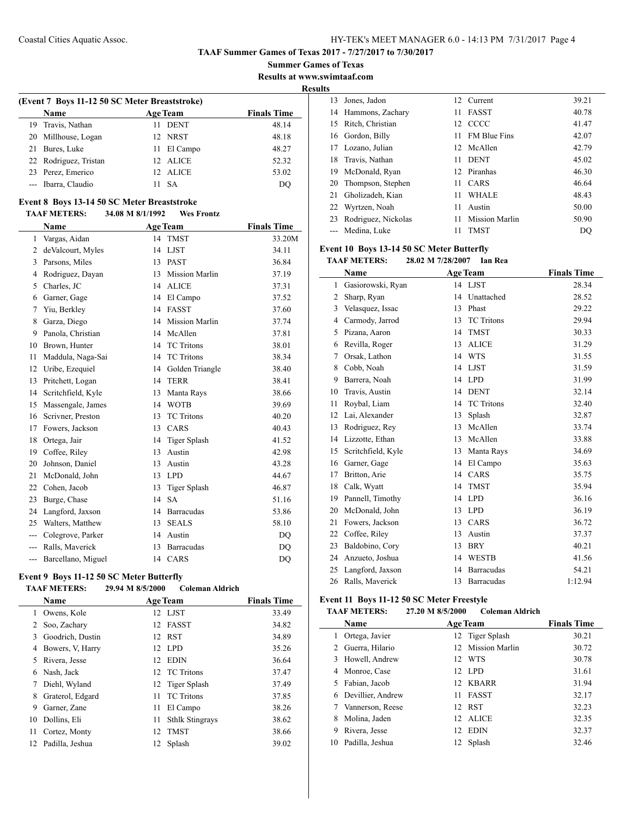**Summer Games of Texas**

**Results at www.swimtaaf.com**

**Results**

|    | (Event 7 Boys 11-12 50 SC Meter Breaststroke) |    |                 |                    |  |  |  |  |
|----|-----------------------------------------------|----|-----------------|--------------------|--|--|--|--|
|    | <b>Name</b>                                   |    | <b>Age Team</b> | <b>Finals Time</b> |  |  |  |  |
|    | 19 Travis, Nathan                             | 11 | <b>DENT</b>     | 48.14              |  |  |  |  |
|    | 20 Millhouse, Logan                           |    | 12 NRST         | 48.18              |  |  |  |  |
| 21 | Bures, Luke                                   |    | 11 El Campo     | 48.27              |  |  |  |  |
|    | 22 Rodriguez, Tristan                         |    | 12 ALICE        | 52.32              |  |  |  |  |
|    | 23 Perez, Emerico                             |    | 12 ALICE        | 53.02              |  |  |  |  |
|    | --- Ibarra, Claudio                           |    | -SA             | DO                 |  |  |  |  |
|    |                                               |    |                 |                    |  |  |  |  |

### **Event 8 Boys 13-14 50 SC Meter Breaststroke**

#### **TAAF METERS: 34.08 M 8/1/1992 Wes Frontz**

|                | Name               |    | <b>Age Team</b>       | <b>Finals Time</b> |
|----------------|--------------------|----|-----------------------|--------------------|
| 1              | Vargas, Aidan      | 14 | <b>TMST</b>           | 33.20M             |
| $\overline{c}$ | deValcourt, Myles  | 14 | <b>LJST</b>           | 34.11              |
| 3              | Parsons, Miles     | 13 | <b>PAST</b>           | 36.84              |
| 4              | Rodriguez, Dayan   | 13 | <b>Mission Marlin</b> | 37.19              |
| 5              | Charles, JC        | 14 | <b>ALICE</b>          | 37.31              |
| 6              | Garner, Gage       | 14 | El Campo              | 37.52              |
| 7              | Yiu, Berkley       | 14 | <b>FASST</b>          | 37.60              |
| 8              | Garza, Diego       | 14 | <b>Mission Marlin</b> | 37.74              |
| 9              | Panola, Christian  | 14 | McAllen               | 37.81              |
| 10             | Brown, Hunter      | 14 | <b>TC</b> Tritons     | 38.01              |
| 11             | Maddula, Naga-Sai  | 14 | <b>TC</b> Tritons     | 38.34              |
| 12             | Uribe, Ezequiel    | 14 | Golden Triangle       | 38.40              |
| 13             | Pritchett, Logan   | 14 | <b>TERR</b>           | 38.41              |
| 14             | Scritchfield, Kyle | 13 | Manta Rays            | 38.66              |
| 15             | Massengale, James  | 14 | <b>WOTB</b>           | 39.69              |
| 16             | Scrivner, Preston  | 13 | <b>TC</b> Tritons     | 40.20              |
| 17             | Fowers, Jackson    | 13 | CARS                  | 40.43              |
| 18             | Ortega, Jair       | 14 | <b>Tiger Splash</b>   | 41.52              |
| 19             | Coffee, Riley      | 13 | Austin                | 42.98              |
| 20             | Johnson, Daniel    | 13 | Austin                | 43.28              |
| 21             | McDonald, John     | 13 | <b>LPD</b>            | 44.67              |
| 22             | Cohen, Jacob       | 13 | <b>Tiger Splash</b>   | 46.87              |
| 23             | Burge, Chase       | 14 | <b>SA</b>             | 51.16              |
| 24             | Langford, Jaxson   | 14 | <b>Barracudas</b>     | 53.86              |
| 25             | Walters, Matthew   | 13 | <b>SEALS</b>          | 58.10              |
| ---            | Colegrove, Parker  | 14 | Austin                | DQ                 |
|                | Ralls, Maverick    | 13 | <b>Barracudas</b>     | DQ                 |
| ---            | Barcellano, Miguel | 14 | CARS                  | <b>DQ</b>          |

### **Event 9 Boys 11-12 50 SC Meter Butterfly**

 $\overline{\phantom{0}}$ 

### **TAAF METERS: 29.94 M 8/5/2000 Coleman Aldrich**

|    | <b>Name</b>      |                 | <b>Age Team</b>        | <b>Finals Time</b> |
|----|------------------|-----------------|------------------------|--------------------|
| 1  | Owens, Kole      |                 | 12 LJST                | 33.49              |
| 2  | Soo, Zachary     | 12              | <b>FASST</b>           | 34.82              |
| 3  | Goodrich, Dustin | 12              | RST                    | 34.89              |
| 4  | Bowers, V, Harry | 12 <sub>1</sub> | LPD.                   | 35.26              |
| 5  | Rivera, Jesse    | 12              | <b>EDIN</b>            | 36.64              |
| 6  | Nash, Jack       |                 | 12 TC Tritons          | 37.47              |
| 7  | Diehl, Wyland    |                 | 12 Tiger Splash        | 37.49              |
| 8  | Graterol, Edgard | 11              | <b>TC</b> Tritons      | 37.85              |
| 9  | Garner, Zane     | 11              | El Campo               | 38.26              |
| 10 | Dollins, Eli     | 11              | <b>Sthlk Stingrays</b> | 38.62              |
| 11 | Cortez, Monty    | 12              | <b>TMST</b>            | 38.66              |
| 12 | Padilla, Jeshua  | 12              | Splash                 | 39.02              |

| 13 | Jones, Jadon         | 12  | Current               | 39.21 |
|----|----------------------|-----|-----------------------|-------|
|    | 14 Hammons, Zachary  | 11  | <b>FASST</b>          | 40.78 |
| 15 | Ritch, Christian     |     | 12 CCCC               | 41.47 |
|    | 16 Gordon, Billy     | 11. | <b>FM Blue Fins</b>   | 42.07 |
|    | 17 Lozano, Julian    |     | 12 McAllen            | 42.79 |
|    | 18 Travis, Nathan    | 11  | <b>DENT</b>           | 45.02 |
|    | 19 McDonald, Ryan    |     | 12 Piranhas           | 46.30 |
|    | 20 Thompson, Stephen | 11. | <b>CARS</b>           | 46.64 |
| 21 | Gholizadeh, Kian     | 11  | <b>WHALE</b>          | 48.43 |
| 22 | Wyrtzen, Noah        | 11  | Austin                | 50.00 |
| 23 | Rodriguez, Nickolas  | 11  | <b>Mission Marlin</b> | 50.90 |
|    | --- Medina, Luke     | 11  | <b>TMST</b>           | DO    |

### **Event 10 Boys 13-14 50 SC Meter Butterfly**

**TAAF METERS: 28.02 M 7/28/2007 Ian Rea**

|    | Name               |    | <b>Age Team</b>   | <b>Finals Time</b> |
|----|--------------------|----|-------------------|--------------------|
| 1  | Gasiorowski, Ryan  |    | 14 LJST           | 28.34              |
| 2  | Sharp, Ryan        | 14 | Unattached        | 28.52              |
| 3  | Velasquez, Issac   | 13 | Phast             | 29.22              |
| 4  | Carmody, Jarrod    | 13 | <b>TC</b> Tritons | 29.94              |
| 5  | Pizana, Aaron      | 14 | <b>TMST</b>       | 30.33              |
| 6  | Revilla, Roger     | 13 | <b>ALICE</b>      | 31.29              |
| 7  | Orsak, Lathon      | 14 | <b>WTS</b>        | 31.55              |
| 8  | Cobb, Noah         | 14 | <b>LJST</b>       | 31.59              |
| 9  | Barrera, Noah      | 14 | <b>LPD</b>        | 31.99              |
| 10 | Travis, Austin     | 14 | <b>DENT</b>       | 32.14              |
| 11 | Roybal, Liam       | 14 | <b>TC</b> Tritons | 32.40              |
| 12 | Lai, Alexander     | 13 | Splash            | 32.87              |
| 13 | Rodriguez, Rey     | 13 | McAllen           | 33.74              |
| 14 | Lizzotte, Ethan    | 13 | McAllen           | 33.88              |
| 15 | Scritchfield, Kyle | 13 | Manta Rays        | 34.69              |
| 16 | Garner, Gage       | 14 | El Campo          | 35.63              |
| 17 | Britton, Arie      | 14 | CARS              | 35.75              |
| 18 | Calk, Wyatt        | 14 | <b>TMST</b>       | 35.94              |
| 19 | Pannell, Timothy   | 14 | <b>LPD</b>        | 36.16              |
| 20 | McDonald, John     | 13 | <b>LPD</b>        | 36.19              |
| 21 | Fowers, Jackson    | 13 | CARS              | 36.72              |
| 22 | Coffee, Riley      | 13 | Austin            | 37.37              |
| 23 | Baldobino, Cory    | 13 | <b>BRY</b>        | 40.21              |
| 24 | Anzueto, Joshua    | 14 | <b>WESTB</b>      | 41.56              |
| 25 | Langford, Jaxson   | 14 | <b>Barracudas</b> | 54.21              |
| 26 | Ralls. Maverick    | 13 | <b>Barracudas</b> | 1:12.94            |

# **Event 11 Boys 11-12 50 SC Meter Freestyle**

**TAAF METERS: 27.20 M 8/5/2000 Coleman Aldrich**

|    | <b>Name</b>       | <b>Age Team</b> |                 | <b>Finals Time</b> |
|----|-------------------|-----------------|-----------------|--------------------|
|    | Ortega, Javier    |                 | 12 Tiger Splash | 30.21              |
|    | Guerra, Hilario   | 12.             | Mission Marlin  | 30.72              |
| 3. | Howell, Andrew    | 12 <sub>1</sub> | WTS             | 30.78              |
|    | 4 Monroe, Case    | 12.             | LPD.            | 31.61              |
| 5. | Fabian, Jacob     | 12.             | KBARR           | 31.94              |
| 6  | Devillier, Andrew | 11              | <b>FASST</b>    | 32.17              |
|    | Vannerson, Reese  | 12.             | <b>RST</b>      | 32.23              |
| 8  | Molina, Jaden     | 12.             | ALICE           | 32.35              |
| 9  | Rivera, Jesse     | 12              | <b>EDIN</b>     | 32.37              |
| 10 | Padilla, Jeshua   | 12.             | Splash          | 32.46              |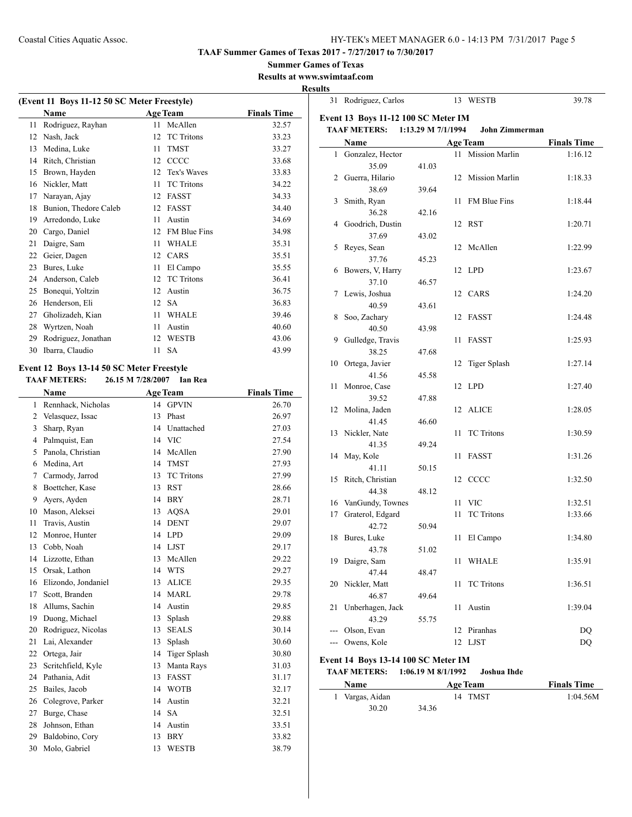31 Rodriguez, Carlos 13 WESTB 39.78

**TAAF Summer Games of Texas 2017 - 7/27/2017 to 7/30/2017**

**Summer Games of Texas**

**Results at www.swimtaaf.com Results**

 $\overline{\phantom{a}}$ 

| (Event 11 Boys 11-12 50 SC Meter Freestyle) |                       |    |                     |                    |  |  |  |
|---------------------------------------------|-----------------------|----|---------------------|--------------------|--|--|--|
|                                             | <b>Name</b>           |    | <b>Age Team</b>     | <b>Finals Time</b> |  |  |  |
| 11                                          | Rodriguez, Rayhan     | 11 | McAllen             | 32.57              |  |  |  |
| 12                                          | Nash, Jack            | 12 | <b>TC</b> Tritons   | 33.23              |  |  |  |
| 13                                          | Medina, Luke          | 11 | <b>TMST</b>         | 33.27              |  |  |  |
| 14                                          | Ritch, Christian      | 12 | CCCC                | 33.68              |  |  |  |
| 15                                          | Brown, Hayden         | 12 | Tex's Waves         | 33.83              |  |  |  |
| 16                                          | Nickler, Matt         | 11 | <b>TC</b> Tritons   | 34.22              |  |  |  |
| 17                                          | Narayan, Ajay         | 12 | <b>FASST</b>        | 34.33              |  |  |  |
| 18                                          | Bunion, Thedore Caleb | 12 | <b>FASST</b>        | 34.40              |  |  |  |
| 19                                          | Arredondo, Luke       | 11 | Austin              | 34.69              |  |  |  |
| 20                                          | Cargo, Daniel         | 12 | <b>FM Blue Fins</b> | 34.98              |  |  |  |
| 21                                          | Daigre, Sam           | 11 | <b>WHALE</b>        | 35.31              |  |  |  |
| 22                                          | Geier, Dagen          | 12 | CARS                | 35.51              |  |  |  |
| 23                                          | Bures, Luke           | 11 | El Campo            | 35.55              |  |  |  |
| 24                                          | Anderson, Caleb       | 12 | <b>TC</b> Tritons   | 36.41              |  |  |  |
| 25                                          | Bonequi, Yoltzin      | 12 | Austin              | 36.75              |  |  |  |
| 26                                          | Henderson, Eli        | 12 | <b>SA</b>           | 36.83              |  |  |  |
| 27                                          | Gholizadeh, Kian      | 11 | <b>WHALE</b>        | 39.46              |  |  |  |
| 28                                          | Wyrtzen, Noah         | 11 | Austin              | 40.60              |  |  |  |
| 29                                          | Rodriguez, Jonathan   | 12 | <b>WESTB</b>        | 43.06              |  |  |  |
| 30                                          | Ibarra, Claudio       | 11 | <b>SA</b>           | 43.99              |  |  |  |

### **Event 12 Boys 13-14 50 SC Meter Freestyle**

 $\overline{a}$ 

**TAAF METERS: 26.15 M 7/28/2007 Ian Rea**

|                | Name                |    | <b>Age Team</b>     | <b>Finals Time</b> |
|----------------|---------------------|----|---------------------|--------------------|
| 1              | Rennhack, Nicholas  | 14 | <b>GPVIN</b>        | 26.70              |
| $\overline{2}$ | Velasquez, Issac    | 13 | Phast               | 26.97              |
| 3              | Sharp, Ryan         | 14 | Unattached          | 27.03              |
| 4              | Palmquist, Ean      | 14 | <b>VIC</b>          | 27.54              |
| 5              | Panola, Christian   | 14 | McAllen             | 27.90              |
| 6              | Medina, Art         | 14 | <b>TMST</b>         | 27.93              |
| 7              | Carmody, Jarrod     | 13 | <b>TC</b> Tritons   | 27.99              |
| 8              | Boettcher, Kase     | 13 | <b>RST</b>          | 28.66              |
| 9              | Avers, Ayden        | 14 | <b>BRY</b>          | 28.71              |
| 10             | Mason, Aleksei      | 13 | <b>AQSA</b>         | 29.01              |
| 11             | Travis, Austin      | 14 | <b>DENT</b>         | 29.07              |
| 12             | Monroe, Hunter      | 14 | <b>LPD</b>          | 29.09              |
| 13             | Cobb, Noah          | 14 | <b>LJST</b>         | 29.17              |
| 14             | Lizzotte, Ethan     | 13 | McAllen             | 29.22              |
| 15             | Orsak, Lathon       | 14 | <b>WTS</b>          | 29.27              |
| 16             | Elizondo, Jondaniel | 13 | <b>ALICE</b>        | 29.35              |
| 17             | Scott, Branden      | 14 | <b>MARL</b>         | 29.78              |
| 18             | Allums, Sachin      | 14 | Austin              | 29.85              |
| 19             | Duong, Michael      | 13 | Splash              | 29.88              |
| 20             | Rodriguez, Nicolas  | 13 | <b>SEALS</b>        | 30.14              |
| 21             | Lai, Alexander      | 13 | Splash              | 30.60              |
| 22             | Ortega, Jair        | 14 | <b>Tiger Splash</b> | 30.80              |
| 23             | Scritchfield, Kyle  | 13 | Manta Rays          | 31.03              |
| 24             | Pathania, Adit      | 13 | <b>FASST</b>        | 31.17              |
| 25             | Bailes, Jacob       | 14 | <b>WOTB</b>         | 32.17              |
| 26             | Colegrove, Parker   | 14 | Austin              | 32.21              |
| 27             | Burge, Chase        | 14 | <b>SA</b>           | 32.51              |
| 28             | Johnson, Ethan      | 14 | Austin              | 33.51              |
| 29             | Baldobino, Cory     | 13 | <b>BRY</b>          | 33.82              |
| 30             | Molo, Gabriel       | 13 | <b>WESTB</b>        | 38.79              |

|                | Name             |       |    | <b>Age Team</b>     | <b>Finals Time</b> |
|----------------|------------------|-------|----|---------------------|--------------------|
| $\mathbf{1}$   | Gonzalez, Hector |       |    | 11 Mission Marlin   | 1:16.12            |
|                | 35.09            | 41.03 |    |                     |                    |
| $\overline{c}$ | Guerra, Hilario  |       |    | 12 Mission Marlin   | 1:18.33            |
|                | 38.69            | 39.64 |    |                     |                    |
| 3              | Smith, Ryan      |       | 11 | FM Blue Fins        | 1:18.44            |
|                | 36.28            | 42.16 |    |                     |                    |
| 4              | Goodrich, Dustin |       | 12 | RST                 | 1:20.71            |
|                | 37.69            | 43.02 |    |                     |                    |
| 5              | Reyes, Sean      |       | 12 | McAllen             | 1:22.99            |
|                | 37.76            | 45.23 |    |                     |                    |
| 6              | Bowers, V, Harry |       | 12 | <b>LPD</b>          | 1:23.67            |
|                | 37.10            | 46.57 |    |                     |                    |
| 7              | Lewis, Joshua    |       |    | 12 CARS             | 1:24.20            |
|                | 40.59            | 43.61 |    |                     |                    |
| 8              | Soo, Zachary     |       | 12 | FASST               | 1:24.48            |
|                | 40.50            | 43.98 |    |                     |                    |
| 9              | Gulledge, Travis |       | 11 | <b>FASST</b>        | 1:25.93            |
|                | 38.25            | 47.68 |    |                     |                    |
| 10             | Ortega, Javier   |       | 12 | <b>Tiger Splash</b> | 1:27.14            |
|                | 41.56            | 45.58 |    |                     |                    |
| 11             | Monroe, Case     |       | 12 | <b>LPD</b>          | 1:27.40            |
|                | 39.52            | 47.88 |    |                     |                    |
| 12             | Molina, Jaden    |       | 12 | <b>ALICE</b>        | 1:28.05            |
|                | 41.45            | 46.60 |    |                     |                    |
| 13             | Nickler, Nate    |       | 11 | <b>TC</b> Tritons   | 1:30.59            |
|                | 41.35            | 49.24 |    |                     |                    |
| 14             | May, Kole        |       | 11 | <b>FASST</b>        | 1:31.26            |
|                | 41.11            | 50.15 |    |                     |                    |
| 15             | Ritch, Christian |       |    | 12 CCCC             | 1:32.50            |
|                | 44.38            | 48.12 |    |                     |                    |
| 16             | VanGundy, Townes |       | 11 | <b>VIC</b>          | 1:32.51            |
| 17             | Graterol, Edgard |       | 11 | <b>TC</b> Tritons   | 1:33.66            |
|                | 42.72            | 50.94 |    |                     |                    |
| 18             | Bures, Luke      |       | 11 | El Campo            | 1:34.80            |
|                | 43.78            | 51.02 |    |                     |                    |
| 19             | Daigre, Sam      |       | 11 | WHALE               | 1:35.91            |
|                | 47.44            | 48.47 |    |                     |                    |
|                | 20 Nickler, Matt |       | 11 | <b>TC</b> Tritons   | 1:36.51            |
|                | 46.87            | 49.64 |    |                     |                    |
| 21             | Unberhagen, Jack |       | 11 | Austin              | 1:39.04            |
|                | 43.29            | 55.75 |    |                     |                    |
| ---            | Olson, Evan      |       | 12 | Piranhas            | DQ                 |
|                | Owens, Kole      |       | 12 | LJST                | DQ                 |

**TAAF METERS: 1:06.19 M 8/1/1992 Joshua Ihde**

 $\frac{1}{2}$ 

| <b>Name</b>     | <b>Age Team</b> | <b>Finals Time</b> |
|-----------------|-----------------|--------------------|
| 1 Vargas, Aidan | 14 TMST         | 1:04.56M           |
| 30.20           | 34.36           |                    |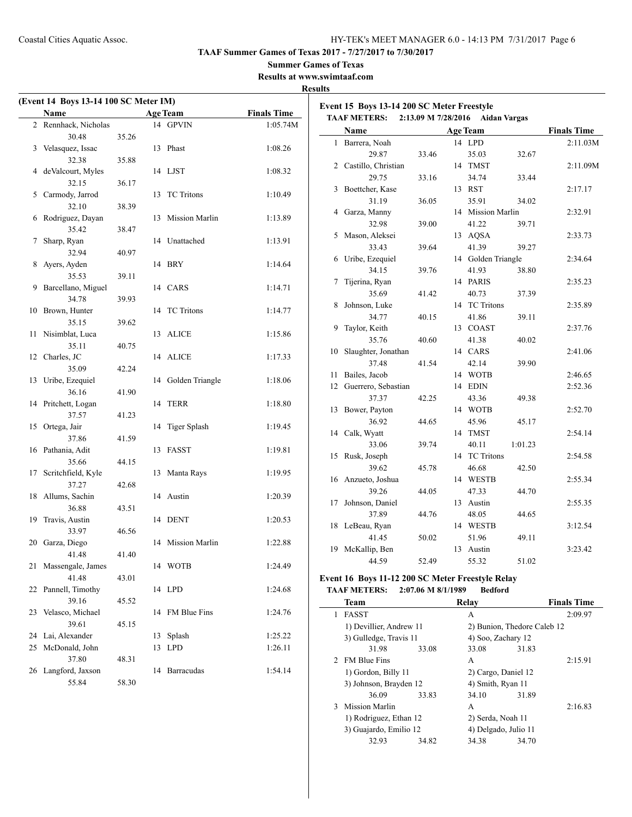3 Mission Marlin A 2:16.83

1) Rodriguez, Ethan 12 2) Serda, Noah 11 3) Guajardo, Emilio 12 4) Delgado, Julio 11 32.93 34.82 34.38 34.70

**TAAF Summer Games of Texas 2017 - 7/27/2017 to 7/30/2017**

# **Summer Games of Texas**

**Results at www.swimtaaf.com Results**

| Name                       |       | <b>Age Team</b>    | <b>Finals Time</b> | Event 15 Boys 13-14 200 SC Meter Freestyle       |                    |                             |         |                    |
|----------------------------|-------|--------------------|--------------------|--------------------------------------------------|--------------------|-----------------------------|---------|--------------------|
| 2 Rennhack, Nicholas       |       | 14 GPVIN           | 1:05.74M           | TAAF METERS: 2:13.09 M 7/28/2016 Aidan Vargas    |                    |                             |         |                    |
| 30.48                      | 35.26 |                    |                    | Name                                             |                    | <b>Age Team</b>             |         | <b>Finals Time</b> |
| 3 Velasquez, Issac         |       | 13 Phast           | 1:08.26            | 1 Barrera, Noah<br>29.87                         |                    | 14 LPD                      |         | 2:11.03M           |
| 32.38                      | 35.88 |                    |                    |                                                  | 33.46              | 35.03                       | 32.67   |                    |
| 4 deValcourt, Myles        |       | 14 LJST            | 1:08.32            | 2 Castillo, Christian                            |                    | 14 TMST                     |         | 2:11.09M           |
| 32.15                      | 36.17 |                    |                    | 29.75                                            | 33.16              | 34.74                       | 33.44   |                    |
| 5 Carmody, Jarrod          |       | 13 TC Tritons      | 1:10.49            | 3 Boettcher, Kase                                |                    | 13 RST                      |         | 2:17.17            |
| 32.10                      | 38.39 |                    |                    | 31.19                                            | 36.05              | 35.91                       | 34.02   |                    |
| 6 Rodriguez, Dayan         |       | 13 Mission Marlin  | 1:13.89            | 4 Garza, Manny                                   |                    | 14 Mission Marlin           |         | 2:32.91            |
| 35.42                      | 38.47 |                    |                    | 32.98                                            | 39.00              | 41.22                       | 39.71   |                    |
| 7 Sharp, Ryan              |       | 14 Unattached      | 1:13.91            | 5 Mason, Aleksei                                 |                    | 13 AQSA                     |         | 2:33.73            |
| 32.94                      | 40.97 |                    |                    | 33.43                                            | 39.64              | 41.39                       | 39.27   |                    |
| 8 Ayers, Ayden             |       | 14 BRY             | 1:14.64            | 6 Uribe, Ezequiel                                |                    | 14 Golden Triangle          |         | 2:34.64            |
| 35.53                      | 39.11 |                    |                    | 34.15                                            | 39.76              | 41.93                       | 38.80   |                    |
| 9 Barcellano, Miguel       |       | 14 CARS            | 1:14.71            | 7 Tijerina, Ryan                                 |                    | 14 PARIS                    |         | 2:35.23            |
| 34.78                      | 39.93 |                    |                    | 35.69                                            | 41.42              | 40.73                       | 37.39   |                    |
| 10 Brown, Hunter           |       | 14 TC Tritons      | 1:14.77            | 8 Johnson, Luke                                  |                    | 14 TC Tritons               |         | 2:35.89            |
| 35.15                      | 39.62 |                    |                    | 34.77                                            | 40.15              | 41.86                       | 39.11   |                    |
| 11 Nisimblat, Luca         |       | 13 ALICE           | 1:15.86            | 9 Taylor, Keith                                  |                    | 13 COAST                    |         | 2:37.76            |
| 35.11                      | 40.75 |                    |                    | 35.76                                            | 40.60              | 41.38                       | 40.02   |                    |
| 12 Charles, JC             |       | 14 ALICE           | 1:17.33            | 10 Slaughter, Jonathan                           |                    | 14 CARS                     |         | 2:41.06            |
| 35.09                      | 42.24 |                    |                    | 37.48                                            | 41.54              | 42.14                       | 39.90   |                    |
| 13 Uribe, Ezequiel         |       | 14 Golden Triangle | 1:18.06            | 11 Bailes, Jacob                                 |                    | 14 WOTB                     |         | 2:46.65            |
| 36.16                      | 41.90 |                    |                    | 12 Guerrero, Sebastian                           |                    | 14 EDIN                     |         | 2:52.36            |
| 14 Pritchett, Logan        |       | 14 TERR            | 1:18.80            | 37.37                                            | 42.25              | 43.36                       | 49.38   |                    |
| 37.57                      | 41.23 |                    |                    | 13 Bower, Payton                                 |                    | 14 WOTB                     |         | 2:52.70            |
| 15 Ortega, Jair            |       | 14 Tiger Splash    | 1:19.45            | 36.92                                            | 44.65              | 45.96                       | 45.17   |                    |
| 37.86                      | 41.59 |                    |                    | 14 Calk, Wyatt                                   |                    | 14 TMST                     |         | 2:54.14            |
|                            |       | 13 FASST           | 1:19.81            | 33.06                                            | 39.74              | 40.11                       | 1:01.23 |                    |
| 16 Pathania, Adit<br>35.66 | 44.15 |                    |                    | 15 Rusk, Joseph                                  |                    | 14 TC Tritons               |         | 2:54.58            |
|                            |       |                    |                    | 39.62                                            | 45.78              | 46.68                       | 42.50   |                    |
| 17 Scritchfield, Kyle      |       | 13 Manta Rays      | 1:19.95            | 16 Anzueto, Joshua                               |                    | 14 WESTB                    |         | 2:55.34            |
| 37.27                      | 42.68 |                    |                    | 39.26                                            | 44.05              | 47.33                       | 44.70   |                    |
| 18 Allums, Sachin          |       | 14 Austin          | 1:20.39            | 17 Johnson, Daniel                               |                    | 13 Austin                   |         | 2:55.35            |
| 36.88                      | 43.51 |                    |                    | 37.89                                            | 44.76              | 48.05                       | 44.65   |                    |
| 19 Travis, Austin          |       | 14 DENT            | 1:20.53            | 18 LeBeau, Ryan                                  |                    | 14 WESTB                    |         | 3:12.54            |
| 33.97                      | 46.56 |                    |                    | 41.45                                            | 50.02              | 51.96                       | 49.11   |                    |
| 20 Garza, Diego            |       | 14 Mission Marlin  | 1:22.88            | 19 McKallip, Ben                                 |                    | 13 Austin                   |         | 3:23.42            |
| 41.48                      | 41.40 |                    |                    | 44.59                                            | 52.49              | 55.32                       | 51.02   |                    |
| 21 Massengale, James       |       | 14 WOTB            | 1:24.49            |                                                  |                    |                             |         |                    |
| 41.48                      | 43.01 |                    |                    | Event 16 Boys 11-12 200 SC Meter Freestyle Relay |                    |                             |         |                    |
| 22 Pannell, Timothy        |       | 14 LPD             | 1:24.68            | <b>TAAF METERS:</b>                              | 2:07.06 M 8/1/1989 | <b>Bedford</b>              |         |                    |
| 39.16                      | 45.52 |                    |                    | <b>Team</b>                                      |                    | Relay                       |         | <b>Finals Time</b> |
| 23 Velasco, Michael        |       | 14 FM Blue Fins    | 1:24.76            | 1 FASST                                          |                    | $\mathbf{A}$                |         | 2:09.97            |
| 39.61                      | 45.15 |                    |                    | 1) Devillier, Andrew 11                          |                    | 2) Bunion, Thedore Caleb 12 |         |                    |
| 24 Lai, Alexander          |       | 13 Splash          | 1:25.22            | 3) Gulledge, Travis 11                           |                    | 4) Soo, Zachary 12          |         |                    |
| 25 McDonald, John          |       | 13 LPD             | 1:26.11            | 31.98                                            | 33.08              | 33.08                       | 31.83   |                    |
| 37.80                      | 48.31 |                    |                    | 2 FM Blue Fins                                   |                    | А                           |         | 2:15.91            |
| 26 Langford, Jaxson        |       | 14 Barracudas      | 1:54.14            | 1) Gordon, Billy 11                              |                    | 2) Cargo, Daniel 12         |         |                    |
| 55.84                      | 58.30 |                    |                    | 3) Johnson, Brayden 12                           |                    | 4) Smith, Ryan 11           |         |                    |
|                            |       |                    |                    | 36.09                                            | 33.83              | 34.10                       | 31.89   |                    |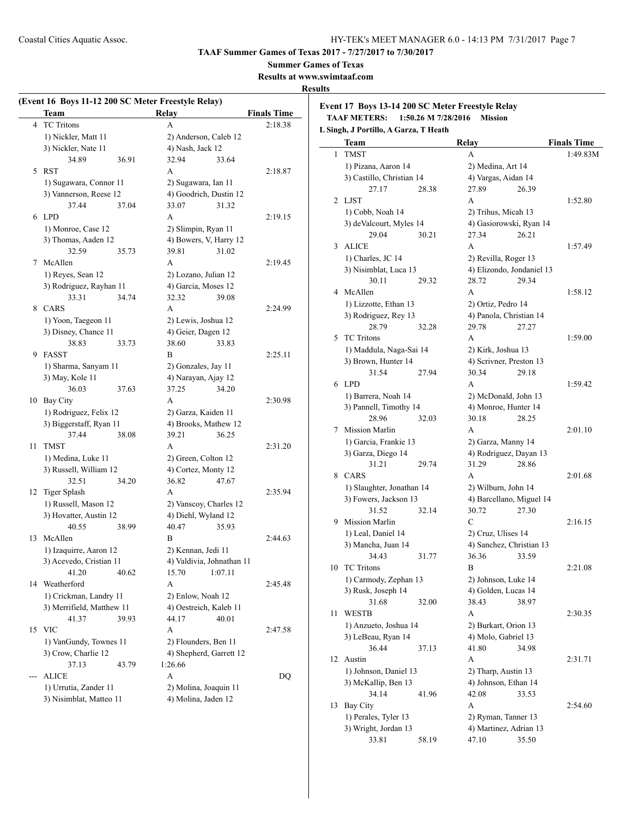**Summer Games of Texas**

**Results at www.swimtaaf.com**

### **Results**

|       | (Event 16 Boys 11-12 200 SC Meter Freestyle Relay)<br>Team |       | Relay                 |                           | <b>Finals Time</b> |
|-------|------------------------------------------------------------|-------|-----------------------|---------------------------|--------------------|
| 4     | <b>TC</b> Tritons                                          |       | A                     |                           | 2:18.38            |
|       | 1) Nickler, Matt 11                                        |       |                       | 2) Anderson, Caleb 12     |                    |
|       | 3) Nickler, Nate 11                                        |       | 4) Nash, Jack 12      |                           |                    |
|       | 34.89                                                      | 36.91 | 32.94                 | 33.64                     |                    |
| 5     | RST                                                        |       | A                     |                           | 2:18.87            |
|       | 1) Sugawara, Connor 11                                     |       | 2) Sugawara, Ian 11   |                           |                    |
|       | 3) Vannerson, Reese 12                                     |       |                       | 4) Goodrich, Dustin 12    |                    |
|       | 37.44                                                      | 37.04 | 33.07                 | 31.32                     |                    |
|       | 6 LPD                                                      |       | A                     |                           | 2:19.15            |
|       | 1) Monroe, Case 12                                         |       | 2) Slimpin, Ryan 11   |                           |                    |
|       | 3) Thomas, Aaden 12                                        |       |                       | 4) Bowers, V, Harry 12    |                    |
|       | 32.59                                                      |       |                       |                           |                    |
|       |                                                            | 35.73 | 39.81                 | 31.02                     |                    |
|       | 7 McAllen                                                  |       | A                     |                           | 2:19.45            |
|       | 1) Reyes, Sean 12                                          |       | 2) Lozano, Julian 12  |                           |                    |
|       | 3) Rodriguez, Rayhan 11                                    |       | 4) Garcia, Moses 12   |                           |                    |
|       | 33.31                                                      | 34.74 | 32.32                 | 39.08                     |                    |
|       | 8 CARS                                                     |       | A                     |                           | 2:24.99            |
|       | 1) Yoon, Taegeon 11                                        |       | 2) Lewis, Joshua 12   |                           |                    |
|       | 3) Disney, Chance 11                                       |       | 4) Geier, Dagen 12    |                           |                    |
|       | 38.83                                                      | 33.73 | 38.60                 | 33.83                     |                    |
| 9     | <b>FASST</b>                                               |       | B                     |                           | 2:25.11            |
|       | 1) Sharma, Sanyam 11                                       |       | 2) Gonzales, Jay 11   |                           |                    |
|       | 3) May, Kole 11                                            |       | 4) Narayan, Ajay 12   |                           |                    |
|       | 36.03                                                      | 37.63 | 37.25                 | 34.20                     |                    |
|       | 10 Bay City                                                |       | A                     |                           | 2:30.98            |
|       | 1) Rodriguez, Felix 12                                     |       | 2) Garza, Kaiden 11   |                           |                    |
|       | 3) Biggerstaff, Ryan 11                                    |       |                       | 4) Brooks, Mathew 12      |                    |
|       | 37.44                                                      | 38.08 | 39.21                 | 36.25                     |                    |
| 11    | <b>TMST</b>                                                |       | A                     |                           | 2:31.20            |
|       | 1) Medina, Luke 11                                         |       | 2) Green, Colton 12   |                           |                    |
|       | 3) Russell, William 12                                     |       | 4) Cortez, Monty 12   |                           |                    |
|       | 32.51                                                      | 34.20 | 36.82                 | 47.67                     |                    |
| 12    |                                                            |       | A                     |                           | 2:35.94            |
|       | <b>Tiger Splash</b>                                        |       |                       |                           |                    |
|       | 1) Russell, Mason 12                                       |       |                       | 2) Vanscoy, Charles 12    |                    |
|       | 3) Hovatter, Austin 12                                     |       | 4) Diehl, Wyland 12   |                           |                    |
|       | 40.55                                                      | 38.99 | 40.47                 | 35.93                     |                    |
| 13    | McAllen                                                    |       | В                     |                           | 2:44.63            |
|       | 1) Izaquirre, Aaron 12                                     |       | 2) Kennan, Jedi 11    |                           |                    |
|       | 3) Acevedo, Cristian 11                                    |       |                       | 4) Valdivia, Johnathan 11 |                    |
|       | 41.20                                                      | 40.62 | 15.70                 | 1:07.11                   |                    |
|       | 14 Weatherford                                             |       | A                     |                           | 2:45.48            |
|       | 1) Crickman, Landry 11                                     |       | 2) Enlow, Noah 12     |                           |                    |
|       | 3) Merrifield, Matthew 11                                  |       |                       | 4) Oestreich, Kaleb 11    |                    |
|       | 41.37                                                      | 39.93 | 44.17                 | 40.01                     |                    |
|       | 15 VIC                                                     |       | A                     |                           | 2:47.58            |
|       | 1) VanGundy, Townes 11                                     |       | 2) Flounders, Ben 11  |                           |                    |
|       | 3) Crow, Charlie 12                                        |       |                       | 4) Shepherd, Garrett 12   |                    |
|       | 37.13                                                      | 43.79 | 1:26.66               |                           |                    |
| $---$ | <b>ALICE</b>                                               |       | A                     |                           | DQ                 |
|       | 1) Urrutia, Zander 11                                      |       | 2) Molina, Joaquin 11 |                           |                    |
|       | 3) Nisimblat, Matteo 11                                    |       | 4) Molina, Jaden 12   |                           |                    |
|       |                                                            |       |                       |                           |                    |
|       |                                                            |       |                       |                           |                    |

**Event 17 Boys 13-14 200 SC Meter Freestyle Relay TAAF METERS: 1:50.26 M 7/28/2016 Mission**

**L Singh, J Portillo, A Garza, T Heath**

|    | <b>Team</b>               |       | <b>Relay</b>              |       | <b>Finals Time</b> |
|----|---------------------------|-------|---------------------------|-------|--------------------|
| 1  | <b>TMST</b>               |       | A                         |       | 1:49.83M           |
|    | 1) Pizana, Aaron 14       |       | 2) Medina, Art 14         |       |                    |
|    | 3) Castillo, Christian 14 |       | 4) Vargas, Aidan 14       |       |                    |
|    | 27.17                     | 28.38 | 27.89                     | 26.39 |                    |
| 2  | LJST                      |       | A                         |       | 1:52.80            |
|    | 1) Cobb, Noah 14          |       | 2) Trihus, Micah 13       |       |                    |
|    | 3) deValcourt, Myles 14   |       | 4) Gasiorowski, Ryan 14   |       |                    |
|    | 29.04                     | 30.21 | 27.34                     | 26.21 |                    |
| 3  | <b>ALICE</b>              |       | A                         |       | 1:57.49            |
|    | 1) Charles, JC 14         |       | 2) Revilla, Roger 13      |       |                    |
|    | 3) Nisimblat, Luca 13     |       | 4) Elizondo, Jondaniel 13 |       |                    |
|    | 30.11                     | 29.32 | 28.72                     | 29.34 |                    |
|    | 4 McAllen                 |       | A                         |       | 1:58.12            |
|    | 1) Lizzotte, Ethan 13     |       | 2) Ortiz, Pedro 14        |       |                    |
|    | 3) Rodriguez, Rey 13      |       | 4) Panola, Christian 14   |       |                    |
|    | 28.79                     | 32.28 | 29.78                     | 27.27 |                    |
| 5. | <b>TC</b> Tritons         |       | A                         |       | 1:59.00            |
|    | 1) Maddula, Naga-Sai 14   |       | 2) Kirk, Joshua 13        |       |                    |
|    | 3) Brown, Hunter 14       |       | 4) Scrivner, Preston 13   |       |                    |
|    | 31.54                     | 27.94 | 30.34                     | 29.18 |                    |
| 6  | <b>LPD</b>                |       | А                         |       | 1:59.42            |
|    | 1) Barrera, Noah 14       |       | 2) McDonald, John 13      |       |                    |
|    | 3) Pannell, Timothy 14    |       | 4) Monroe, Hunter 14      |       |                    |
|    | 28.96                     | 32.03 | 30.18                     | 28.25 |                    |
|    | 7 Mission Marlin          |       | A                         |       | 2:01.10            |
|    | 1) Garcia, Frankie 13     |       | 2) Garza, Manny 14        |       |                    |
|    | 3) Garza, Diego 14        |       | 4) Rodriguez, Dayan 13    |       |                    |
|    | 31.21                     | 29.74 | 31.29                     | 28.86 |                    |
|    | 8 CARS                    |       | A                         |       | 2:01.68            |
|    | 1) Slaughter, Jonathan 14 |       | 2) Wilburn, John 14       |       |                    |
|    | 3) Fowers, Jackson 13     |       | 4) Barcellano, Miguel 14  |       |                    |
|    | 31.52                     | 32.14 | 30.72                     | 27.30 |                    |
|    | 9 Mission Marlin          |       | C                         |       | 2:16.15            |
|    | 1) Leal, Daniel 14        |       | 2) Cruz, Ulises 14        |       |                    |
|    | 3) Mancha, Juan 14        |       | 4) Sanchez, Christian 13  |       |                    |
|    | 34.43                     | 31.77 | 36.36                     | 33.59 |                    |
| 10 | <b>TC Tritons</b>         |       | B                         |       | 2:21.08            |
|    | 1) Carmody, Zephan 13     |       | 2) Johnson, Luke 14       |       |                    |
|    | 3) Rusk, Joseph 14        |       | 4) Golden, Lucas 14       |       |                    |
|    | 31.68                     | 32.00 | 38.43                     | 38.97 |                    |
| 11 | <b>WESTB</b>              |       | А                         |       | 2:30.35            |
|    | 1) Anzueto, Joshua 14     |       | 2) Burkart, Orion 13      |       |                    |
|    | 3) LeBeau, Ryan 14        |       | 4) Molo, Gabriel 13       |       |                    |
|    | 36.44                     | 37.13 | 41.80                     | 34.98 |                    |
| 12 | Austin                    |       | A                         |       | 2:31.71            |
|    | 1) Johnson, Daniel 13     |       | 2) Tharp, Austin 13       |       |                    |
|    | 3) McKallip, Ben 13       |       | 4) Johnson, Ethan 14      |       |                    |
|    | 34.14                     | 41.96 | 42.08                     | 33.53 |                    |
| 13 | <b>Bay City</b>           |       | А                         |       | 2:54.60            |
|    | 1) Perales, Tyler 13      |       | 2) Ryman, Tanner 13       |       |                    |
|    | 3) Wright, Jordan 13      |       | 4) Martinez, Adrian 13    |       |                    |
|    | 33.81                     | 58.19 | 47.10                     | 35.50 |                    |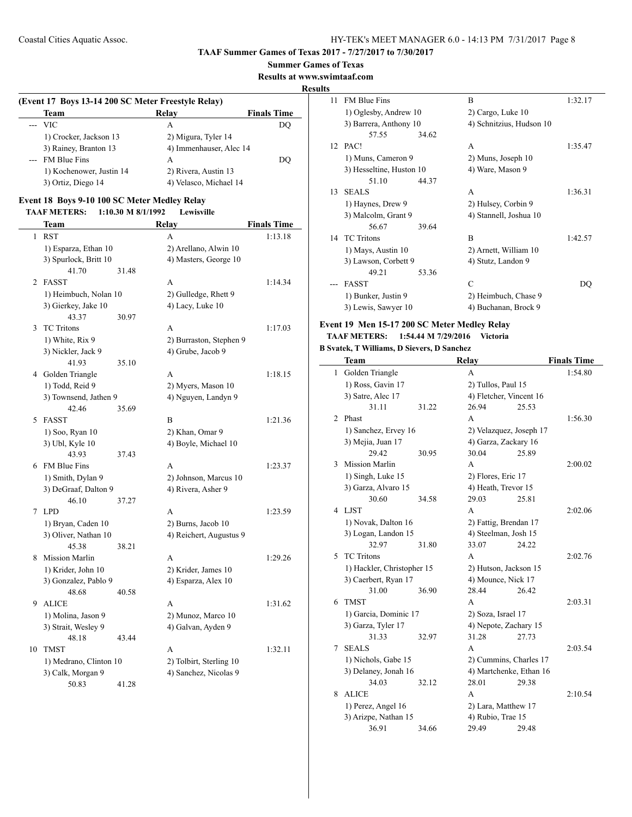#### **Summer Games of Texas**

**Results at www.swimtaaf.com**

### **Results**

| (Event 17 Boys 13-14 200 SC Meter Freestyle Relay) |                          |                         |                    |  |  |  |  |  |
|----------------------------------------------------|--------------------------|-------------------------|--------------------|--|--|--|--|--|
|                                                    | Team                     | Relay                   | <b>Finals Time</b> |  |  |  |  |  |
|                                                    | $-$ VIC                  | A                       | DO                 |  |  |  |  |  |
|                                                    | 1) Crocker, Jackson 13   | 2) Migura, Tyler 14     |                    |  |  |  |  |  |
|                                                    | 3) Rainey, Branton 13    | 4) Immenhauser, Alec 14 |                    |  |  |  |  |  |
|                                                    | --- FM Blue Fins         | А                       | DO                 |  |  |  |  |  |
|                                                    | 1) Kochenower, Justin 14 | 2) Rivera, Austin 13    |                    |  |  |  |  |  |
|                                                    | 3) Ortiz, Diego 14       | 4) Velasco, Michael 14  |                    |  |  |  |  |  |

### **Event 18 Boys 9-10 100 SC Meter Medley Relay**

**TAAF METERS: 1:10.30 M 8/1/1992 Lewisville**

|                | Team                                      |       | Relay                                       | <b>Finals Time</b> |
|----------------|-------------------------------------------|-------|---------------------------------------------|--------------------|
| 1              | <b>RST</b>                                |       | A                                           | 1:13.18            |
|                | 1) Esparza, Ethan 10                      |       | 2) Arellano, Alwin 10                       |                    |
|                | 3) Spurlock, Britt 10                     |       | 4) Masters, George 10                       |                    |
|                | 41.70                                     | 31.48 |                                             |                    |
| $\overline{c}$ | <b>FASST</b>                              |       | A                                           | 1:14.34            |
|                | 1) Heimbuch, Nolan 10                     |       | 2) Gulledge, Rhett 9                        |                    |
|                | 3) Gierkey, Jake 10                       |       | 4) Lacy, Luke 10                            |                    |
|                | 43.37                                     | 30.97 |                                             |                    |
| 3              | <b>TC</b> Tritons                         |       | A                                           | 1:17.03            |
|                | 1) White, Rix 9                           |       | 2) Burraston, Stephen 9                     |                    |
|                | 3) Nickler, Jack 9                        |       | 4) Grube, Jacob 9                           |                    |
|                | 41.93                                     | 35.10 |                                             |                    |
| 4              | Golden Triangle                           |       | A                                           | 1:18.15            |
|                | 1) Todd, Reid 9                           |       | 2) Myers, Mason 10                          |                    |
|                | 3) Townsend, Jathen 9                     |       | 4) Nguyen, Landyn 9                         |                    |
|                | 42.46                                     | 35.69 |                                             |                    |
| 5              | <b>FASST</b>                              |       | B                                           | 1:21.36            |
|                | 1) Soo, Ryan 10                           |       | 2) Khan, Omar 9                             |                    |
|                | 3) Ubl, Kyle 10                           |       | 4) Boyle, Michael 10                        |                    |
|                | 43.93                                     | 37.43 |                                             |                    |
|                | 6 FM Blue Fins                            |       | A                                           | 1:23.37            |
|                | 1) Smith, Dylan 9<br>3) DeGraaf, Dalton 9 |       | 2) Johnson, Marcus 10<br>4) Rivera, Asher 9 |                    |
|                | 46.10                                     | 37.27 |                                             |                    |
| 7              | <b>LPD</b>                                |       | A                                           | 1:23.59            |
|                | 1) Bryan, Caden 10                        |       | 2) Burns, Jacob 10                          |                    |
|                | 3) Oliver, Nathan 10                      |       | 4) Reichert, Augustus 9                     |                    |
|                | 45.38                                     | 38.21 |                                             |                    |
| 8              | <b>Mission Marlin</b>                     |       | A                                           | 1:29.26            |
|                | 1) Krider, John 10                        |       | 2) Krider, James 10                         |                    |
|                | 3) Gonzalez, Pablo 9                      |       | 4) Esparza, Alex 10                         |                    |
|                | 48.68                                     | 40.58 |                                             |                    |
| 9              | <b>ALICE</b>                              |       | A                                           | 1:31.62            |
|                | 1) Molina, Jason 9                        |       | 2) Munoz, Marco 10                          |                    |
|                | 3) Strait, Wesley 9                       |       | 4) Galvan, Ayden 9                          |                    |
|                | 48.18                                     | 43.44 |                                             |                    |
| 10             | <b>TMST</b>                               |       | A                                           | 1:32.11            |
|                | 1) Medrano, Clinton 10                    |       | 2) Tolbirt, Sterling 10                     |                    |
|                | 3) Calk, Morgan 9                         |       | 4) Sanchez, Nicolas 9                       |                    |
|                | 50.83                                     | 41.28 |                                             |                    |

| 11 | <b>FM Blue Fins</b>      |       | B                        | 1:32.17 |
|----|--------------------------|-------|--------------------------|---------|
|    | 1) Oglesby, Andrew 10    |       | 2) Cargo, Luke 10        |         |
|    | 3) Barrera, Anthony 10   |       | 4) Schnitzius, Hudson 10 |         |
|    | 57.55                    | 34.62 |                          |         |
|    | 12 PAC!                  |       | A                        | 1:35.47 |
|    | 1) Muns, Cameron 9       |       | 2) Muns, Joseph 10       |         |
|    | 3) Hesseltine, Huston 10 |       | 4) Ware, Mason 9         |         |
|    | 51.10                    | 44.37 |                          |         |
| 13 | <b>SEALS</b>             |       | A                        | 1:36.31 |
|    | 1) Haynes, Drew 9        |       | 2) Hulsey, Corbin 9      |         |
|    | 3) Malcolm, Grant 9      |       | 4) Stannell, Joshua 10   |         |
|    | 56.67                    | 39.64 |                          |         |
| 14 | <b>TC</b> Tritons        |       | R                        | 1:42.57 |
|    | 1) Mays, Austin 10       |       | 2) Arnett, William 10    |         |
|    | 3) Lawson, Corbett 9     |       | 4) Stutz, Landon 9       |         |
|    | 49.21                    | 53.36 |                          |         |
|    | <b>FASST</b>             |       | C                        | DO      |
|    | 1) Bunker, Justin 9      |       | 2) Heimbuch, Chase 9     |         |
|    | 3) Lewis, Sawyer 10      |       | 4) Buchanan, Brock 9     |         |
|    |                          |       |                          |         |

# **Event 19 Men 15-17 200 SC Meter Medley Relay TAAF METERS: 1:54.44 M 7/29/2016 Victoria**

#### **B Svatek, T Williams, D Sievers, D Sanchez**

|   | Team                       |       | <b>Relay</b>            |       | <b>Finals Time</b> |
|---|----------------------------|-------|-------------------------|-------|--------------------|
| 1 | Golden Triangle            |       | A                       |       | 1:54.80            |
|   | 1) Ross, Gavin 17          |       | 2) Tullos, Paul 15      |       |                    |
|   | 3) Satre, Alec 17          |       | 4) Fletcher, Vincent 16 |       |                    |
|   | 31.11                      | 31.22 | 26.94                   | 25.53 |                    |
| 2 | Phast                      |       | A                       |       | 1:56.30            |
|   | 1) Sanchez, Ervey 16       |       | 2) Velazquez, Joseph 17 |       |                    |
|   | 3) Mejia, Juan 17          |       | 4) Garza, Zackary 16    |       |                    |
|   | 29.42                      | 30.95 | 30.04                   | 25.89 |                    |
| 3 | <b>Mission Marlin</b>      |       | A                       |       | 2:00.02            |
|   | 1) Singh, Luke 15          |       | 2) Flores, Eric 17      |       |                    |
|   | 3) Garza, Alvaro 15        |       | 4) Heath, Trevor 15     |       |                    |
|   | 30.60                      | 34.58 | 29.03                   | 25.81 |                    |
|   | 4 LJST                     |       | A                       |       | 2:02.06            |
|   | 1) Novak, Dalton 16        |       | 2) Fattig, Brendan 17   |       |                    |
|   | 3) Logan, Landon 15        |       | 4) Steelman, Josh 15    |       |                    |
|   | 32.97                      | 31.80 | 33.07                   | 24.22 |                    |
| 5 | <b>TC Tritons</b>          |       | A                       |       | 2:02.76            |
|   | 1) Hackler, Christopher 15 |       | 2) Hutson, Jackson 15   |       |                    |
|   | 3) Caerbert, Ryan 17       |       | 4) Mounce, Nick 17      |       |                    |
|   | 31.00                      | 36.90 | 28.44                   | 26.42 |                    |
| 6 | <b>TMST</b>                |       | A                       |       | 2:03.31            |
|   | 1) Garcia, Dominic 17      |       | 2) Soza, Israel 17      |       |                    |
|   | 3) Garza, Tyler 17         |       | 4) Nepote, Zachary 15   |       |                    |
|   | 31.33                      | 32.97 | 31.28                   | 27.73 |                    |
| 7 | <b>SEALS</b>               |       | А                       |       | 2:03.54            |
|   | 1) Nichols, Gabe 15        |       | 2) Cummins, Charles 17  |       |                    |
|   | 3) Delaney, Jonah 16       |       | 4) Martchenke, Ethan 16 |       |                    |
|   | 34.03                      | 32.12 | 28.01                   | 29.38 |                    |
| 8 | <b>ALICE</b>               |       | A                       |       | 2:10.54            |
|   | 1) Perez, Angel 16         |       | 2) Lara, Matthew 17     |       |                    |
|   | 3) Arizpe, Nathan 15       |       | 4) Rubio, Trae 15       |       |                    |
|   | 36.91                      | 34.66 | 29.49                   | 29.48 |                    |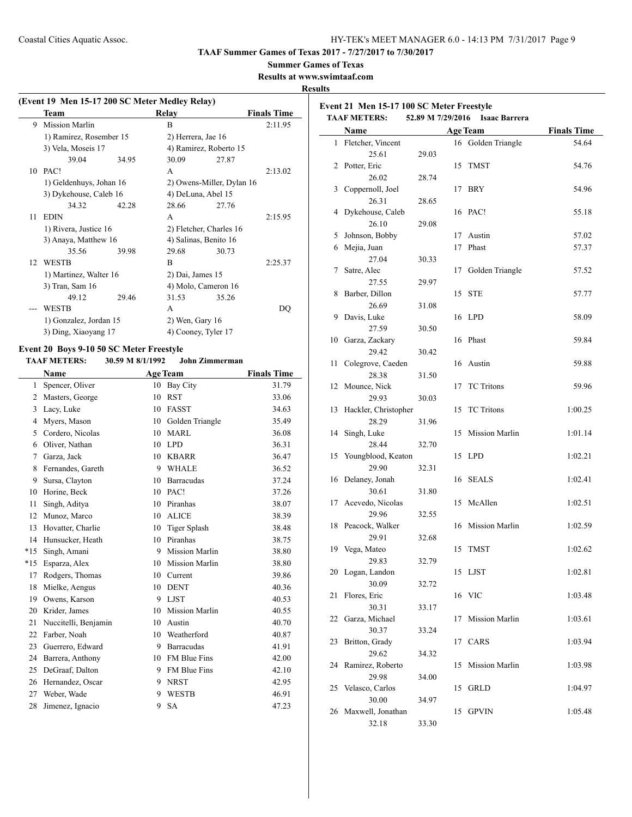**TAAF Summer Games of Texas 2017 - 7/27/2017 to 7/30/2017**

# **Summer Games of Texas**

**Results at www.swimtaaf.com**

### **Results**

| (Event 19 Men 15-17 200 SC Meter Medley Relay) |                         |       |                    |                           |                    |
|------------------------------------------------|-------------------------|-------|--------------------|---------------------------|--------------------|
|                                                | Team                    |       | Relay              |                           | <b>Finals Time</b> |
| 9                                              | <b>Mission Marlin</b>   |       | B                  |                           | 2:11.95            |
|                                                | 1) Ramirez, Rosember 15 |       | 2) Herrera, Jae 16 |                           |                    |
|                                                | 3) Vela, Moseis 17      |       |                    | 4) Ramirez, Roberto 15    |                    |
|                                                | 39.04                   | 34.95 | 30.09              | 27.87                     |                    |
| 10                                             | PAC!                    |       | A                  |                           | 2:13.02            |
|                                                | 1) Geldenhuys, Johan 16 |       |                    | 2) Owens-Miller, Dylan 16 |                    |
|                                                | 3) Dykehouse, Caleb 16  |       | 4) DeLuna, Abel 15 |                           |                    |
|                                                | 34.32                   | 42.28 | 28.66              | 27.76                     |                    |
| 11                                             | <b>EDIN</b>             |       | A                  |                           | 2:15.95            |
|                                                | 1) Rivera, Justice 16   |       |                    | 2) Fletcher, Charles 16   |                    |
|                                                | 3) Anaya, Matthew 16    |       |                    | 4) Salinas, Benito 16     |                    |
|                                                | 35.56                   | 39.98 | 29.68              | 30.73                     |                    |
| 12                                             | <b>WESTB</b>            |       | R                  |                           | 2:25.37            |
|                                                | 1) Martinez, Walter 16  |       | 2) Dai, James 15   |                           |                    |
|                                                | 3) Tran, Sam 16         |       |                    | 4) Molo, Cameron 16       |                    |
|                                                | 49.12                   | 29.46 | 31.53              | 35.26                     |                    |
|                                                | WESTB                   |       | A                  |                           | DO                 |
|                                                | 1) Gonzalez, Jordan 15  |       | $2)$ Wen, Gary 16  |                           |                    |
|                                                | 3) Ding, Xiaoyang 17    |       |                    | 4) Cooney, Tyler 17       |                    |
|                                                |                         |       |                    |                           |                    |

# **Event 20 Boys 9-10 50 SC Meter Freestyle**

**TAAF METERS: 30.59 M 8/1/1992 John Zimmerman**

|       | <b>Name</b>          |    | <b>Age Team</b>       | <b>Finals Time</b> |
|-------|----------------------|----|-----------------------|--------------------|
| 1     | Spencer, Oliver      | 10 | Bay City              | 31.79              |
| 2     | Masters, George      | 10 | <b>RST</b>            | 33.06              |
| 3     | Lacy, Luke           | 10 | <b>FASST</b>          | 34.63              |
| 4     | Myers, Mason         | 10 | Golden Triangle       | 35.49              |
| 5     | Cordero, Nicolas     | 10 | MARL                  | 36.08              |
| 6     | Oliver, Nathan       | 10 | <b>LPD</b>            | 36.31              |
| 7     | Garza, Jack          | 10 | <b>KBARR</b>          | 36.47              |
| 8     | Fernandes, Gareth    | 9  | <b>WHALE</b>          | 36.52              |
| 9     | Sursa, Clayton       | 10 | <b>Barracudas</b>     | 37.24              |
| 10    | Horine, Beck         | 10 | PAC!                  | 37.26              |
| 11    | Singh, Aditya        | 10 | Piranhas              | 38.07              |
| 12    | Munoz, Marco         | 10 | <b>ALICE</b>          | 38.39              |
| 13    | Hovatter, Charlie    | 10 | <b>Tiger Splash</b>   | 38.48              |
| 14    | Hunsucker, Heath     | 10 | Piranhas              | 38.75              |
| $*15$ | Singh, Amani         | 9  | <b>Mission Marlin</b> | 38.80              |
| $*15$ | Esparza, Alex        | 10 | <b>Mission Marlin</b> | 38.80              |
| 17    | Rodgers, Thomas      | 10 | Current               | 39.86              |
| 18    | Mielke, Aengus       | 10 | <b>DENT</b>           | 40.36              |
| 19    | Owens, Karson        | 9  | <b>LJST</b>           | 40.53              |
| 20    | Krider, James        | 10 | <b>Mission Marlin</b> | 40.55              |
| 21    | Nuccitelli, Benjamin | 10 | Austin                | 40.70              |
| 22    | Farber, Noah         | 10 | Weatherford           | 40.87              |
| 23    | Guerrero, Edward     | 9  | <b>Barracudas</b>     | 41.91              |
| 24    | Barrera, Anthony     | 10 | <b>FM Blue Fins</b>   | 42.00              |
| 25    | DeGraaf, Dalton      | 9  | <b>FM Blue Fins</b>   | 42.10              |
| 26    | Hernandez, Oscar     | 9  | <b>NRST</b>           | 42.95              |
| 27    | Weber, Wade          | 9  | <b>WESTB</b>          | 46.91              |
| 28    | Jimenez, Ignacio     | 9  | <b>SA</b>             | 47.23              |
|       |                      |    |                       |                    |

|    | Event 21 Men 15-17 100 SC Meter Freestyle<br><b>TAAF METERS:</b> |                   |    |                      |                    |
|----|------------------------------------------------------------------|-------------------|----|----------------------|--------------------|
|    |                                                                  | 52.89 M 7/29/2016 |    | <b>Isaac Barrera</b> |                    |
|    | <b>Name</b>                                                      |                   |    | <b>Age Team</b>      | <b>Finals Time</b> |
|    | 1 Fletcher, Vincent                                              |                   |    | 16 Golden Triangle   | 54.64              |
| 2  | 25.61<br>Potter, Eric                                            | 29.03             | 15 | <b>TMST</b>          |                    |
|    |                                                                  | 28.74             |    |                      | 54.76              |
| 3  | 26.02<br>Coppernoll, Joel                                        |                   | 17 | <b>BRY</b>           | 54.96              |
|    | 26.31                                                            | 28.65             |    |                      |                    |
| 4  | Dykehouse, Caleb                                                 |                   | 16 | PAC!                 | 55.18              |
|    | 26.10                                                            | 29.08             |    |                      |                    |
| 5  | Johnson, Bobby                                                   |                   | 17 | Austin               | 57.02              |
| 6  | Mejia, Juan                                                      |                   | 17 | Phast                | 57.37              |
|    | 27.04                                                            | 30.33             |    |                      |                    |
| 7  | Satre, Alec                                                      |                   | 17 | Golden Triangle      | 57.52              |
|    | 27.55                                                            | 29.97             |    |                      |                    |
| 8  | Barber, Dillon                                                   |                   |    | 15 STE               | 57.77              |
|    | 26.69                                                            | 31.08             |    |                      |                    |
| 9  | Davis, Luke                                                      |                   |    | 16 LPD               | 58.09              |
|    | 27.59                                                            | 30.50             |    |                      |                    |
| 10 | Garza, Zackary                                                   |                   |    | 16 Phast             | 59.84              |
|    | 29.42                                                            | 30.42             |    |                      |                    |
| 11 | Colegrove, Caeden                                                |                   |    | 16 Austin            | 59.88              |
|    | 28.38                                                            | 31.50             |    |                      |                    |
| 12 | Mounce, Nick                                                     |                   | 17 | <b>TC</b> Tritons    | 59.96              |
|    | 29.93                                                            | 30.03             |    |                      |                    |
| 13 | Hackler, Christopher                                             |                   | 15 | <b>TC</b> Tritons    | 1:00.25            |
|    | 28.29                                                            | 31.96             |    |                      |                    |
| 14 | Singh, Luke                                                      |                   | 15 | Mission Marlin       | 1:01.14            |
|    | 28.44                                                            | 32.70             |    |                      |                    |
| 15 | Youngblood, Keaton                                               |                   | 15 | LPD                  | 1:02.21            |
|    | 29.90                                                            | 32.31             |    |                      |                    |
| 16 | Delaney, Jonah                                                   |                   | 16 | <b>SEALS</b>         | 1:02.41            |
|    | 30.61                                                            | 31.80             |    |                      |                    |
| 17 | Acevedo, Nicolas                                                 |                   | 15 | McAllen              | 1:02.51            |
|    | 29.96                                                            | 32.55             |    |                      |                    |
| 18 | Peacock, Walker                                                  |                   |    | 16 Mission Marlin    | 1:02.59            |
|    | 29.91                                                            | 32.68             |    |                      |                    |
| 19 | Vega, Mateo                                                      |                   | 15 | <b>TMST</b>          | 1:02.62            |
|    | 29.83                                                            | 32.79             |    |                      |                    |
|    | 20 Logan, Landon                                                 |                   |    | 15 LJST              | 1:02.81            |
|    | 30.09                                                            | 32.72             |    |                      |                    |
| 21 | Flores, Eric<br>30.31                                            |                   |    | 16 VIC               | 1:03.48            |
| 22 | Garza, Michael                                                   | 33.17             |    |                      |                    |
|    | 30.37                                                            | 33.24             | 17 | Mission Marlin       | 1:03.61            |
| 23 | Britton, Grady                                                   |                   | 17 | CARS                 | 1:03.94            |
|    | 29.62                                                            | 34.32             |    |                      |                    |
| 24 | Ramirez, Roberto                                                 |                   | 15 | Mission Marlin       | 1:03.98            |
|    | 29.98                                                            | 34.00             |    |                      |                    |
| 25 | Velasco, Carlos                                                  |                   | 15 | <b>GRLD</b>          | 1:04.97            |
|    | 30.00                                                            | 34.97             |    |                      |                    |
|    | 26 Maxwell, Jonathan                                             |                   |    | 15 GPVIN             | 1:05.48            |
|    | 32.18                                                            | 33.30             |    |                      |                    |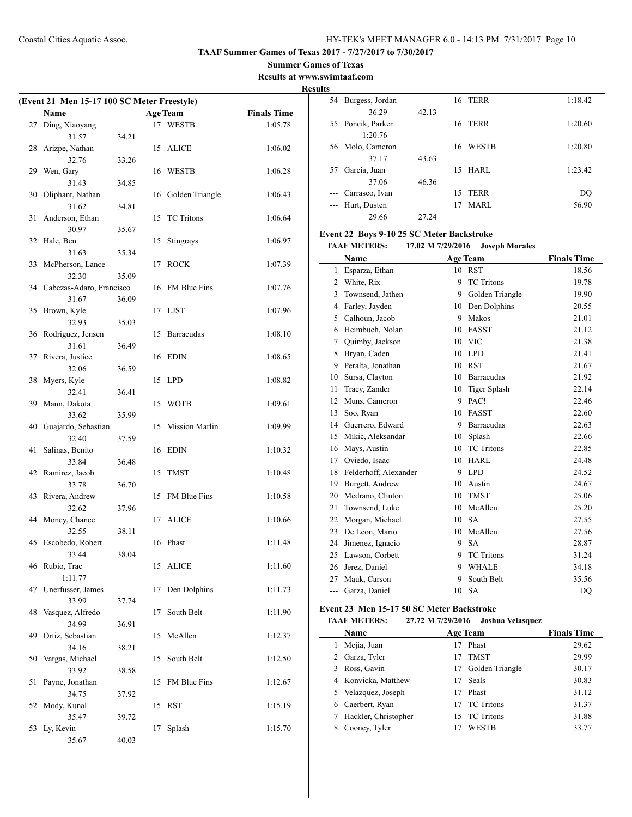**Summer Games of Texas**

### **Results at www.swimtaaf.com Results**

| (Event 21 Men 15-17 100 SC Meter Freestyle) |                             |       |    |                   |                    |
|---------------------------------------------|-----------------------------|-------|----|-------------------|--------------------|
|                                             | Name                        |       |    | <b>Age Team</b>   | <b>Finals Time</b> |
| 27                                          | Ding, Xiaoyang              |       |    | 17 WESTB          | 1:05.78            |
|                                             | 31.57                       | 34.21 |    |                   |                    |
| 28                                          | Arizpe, Nathan              |       | 15 | <b>ALICE</b>      | 1:06.02            |
|                                             | 32.76                       | 33.26 |    |                   |                    |
| 29                                          | Wen, Gary                   |       | 16 | WESTB             | 1:06.28            |
|                                             | 31.43                       | 34.85 |    |                   |                    |
| 30                                          | Oliphant, Nathan            |       | 16 | Golden Triangle   | 1:06.43            |
|                                             | 31.62                       | 34.81 |    |                   |                    |
| 31                                          | Anderson, Ethan             |       | 15 | <b>TC</b> Tritons | 1:06.64            |
|                                             | 30.97                       | 35.67 |    |                   |                    |
| 32                                          | Hale, Ben                   |       | 15 | Stingrays         | 1:06.97            |
|                                             | 31.63                       | 35.34 |    |                   |                    |
| 33                                          | McPherson, Lance            |       | 17 | <b>ROCK</b>       | 1:07.39            |
|                                             | 32.30                       | 35.09 |    |                   |                    |
|                                             | 34 Cabezas-Adaro, Francisco |       | 16 | FM Blue Fins      | 1:07.76            |
|                                             | 31.67                       | 36.09 |    |                   |                    |
| 35                                          | Brown, Kyle                 |       | 17 | LJST              | 1:07.96            |
|                                             | 32.93                       | 35.03 |    |                   |                    |
| 36                                          | Rodriguez, Jensen           |       | 15 | Barracudas        | 1:08.10            |
|                                             | 31.61                       | 36.49 |    |                   |                    |
| 37                                          | Rivera, Justice             |       | 16 | <b>EDIN</b>       | 1:08.65            |
|                                             | 32.06<br>Myers, Kyle        | 36.59 |    |                   |                    |
| 38                                          | 32.41                       | 36.41 | 15 | <b>LPD</b>        | 1:08.82            |
| 39                                          | Mann, Dakota                |       | 15 | <b>WOTB</b>       | 1:09.61            |
|                                             | 33.62                       | 35.99 |    |                   |                    |
| 40                                          | Guajardo, Sebastian         |       | 15 | Mission Marlin    | 1:09.99            |
|                                             | 32.40                       | 37.59 |    |                   |                    |
| 41                                          | Salinas, Benito             |       | 16 | EDIN              | 1:10.32            |
|                                             | 33.84                       | 36.48 |    |                   |                    |
| 42                                          | Ramirez, Jacob              |       | 15 | <b>TMST</b>       | 1:10.48            |
|                                             | 33.78                       | 36.70 |    |                   |                    |
| 43                                          | Rivera, Andrew              |       | 15 | FM Blue Fins      | 1:10.58            |
|                                             | 32.62                       | 37.96 |    |                   |                    |
| 44                                          | Money, Chance               |       | 17 | <b>ALICE</b>      | 1:10.66            |
|                                             | 32.55                       | 38.11 |    |                   |                    |
|                                             | 45 Escobedo, Robert         |       |    | 16 Phast          | 1:11.48            |
|                                             | 33.44                       | 38.04 |    |                   |                    |
| 46                                          | Rubio, Trae                 |       | 15 | ALICE             | 1:11.60            |
|                                             | 1:11.77                     |       |    |                   |                    |
| 47                                          | Unerfusser, James           |       | 17 | Den Dolphins      | 1:11.73            |
|                                             | 33.99                       | 37.74 |    |                   |                    |
| 48                                          | Vasquez, Alfredo            |       | 17 | South Belt        | 1:11.90            |
|                                             | 34.99                       | 36.91 |    |                   |                    |
| 49                                          | Ortiz, Sebastian<br>34.16   |       | 15 | McAllen           | 1:12.37            |
| 50                                          | Vargas, Michael             | 38.21 | 15 | South Belt        | 1:12.50            |
|                                             | 33.92                       | 38.58 |    |                   |                    |
| 51                                          | Payne, Jonathan             |       | 15 | FM Blue Fins      | 1:12.67            |
|                                             | 34.75                       | 37.92 |    |                   |                    |
| 52                                          | Mody, Kunal                 |       | 15 | <b>RST</b>        | 1:15.19            |
|                                             | 35.47                       | 39.72 |    |                   |                    |
| 53                                          | Ly, Kevin                   |       | 17 | Splash            | 1:15.70            |
|                                             | 35.67                       | 40.03 |    |                   |                    |
|                                             |                             |       |    |                   |                    |

| ີ     |                 |       |                    |         |
|-------|-----------------|-------|--------------------|---------|
| 54    | Burgess, Jordan |       | <b>16 TERR</b>     | 1:18.42 |
|       | 36.29           | 42.13 |                    |         |
| 55    | Poncik, Parker  |       | <b>TERR</b><br>16  | 1:20.60 |
|       | 1:20.76         |       |                    |         |
| 56    | Molo, Cameron   |       | <b>WESTB</b><br>16 | 1:20.80 |
|       | 37.17           | 43.63 |                    |         |
| 57    | Garcia, Juan    |       | HARL<br>15         | 1:23.42 |
|       | 37.06           | 46.36 |                    |         |
| $---$ | Carrasco, Ivan  |       | <b>TERR</b><br>15  | DQ      |
| $---$ | Hurt, Dusten    |       | <b>MARL</b><br>17  | 56.90   |
|       | 29.66           | 27.24 |                    |         |

### **Event 22 Boys 9-10 25 SC Meter Backstroke**

|     | Name                  |    | <b>Age Team</b>     | <b>Finals Time</b> |
|-----|-----------------------|----|---------------------|--------------------|
| 1   | Esparza, Ethan        | 10 | <b>RST</b>          | 18.56              |
| 2   | White, Rix            | 9  | <b>TC</b> Tritons   | 19.78              |
| 3   | Townsend, Jathen      | 9  | Golden Triangle     | 19.90              |
| 4   | Farley, Jayden        | 10 | Den Dolphins        | 20.55              |
| 5   | Calhoun, Jacob        | 9  | Makos               | 21.01              |
| 6   | Heimbuch, Nolan       | 10 | <b>FASST</b>        | 21.12              |
| 7   | Quimby, Jackson       | 10 | <b>VIC</b>          | 21.38              |
| 8   | Bryan, Caden          | 10 | <b>LPD</b>          | 21.41              |
| 9   | Peralta, Jonathan     | 10 | <b>RST</b>          | 21.67              |
| 10  | Sursa, Clayton        | 10 | <b>Barracudas</b>   | 21.92              |
| 11  | Tracy, Zander         | 10 | <b>Tiger Splash</b> | 22.14              |
| 12  | Muns, Cameron         | 9  | PAC!                | 22.46              |
| 13  | Soo, Ryan             | 10 | <b>FASST</b>        | 22.60              |
| 14  | Guerrero, Edward      | 9  | Barracudas          | 22.63              |
| 15  | Mikic, Aleksandar     | 10 | Splash              | 22.66              |
| 16  | Mays, Austin          | 10 | <b>TC</b> Tritons   | 22.85              |
| 17  | Oviedo, Isaac         | 10 | <b>HARL</b>         | 24.48              |
| 18  | Felderhoff, Alexander | 9  | <b>LPD</b>          | 24.52              |
| 19  | Burgett, Andrew       | 10 | Austin              | 24.67              |
| 20  | Medrano, Clinton      | 10 | <b>TMST</b>         | 25.06              |
| 21  | Townsend, Luke        | 10 | McAllen             | 25.20              |
| 22  | Morgan, Michael       | 10 | <b>SA</b>           | 27.55              |
| 23  | De Leon, Mario        | 10 | McAllen             | 27.56              |
| 24  | Jimenez, Ignacio      | 9  | <b>SA</b>           | 28.87              |
| 25  | Lawson, Corbett       | 9  | <b>TC</b> Tritons   | 31.24              |
| 26  | Jerez, Daniel         | 9  | <b>WHALE</b>        | 34.18              |
| 27  | Mauk, Carson          | 9  | South Belt          | 35.56              |
| --- | Garza, Daniel         | 10 | <b>SA</b>           | DO                 |

# **Event 23 Men 15-17 50 SC Meter Backstroke**

|  | <b>TAAF METERS:</b> | 27.72 M 7/29/2016 | Joshua Velasquez |
|--|---------------------|-------------------|------------------|
|--|---------------------|-------------------|------------------|

| Name                 |     | <b>Age Team</b>    | <b>Finals Time</b> |
|----------------------|-----|--------------------|--------------------|
| Mejia, Juan          |     | Phast              | 29.62              |
| 2 Garza, Tyler       |     | <b>TMST</b>        | 29.99              |
| 3 Ross, Gavin        |     | 17 Golden Triangle | 30.17              |
| 4 Konvicka, Matthew  | 17  | Seals              | 30.83              |
| 5 Velazquez, Joseph  | 17  | Phast              | 31.12              |
| 6 Caerbert, Ryan     | 17  | <b>TC</b> Tritons  | 31.37              |
| Hackler, Christopher | 15. | <b>TC Tritons</b>  | 31.88              |
| Cooney, Tyler        |     | WESTB              | 33.77              |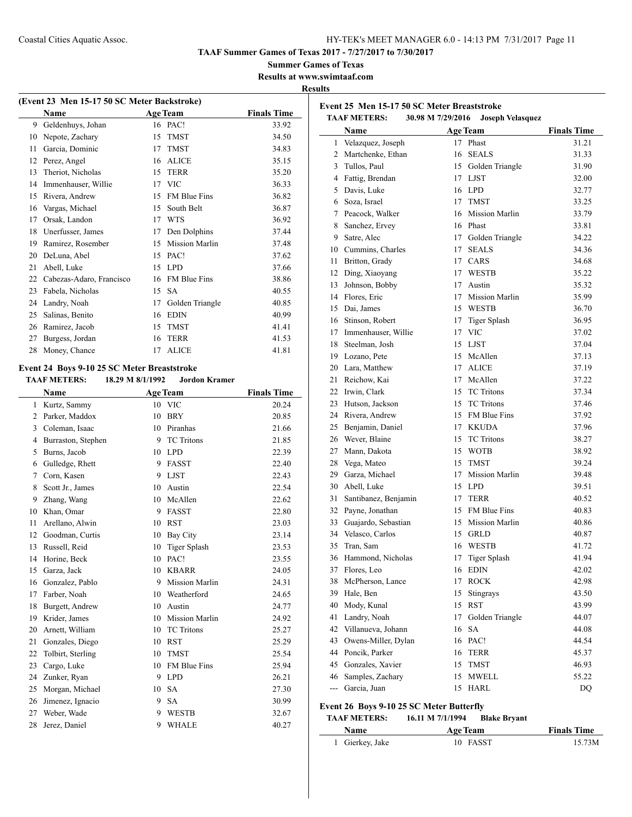**Event 25 Men 15-17 50 SC Meter Breaststroke**

**TAAF Summer Games of Texas 2017 - 7/27/2017 to 7/30/2017**

**Summer Games of Texas**

**Results at www.swimtaaf.com**

### **Results**

|    | (Event 23 Men 15-17 50 SC Meter Backstroke) |                 |                       |                    |  |  |  |
|----|---------------------------------------------|-----------------|-----------------------|--------------------|--|--|--|
|    | <b>Name</b>                                 | <b>Age Team</b> |                       | <b>Finals Time</b> |  |  |  |
| 9  | Geldenhuys, Johan                           |                 | 16 PAC!               | 33.92              |  |  |  |
| 10 | Nepote, Zachary                             | 15              | <b>TMST</b>           | 34.50              |  |  |  |
| 11 | Garcia, Dominic                             | 17              | <b>TMST</b>           | 34.83              |  |  |  |
| 12 | Perez, Angel                                | 16              | <b>ALICE</b>          | 35.15              |  |  |  |
| 13 | Theriot, Nicholas                           | 15              | <b>TERR</b>           | 35.20              |  |  |  |
| 14 | Immenhauser, Willie                         | 17              | <b>VIC</b>            | 36.33              |  |  |  |
| 15 | Rivera, Andrew                              | 15              | <b>FM Blue Fins</b>   | 36.82              |  |  |  |
| 16 | Vargas, Michael                             | 15              | South Belt            | 36.87              |  |  |  |
| 17 | Orsak, Landon                               | 17              | <b>WTS</b>            | 36.92              |  |  |  |
| 18 | Unerfusser, James                           | 17              | Den Dolphins          | 37.44              |  |  |  |
| 19 | Ramirez, Rosember                           | 15              | <b>Mission Marlin</b> | 37.48              |  |  |  |
| 20 | DeLuna, Abel                                | 15              | PAC!                  | 37.62              |  |  |  |
| 21 | Abell, Luke                                 | 15              | <b>LPD</b>            | 37.66              |  |  |  |
| 22 | Cabezas-Adaro, Francisco                    | 16              | <b>FM Blue Fins</b>   | 38.86              |  |  |  |
| 23 | Fabela, Nicholas                            | 15              | <b>SA</b>             | 40.55              |  |  |  |
| 24 | Landry, Noah                                | 17              | Golden Triangle       | 40.85              |  |  |  |
| 25 | Salinas, Benito                             | 16              | <b>EDIN</b>           | 40.99              |  |  |  |
| 26 | Ramirez, Jacob                              | 15              | <b>TMST</b>           | 41.41              |  |  |  |
| 27 | Burgess, Jordan                             | 16              | <b>TERR</b>           | 41.53              |  |  |  |
| 28 | Money, Chance                               | 17              | <b>ALICE</b>          | 41.81              |  |  |  |
|    | Event 24 Boys 9-10 25 SC Meter Breaststroke |                 |                       |                    |  |  |  |
|    | <b>TAAF METERS:</b><br>18.29 M 8/1/1992     |                 | <b>Jordon Kramer</b>  |                    |  |  |  |

|    | Name               |    | <b>Age Team</b>       | <b>Finals Time</b> |
|----|--------------------|----|-----------------------|--------------------|
| 1  | Kurtz, Sammy       | 10 | <b>VIC</b>            | 20.24              |
| 2  | Parker, Maddox     | 10 | <b>BRY</b>            | 20.85              |
| 3  | Coleman, Isaac     | 10 | Piranhas              | 21.66              |
| 4  | Burraston, Stephen | 9  | <b>TC</b> Tritons     | 21.85              |
| 5  | Burns, Jacob       | 10 | <b>LPD</b>            | 22.39              |
| 6  | Gulledge, Rhett    | 9  | <b>FASST</b>          | 22.40              |
| 7  | Corn, Kasen        | 9  | <b>LJST</b>           | 22.43              |
| 8  | Scott Jr., James   | 10 | Austin                | 22.54              |
| 9  | Zhang, Wang        | 10 | McAllen               | 22.62              |
| 10 | Khan, Omar         | 9  | <b>FASST</b>          | 22.80              |
| 11 | Arellano, Alwin    | 10 | <b>RST</b>            | 23.03              |
| 12 | Goodman, Curtis    | 10 | Bay City              | 23.14              |
| 13 | Russell, Reid      | 10 | <b>Tiger Splash</b>   | 23.53              |
| 14 | Horine, Beck       | 10 | PAC!                  | 23.55              |
| 15 | Garza, Jack        | 10 | <b>KBARR</b>          | 24.05              |
| 16 | Gonzalez, Pablo    | 9  | <b>Mission Marlin</b> | 24.31              |
| 17 | Farber, Noah       | 10 | Weatherford           | 24.65              |
| 18 | Burgett, Andrew    | 10 | Austin                | 24.77              |
| 19 | Krider, James      | 10 | <b>Mission Marlin</b> | 24.92              |
| 20 | Arnett, William    | 10 | <b>TC</b> Tritons     | 25.27              |
| 21 | Gonzales, Diego    | 10 | <b>RST</b>            | 25.29              |
| 22 | Tolbirt, Sterling  | 10 | <b>TMST</b>           | 25.54              |
| 23 | Cargo, Luke        | 10 | FM Blue Fins          | 25.94              |
| 24 | Zunker, Ryan       | 9  | <b>LPD</b>            | 26.21              |
| 25 | Morgan, Michael    | 10 | <b>SA</b>             | 27.30              |
| 26 | Jimenez, Ignacio   | 9  | <b>SA</b>             | 30.99              |
| 27 | Weber, Wade        | 9  | <b>WESTB</b>          | 32.67              |
| 28 | Jerez, Daniel      | 9  | <b>WHALE</b>          | 40.27              |

| <b>TAAF METERS:</b> |                                          | 30.98 M 7/29/2016 |                                    |                    |
|---------------------|------------------------------------------|-------------------|------------------------------------|--------------------|
|                     | Name                                     |                   | <b>Age Team</b>                    | <b>Finals Time</b> |
| 1                   | Velazquez, Joseph                        | 17                | Phast                              | 31.21              |
| $\overline{2}$      | Martchenke, Ethan                        | 16                | <b>SEALS</b>                       | 31.33              |
|                     | 3 Tullos, Paul                           |                   | 15 Golden Triangle                 | 31.90              |
|                     | 4 Fattig, Brendan                        |                   | 17 LJST                            | 32.00              |
| 5                   | Davis, Luke                              |                   | 16 LPD                             | 32.77              |
|                     | 6 Soza, Israel                           |                   | 17 TMST                            | 33.25              |
| 7                   | Peacock, Walker                          |                   | 16 Mission Marlin                  | 33.79              |
| 8                   | Sanchez, Ervey                           |                   | 16 Phast                           | 33.81              |
| 9                   | Satre, Alec                              |                   | 17 Golden Triangle                 | 34.22              |
|                     | 10 Cummins, Charles                      | 17                | <b>SEALS</b>                       | 34.36              |
| 11                  | Britton, Grady                           | 17                | CARS                               | 34.68              |
| 12                  | Ding, Xiaoyang                           |                   | 17 WESTB                           | 35.22              |
| 13                  | Johnson, Bobby                           |                   | 17 Austin                          | 35.32              |
|                     | 14 Flores, Eric                          |                   | 17 Mission Marlin                  | 35.99              |
|                     | 15 Dai, James                            |                   | 15 WESTB                           | 36.70              |
|                     | 16 Stinson, Robert                       |                   | 17 Tiger Splash                    | 36.95              |
|                     | 17 Immenhauser, Willie                   |                   | 17 VIC                             | 37.02              |
|                     | 18 Steelman, Josh                        |                   | 15 LJST                            | 37.04              |
|                     | 19 Lozano, Pete                          | 15                | McAllen                            | 37.13              |
|                     | 20 Lara, Matthew                         |                   | 17 ALICE                           | 37.19              |
| 21                  | Reichow, Kai                             | 17                | McAllen                            | 37.22              |
|                     | 22 Irwin, Clark                          | 15                | <b>TC</b> Tritons                  | 37.34              |
|                     | 23 Hutson, Jackson                       | 15                | <b>TC</b> Tritons                  | 37.46              |
|                     | 24 Rivera, Andrew                        |                   | 15 FM Blue Fins                    | 37.92              |
|                     | 25 Benjamin, Daniel                      |                   | 17 KKUDA                           | 37.96              |
| 26                  | Wever, Blaine                            | 15                | <b>TC</b> Tritons                  | 38.27              |
| 27                  | Mann, Dakota                             |                   | 15 WOTB                            | 38.92              |
| 28                  | Vega, Mateo                              | 15                | <b>TMST</b>                        | 39.24              |
| 29                  | Garza, Michael                           | 17                | Mission Marlin                     | 39.48              |
| 30                  | Abell, Luke                              |                   | 15 LPD                             |                    |
| 31                  |                                          | 17                | <b>TERR</b>                        | 39.51              |
| 32                  | Santibanez, Benjamin<br>Payne, Jonathan  |                   | 15 FM Blue Fins                    | 40.52<br>40.83     |
| 33                  | Guajardo, Sebastian                      |                   | 15 Mission Marlin                  | 40.86              |
|                     |                                          |                   |                                    |                    |
|                     | 34 Velasco, Carlos                       | 15                | <b>GRLD</b>                        | 40.87              |
| 35                  | Tran, Sam<br>36 Hammond, Nicholas        |                   | 16 WESTB                           | 41.72              |
|                     |                                          | 17                | <b>Tiger Splash</b><br><b>EDIN</b> | 41.94              |
| 37                  | Flores, Leo                              | 16                |                                    | 42.02              |
|                     | 38 McPherson, Lance                      |                   | 17 ROCK                            | 42.98              |
| 39                  | Hale, Ben                                | 15                | Stingrays                          | 43.50              |
| 40                  | Mody, Kunal                              | 15                | <b>RST</b>                         | 43.99              |
| 41                  | Landry, Noah<br>42 Villanueva, Johann    | 17                | Golden Triangle                    | 44.07              |
|                     |                                          | 16                | <b>SA</b>                          | 44.08              |
| 43                  | Owens-Miller, Dylan                      | 16                | PAC!                               | 44.54              |
|                     | 44 Poncik, Parker                        | 16                | <b>TERR</b>                        | 45.37              |
|                     | 45 Gonzales, Xavier                      | 15                | <b>TMST</b>                        | 46.93              |
|                     | 46 Samples, Zachary                      | 15                | MWELL                              | 55.22              |
| $-$                 | Garcia, Juan                             | 15                | HARL                               | DQ                 |
|                     | Event 26 Boys 9-10 25 SC Meter Butterfly |                   |                                    |                    |
|                     | <b>TAAF METERS:</b>                      | 16.11 M 7/1/1994  | <b>Blake Bryant</b>                |                    |
|                     | Name                                     |                   | <b>Age Team</b>                    | <b>Finals Time</b> |
| 1                   | Gierkey, Jake                            |                   | 10 FASST                           | 15.73M             |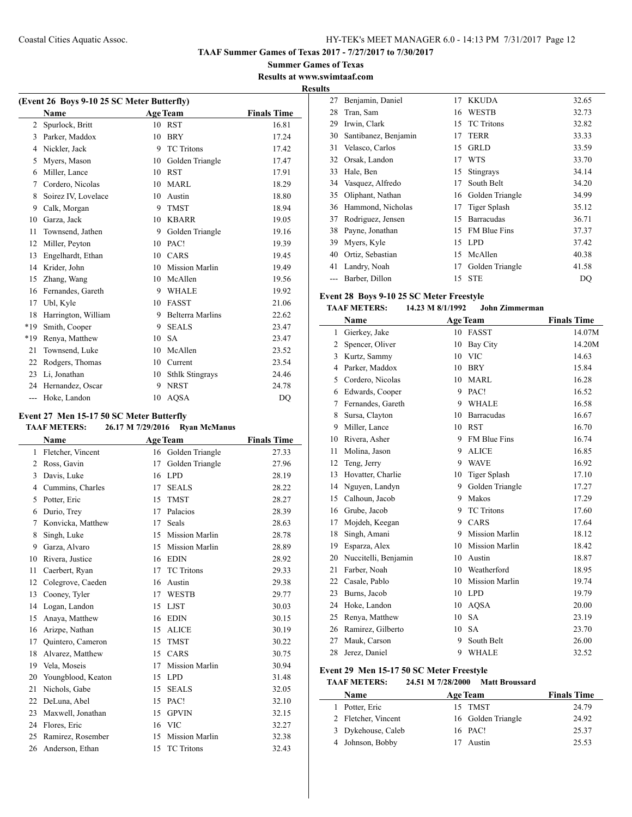**Summer Games of Texas Results at www.swimtaaf.com**

**Results**

 $\overline{\phantom{a}}$ 

| (Event 26 Boys 9-10 25 SC Meter Butterfly) |                     |    |                         |                    |  |  |
|--------------------------------------------|---------------------|----|-------------------------|--------------------|--|--|
|                                            | <b>Name</b>         |    | <b>Age Team</b>         | <b>Finals Time</b> |  |  |
| $\overline{c}$                             | Spurlock, Britt     | 10 | <b>RST</b>              | 16.81              |  |  |
| 3                                          | Parker, Maddox      | 10 | <b>BRY</b>              | 17.24              |  |  |
| 4                                          | Nickler, Jack       | 9  | <b>TC</b> Tritons       | 17.42              |  |  |
| 5                                          | Myers, Mason        | 10 | Golden Triangle         | 17.47              |  |  |
| 6                                          | Miller, Lance       | 10 | <b>RST</b>              | 17.91              |  |  |
| 7                                          | Cordero, Nicolas    | 10 | <b>MARL</b>             | 18.29              |  |  |
| 8                                          | Soirez IV, Lovelace | 10 | Austin                  | 18.80              |  |  |
| 9                                          | Calk, Morgan        | 9  | <b>TMST</b>             | 18.94              |  |  |
| 10                                         | Garza, Jack         | 10 | <b>KBARR</b>            | 19.05              |  |  |
| 11                                         | Townsend, Jathen    | 9  | Golden Triangle         | 19.16              |  |  |
| 12                                         | Miller, Peyton      | 10 | PAC!                    | 19.39              |  |  |
| 13                                         | Engelhardt, Ethan   | 10 | CARS                    | 19.45              |  |  |
| 14                                         | Krider, John        | 10 | <b>Mission Marlin</b>   | 19.49              |  |  |
| 15                                         | Zhang, Wang         | 10 | McAllen                 | 19.56              |  |  |
| 16                                         | Fernandes, Gareth   | 9  | <b>WHALE</b>            | 19.92              |  |  |
| 17                                         | Ubl, Kyle           | 10 | <b>FASST</b>            | 21.06              |  |  |
| 18                                         | Harrington, William | 9  | <b>Belterra Marlins</b> | 22.62              |  |  |
| $*19$                                      | Smith, Cooper       | 9  | <b>SEALS</b>            | 23.47              |  |  |
| $*19$                                      | Renya, Matthew      | 10 | <b>SA</b>               | 23.47              |  |  |
| 21                                         | Townsend, Luke      | 10 | McAllen                 | 23.52              |  |  |
| 22                                         | Rodgers, Thomas     | 10 | Current                 | 23.54              |  |  |
| 23                                         | Li, Jonathan        | 10 | <b>Sthlk Stingrays</b>  | 24.46              |  |  |
| 24                                         | Hernandez, Oscar    | 9  | <b>NRST</b>             | 24.78              |  |  |
| ---                                        | Hoke, Landon        | 10 | <b>AQSA</b>             | DO                 |  |  |

## **Event 27 Men 15-17 50 SC Meter Butterfly**

|                | Name               |    | <b>Age Team</b>       | <b>Finals Time</b> |
|----------------|--------------------|----|-----------------------|--------------------|
| 1              | Fletcher, Vincent  | 16 | Golden Triangle       | 27.33              |
| $\overline{2}$ | Ross, Gavin        | 17 | Golden Triangle       | 27.96              |
| 3              | Davis, Luke        | 16 | <b>LPD</b>            | 28.19              |
| 4              | Cummins, Charles   | 17 | <b>SEALS</b>          | 28.22              |
| 5              | Potter, Eric       | 15 | <b>TMST</b>           | 28.27              |
| 6              | Durio, Trey        | 17 | Palacios              | 28.39              |
| 7              | Konvicka, Matthew  | 17 | Seals                 | 28.63              |
| 8              | Singh, Luke        | 15 | <b>Mission Marlin</b> | 28.78              |
| 9              | Garza, Alvaro      | 15 | <b>Mission Marlin</b> | 28.89              |
| 10             | Rivera, Justice    | 16 | <b>EDIN</b>           | 28.92              |
| 11             | Caerbert, Ryan     | 17 | <b>TC</b> Tritons     | 29.33              |
| 12             | Colegrove, Caeden  | 16 | Austin                | 29.38              |
| 13             | Cooney, Tyler      | 17 | <b>WESTB</b>          | 29.77              |
| 14             | Logan, Landon      | 15 | <b>LJST</b>           | 30.03              |
| 15             | Anaya, Matthew     | 16 | <b>EDIN</b>           | 30.15              |
| 16             | Arizpe, Nathan     | 15 | <b>ALICE</b>          | 30.19              |
| 17             | Quintero, Cameron  | 15 | <b>TMST</b>           | 30.22              |
| 18             | Alvarez, Matthew   | 15 | CARS                  | 30.75              |
| 19             | Vela, Moseis       | 17 | <b>Mission Marlin</b> | 30.94              |
| 20             | Youngblood, Keaton | 15 | <b>LPD</b>            | 31.48              |
| 21             | Nichols, Gabe      | 15 | <b>SEALS</b>          | 32.05              |
| 22             | DeLuna, Abel       | 15 | PAC!                  | 32.10              |
| 23             | Maxwell, Jonathan  | 15 | <b>GPVIN</b>          | 32.15              |
| 24             | Flores, Eric       | 16 | <b>VIC</b>            | 32.27              |
| 25             | Ramirez, Rosember  | 15 | <b>Mission Marlin</b> | 32.38              |
| 26             | Anderson, Ethan    | 15 | <b>TC</b> Tritons     | 32.43              |

| 27    | Benjamin, Daniel     | 17 | <b>KKUDA</b>        | 32.65 |
|-------|----------------------|----|---------------------|-------|
| 28    | Tran, Sam            | 16 | <b>WESTB</b>        | 32.73 |
| 29    | Irwin, Clark         | 15 | <b>TC</b> Tritons   | 32.82 |
| 30    | Santibanez, Benjamin | 17 | <b>TERR</b>         | 33.33 |
| 31    | Velasco, Carlos      | 15 | <b>GRLD</b>         | 33.59 |
| 32    | Orsak, Landon        | 17 | <b>WTS</b>          | 33.70 |
| 33    | Hale, Ben            | 15 | Stingrays           | 34.14 |
| 34    | Vasquez, Alfredo     | 17 | South Belt          | 34.20 |
| 35    | Oliphant, Nathan     | 16 | Golden Triangle     | 34.99 |
| 36    | Hammond, Nicholas    | 17 | Tiger Splash        | 35.12 |
| 37    | Rodriguez, Jensen    | 15 | <b>Barracudas</b>   | 36.71 |
| 38    | Payne, Jonathan      | 15 | <b>FM Blue Fins</b> | 37.37 |
| 39    | Myers, Kyle          | 15 | <b>LPD</b>          | 37.42 |
| 40    | Ortiz, Sebastian     |    | 15 McAllen          | 40.38 |
| 41    | Landry, Noah         | 17 | Golden Triangle     | 41.58 |
| $---$ | Barber, Dillon       | 15 | <b>STE</b>          | DQ    |

# **Event 28 Boys 9-10 25 SC Meter Freestyle**

### **TAAF METERS: 14.23 M 8/1/1992 John Zimmerman**

|    | Name                 | <b>Age Team</b> |                       | <b>Finals Time</b> |
|----|----------------------|-----------------|-----------------------|--------------------|
| 1  | Gierkey, Jake        | 10              | <b>FASST</b>          | 14.07M             |
| 2  | Spencer, Oliver      | 10              | Bay City              | 14.20M             |
| 3  | Kurtz, Sammy         | 10              | <b>VIC</b>            | 14.63              |
| 4  | Parker, Maddox       | 10              | <b>BRY</b>            | 15.84              |
| 5  | Cordero, Nicolas     | 10              | <b>MARL</b>           | 16.28              |
| 6  | Edwards, Cooper      | 9               | PAC!                  | 16.52              |
| 7  | Fernandes, Gareth    | 9               | <b>WHALE</b>          | 16.58              |
| 8  | Sursa, Clayton       | 10              | <b>Barracudas</b>     | 16.67              |
| 9  | Miller, Lance        | 10              | <b>RST</b>            | 16.70              |
| 10 | Rivera, Asher        | 9               | FM Blue Fins          | 16.74              |
| 11 | Molina, Jason        | 9               | <b>ALICE</b>          | 16.85              |
| 12 | Teng, Jerry          | 9               | <b>WAVE</b>           | 16.92              |
| 13 | Hovatter, Charlie    | 10              | <b>Tiger Splash</b>   | 17.10              |
| 14 | Nguyen, Landyn       | 9               | Golden Triangle       | 17.27              |
| 15 | Calhoun, Jacob       | 9               | Makos                 | 17.29              |
| 16 | Grube, Jacob         | 9               | <b>TC</b> Tritons     | 17.60              |
| 17 | Mojdeh, Keegan       | 9               | CARS                  | 17.64              |
| 18 | Singh, Amani         | 9               | <b>Mission Marlin</b> | 18.12              |
| 19 | Esparza, Alex        | 10              | <b>Mission Marlin</b> | 18.42              |
| 20 | Nuccitelli, Benjamin | 10              | Austin                | 18.87              |
| 21 | Farber, Noah         | 10              | Weatherford           | 18.95              |
| 22 | Casale, Pablo        | 10              | <b>Mission Marlin</b> | 19.74              |
| 23 | Burns, Jacob         | 10              | <b>LPD</b>            | 19.79              |
| 24 | Hoke, Landon         | 10              | <b>AQSA</b>           | 20.00              |
| 25 | Renya, Matthew       | 10              | <b>SA</b>             | 23.19              |
| 26 | Ramirez, Gilberto    | 10              | <b>SA</b>             | 23.70              |
| 27 | Mauk, Carson         | 9               | South Belt            | 26.00              |
| 28 | Jerez, Daniel        | 9               | <b>WHALE</b>          | 32.52              |

## **Event 29 Men 15-17 50 SC Meter Freestyle**

# **TAAF METERS: 24.51 M 7/28/2000 Matt Broussard**

| Name                | <b>Age Team</b>    | <b>Finals Time</b> |
|---------------------|--------------------|--------------------|
| Potter, Eric        | 15 TMST            | 24.79              |
| 2 Fletcher, Vincent | 16 Golden Triangle | 24.92              |
| 3 Dykehouse, Caleb  | 16 PAC!            | 25.37              |
| 4 Johnson, Bobby    | Austin             | 25.53              |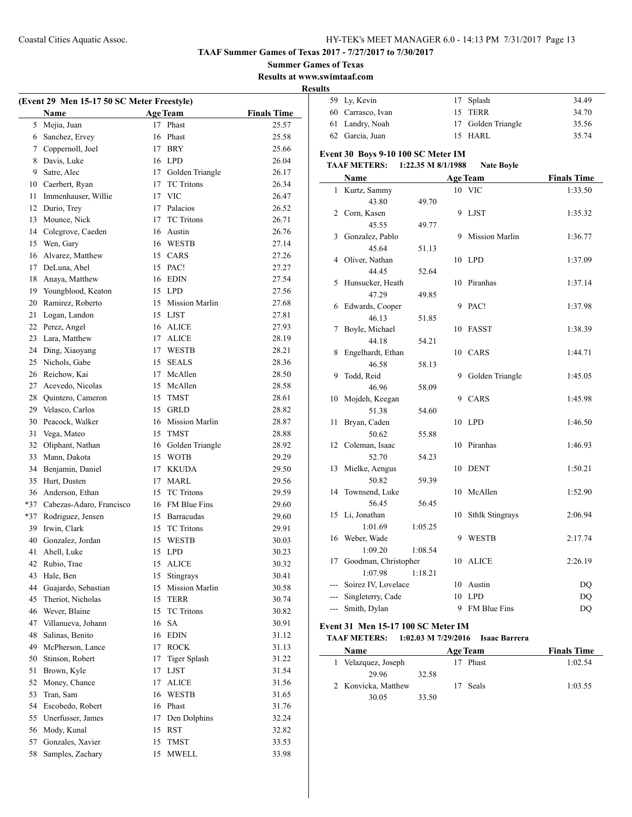**TAAF Summer Games of Texas 2017 - 7/27/2017 to 7/30/2017**

**Summer Games of Texas**

**Results at www.swimtaaf.com**

|    | (Event 29 Men 15-17 50 SC Meter Freestyle) |                 |                             |                    |             |
|----|--------------------------------------------|-----------------|-----------------------------|--------------------|-------------|
|    | Name                                       |                 | <b>Age Team</b><br>17 Phast | <b>Finals Time</b> |             |
|    | 5 Mejia, Juan<br>6 Sanchez, Ervey          |                 | 16 Phast                    | 25.57<br>25.58     |             |
|    | 7 Coppernoll, Joel                         |                 | 17 BRY                      | 25.66              |             |
|    | 8 Davis, Luke                              |                 | 16 LPD                      | 26.04              | Ev          |
| 9. | Satre, Alec                                |                 | 17 Golden Triangle          | 26.17              | Т           |
|    | 10 Caerbert, Ryan                          |                 | 17 TC Tritons               | 26.34              |             |
| 11 | Immenhauser, Willie                        |                 | 17 VIC                      | 26.47              |             |
|    | 12 Durio, Trey                             |                 | 17 Palacios                 | 26.52              |             |
| 13 | Mounce, Nick                               |                 | 17 TC Tritons               | 26.71              |             |
|    | 14 Colegrove, Caeden                       |                 | 16 Austin                   | 26.76              |             |
|    | 15 Wen, Gary                               |                 | 16 WESTB                    | 27.14              |             |
|    | 16 Alvarez, Matthew                        |                 | 15 CARS                     | 27.26              |             |
|    | 17 DeLuna, Abel                            |                 | 15 PAC!                     | 27.27              |             |
|    | 18 Anaya, Matthew                          |                 | 16 EDIN                     | 27.54              |             |
|    | 19 Youngblood, Keaton                      |                 | 15 LPD                      | 27.56              |             |
| 20 | Ramirez, Roberto                           |                 | 15 Mission Marlin           | 27.68              |             |
| 21 | Logan, Landon                              |                 | 15 LJST                     | 27.81              |             |
|    | 22 Perez, Angel                            |                 | 16 ALICE                    | 27.93              |             |
|    | 23 Lara, Matthew                           |                 | 17 ALICE                    | 28.19              |             |
|    | 24 Ding, Xiaoyang                          |                 | 17 WESTB                    | 28.21              |             |
|    | 25 Nichols, Gabe                           |                 | 15 SEALS                    | 28.36              |             |
|    | 26 Reichow, Kai                            | 17 <sup>7</sup> | McAllen                     | 28.50              |             |
|    | 27 Acevedo, Nicolas                        |                 | 15 McAllen                  | 28.58              |             |
|    | 28 Quintero, Cameron                       |                 | 15 TMST                     | 28.61              |             |
|    | 29 Velasco, Carlos                         |                 | 15 GRLD                     | 28.82              |             |
|    | 30 Peacock, Walker                         |                 | 16 Mission Marlin           | 28.87              |             |
| 31 | Vega, Mateo                                |                 | 15 TMST                     | 28.88              |             |
| 32 | Oliphant, Nathan                           |                 | 16 Golden Triangle          | 28.92              |             |
| 33 | Mann, Dakota                               |                 | 15 WOTB                     | 29.29              |             |
|    | 34 Benjamin, Daniel                        |                 | 17 KKUDA                    | 29.50              |             |
|    | 35 Hurt, Dusten                            |                 | 17 MARL                     | 29.56              |             |
|    | 36 Anderson, Ethan                         |                 | 15 TC Tritons               | 29.59              |             |
|    | *37 Cabezas-Adaro, Francisco               |                 | 16 FM Blue Fins             | 29.60              |             |
|    | *37 Rodriguez, Jensen                      |                 | 15 Barracudas               | 29.60              |             |
|    | 39 Irwin, Clark                            |                 | 15 TC Tritons               | 29.91              |             |
|    | 40 Gonzalez, Jordan                        | 15              | <b>WESTB</b>                | 30.03              |             |
| 41 | Abell, Luke                                |                 | 15 LPD                      | 30.23              |             |
| 42 | Rubio, Trae                                | 15              | <b>ALICE</b>                | 30.32              |             |
| 43 | Hale, Ben                                  | 15              | Stingrays                   | 30.41              |             |
| 44 | Guajardo, Sebastian                        | 15              | Mission Marlin              | 30.58              |             |
| 45 | Theriot, Nicholas                          | 15              | <b>TERR</b>                 | 30.74              |             |
|    | 46 Wever, Blaine                           | 15              | <b>TC Tritons</b>           | 30.82              |             |
| 47 | Villanueva, Johann                         | 16              | <b>SA</b>                   | 30.91              | $E_{\bf V}$ |
| 48 | Salinas, Benito                            | 16              | <b>EDIN</b>                 | 31.12              | Ί           |
| 49 | McPherson, Lance                           | 17              | <b>ROCK</b>                 | 31.13              |             |
| 50 | Stinson, Robert                            | 17              | <b>Tiger Splash</b>         | 31.22              |             |
| 51 | Brown, Kyle                                |                 | 17 LJST                     | 31.54              |             |
| 52 | Money, Chance                              | 17              | ALICE                       | 31.56              |             |
| 53 | Tran, Sam                                  |                 | 16 WESTB                    | 31.65              |             |
|    | 54 Escobedo, Robert                        |                 | 16 Phast                    | 31.76              |             |
|    | 55 Unerfusser, James                       | 17              | Den Dolphins                | 32.24              |             |
| 56 | Mody, Kunal                                | 15              | RST                         | 32.82              |             |
| 57 | Gonzales, Xavier                           | 15              | TMST                        | 33.53              |             |
|    | 58<br>Samples, Zachary                     | 15              | <b>MWELL</b>                | 33.98              |             |

| πь             |                                                                                 |         |    |                        |                    |  |  |  |
|----------------|---------------------------------------------------------------------------------|---------|----|------------------------|--------------------|--|--|--|
| 59             | Ly, Kevin                                                                       |         | 17 | Splash                 | 34.49              |  |  |  |
| 60             | Carrasco, Ivan                                                                  |         |    | 15 TERR                | 34.70              |  |  |  |
| 61             | Landry, Noah                                                                    |         | 17 | Golden Triangle        | 35.56              |  |  |  |
| 62             | Garcia, Juan                                                                    |         | 15 | <b>HARL</b>            | 35.74              |  |  |  |
|                |                                                                                 |         |    |                        |                    |  |  |  |
|                | Event 30 Boys 9-10 100 SC Meter IM<br><b>TAAF METERS:</b><br>1:22.35 M 8/1/1988 |         |    |                        |                    |  |  |  |
|                |                                                                                 |         |    | <b>Nate Boyle</b>      |                    |  |  |  |
|                | Name                                                                            |         |    | <b>Age Team</b>        | <b>Finals Time</b> |  |  |  |
| $\mathbf{1}$   | Kurtz, Sammy                                                                    |         | 10 | <b>VIC</b>             | 1:33.50            |  |  |  |
|                | 43.80                                                                           | 49.70   |    |                        |                    |  |  |  |
| 2              | Corn, Kasen                                                                     |         | 9  | <b>LJST</b>            | 1:35.32            |  |  |  |
|                | 45.55                                                                           | 49.77   |    |                        |                    |  |  |  |
| 3              | Gonzalez, Pablo                                                                 |         | 9  | Mission Marlin         | 1:36.77            |  |  |  |
|                | 45.64                                                                           | 51.13   |    |                        |                    |  |  |  |
| 4              | Oliver, Nathan                                                                  |         | 10 | <b>LPD</b>             | 1:37.09            |  |  |  |
|                | 44.45                                                                           | 52.64   |    |                        |                    |  |  |  |
| 5              | Hunsucker, Heath                                                                |         | 10 | Piranhas               | 1:37.14            |  |  |  |
|                | 47.29                                                                           | 49.85   |    |                        |                    |  |  |  |
| 6              | Edwards, Cooper                                                                 |         | 9  | PAC!                   | 1:37.98            |  |  |  |
|                | 46.13                                                                           | 51.85   |    |                        |                    |  |  |  |
| 7              | Boyle, Michael                                                                  |         | 10 | <b>FASST</b>           | 1:38.39            |  |  |  |
|                | 44.18                                                                           | 54.21   |    |                        |                    |  |  |  |
| 8              | Engelhardt, Ethan                                                               |         | 10 | CARS                   | 1:44.71            |  |  |  |
| 9              | 46.58                                                                           | 58.13   |    |                        |                    |  |  |  |
|                | Todd, Reid<br>46.96                                                             | 58.09   | 9  | Golden Triangle        | 1:45.05            |  |  |  |
| 10             |                                                                                 |         | 9  | CARS                   |                    |  |  |  |
|                | Mojdeh, Keegan<br>51.38                                                         | 54.60   |    |                        | 1:45.98            |  |  |  |
| 11             | Bryan, Caden                                                                    |         | 10 | <b>LPD</b>             | 1:46.50            |  |  |  |
|                | 50.62                                                                           | 55.88   |    |                        |                    |  |  |  |
| 12             | Coleman, Isaac                                                                  |         | 10 | Piranhas               | 1:46.93            |  |  |  |
|                | 52.70                                                                           | 54.23   |    |                        |                    |  |  |  |
| 13             | Mielke, Aengus                                                                  |         | 10 | <b>DENT</b>            | 1:50.21            |  |  |  |
|                | 50.82                                                                           | 59.39   |    |                        |                    |  |  |  |
| 14             | Townsend, Luke                                                                  |         | 10 | McAllen                | 1:52.90            |  |  |  |
|                | 56.45                                                                           | 56.45   |    |                        |                    |  |  |  |
| 15             | Li, Jonathan                                                                    |         | 10 | <b>Sthlk Stingrays</b> | 2:06.94            |  |  |  |
|                | 1:01.69                                                                         | 1:05.25 |    |                        |                    |  |  |  |
| 16             | Weber, Wade                                                                     |         | 9  | WESTB                  | 2:17.74            |  |  |  |
|                | 1:09.20                                                                         | 1:08.54 |    |                        |                    |  |  |  |
| 17             | Goodman, Christopher                                                            |         | 10 | <b>ALICE</b>           | 2:26.19            |  |  |  |
|                | 1:07.98                                                                         | 1:18.21 |    |                        |                    |  |  |  |
|                | Soirez IV, Lovelace                                                             |         |    | 10 Austin              | DQ                 |  |  |  |
|                | Singleterry, Cade                                                               |         | 10 | <b>LPD</b>             | DQ                 |  |  |  |
| $\overline{a}$ | Smith, Dylan                                                                    |         | 9  | FM Blue Fins           | DQ                 |  |  |  |
|                |                                                                                 |         |    |                        |                    |  |  |  |

### **Event 31 Men 15-17 100 SC Meter IM**

#### **TAAF METERS: 1:02.03 M 7/29/2016 Isaac Barrera**

| <b>Name</b>         |       | <b>Age Team</b> |       | <b>Finals Time</b> |
|---------------------|-------|-----------------|-------|--------------------|
| Velazquez, Joseph   |       |                 | Phast | 1:02.54            |
| 29.96               | 32.58 |                 |       |                    |
| 2 Konvicka, Matthew |       | 17              | Seals | 1:03.55            |
| 30.05               | 33.50 |                 |       |                    |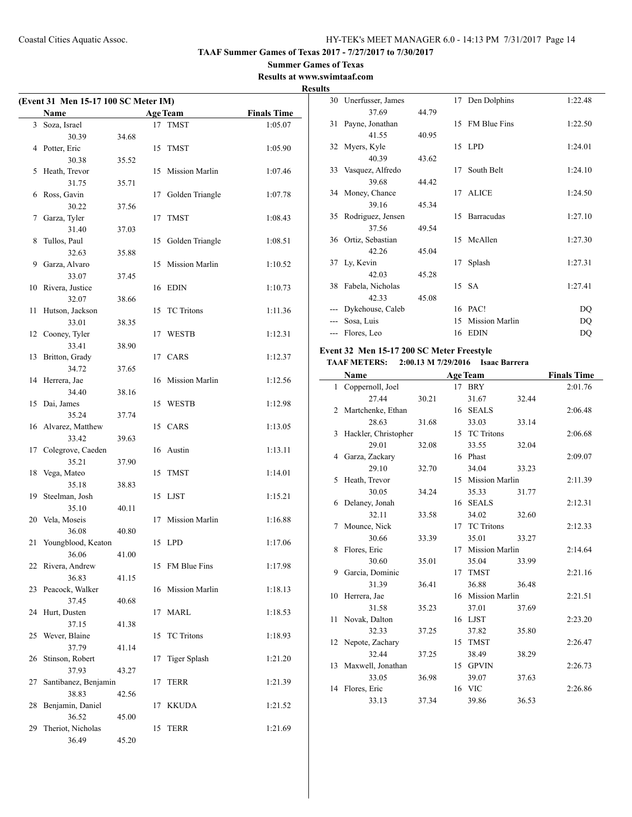$\mathcal{L}$ 

#### **Summer Games of Texas Results at www.swimtaaf.com**

**Results**

| (Event 31 Men 15-17 100 SC Meter IM) |                            |       |    |                       |                    |  |
|--------------------------------------|----------------------------|-------|----|-----------------------|--------------------|--|
|                                      | Name                       |       |    | <b>Age Team</b>       | <b>Finals Time</b> |  |
| 3                                    | Soza, Israel               |       |    | 17 TMST               | 1:05.07            |  |
|                                      | 30.39                      | 34.68 |    |                       |                    |  |
| 4                                    | Potter, Eric               |       | 15 | <b>TMST</b>           | 1:05.90            |  |
|                                      | 30.38                      | 35.52 |    |                       |                    |  |
| 5                                    | Heath, Trevor              |       | 15 | <b>Mission Marlin</b> | 1:07.46            |  |
|                                      | 31.75                      | 35.71 |    |                       |                    |  |
| 6                                    | Ross, Gavin                |       | 17 | Golden Triangle       | 1:07.78            |  |
|                                      | 30.22                      | 37.56 |    |                       |                    |  |
| 7                                    | Garza, Tyler               |       | 17 | <b>TMST</b>           | 1:08.43            |  |
|                                      | 31.40                      | 37.03 |    |                       |                    |  |
| 8                                    | Tullos, Paul               |       | 15 | Golden Triangle       | 1:08.51            |  |
|                                      | 32.63                      | 35.88 |    |                       |                    |  |
| 9                                    | Garza, Alvaro              |       | 15 | Mission Marlin        | 1:10.52            |  |
|                                      | 33.07                      | 37.45 |    |                       |                    |  |
| 10                                   | Rivera, Justice            |       | 16 | <b>EDIN</b>           | 1:10.73            |  |
|                                      | 32.07                      | 38.66 |    |                       |                    |  |
| 11                                   | Hutson, Jackson            |       | 15 | <b>TC</b> Tritons     | 1:11.36            |  |
|                                      | 33.01                      | 38.35 |    |                       |                    |  |
| 12                                   | Cooney, Tyler              |       | 17 | <b>WESTB</b>          | 1:12.31            |  |
|                                      | 33.41                      | 38.90 |    |                       |                    |  |
| 13                                   | Britton, Grady             |       | 17 | CARS                  | 1:12.37            |  |
|                                      | 34.72                      | 37.65 |    |                       |                    |  |
| 14                                   | Herrera, Jae               |       | 16 | <b>Mission Marlin</b> | 1:12.56            |  |
|                                      | 34.40                      | 38.16 |    |                       |                    |  |
| 15                                   | Dai, James                 |       | 15 | <b>WESTB</b>          | 1:12.98            |  |
|                                      | 35.24                      | 37.74 |    |                       |                    |  |
| 16                                   | Alvarez, Matthew           |       | 15 | CARS                  | 1:13.05            |  |
|                                      | 33.42                      | 39.63 |    |                       |                    |  |
| 17                                   | Colegrove, Caeden          |       |    | 16 Austin             | 1:13.11            |  |
|                                      | 35.21                      | 37.90 |    |                       |                    |  |
| 18                                   | Vega, Mateo                |       | 15 | <b>TMST</b>           | 1:14.01            |  |
|                                      | 35.18                      | 38.83 |    | <b>LJST</b>           |                    |  |
| 19                                   | Steelman, Josh             |       | 15 |                       | 1:15.21            |  |
|                                      | 35.10                      | 40.11 |    |                       |                    |  |
| 20                                   | Vela, Moseis<br>36.08      | 40.80 | 17 | Mission Marlin        | 1:16.88            |  |
|                                      | Youngblood, Keaton         |       |    | 15 LPD                |                    |  |
| 21                                   |                            |       |    |                       | 1:17.06            |  |
| 22                                   | 36.06<br>Rivera, Andrew    | 41.00 | 15 | FM Blue Fins          | 1:17.98            |  |
|                                      | 36.83                      | 41.15 |    |                       |                    |  |
| 23                                   | Peacock, Walker            |       | 16 | Mission Marlin        | 1:18.13            |  |
|                                      | 37.45                      | 40.68 |    |                       |                    |  |
| 24                                   | Hurt, Dusten               |       | 17 | MARL                  | 1:18.53            |  |
|                                      | 37.15                      | 41.38 |    |                       |                    |  |
| 25                                   | Wever, Blaine              |       | 15 | <b>TC</b> Tritons     | 1:18.93            |  |
|                                      | 37.79                      |       |    |                       |                    |  |
| 26                                   | Stinson, Robert            | 41.14 | 17 | <b>Tiger Splash</b>   | 1:21.20            |  |
|                                      | 37.93                      | 43.27 |    |                       |                    |  |
| 27                                   | Santibanez, Benjamin       |       | 17 | TERR                  | 1:21.39            |  |
|                                      | 38.83                      | 42.56 |    |                       |                    |  |
| 28                                   | Benjamin, Daniel           |       | 17 | <b>KKUDA</b>          | 1:21.52            |  |
|                                      | 36.52                      |       |    |                       |                    |  |
| 29                                   |                            | 45.00 | 15 |                       |                    |  |
|                                      | Theriot, Nicholas<br>36.49 |       |    | TERR                  | 1:21.69            |  |
|                                      |                            | 45.20 |    |                       |                    |  |

| ᄖ  |                      |       |    |                |         |
|----|----------------------|-------|----|----------------|---------|
|    | 30 Unerfusser, James |       | 17 | Den Dolphins   | 1:22.48 |
|    | 37.69                | 44.79 |    |                |         |
| 31 | Payne, Jonathan      |       | 15 | FM Blue Fins   | 1:22.50 |
|    | 41.55                | 40.95 |    |                |         |
|    | 32 Myers, Kyle       |       |    | 15 LPD         | 1:24.01 |
|    | 40.39                | 43.62 |    |                |         |
|    | 33 Vasquez, Alfredo  |       | 17 | South Belt     | 1:24.10 |
|    | 39.68                | 44.42 |    |                |         |
|    | 34 Money, Chance     |       | 17 | <b>ALICE</b>   | 1:24.50 |
|    | 39.16                | 45.34 |    |                |         |
| 35 | Rodriguez, Jensen    |       | 15 | Barracudas     | 1:27.10 |
|    | 37.56                | 49.54 |    |                |         |
| 36 | Ortiz, Sebastian     |       |    | 15 McAllen     | 1:27.30 |
|    | 42.26                | 45.04 |    |                |         |
|    | 37 Ly, Kevin         |       | 17 | Splash         | 1:27.31 |
|    | 42.03                | 45.28 |    |                |         |
| 38 | Fabela, Nicholas     |       |    | 15 SA          | 1:27.41 |
|    | 42.33                | 45.08 |    |                |         |
|    | Dykehouse, Caleb     |       | 16 | PAC!           | DQ      |
|    | Sosa, Luis           |       | 15 | Mission Marlin | DQ      |
|    | Flores, Leo          |       | 16 | <b>EDIN</b>    | DQ      |
|    |                      |       |    |                |         |

## **Event 32 Men 15-17 200 SC Meter Freestyle**

### **TAAF METERS: 2:00.13 M 7/29/2016 Isaac Barrera**

|    | Name                 |       |    | <b>Age Team</b>   |       | <b>Finals Time</b> |
|----|----------------------|-------|----|-------------------|-------|--------------------|
|    | 1 Coppernoll, Joel   |       |    | 17 BRY            |       | 2:01.76            |
|    | 27.44                | 30.21 |    | 31.67             | 32.44 |                    |
| 2  | Martchenke, Ethan    |       |    | 16 SEALS          |       | 2:06.48            |
|    | 28.63                | 31.68 |    | 33.03             | 33.14 |                    |
| 3  | Hackler, Christopher |       |    | 15 TC Tritons     |       | 2:06.68            |
|    | 29.01                | 32.08 |    | 33.55             | 32.04 |                    |
|    | 4 Garza, Zackary     |       |    | 16 Phast          |       | 2:09.07            |
|    | 29.10                | 32.70 |    | 34.04             | 33.23 |                    |
| 5. | Heath, Trevor        |       |    | 15 Mission Marlin |       | 2:11.39            |
|    | 30.05                | 34.24 |    | 35.33             | 31.77 |                    |
| 6  | Delaney, Jonah       |       | 16 | <b>SEALS</b>      |       | 2:12.31            |
|    | 32.11                | 33.58 |    | 34.02             | 32.60 |                    |
| 7  | Mounce, Nick         |       | 17 | <b>TC Tritons</b> |       | 2:12.33            |
|    | 30.66                | 33.39 |    | 35.01             | 33.27 |                    |
| 8  | Flores, Eric         |       |    | 17 Mission Marlin |       | 2:14.64            |
|    | 30.60                | 35.01 |    | 35.04             | 33.99 |                    |
| 9  | Garcia, Dominic      |       |    | 17 TMST           |       | 2:21.16            |
|    | 31.39                | 36.41 |    | 36.88             | 36.48 |                    |
|    | 10 Herrera, Jae      |       |    | 16 Mission Marlin |       | 2:21.51            |
|    | 31.58                | 35.23 |    | 37.01             | 37.69 |                    |
| 11 | Novak, Dalton        |       |    | 16 LJST           |       | 2:23.20            |
|    | 32.33                | 37.25 |    | 37.82             | 35.80 |                    |
| 12 | Nepote, Zachary      |       | 15 | <b>TMST</b>       |       | 2:26.47            |
|    | 32.44                | 37.25 |    | 38.49             | 38.29 |                    |
|    | 13 Maxwell, Jonathan |       | 15 | <b>GPVIN</b>      |       | 2:26.73            |
|    | 33.05                | 36.98 |    | 39.07             | 37.63 |                    |
| 14 | Flores, Eric         |       |    | 16 VIC            |       | 2:26.86            |
|    | 33.13                | 37.34 |    | 39.86             | 36.53 |                    |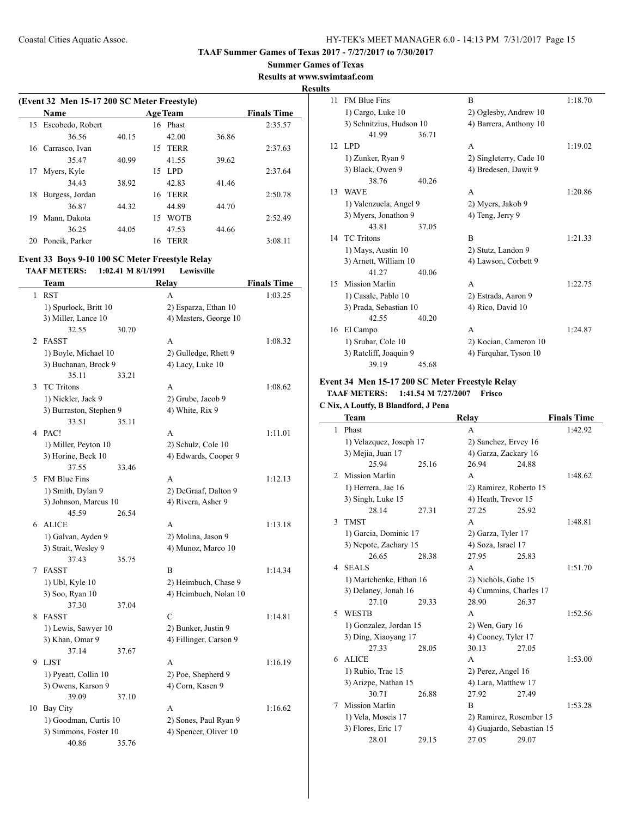### **Summer Games of Texas**

**Results at www.swimtaaf.com**

#### **Results**

| (Event 32 Men 15-17 200 SC Meter Freestyle) |                  |       |                   |       |                    |  |  |  |  |
|---------------------------------------------|------------------|-------|-------------------|-------|--------------------|--|--|--|--|
|                                             | Name             |       | <b>Age Team</b>   |       | <b>Finals Time</b> |  |  |  |  |
| 15                                          | Escobedo, Robert |       | 16 Phast          |       | 2:35.57            |  |  |  |  |
|                                             | 36.56            | 40.15 | 42.00             | 36.86 |                    |  |  |  |  |
| 16                                          | Carrasco, Ivan   |       | TERR<br>15        |       | 2:37.63            |  |  |  |  |
|                                             | 35.47            | 40.99 | 41.55             | 39.62 |                    |  |  |  |  |
| 17                                          | Myers, Kyle      |       | LPD.<br>15.       |       | 2:37.64            |  |  |  |  |
|                                             | 34.43            | 38.92 | 42.83             | 41.46 |                    |  |  |  |  |
| 18                                          | Burgess, Jordan  |       | TERR<br>16        |       | 2:50.78            |  |  |  |  |
|                                             | 36.87            | 44.32 | 44.89             | 44.70 |                    |  |  |  |  |
| 19                                          | Mann, Dakota     |       | <b>WOTB</b><br>15 |       | 2:52.49            |  |  |  |  |
|                                             | 36.25            | 44.05 | 47.53             | 44.66 |                    |  |  |  |  |
| 20                                          | Poncik, Parker   |       | <b>TERR</b><br>16 |       | 3:08.11            |  |  |  |  |

### **Event 33 Boys 9-10 100 SC Meter Freestyle Relay TAAF METERS: 1:02.41 M 8/1/1991 Lewisville**

 $\frac{1}{2}$ 

|              | Team                                   |       | <b>Relay</b>           | <b>Finals Time</b> |
|--------------|----------------------------------------|-------|------------------------|--------------------|
| $\mathbf{1}$ | <b>RST</b>                             |       | A                      | 1:03.25            |
|              | 1) Spurlock, Britt 10                  |       | 2) Esparza, Ethan 10   |                    |
|              | 3) Miller, Lance 10                    |       | 4) Masters, George 10  |                    |
|              | 32.55                                  | 30.70 |                        |                    |
| 2            | <b>FASST</b>                           |       | А                      | 1:08.32            |
|              | 1) Boyle, Michael 10                   |       | 2) Gulledge, Rhett 9   |                    |
|              | 3) Buchanan, Brock 9                   |       | 4) Lacy, Luke 10       |                    |
|              | 35.11                                  | 33.21 |                        |                    |
| 3            | <b>TC</b> Tritons                      |       | A                      | 1:08.62            |
|              | 1) Nickler, Jack 9                     |       | 2) Grube, Jacob 9      |                    |
|              | 3) Burraston, Stephen 9                |       | 4) White, Rix 9        |                    |
|              | 33.51                                  | 35.11 |                        |                    |
| 4            | PAC!                                   |       | A                      | 1:11.01            |
|              | 1) Miller, Peyton 10                   |       | 2) Schulz, Cole 10     |                    |
|              | 3) Horine, Beck 10                     |       | 4) Edwards, Cooper 9   |                    |
|              | 37.55                                  | 33.46 |                        |                    |
| 5            | <b>FM Blue Fins</b>                    |       | A                      | 1:12.13            |
|              | 1) Smith, Dylan 9                      |       | 2) DeGraaf, Dalton 9   |                    |
|              | 3) Johnson, Marcus 10                  |       | 4) Rivera, Asher 9     |                    |
|              | 45.59                                  | 26.54 |                        |                    |
| 6            | <b>ALICE</b>                           |       | A                      | 1:13.18            |
|              | 1) Galvan, Ayden 9                     |       | 2) Molina, Jason 9     |                    |
|              | 3) Strait, Wesley 9                    |       | 4) Munoz, Marco 10     |                    |
|              | 37.43                                  | 35.75 |                        |                    |
| 7            | <b>FASST</b>                           |       | B                      | 1:14.34            |
|              | 1) Ubl, Kyle 10                        |       | 2) Heimbuch, Chase 9   |                    |
|              | 3) Soo, Ryan 10<br>37.30               | 37.04 | 4) Heimbuch, Nolan 10  |                    |
| 8            | <b>FASST</b>                           |       | C                      | 1:14.81            |
|              |                                        |       | 2) Bunker, Justin 9    |                    |
|              | 1) Lewis, Sawyer 10<br>3) Khan, Omar 9 |       | 4) Fillinger, Carson 9 |                    |
|              | 37.14                                  | 37.67 |                        |                    |
| 9            | <b>LIST</b>                            |       | A                      | 1:16.19            |
|              | 1) Pyeatt, Collin 10                   |       | 2) Poe, Shepherd 9     |                    |
|              | 3) Owens, Karson 9                     |       | 4) Corn, Kasen 9       |                    |
|              | 39.09                                  | 37.10 |                        |                    |
| 10           | <b>Bay City</b>                        |       | A                      | 1:16.62            |
|              | 1) Goodman, Curtis 10                  |       | 2) Sones, Paul Ryan 9  |                    |
|              | 3) Simmons, Foster 10                  |       | 4) Spencer, Oliver 10  |                    |
|              | 40.86                                  | 35.76 |                        |                    |
|              |                                        |       |                        |                    |

| S               |                          |       |                         |         |
|-----------------|--------------------------|-------|-------------------------|---------|
| 11              | <b>FM Blue Fins</b>      |       | B                       | 1:18.70 |
|                 | 1) Cargo, Luke 10        |       | 2) Oglesby, Andrew 10   |         |
|                 | 3) Schnitzius, Hudson 10 |       | 4) Barrera, Anthony 10  |         |
|                 | 41.99                    | 36.71 |                         |         |
| 12 <sub>1</sub> | LPD <sub></sub>          |       | A                       | 1:19.02 |
|                 | 1) Zunker, Ryan 9        |       | 2) Singleterry, Cade 10 |         |
|                 | 3) Black, Owen 9         |       | 4) Bredesen, Dawit 9    |         |
|                 | 38.76                    | 40.26 |                         |         |
| 13              | <b>WAVE</b>              |       | A                       | 1:20.86 |
|                 | 1) Valenzuela, Angel 9   |       | 2) Myers, Jakob 9       |         |
|                 | 3) Myers, Jonathon 9     |       | 4) Teng, Jerry 9        |         |
|                 | 43.81                    | 37.05 |                         |         |
| 14              | <b>TC</b> Tritons        |       | B                       | 1:21.33 |
|                 | 1) Mays, Austin 10       |       | 2) Stutz, Landon 9      |         |
|                 | 3) Arnett, William 10    |       | 4) Lawson, Corbett 9    |         |
|                 | 41.27                    | 40.06 |                         |         |
| 15              | <b>Mission Marlin</b>    |       | A                       | 1:22.75 |
|                 | 1) Casale, Pablo 10      |       | 2) Estrada, Aaron 9     |         |
|                 | 3) Prada, Sebastian 10   |       | 4) Rico, David 10       |         |
|                 | 42.55                    | 40.20 |                         |         |
| 16              | El Campo                 |       | A                       | 1:24.87 |
|                 | 1) Srubar, Cole 10       |       | 2) Kocian, Cameron 10   |         |
|                 | 3) Ratcliff, Joaquin 9   |       | 4) Farquhar, Tyson 10   |         |
|                 | 39.19                    | 45.68 |                         |         |

### **Event 34 Men 15-17 200 SC Meter Freestyle Relay TAAF METERS: 1:41.54 M 7/27/2007 Frisco**

### **C Nix, A Loutfy, B Blandford, J Pena**

|   | <b>Team</b>             |       | Relay                     |       | <b>Finals Time</b> |
|---|-------------------------|-------|---------------------------|-------|--------------------|
| 1 | Phast                   |       | A                         |       | 1:42.92            |
|   | 1) Velazquez, Joseph 17 |       | 2) Sanchez, Ervey 16      |       |                    |
|   | 3) Mejia, Juan 17       |       | 4) Garza, Zackary 16      |       |                    |
|   | 25.94                   | 25.16 | 26.94                     | 24.88 |                    |
| 2 | <b>Mission Marlin</b>   |       | A                         |       | 1:48.62            |
|   | 1) Herrera, Jae 16      |       | 2) Ramirez, Roberto 15    |       |                    |
|   | 3) Singh, Luke 15       |       | 4) Heath, Trevor 15       |       |                    |
|   | 28.14                   | 27.31 | 27.25                     | 25.92 |                    |
| 3 | <b>TMST</b>             |       | A                         |       | 1:48.81            |
|   | 1) Garcia, Dominic 17   |       | 2) Garza, Tyler 17        |       |                    |
|   | 3) Nepote, Zachary 15   |       | 4) Soza, Israel 17        |       |                    |
|   | 26.65                   | 28.38 | 27.95                     | 25.83 |                    |
| 4 | <b>SEALS</b>            |       | A                         |       | 1:51.70            |
|   | 1) Martchenke, Ethan 16 |       | 2) Nichols, Gabe 15       |       |                    |
|   | 3) Delaney, Jonah 16    |       | 4) Cummins, Charles 17    |       |                    |
|   | 27.10                   | 29.33 | 28.90                     | 26.37 |                    |
| 5 | <b>WESTB</b>            |       | A                         |       | 1:52.56            |
|   | 1) Gonzalez, Jordan 15  |       | $2)$ Wen, Gary 16         |       |                    |
|   | 3) Ding, Xiaoyang 17    |       | 4) Cooney, Tyler 17       |       |                    |
|   | 27.33                   | 28.05 | 30.13                     | 27.05 |                    |
|   | 6 ALICE                 |       | A                         |       | 1:53.00            |
|   | 1) Rubio, Trae 15       |       | 2) Perez, Angel 16        |       |                    |
|   | 3) Arizpe, Nathan 15    |       | 4) Lara, Matthew 17       |       |                    |
|   | 30.71                   | 26.88 | 27.92                     | 27.49 |                    |
| 7 | <b>Mission Marlin</b>   |       | B                         |       | 1:53.28            |
|   | 1) Vela, Moseis 17      |       | 2) Ramirez, Rosember 15   |       |                    |
|   | 3) Flores, Eric 17      |       | 4) Guajardo, Sebastian 15 |       |                    |
|   | 28.01                   | 29.15 | 27.05                     | 29.07 |                    |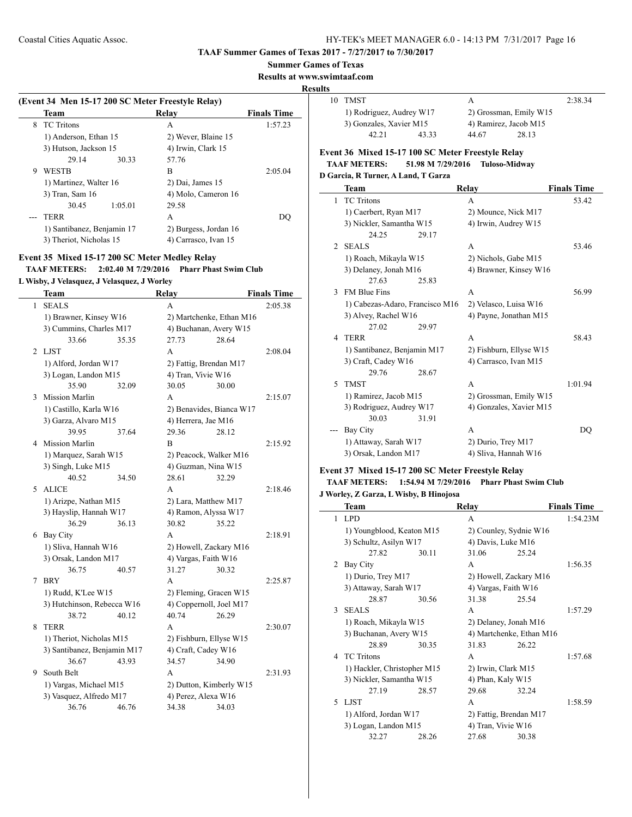#### **TAAF Summer Games of Texas 2017 - 7/27/2017 to 7/30/2017**

### **Summer Games of Texas**

**Results at www.swimtaaf.com**

#### **Results**

 $\overline{\phantom{a}}$ 

| (Event 34 Men 15-17 200 SC Meter Freestyle Relay) |                            |                       |                    |  |  |  |
|---------------------------------------------------|----------------------------|-----------------------|--------------------|--|--|--|
|                                                   | Team                       | Relav                 | <b>Finals Time</b> |  |  |  |
| 8                                                 | <b>TC</b> Tritons          | A                     | 1:57.23            |  |  |  |
|                                                   | 1) Anderson, Ethan 15      | 2) Wever, Blaine 15   |                    |  |  |  |
|                                                   | 3) Hutson, Jackson 15      | 4) Irwin, Clark 15    |                    |  |  |  |
|                                                   | 29.14<br>30.33             | 57.76                 |                    |  |  |  |
| 9                                                 | <b>WESTB</b>               | В                     | 2:05.04            |  |  |  |
|                                                   | 1) Martinez, Walter 16     | 2) Dai, James 15      |                    |  |  |  |
|                                                   | 3) Tran, Sam 16            | 4) Molo, Cameron 16   |                    |  |  |  |
|                                                   | 30.45<br>1:05.01           | 29.58                 |                    |  |  |  |
|                                                   | <b>TERR</b>                | A                     | DO                 |  |  |  |
|                                                   | 1) Santibanez, Benjamin 17 | 2) Burgess, Jordan 16 |                    |  |  |  |
|                                                   | 3) Theriot, Nicholas 15    | 4) Carrasco, Ivan 15  |                    |  |  |  |

# **Event 35 Mixed 15-17 200 SC Meter Medley Relay TAAF METERS: 2:02.40 M 7/29/2016 Pharr Phast Swim Club**

### **L Wisby, J Velasquez, J Velasquez, J Worley**

|              | <b>Team</b>                 |       | <b>Relay</b>       |                          | <b>Finals Time</b> |
|--------------|-----------------------------|-------|--------------------|--------------------------|--------------------|
| $\mathbf{1}$ | <b>SEALS</b>                |       | A                  |                          | 2:05.38            |
|              | 1) Brawner, Kinsey W16      |       |                    | 2) Martchenke, Ethan M16 |                    |
|              | 3) Cummins, Charles M17     |       |                    | 4) Buchanan, Avery W15   |                    |
|              | 33.66                       | 35.35 | 27.73              | 28.64                    |                    |
| 2            | <b>LJST</b>                 |       | A                  |                          | 2:08.04            |
|              | 1) Alford, Jordan W17       |       |                    | 2) Fattig, Brendan M17   |                    |
|              | 3) Logan, Landon M15        |       | 4) Tran, Vivie W16 |                          |                    |
|              | 35.90                       | 32.09 | 30.05              | 30.00                    |                    |
| 3            | <b>Mission Marlin</b>       |       | A                  |                          | 2:15.07            |
|              | 1) Castillo, Karla W16      |       |                    | 2) Benavides, Bianca W17 |                    |
|              | 3) Garza, Alvaro M15        |       |                    | 4) Herrera, Jae M16      |                    |
|              | 39.95                       | 37.64 | 29.36              | 28.12                    |                    |
|              | 4 Mission Marlin            |       | B                  |                          | 2:15.92            |
|              | 1) Marquez, Sarah W15       |       |                    | 2) Peacock, Walker M16   |                    |
|              | 3) Singh, Luke M15          |       |                    | 4) Guzman, Nina W15      |                    |
|              | 40.52                       | 34.50 | 28.61              | 32.29                    |                    |
|              | 5 ALICE                     |       | A                  |                          | 2:18.46            |
|              | 1) Arizpe, Nathan M15       |       |                    | 2) Lara, Matthew M17     |                    |
|              | 3) Hayslip, Hannah W17      |       |                    | 4) Ramon, Alyssa W17     |                    |
|              | 36.29                       | 36.13 | 30.82              | 35.22                    |                    |
| 6            | Bay City                    |       | A                  |                          | 2:18.91            |
|              | 1) Sliva, Hannah W16        |       |                    | 2) Howell, Zackary M16   |                    |
|              | 3) Orsak, Landon M17        |       |                    | 4) Vargas, Faith W16     |                    |
|              | 36.75                       | 40.57 | 31.27              | 30.32                    |                    |
| 7            | <b>BRY</b>                  |       | A                  |                          | 2:25.87            |
|              | 1) Rudd, K'Lee W15          |       |                    | 2) Fleming, Gracen W15   |                    |
|              | 3) Hutchinson, Rebecca W16  |       |                    | 4) Coppernoll, Joel M17  |                    |
|              | 38.72                       | 40.12 | 40.74              | 26.29                    |                    |
| 8            | <b>TERR</b>                 |       | A                  |                          | 2:30.07            |
|              | 1) Theriot, Nicholas M15    |       |                    | 2) Fishburn, Ellyse W15  |                    |
|              | 3) Santibanez, Benjamin M17 |       |                    | 4) Craft, Cadey W16      |                    |
|              | 36.67                       | 43.93 | 34.57              | 34.90                    |                    |
| 9            | South Belt                  |       | A                  |                          | 2:31.93            |
|              | 1) Vargas, Michael M15      |       |                    | 2) Dutton, Kimberly W15  |                    |
|              | 3) Vasquez, Alfredo M17     |       |                    | 4) Perez, Alexa W16      |                    |
|              | 36.76                       | 46.76 | 34.38              | 34.03                    |                    |

| 10 | TMST                     |       | А                      |                       | 2:38.34 |
|----|--------------------------|-------|------------------------|-----------------------|---------|
|    | 1) Rodriguez, Audrey W17 |       | 2) Grossman, Emily W15 |                       |         |
|    | 3) Gonzales, Xavier M15  |       |                        | 4) Ramirez, Jacob M15 |         |
|    | 42.21                    | 43.33 | 44.67                  | 28.13                 |         |

### **Event 36 Mixed 15-17 100 SC Meter Freestyle Relay TAAF METERS: 51.98 M 7/29/2016 Tuloso-Midway**

### **D Garcia, R Turner, A Land, T Garza**

|             | Team                            | Relay                   | <b>Finals Time</b> |
|-------------|---------------------------------|-------------------------|--------------------|
| 1           | <b>TC</b> Tritons               | A                       | 53.42              |
|             | 1) Caerbert, Ryan M17           | 2) Mounce, Nick M17     |                    |
|             | 3) Nickler, Samantha W15        | 4) Irwin, Audrey W15    |                    |
|             | 24.25<br>29.17                  |                         |                    |
| 2           | <b>SEALS</b>                    | A                       | 53.46              |
|             | 1) Roach, Mikayla W15           | 2) Nichols, Gabe M15    |                    |
|             | 3) Delaney, Jonah M16           | 4) Brawner, Kinsey W16  |                    |
|             | 27.63<br>25.83                  |                         |                    |
| 3           | <b>FM Blue Fins</b>             | A                       | 56.99              |
|             | 1) Cabezas-Adaro, Francisco M16 | 2) Velasco, Luisa W16   |                    |
|             | 3) Alvey, Rachel W16            | 4) Payne, Jonathan M15  |                    |
|             | 27.02<br>29.97                  |                         |                    |
| 4           | <b>TERR</b>                     | A                       | 58.43              |
|             | 1) Santibanez, Benjamin M17     | 2) Fishburn, Ellyse W15 |                    |
|             | 3) Craft, Cadey W16             | 4) Carrasco, Ivan M15   |                    |
|             | 29.76<br>28.67                  |                         |                    |
| $\varsigma$ | <b>TMST</b>                     | A                       | 1:01.94            |
|             | 1) Ramirez, Jacob M15           | 2) Grossman, Emily W15  |                    |
|             | 3) Rodriguez, Audrey W17        | 4) Gonzales, Xavier M15 |                    |
|             | 30.03<br>31.91                  |                         |                    |
|             | Bay City                        | A                       | DO                 |
|             | 1) Attaway, Sarah W17           | 2) Durio, Trey M17      |                    |
|             | 3) Orsak, Landon M17            | 4) Sliva, Hannah W16    |                    |

# **Event 37 Mixed 15-17 200 SC Meter Freestyle Relay**

### **TAAF METERS: 1:54.94 M 7/29/2016 Pharr Phast Swim Club J Worley, Z Garza, L Wisby, B Hinojosa**

|              | Team                        |       | Relay                    |       | <b>Finals Time</b> |
|--------------|-----------------------------|-------|--------------------------|-------|--------------------|
| 1            | <b>LPD</b>                  |       | A                        |       | 1:54.23M           |
|              | 1) Youngblood, Keaton M15   |       | 2) Counley, Sydnie W16   |       |                    |
|              | 3) Schultz, Asilyn W17      |       | 4) Davis, Luke M16       |       |                    |
|              | 27.82                       | 30.11 | 31.06                    | 25.24 |                    |
| 2            | Bay City                    |       | A                        |       | 1:56.35            |
|              | 1) Durio, Trey M17          |       | 2) Howell, Zackary M16   |       |                    |
|              | 3) Attaway, Sarah W17       |       | 4) Vargas, Faith W16     |       |                    |
|              | 28.87                       | 30.56 | 31.38                    | 25.54 |                    |
| $\mathbf{3}$ | <b>SEALS</b>                |       | A                        |       | 1:57.29            |
|              | 1) Roach, Mikayla W15       |       | 2) Delaney, Jonah M16    |       |                    |
|              | 3) Buchanan, Avery W15      |       | 4) Martchenke, Ethan M16 |       |                    |
|              | 28.89                       | 30.35 | 31.83                    | 26.22 |                    |
| 4            | <b>TC</b> Tritons           |       | A                        |       | 1:57.68            |
|              | 1) Hackler, Christopher M15 |       | 2) Irwin, Clark M15      |       |                    |
|              | 3) Nickler, Samantha W15    |       | 4) Phan, Kaly W15        |       |                    |
|              | 27.19                       | 28.57 | 29.68                    | 32.24 |                    |
| 5.           | <b>LJST</b>                 |       | A                        |       | 1:58.59            |
|              | 1) Alford, Jordan W17       |       | 2) Fattig, Brendan M17   |       |                    |
|              | 3) Logan, Landon M15        |       | 4) Tran, Vivie W16       |       |                    |
|              | 32.27                       | 28.26 | 27.68                    | 30.38 |                    |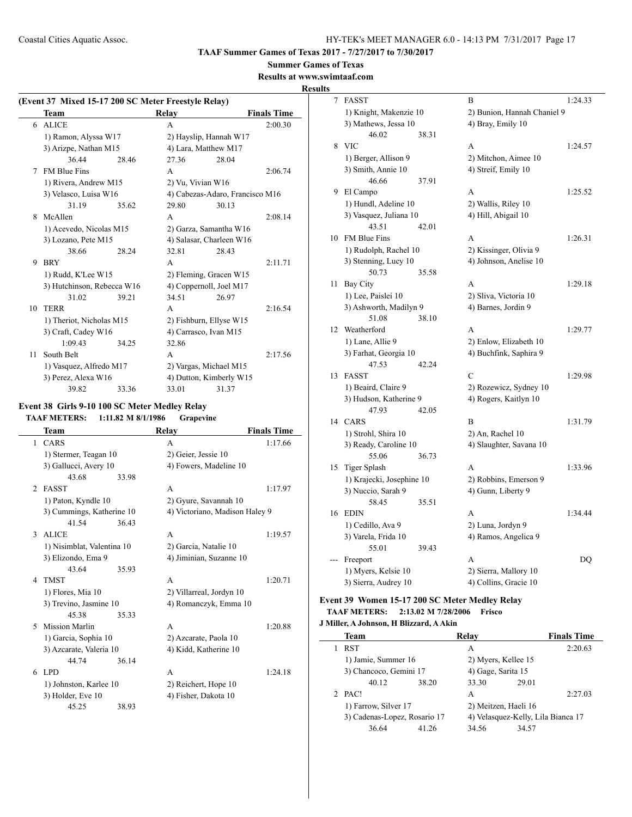#### **Summer Games of Texas**

**Results at www.swimtaaf.com**

### **Results**

|    | (Event 37 Mixed 15-17 200 SC Meter Freestyle Relay) |       |                        |                                 |                    |  |
|----|-----------------------------------------------------|-------|------------------------|---------------------------------|--------------------|--|
|    | <b>Team</b>                                         |       | Relay                  |                                 | <b>Finals Time</b> |  |
|    | 6 ALICE                                             |       | A                      |                                 | 2:00.30            |  |
|    | 1) Ramon, Alyssa W17                                |       |                        | 2) Hayslip, Hannah W17          |                    |  |
|    | 3) Arizpe, Nathan M15                               |       |                        | 4) Lara, Matthew M17            |                    |  |
|    | 36.44                                               | 28.46 | 27.36                  | 28.04                           |                    |  |
| 7  | <b>FM Blue Fins</b>                                 |       | A                      |                                 | 2:06.74            |  |
|    | 1) Rivera, Andrew M15                               |       | 2) Vu, Vivian W16      |                                 |                    |  |
|    | 3) Velasco, Luisa W16                               |       |                        | 4) Cabezas-Adaro, Francisco M16 |                    |  |
|    | 31.19                                               | 35.62 | 29.80                  | 30.13                           |                    |  |
| 8  | McAllen                                             |       | A                      |                                 | 2:08.14            |  |
|    | 1) Acevedo, Nicolas M15                             |       |                        | 2) Garza, Samantha W16          |                    |  |
|    | 3) Lozano, Pete M15                                 |       |                        | 4) Salasar, Charleen W16        |                    |  |
|    | 38.66                                               | 28.24 | 32.81                  | 28.43                           |                    |  |
| 9  | <b>BRY</b>                                          |       | A                      |                                 | 2:11.71            |  |
|    | 1) Rudd, K'Lee W15                                  |       |                        | 2) Fleming, Gracen W15          |                    |  |
|    | 3) Hutchinson, Rebecca W16                          |       |                        | 4) Coppernoll, Joel M17         |                    |  |
|    | 31.02                                               | 39.21 | 34.51                  | 26.97                           |                    |  |
| 10 | <b>TERR</b>                                         |       | A                      |                                 | 2:16.54            |  |
|    | 1) Theriot, Nicholas M15                            |       |                        | 2) Fishburn, Ellyse W15         |                    |  |
|    | 3) Craft, Cadey W16                                 |       |                        | 4) Carrasco, Ivan M15           |                    |  |
|    | 1:09.43                                             | 34.25 | 32.86                  |                                 |                    |  |
| 11 | South Belt                                          |       | A                      |                                 | 2:17.56            |  |
|    | 1) Vasquez, Alfredo M17                             |       | 2) Vargas, Michael M15 |                                 |                    |  |
|    | 3) Perez, Alexa W16                                 |       |                        | 4) Dutton, Kimberly W15         |                    |  |
|    | 39.82                                               | 33.36 | 33.01                  | 31.37                           |                    |  |

### **Event 38 Girls 9-10 100 SC Meter Medley Relay**

### **TAAF METERS: 1:11.82 M 8/1/1986 Grapevine**

|                | Team                       |       | Relay                          | <b>Finals Time</b> |
|----------------|----------------------------|-------|--------------------------------|--------------------|
| 1              | CARS                       |       | A                              | 1:17.66            |
|                | 1) Stermer, Teagan 10      |       | 2) Geier, Jessie 10            |                    |
|                | 3) Gallucci, Avery 10      |       | 4) Fowers, Madeline 10         |                    |
|                | 43.68                      | 33.98 |                                |                    |
| $\mathfrak{D}$ | <b>FASST</b>               |       | A                              | 1:17.97            |
|                | 1) Paton, Kyndle 10        |       | 2) Gyure, Savannah 10          |                    |
|                | 3) Cummings, Katherine 10  |       | 4) Victoriano, Madison Haley 9 |                    |
|                | 41.54                      | 36.43 |                                |                    |
| 3              | <b>ALICE</b>               |       | A                              | 1:19.57            |
|                | 1) Nisimblat, Valentina 10 |       | 2) Garcia, Natalie 10          |                    |
|                | 3) Elizondo, Ema 9         |       | 4) Jiminian, Suzanne 10        |                    |
|                | 43.64                      | 35.93 |                                |                    |
| 4              | <b>TMST</b>                |       | A                              | 1:20.71            |
|                | 1) Flores, Mia 10          |       | 2) Villarreal, Jordyn 10       |                    |
|                | 3) Trevino, Jasmine 10     |       | 4) Romanczyk, Emma 10          |                    |
|                | 45.38                      | 35.33 |                                |                    |
| 5              | <b>Mission Marlin</b>      |       | A                              | 1:20.88            |
|                | 1) Garcia, Sophia 10       |       | 2) Azcarate, Paola 10          |                    |
|                | 3) Azcarate, Valeria 10    |       | 4) Kidd, Katherine 10          |                    |
|                | 44.74                      | 36.14 |                                |                    |
| 6              | <b>LPD</b>                 |       | A                              | 1:24.18            |
|                | 1) Johnston, Karlee 10     |       | 2) Reichert, Hope 10           |                    |
|                | 3) Holder, Eve 10          |       | 4) Fisher, Dakota 10           |                    |
|                | 45.25                      | 38.93 |                                |                    |

| 7<br><b>FASST</b><br>B                                             | 1:24.33 |
|--------------------------------------------------------------------|---------|
| 1) Knight, Makenzie 10<br>2) Bunion, Hannah Chaniel 9              |         |
| 3) Mathews, Jessa 10<br>4) Bray, Emily 10                          |         |
| 46.02<br>38.31                                                     |         |
| <b>VIC</b><br>8<br>A                                               | 1:24.57 |
| 1) Berger, Allison 9<br>2) Mitchon, Aimee 10                       |         |
| 3) Smith, Annie 10<br>4) Streif, Emily 10                          |         |
| 46.66<br>37.91                                                     |         |
| 9<br>El Campo<br>A                                                 | 1:25.52 |
| 1) Hundl, Adeline 10<br>2) Wallis, Riley 10                        |         |
| 3) Vasquez, Juliana 10<br>4) Hill, Abigail 10                      |         |
| 43.51<br>42.01                                                     |         |
| FM Blue Fins<br>10<br>A                                            | 1:26.31 |
| 1) Rudolph, Rachel 10<br>2) Kissinger, Olivia 9                    |         |
| 3) Stenning, Lucy 10<br>4) Johnson, Anelise 10                     |         |
| 50.73<br>35.58                                                     |         |
| <b>Bay City</b><br>11<br>A                                         | 1:29.18 |
| 2) Sliva, Victoria 10<br>1) Lee, Paislei 10                        |         |
| 3) Ashworth, Madilyn 9<br>4) Barnes, Jordin 9                      |         |
| 51.08<br>38.10                                                     |         |
| 12<br>Weatherford<br>A                                             | 1:29.77 |
| 1) Lane, Allie 9<br>2) Enlow, Elizabeth 10                         |         |
| 3) Farhat, Georgia 10<br>4) Buchfink, Saphira 9                    |         |
| 47.53<br>42.24                                                     |         |
| $\mathcal{C}$<br>13<br><b>FASST</b>                                | 1:29.98 |
| 1) Beaird, Claire 9<br>2) Rozewicz, Sydney 10                      |         |
| 3) Hudson, Katherine 9<br>4) Rogers, Kaitlyn 10                    |         |
| 47.93<br>42.05                                                     |         |
| CARS<br>B<br>14                                                    | 1:31.79 |
| 1) Strohl, Shira 10<br>2) An, Rachel 10                            |         |
| 3) Ready, Caroline 10<br>4) Slaughter, Savana 10<br>55.06<br>36.73 |         |
| <b>Tiger Splash</b><br>15<br>A                                     | 1:33.96 |
| 1) Krajecki, Josephine 10<br>2) Robbins, Emerson 9                 |         |
| 3) Nuccio, Sarah 9<br>4) Gunn, Liberty 9                           |         |
| 58.45<br>35.51                                                     |         |
| 16<br><b>EDIN</b><br>A                                             | 1:34.44 |
| 2) Luna, Jordyn 9<br>1) Cedillo, Ava 9                             |         |
| 3) Varela, Frida 10<br>4) Ramos, Angelica 9                        |         |
| 55.01<br>39.43                                                     |         |
| Freeport<br>A<br>---                                               |         |
|                                                                    |         |
| 1) Myers, Kelsie 10<br>2) Sierra, Mallory 10                       | DQ      |

### **Event 39 Women 15-17 200 SC Meter Medley Relay TAAF METERS: 2:13.02 M 7/28/2006 Frisco**

### **J Miller, A Johnson, H Blizzard, A Akin**

 $\overline{\phantom{0}}$ 

| Team                         |       | Relay                |       | <b>Finals Time</b>                 |
|------------------------------|-------|----------------------|-------|------------------------------------|
| <b>RST</b>                   |       | A                    |       | 2:20.63                            |
| 1) Jamie, Summer 16          |       | 2) Myers, Kellee 15  |       |                                    |
| 3) Chancoco, Gemini 17       |       | 4) Gage, Sarita 15   |       |                                    |
| 40.12                        | 38.20 | 33.30                | 29.01 |                                    |
| PAC!                         |       | A                    |       | 2:27.03                            |
| 1) Farrow, Silver 17         |       | 2) Meitzen, Haeli 16 |       |                                    |
| 3) Cadenas-Lopez, Rosario 17 |       |                      |       | 4) Velasquez-Kelly, Lila Bianca 17 |
| 36.64                        | 41 26 | 34.56                | 34.57 |                                    |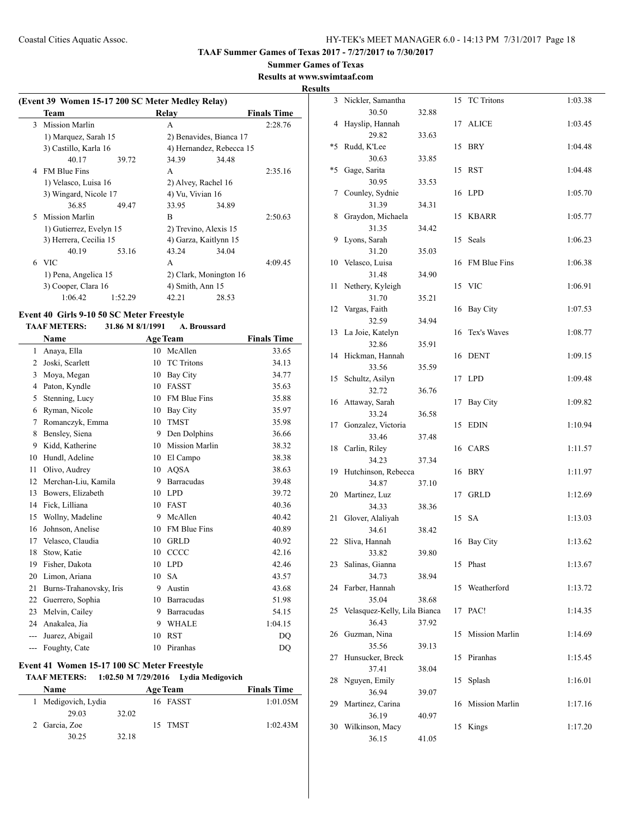### **Summer Games of Texas**

**Results at www.swimtaaf.com**

### **Results**

| (Event 39 Women 15-17 200 SC Meter Medley Relay) |                         |         |                          |       |                    |
|--------------------------------------------------|-------------------------|---------|--------------------------|-------|--------------------|
|                                                  | Team                    |         | Relav                    |       | <b>Finals Time</b> |
| $\mathcal{E}$                                    | Mission Marlin          |         | A                        |       | 2:28.76            |
|                                                  | 1) Marquez, Sarah 15    |         | 2) Benavides, Bianca 17  |       |                    |
|                                                  | 3) Castillo, Karla 16   |         | 4) Hernandez, Rebecca 15 |       |                    |
|                                                  | 40.17                   | 39.72   | 34.39                    | 34.48 |                    |
| 4                                                | <b>FM Blue Fins</b>     |         | A                        |       | 2:35.16            |
|                                                  | 1) Velasco, Luisa 16    |         | 2) Alvey, Rachel 16      |       |                    |
|                                                  | 3) Wingard, Nicole 17   |         | 4) Vu, Vivian 16         |       |                    |
|                                                  | 36.85                   | 49.47   | 33.95                    | 34.89 |                    |
| 5                                                | <b>Mission Marlin</b>   |         | B                        |       | 2:50.63            |
|                                                  | 1) Gutierrez, Evelyn 15 |         | 2) Trevino, Alexis 15    |       |                    |
|                                                  | 3) Herrera, Cecilia 15  |         | 4) Garza, Kaitlynn 15    |       |                    |
|                                                  | 40.19                   | 53.16   | 43.24                    | 34.04 |                    |
| 6                                                | - VIC                   |         | A                        |       | 4:09.45            |
|                                                  | 1) Pena, Angelica 15    |         | 2) Clark, Monington 16   |       |                    |
|                                                  | 3) Cooper, Clara 16     |         | 4) Smith, Ann 15         |       |                    |
|                                                  | 1:06.42                 | 1.52.29 | 42.21                    | 28.53 |                    |

#### **Event 40 Girls 9-10 50 SC Meter Freestyle TAAF METERS: 31.86 M 8/1/1991 A. Broussard**

|       | Name                    |    | <b>Age Team</b>     | <b>Finals Time</b> |
|-------|-------------------------|----|---------------------|--------------------|
| 1     | Anaya, Ella             |    | 10 McAllen          | 33.65              |
| 2     | Joski, Scarlett         | 10 | <b>TC</b> Tritons   | 34.13              |
| 3     | Moya, Megan             | 10 | <b>Bay City</b>     | 34.77              |
| 4     | Paton, Kyndle           | 10 | <b>FASST</b>        | 35.63              |
| 5     | Stenning, Lucy          | 10 | <b>FM Blue Fins</b> | 35.88              |
| 6     | Ryman, Nicole           | 10 | <b>Bay City</b>     | 35.97              |
| 7     | Romanczyk, Emma         | 10 | <b>TMST</b>         | 35.98              |
| 8     | Bensley, Siena          | 9  | Den Dolphins        | 36.66              |
| 9     | Kidd, Katherine         | 10 | Mission Marlin      | 38.32              |
| 10    | Hundl, Adeline          | 10 | El Campo            | 38.38              |
| 11    | Olivo, Audrey           | 10 | <b>AQSA</b>         | 38.63              |
| 12    | Merchan-Liu, Kamila     | 9  | <b>Barracudas</b>   | 39.48              |
| 13    | Bowers, Elizabeth       | 10 | <b>LPD</b>          | 39.72              |
| 14    | Fick, Lilliana          | 10 | <b>FAST</b>         | 40.36              |
| 15    | Wollny, Madeline        | 9  | McAllen             | 40.42              |
| 16    | Johnson, Anelise        | 10 | FM Blue Fins        | 40.89              |
| 17    | Velasco, Claudia        | 10 | <b>GRLD</b>         | 40.92              |
| 18    | Stow, Katie             | 10 | CCCC                | 42.16              |
| 19    | Fisher, Dakota          | 10 | <b>LPD</b>          | 42.46              |
| 20    | Limon, Ariana           | 10 | <b>SA</b>           | 43.57              |
| 21    | Burns-Trahanovsky, Iris | 9  | Austin              | 43.68              |
| 22    | Guerrero, Sophia        | 10 | <b>Barracudas</b>   | 51.98              |
| 23    | Melvin, Cailey          | 9  | Barracudas          | 54.15              |
| 24    | Anakalea, Jia           | 9  | <b>WHALE</b>        | 1:04.15            |
| $---$ | Juarez, Abigail         | 10 | <b>RST</b>          | DO                 |
| ---   | Foughty, Cate           | 10 | Piranhas            | DQ                 |

### **Event 41 Women 15-17 100 SC Meter Freestyle TAAF METERS: 1:02.50 M 7/29/2016 Lydia Medigovich**

30.25 32.18

# **Name Age Team Finals Time** 1 Medigovich, Lydia 16 FASST 1:01.05M 29.03 32.02 2 Garcia, Zoe 15 TMST 1:02.43M

| 3  | Nickler, Samantha            |       | 15 | <b>TC</b> Tritons | 1:03.38 |
|----|------------------------------|-------|----|-------------------|---------|
|    | 30.50                        | 32.88 |    |                   |         |
| 4  | Hayslip, Hannah              |       | 17 | <b>ALICE</b>      | 1:03.45 |
|    | 29.82                        | 33.63 |    |                   |         |
| *5 | Rudd, K'Lee                  |       | 15 | <b>BRY</b>        | 1:04.48 |
|    | 30.63                        | 33.85 |    |                   |         |
| *5 | Gage, Sarita                 |       | 15 | <b>RST</b>        | 1:04.48 |
|    | 30.95                        | 33.53 |    |                   |         |
| 7  | Counley, Sydnie              |       | 16 | <b>LPD</b>        | 1:05.70 |
|    | 31.39                        | 34.31 |    |                   |         |
| 8  | Graydon, Michaela            |       | 15 | <b>KBARR</b>      | 1:05.77 |
|    | 31.35                        | 34.42 |    |                   |         |
| 9  | Lyons, Sarah                 |       | 15 | Seals             | 1:06.23 |
|    | 31.20                        | 35.03 |    |                   |         |
| 10 | Velasco, Luisa               |       | 16 | FM Blue Fins      | 1:06.38 |
|    | 31.48                        | 34.90 |    |                   |         |
|    |                              |       |    |                   |         |
| 11 | Nethery, Kyleigh             |       | 15 | <b>VIC</b>        | 1:06.91 |
|    | 31.70                        | 35.21 |    |                   |         |
| 12 | Vargas, Faith                |       | 16 | <b>Bay City</b>   | 1:07.53 |
|    | 32.59                        | 34.94 |    |                   |         |
| 13 | La Joie, Katelyn             |       | 16 | Tex's Waves       | 1:08.77 |
|    | 32.86                        | 35.91 |    |                   |         |
| 14 | Hickman, Hannah              |       | 16 | <b>DENT</b>       | 1:09.15 |
|    | 33.56                        | 35.59 |    |                   |         |
| 15 | Schultz, Asilyn              |       | 17 | <b>LPD</b>        | 1:09.48 |
|    | 32.72                        | 36.76 |    |                   |         |
| 16 | Attaway, Sarah               |       | 17 | Bay City          | 1:09.82 |
|    | 33.24                        | 36.58 |    |                   |         |
| 17 | Gonzalez, Victoria           |       | 15 | <b>EDIN</b>       | 1:10.94 |
|    | 33.46                        | 37.48 |    |                   |         |
| 18 | Carlin, Riley                |       |    | 16 CARS           | 1:11.57 |
|    | 34.23                        | 37.34 |    |                   |         |
| 19 | Hutchinson, Rebecca          |       | 16 | <b>BRY</b>        | 1:11.97 |
|    | 34.87                        | 37.10 |    |                   |         |
| 20 | Martinez, Luz                |       | 17 | <b>GRLD</b>       | 1:12.69 |
|    | 34.33                        | 38.36 |    |                   |         |
| 21 | Glover, Alaliyah             |       | 15 | <b>SA</b>         | 1:13.03 |
|    | 34.61                        |       |    |                   |         |
|    |                              | 38.42 |    |                   |         |
| 22 | Sliva, Hannah                |       | 16 | <b>Bay City</b>   | 1:13.62 |
|    | 33.82                        | 39.80 |    |                   |         |
| 23 | Salinas, Gianna              |       | 15 | Phast             | 1:13.67 |
|    | 34.73                        | 38.94 |    |                   |         |
| 24 | Farber, Hannah               |       | 15 | Weatherford       | 1:13.72 |
|    | 35.04                        | 38.68 |    |                   |         |
| 25 | Velasquez-Kelly, Lila Bianca |       | 17 | PAC!              | 1:14.35 |
|    | 36.43                        | 37.92 |    |                   |         |
| 26 | Guzman, Nina                 |       | 15 | Mission Marlin    | 1:14.69 |
|    | 35.56                        | 39.13 |    |                   |         |
| 27 | Hunsucker, Breck             |       | 15 | Piranhas          | 1:15.45 |
|    | 37.41                        | 38.04 |    |                   |         |
| 28 | Nguyen, Emily                |       | 15 | Splash            | 1:16.01 |
|    | 36.94                        | 39.07 |    |                   |         |
| 29 | Martinez, Carina             |       | 16 | Mission Marlin    | 1:17.16 |
|    | 36.19                        | 40.97 |    |                   |         |
| 30 | Wilkinson, Macy              |       | 15 | Kings             | 1:17.20 |
|    | 36.15                        | 41.05 |    |                   |         |
|    |                              |       |    |                   |         |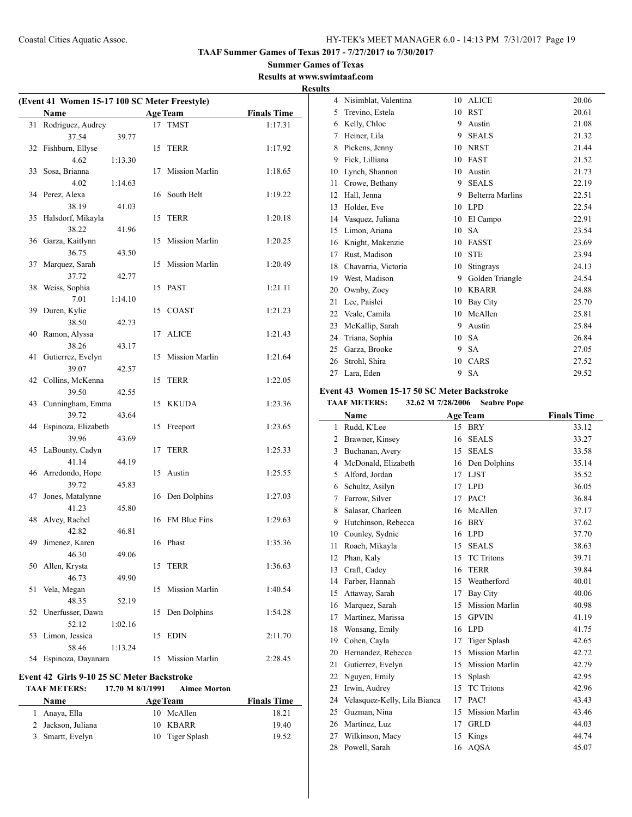**Summer Games of Texas Results at www.swimtaaf.com**

# **Results**

| (Event 41 Women 15-17 100 SC Meter Freestyle) |                        |         |    |                       |                    |
|-----------------------------------------------|------------------------|---------|----|-----------------------|--------------------|
|                                               | Name                   |         |    | <b>Age Team</b>       | <b>Finals Time</b> |
| 31                                            | Rodriguez, Audrey      |         |    | 17 TMST               | 1:17.31            |
|                                               | 37.54                  | 39.77   |    |                       |                    |
| 32                                            | Fishburn, Ellyse       |         | 15 | TERR                  | 1:17.92            |
|                                               | 4.62                   | 1:13.30 |    |                       |                    |
| 33                                            | Sosa, Brianna          |         | 17 | Mission Marlin        | 1:18.65            |
|                                               | 4.02                   | 1:14.63 |    |                       |                    |
| 34                                            | Perez, Alexa           |         | 16 | South Belt            | 1:19.22            |
|                                               | 38.19                  | 41.03   |    |                       |                    |
| 35                                            | Halsdorf, Mikayla      |         | 15 | TERR                  | 1:20.18            |
|                                               | 38.22                  | 41.96   |    |                       |                    |
| 36                                            | Garza, Kaitlynn        |         | 15 | Mission Marlin        | 1:20.25            |
|                                               | 36.75                  | 43.50   |    |                       |                    |
| 37                                            | Marquez, Sarah         |         | 15 | Mission Marlin        | 1:20.49            |
|                                               | 37.72                  | 42.77   |    |                       |                    |
| 38                                            | Weiss, Sophia          |         | 15 | <b>PAST</b>           | 1:21.11            |
|                                               | 7.01                   | 1:14.10 |    |                       |                    |
| 39                                            | Duren, Kylie           |         | 15 | <b>COAST</b>          | 1:21.23            |
|                                               | 38.50                  | 42.73   |    |                       |                    |
| 40                                            | Ramon, Alyssa          |         | 17 | <b>ALICE</b>          | 1:21.43            |
|                                               | 38.26                  | 43.17   |    |                       |                    |
| 41                                            | Gutierrez, Evelyn      |         | 15 | Mission Marlin        | 1:21.64            |
|                                               | 39.07                  | 42.57   |    |                       |                    |
| 42                                            | Collins, McKenna       |         | 15 | TERR                  | 1:22.05            |
|                                               | 39.50                  | 42.55   |    |                       |                    |
| 43                                            | Cunningham, Emma       |         | 15 | KKUDA                 | 1:23.36            |
|                                               | 39.72                  | 43.64   |    |                       |                    |
| 44                                            | Espinoza, Elizabeth    |         | 15 | Freeport              | 1:23.65            |
|                                               | 39.96                  | 43.69   |    |                       |                    |
| 45                                            | LaBounty, Cadyn        |         | 17 | TERR                  | 1:25.33            |
|                                               | 41.14                  | 44.19   |    |                       |                    |
|                                               | 46 Arredondo, Hope     |         | 15 | Austin                | 1:25.55            |
|                                               | 39.72                  | 45.83   |    |                       |                    |
| 47                                            | Jones, Matalynne       |         | 16 | Den Dolphins          | 1:27.03            |
|                                               | 41.23                  | 45.80   |    |                       |                    |
| 48                                            | Alvey, Rachel          | 46.81   | 16 | FM Blue Fins          | 1:29.63            |
|                                               | 42.82                  |         |    | Phast                 |                    |
| 49                                            | Jimenez, Karen         | 49.06   | 16 |                       | 1:35.36            |
|                                               | 46.30<br>Allen, Krysta |         |    |                       |                    |
| 50                                            | 46.73                  |         | 15 | <b>TERR</b>           | 1:36.63            |
| 51                                            |                        | 49.90   | 15 | <b>Mission Marlin</b> |                    |
|                                               | Vela, Megan<br>48.35   | 52.19   |    |                       | 1:40.54            |
| 52                                            | Unerfusser, Dawn       |         | 15 | Den Dolphins          | 1:54.28            |
|                                               | 52.12                  | 1:02.16 |    |                       |                    |
| 53                                            | Limon, Jessica         |         | 15 | <b>EDIN</b>           | 2:11.70            |
|                                               | 58.46                  | 1:13.24 |    |                       |                    |
| 54                                            | Espinoza, Dayanara     |         | 15 | <b>Mission Marlin</b> | 2:28.45            |
|                                               |                        |         |    |                       |                    |

# **Event 42 Girls 9-10 25 SC Meter Backstroke**

**TAAF METERS: 17.70 M 8/1/1991 Aimee Morton**

| <b>Name</b>        | <b>Age Team</b> | <b>Finals Time</b> |
|--------------------|-----------------|--------------------|
| 1 Anaya, Ella      | McAllen<br>10   | 18.21              |
| 2 Jackson, Juliana | 10 KBARR        | 19.40              |
| 3 Smartt, Evelyn   | 10 Tiger Splash | 19.52              |

| 4  | Nisimblat, Valentina | 10 | <b>ALICE</b>            | 20.06 |
|----|----------------------|----|-------------------------|-------|
| 5  | Trevino, Estela      | 10 | <b>RST</b>              | 20.61 |
| 6  | Kelly, Chloe         | 9  | Austin                  | 21.08 |
| 7  | Heiner, Lila         | 9  | <b>SEALS</b>            | 21.32 |
| 8  | Pickens, Jenny       | 10 | <b>NRST</b>             | 21.44 |
| 9  | Fick, Lilliana       | 10 | <b>FAST</b>             | 21.52 |
| 10 | Lynch, Shannon       | 10 | Austin                  | 21.73 |
| 11 | Crowe, Bethany       | 9  | <b>SEALS</b>            | 22.19 |
| 12 | Hall, Jenna          | 9  | <b>Belterra Marlins</b> | 22.51 |
| 13 | Holder, Eve          | 10 | <b>LPD</b>              | 22.54 |
| 14 | Vasquez, Juliana     | 10 | El Campo                | 22.91 |
| 15 | Limon, Ariana        | 10 | <b>SA</b>               | 23.54 |
| 16 | Knight, Makenzie     | 10 | <b>FASST</b>            | 23.69 |
| 17 | Rust, Madison        | 10 | <b>STE</b>              | 23.94 |
| 18 | Chavarria, Victoria  | 10 | Stingrays               | 24.13 |
| 19 | West, Madison        | 9  | Golden Triangle         | 24.54 |
| 20 | Ownby, Zoey          | 10 | <b>KBARR</b>            | 24.88 |
| 21 | Lee, Paislei         | 10 | <b>Bay City</b>         | 25.70 |
| 22 | Veale, Camila        | 10 | McAllen                 | 25.81 |
| 23 | McKallip, Sarah      | 9  | Austin                  | 25.84 |
| 24 | Triana, Sophia       | 10 | <b>SA</b>               | 26.84 |
| 25 | Garza, Brooke        | 9  | <b>SA</b>               | 27.05 |
| 26 | Strohl, Shira        | 10 | CARS                    | 27.52 |
| 27 | Lara, Eden           | 9  | <b>SA</b>               | 29.52 |

# **Event 43 Women 15-17 50 SC Meter Backstroke**

**TAAF METERS: 32.62 M 7/28/2006 Seabre Pope**

|                | Name                         |    | <b>Age Team</b>       | <b>Finals Time</b> |
|----------------|------------------------------|----|-----------------------|--------------------|
| 1              | Rudd, K'Lee                  | 15 | <b>BRY</b>            | 33.12              |
| 2              | Brawner, Kinsey              | 16 | <b>SEALS</b>          | 33.27              |
| 3              | Buchanan, Avery              | 15 | <b>SEALS</b>          | 33.58              |
| $\overline{4}$ | McDonald, Elizabeth          | 16 | Den Dolphins          | 35.14              |
| 5              | Alford, Jordan               | 17 | <b>LJST</b>           | 35.52              |
| 6              | Schultz, Asilyn              | 17 | <b>LPD</b>            | 36.05              |
| 7              | Farrow, Silver               | 17 | PAC!                  | 36.84              |
| 8              | Salasar, Charleen            | 16 | McAllen               | 37.17              |
| 9              | Hutchinson, Rebecca          | 16 | <b>BRY</b>            | 37.62              |
| 10             | Counley, Sydnie              | 16 | <b>LPD</b>            | 37.70              |
| 11             | Roach, Mikayla               | 15 | <b>SEALS</b>          | 38.63              |
| 12             | Phan, Kaly                   | 15 | <b>TC</b> Tritons     | 39.71              |
| 13             | Craft, Cadey                 | 16 | <b>TERR</b>           | 39.84              |
| 14             | Farber, Hannah               | 15 | Weatherford           | 40.01              |
| 15             | Attaway, Sarah               | 17 | <b>Bay City</b>       | 40.06              |
| 16             | Marquez, Sarah               | 15 | <b>Mission Marlin</b> | 40.98              |
| 17             | Martinez, Marissa            | 15 | <b>GPVIN</b>          | 41.19              |
| 18             | Wonsang, Emily               | 16 | <b>LPD</b>            | 41.75              |
| 19             | Cohen, Cayla                 | 17 | Tiger Splash          | 42.65              |
| 20             | Hernandez, Rebecca           | 15 | <b>Mission Marlin</b> | 42.72              |
| 21             | Gutierrez, Evelyn            | 15 | <b>Mission Marlin</b> | 42.79              |
| 22             | Nguyen, Emily                | 15 | Splash                | 42.95              |
| 23             | Irwin, Audrey                | 15 | <b>TC</b> Tritons     | 42.96              |
| 24             | Velasquez-Kelly, Lila Bianca | 17 | PAC!                  | 43.43              |
| 25             | Guzman, Nina                 | 15 | <b>Mission Marlin</b> | 43.46              |
| 26             | Martinez, Luz                | 17 | <b>GRLD</b>           | 44.03              |
| 27             | Wilkinson, Macy              | 15 | Kings                 | 44.74              |
| 28             | Powell, Sarah                | 16 | <b>AQSA</b>           | 45.07              |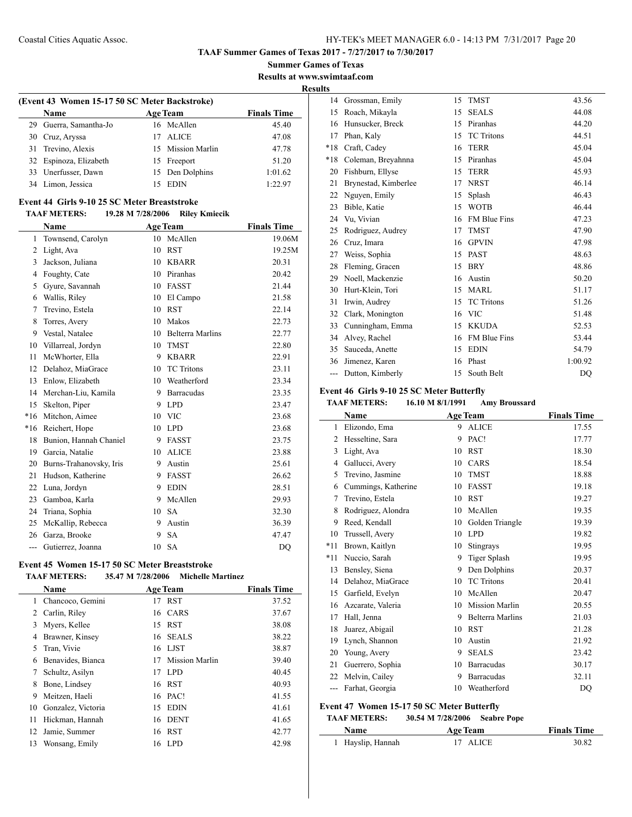**Summer Games of Texas Results at www.swimtaaf.com**

**Results**

 $\overline{a}$ 

| (Event 43 Women 15-17 50 SC Meter Backstroke) |    |                   |                    |  |  |
|-----------------------------------------------|----|-------------------|--------------------|--|--|
| <b>Name</b>                                   |    | <b>Age Team</b>   | <b>Finals Time</b> |  |  |
| 29 Guerra, Samantha-Jo                        |    | 16 McAllen        | 45.40              |  |  |
| 30 Cruz, Aryssa                               | 17 | <b>ALICE</b>      | 47.08              |  |  |
| 31 Trevino, Alexis                            |    | 15 Mission Marlin | 47.78              |  |  |
| 32 Espinoza, Elizabeth                        |    | 15 Freeport       | 51.20              |  |  |
| 33 Unerfusser, Dawn                           |    | 15 Den Dolphins   | 1:01.62            |  |  |
| 34 Limon, Jessica                             | 15 | EDIN              | 1:22.97            |  |  |

### **Event 44 Girls 9-10 25 SC Meter Breaststroke**

#### **TAAF METERS: 19.28 M 7/28/2006 Riley Kmiecik**

|       | Name                    |    | <b>Age Team</b>         | <b>Finals Time</b> |
|-------|-------------------------|----|-------------------------|--------------------|
| 1     | Townsend, Carolyn       | 10 | McAllen                 | 19.06M             |
| 2     | Light, Ava              | 10 | <b>RST</b>              | 19.25M             |
| 3     | Jackson, Juliana        | 10 | <b>KBARR</b>            | 20.31              |
| 4     | Foughty, Cate           | 10 | Piranhas                | 20.42              |
| 5     | Gyure, Savannah         | 10 | <b>FASST</b>            | 21.44              |
| 6     | Wallis, Riley           | 10 | El Campo                | 21.58              |
| 7     | Trevino, Estela         | 10 | <b>RST</b>              | 22.14              |
| 8     | Torres, Avery           | 10 | Makos                   | 22.73              |
| 9     | Vestal, Natalee         | 10 | <b>Belterra Marlins</b> | 22.77              |
| 10    | Villarreal, Jordyn      | 10 | <b>TMST</b>             | 22.80              |
| 11    | McWhorter, Ella         | 9  | <b>KBARR</b>            | 22.91              |
| 12    | Delahoz, MiaGrace       | 10 | TC Tritons              | 23.11              |
| 13    | Enlow, Elizabeth        | 10 | Weatherford             | 23.34              |
| 14    | Merchan-Liu, Kamila     | 9  | Barracudas              | 23.35              |
| 15    | Skelton, Piper          | 9  | <b>LPD</b>              | 23.47              |
| $*16$ | Mitchon, Aimee          | 10 | <b>VIC</b>              | 23.68              |
| $*16$ | Reichert, Hope          | 10 | <b>LPD</b>              | 23.68              |
| 18    | Bunion, Hannah Chaniel  | 9  | <b>FASST</b>            | 23.75              |
| 19    | Garcia, Natalie         | 10 | <b>ALICE</b>            | 23.88              |
| 20    | Burns-Trahanovsky, Iris | 9  | Austin                  | 25.61              |
| 21    | Hudson, Katherine       | 9  | <b>FASST</b>            | 26.62              |
| 22    | Luna, Jordyn            | 9  | <b>EDIN</b>             | 28.51              |
| 23    | Gamboa, Karla           | 9  | McAllen                 | 29.93              |
| 24    | Triana, Sophia          | 10 | <b>SA</b>               | 32.30              |
| 25    | McKallip, Rebecca       | 9  | Austin                  | 36.39              |
| 26    | Garza, Brooke           | 9  | <b>SA</b>               | 47.47              |
| ---   | Gutierrez, Joanna       | 10 | <b>SA</b>               | DO                 |

# **Event 45 Women 15-17 50 SC Meter Breaststroke**

**TAAF METERS: 35.47 M 7/28/2006 Michelle Martinez**

|    | <b>Name</b>        |    | <b>Age Team</b>       | <b>Finals Time</b> |
|----|--------------------|----|-----------------------|--------------------|
| 1  | Chancoco, Gemini   | 17 | <b>RST</b>            | 37.52              |
| 2  | Carlin, Riley      |    | 16 CARS               | 37.67              |
| 3  | Myers, Kellee      | 15 | <b>RST</b>            | 38.08              |
| 4  | Brawner, Kinsey    | 16 | <b>SEALS</b>          | 38.22              |
| 5  | Tran, Vivie        | 16 | <b>LJST</b>           | 38.87              |
| 6  | Benavides, Bianca  | 17 | <b>Mission Marlin</b> | 39.40              |
| 7  | Schultz, Asilyn    | 17 | LPD.                  | 40.45              |
| 8  | Bone, Lindsey      | 16 | RST                   | 40.93              |
| 9  | Meitzen, Haeli     | 16 | PAC!                  | 41.55              |
| 10 | Gonzalez, Victoria | 15 | <b>EDIN</b>           | 41.61              |
| 11 | Hickman, Hannah    | 16 | <b>DENT</b>           | 41.65              |
| 12 | Jamie, Summer      | 16 | RST                   | 42.77              |
| 13 | Wonsang, Emily     | 16 | LPD                   | 42.98              |

| 14    | Grossman, Emily      | 15 | <b>TMST</b>         | 43.56   |
|-------|----------------------|----|---------------------|---------|
| 15    | Roach, Mikayla       | 15 | <b>SEALS</b>        | 44.08   |
| 16    | Hunsucker, Breck     | 15 | Piranhas            | 44.20   |
| 17    | Phan, Kaly           | 15 | <b>TC</b> Tritons   | 44.51   |
| $*18$ | Craft, Cadey         | 16 | <b>TERR</b>         | 45.04   |
| *18   | Coleman, Breyahnna   | 15 | Piranhas            | 45.04   |
| 20    | Fishburn, Ellyse     | 15 | <b>TERR</b>         | 45.93   |
| 21    | Brynestad, Kimberlee | 17 | <b>NRST</b>         | 46.14   |
| 22    | Nguyen, Emily        | 15 | Splash              | 46.43   |
| 23    | Bible, Katie         | 15 | <b>WOTB</b>         | 46.44   |
| 24    | Vu, Vivian           | 16 | <b>FM Blue Fins</b> | 47.23   |
| 25    | Rodriguez, Audrey    | 17 | <b>TMST</b>         | 47.90   |
| 26    | Cruz, Imara          | 16 | <b>GPVIN</b>        | 47.98   |
| 27    | Weiss, Sophia        | 15 | <b>PAST</b>         | 48.63   |
| 28    | Fleming, Gracen      | 15 | <b>BRY</b>          | 48.86   |
| 29    | Noell, Mackenzie     | 16 | Austin              | 50.20   |
| 30    | Hurt-Klein, Tori     | 15 | <b>MARL</b>         | 51.17   |
| 31    | Irwin, Audrey        | 15 | <b>TC</b> Tritons   | 51.26   |
| 32    | Clark, Monington     | 16 | <b>VIC</b>          | 51.48   |
| 33    | Cunningham, Emma     | 15 | <b>KKUDA</b>        | 52.53   |
| 34    | Alvey, Rachel        | 16 | <b>FM Blue Fins</b> | 53.44   |
| 35    | Sauceda, Anette      | 15 | <b>EDIN</b>         | 54.79   |
| 36    | Jimenez, Karen       | 16 | Phast               | 1:00.92 |
| ---   | Dutton, Kimberly     | 15 | South Belt          | DQ      |

### **Event 46 Girls 9-10 25 SC Meter Butterfly**

### **TAAF METERS: 16.10 M 8/1/1991 Amy Broussard**

|                | Name                |    | <b>Age Team</b>         | <b>Finals Time</b> |
|----------------|---------------------|----|-------------------------|--------------------|
| 1              | Elizondo, Ema       | 9  | <b>ALICE</b>            | 17.55              |
| $\overline{c}$ | Hesseltine, Sara    | 9  | PAC!                    | 17.77              |
| 3              | Light, Ava          | 10 | <b>RST</b>              | 18.30              |
| 4              | Gallucci, Avery     | 10 | CARS                    | 18.54              |
| 5              | Trevino, Jasmine    | 10 | <b>TMST</b>             | 18.88              |
| 6              | Cummings, Katherine | 10 | <b>FASST</b>            | 19.18              |
| 7              | Trevino, Estela     | 10 | <b>RST</b>              | 19.27              |
| 8              | Rodriguez, Alondra  | 10 | McAllen                 | 19.35              |
| 9              | Reed, Kendall       | 10 | Golden Triangle         | 19.39              |
| 10             | Trussell, Avery     | 10 | <b>LPD</b>              | 19.82              |
| $*11$          | Brown, Kaitlyn      | 10 | Stingrays               | 19.95              |
| $*11$          | Nuccio, Sarah       | 9  | <b>Tiger Splash</b>     | 19.95              |
| 13             | Bensley, Siena      | 9  | Den Dolphins            | 20.37              |
| 14             | Delahoz, MiaGrace   | 10 | <b>TC</b> Tritons       | 20.41              |
| 15             | Garfield, Evelyn    | 10 | McAllen                 | 20.47              |
| 16             | Azcarate, Valeria   | 10 | <b>Mission Marlin</b>   | 20.55              |
| 17             | Hall, Jenna         | 9  | <b>Belterra Marlins</b> | 21.03              |
| 18             | Juarez, Abigail     | 10 | <b>RST</b>              | 21.28              |
| 19             | Lynch, Shannon      | 10 | Austin                  | 21.92              |
| 20             | Young, Avery        | 9  | <b>SEALS</b>            | 23.42              |
| 21             | Guerrero, Sophia    | 10 | <b>Barracudas</b>       | 30.17              |
| 22             | Melvin, Cailey      | 9  | <b>Barracudas</b>       | 32.11              |
|                | Farhat, Georgia     | 10 | Weatherford             | DQ                 |

# **Event 47 Women 15-17 50 SC Meter Butterfly**

### **TAAF METERS: 30.54 M 7/28/2006 Seabre Pope**

| Name              | <b>Age Team</b> | <b>Finals Time</b> |
|-------------------|-----------------|--------------------|
| 1 Hayslip, Hannah | 17 ALICE        | 30.82              |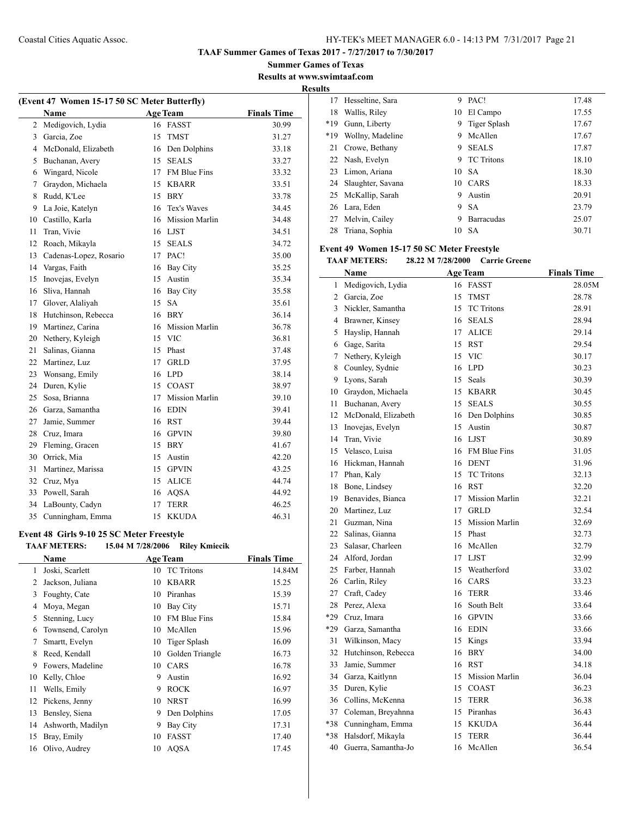**Summer Games of Texas Results at www.swimtaaf.com**

**Results**

 $\overline{a}$ 

| (Event 47 Women 15-17 50 SC Meter Butterfly) |                        |    |                       |                    |
|----------------------------------------------|------------------------|----|-----------------------|--------------------|
|                                              | Name                   |    | <b>Age Team</b>       | <b>Finals Time</b> |
| $\overline{c}$                               | Medigovich, Lydia      |    | 16 FASST              | 30.99              |
| 3                                            | Garcia, Zoe            | 15 | <b>TMST</b>           | 31.27              |
| 4                                            | McDonald, Elizabeth    |    | 16 Den Dolphins       | 33.18              |
| 5                                            | Buchanan, Avery        | 15 | <b>SEALS</b>          | 33.27              |
| 6                                            | Wingard, Nicole        |    | 17 FM Blue Fins       | 33.32              |
| 7                                            | Graydon, Michaela      | 15 | <b>KBARR</b>          | 33.51              |
| 8                                            | Rudd, K'Lee            | 15 | BRY                   | 33.78              |
| 9                                            | La Joie, Katelyn       |    | 16 Tex's Waves        | 34.45              |
| 10                                           | Castillo, Karla        | 16 | <b>Mission Marlin</b> | 34.48              |
| 11                                           | Tran, Vivie            |    | 16 LJST               | 34.51              |
| 12                                           | Roach, Mikayla         | 15 | <b>SEALS</b>          | 34.72              |
| 13                                           | Cadenas-Lopez, Rosario | 17 | PAC!                  | 35.00              |
| 14                                           | Vargas, Faith          | 16 | <b>Bay City</b>       | 35.25              |
| 15                                           | Inovejas, Evelyn       | 15 | Austin                | 35.34              |
| 16                                           | Sliva, Hannah          | 16 | <b>Bay City</b>       | 35.58              |
| 17                                           | Glover, Alaliyah       | 15 | <b>SA</b>             | 35.61              |
| 18                                           | Hutchinson, Rebecca    | 16 | <b>BRY</b>            | 36.14              |
| 19                                           | Martinez, Carina       | 16 | <b>Mission Marlin</b> | 36.78              |
| 20                                           | Nethery, Kyleigh       | 15 | <b>VIC</b>            | 36.81              |
| 21                                           | Salinas, Gianna        | 15 | Phast                 | 37.48              |
| 22                                           | Martinez, Luz          | 17 | <b>GRLD</b>           | 37.95              |
| 23                                           | Wonsang, Emily         | 16 | <b>LPD</b>            | 38.14              |
| 24                                           | Duren, Kylie           |    | 15 COAST              | 38.97              |
| 25                                           | Sosa, Brianna          | 17 | <b>Mission Marlin</b> | 39.10              |
| 26                                           | Garza, Samantha        | 16 | <b>EDIN</b>           | 39.41              |
| 27                                           | Jamie, Summer          | 16 | <b>RST</b>            | 39.44              |
| 28                                           | Cruz, Imara            | 16 | <b>GPVIN</b>          | 39.80              |
| 29                                           | Fleming, Gracen        | 15 | <b>BRY</b>            | 41.67              |
| 30                                           | Orrick, Mia            | 15 | Austin                | 42.20              |
| 31                                           | Martinez, Marissa      | 15 | <b>GPVIN</b>          | 43.25              |
| 32                                           | Cruz, Mya              | 15 | <b>ALICE</b>          | 44.74              |
| 33                                           | Powell, Sarah          | 16 | <b>AQSA</b>           | 44.92              |
| 34                                           | LaBounty, Cadyn        | 17 | <b>TERR</b>           | 46.25              |
| 35                                           | Cunningham, Emma       | 15 | <b>KKUDA</b>          | 46.31              |
|                                              |                        |    |                       |                    |

# **Event 48 Girls 9-10 25 SC Meter Freestyle**

|  | <b>TAAF METERS:</b> | 15.04 M 7/28/2006 | <b>Rilev Kmiecik</b> |
|--|---------------------|-------------------|----------------------|
|--|---------------------|-------------------|----------------------|

|    | <b>Name</b>       |    | <b>Age Team</b>     | <b>Finals Time</b> |
|----|-------------------|----|---------------------|--------------------|
| 1  | Joski, Scarlett   | 10 | <b>TC</b> Tritons   | 14.84M             |
| 2  | Jackson, Juliana  | 10 | <b>KBARR</b>        | 15.25              |
| 3  | Foughty, Cate     | 10 | Piranhas            | 15.39              |
| 4  | Moya, Megan       | 10 | Bay City            | 15.71              |
| 5  | Stenning, Lucy    | 10 | <b>FM Blue Fins</b> | 15.84              |
| 6  | Townsend, Carolyn | 10 | McAllen             | 15.96              |
| 7  | Smartt, Evelyn    | 10 | Tiger Splash        | 16.09              |
| 8  | Reed, Kendall     | 10 | Golden Triangle     | 16.73              |
| 9  | Fowers, Madeline  | 10 | <b>CARS</b>         | 16.78              |
| 10 | Kelly, Chloe      | 9  | Austin              | 16.92              |
| 11 | Wells, Emily      | 9  | <b>ROCK</b>         | 16.97              |
| 12 | Pickens, Jenny    | 10 | <b>NRST</b>         | 16.99              |
| 13 | Bensley, Siena    | 9  | Den Dolphins        | 17.05              |
| 14 | Ashworth, Madilyn | 9  | Bay City            | 17.31              |
| 15 | Bray, Emily       | 10 | <b>FASST</b>        | 17.40              |
| 16 | Olivo, Audrey     | 10 | AQSA                | 17.45              |
|    |                   |    |                     |                    |

| . .   |                      |    |                   |       |
|-------|----------------------|----|-------------------|-------|
| 17    | Hesseltine, Sara     | 9  | PAC!              | 17.48 |
| 18    | Wallis, Riley        | 10 | El Campo          | 17.55 |
| $*19$ | Gunn, Liberty        | 9  | Tiger Splash      | 17.67 |
| $*19$ | Wollny, Madeline     | 9  | McAllen           | 17.67 |
| 21    | Crowe, Bethany       | 9  | <b>SEALS</b>      | 17.87 |
|       | 22 Nash, Evelyn      | 9  | <b>TC</b> Tritons | 18.10 |
|       | 23 Limon, Ariana     |    | 10 SA             | 18.30 |
|       | 24 Slaughter, Savana | 10 | CARS              | 18.33 |
|       | 25 McKallip, Sarah   | 9  | Austin            | 20.91 |
|       | 26 Lara, Eden        | 9  | -SA               | 23.79 |
|       | 27 Melvin, Cailey    | 9  | <b>Barracudas</b> | 25.07 |
| 28    | Triana, Sophia       | 10 | - SA              | 30.71 |
|       |                      |    |                   |       |

### **Event 49 Women 15-17 50 SC Meter Freestyle**

**TAAF METERS: 28.22 M 7/28/2000 Carrie Greene**

|     | <b>Name</b>         |    | <b>Age Team</b>       | <b>Finals Time</b> |
|-----|---------------------|----|-----------------------|--------------------|
| 1   | Medigovich, Lydia   | 16 | FASST                 | 28.05M             |
| 2   | Garcia, Zoe         | 15 | <b>TMST</b>           | 28.78              |
| 3   | Nickler, Samantha   | 15 | <b>TC</b> Tritons     | 28.91              |
| 4   | Brawner, Kinsey     | 16 | <b>SEALS</b>          | 28.94              |
| 5   | Hayslip, Hannah     | 17 | <b>ALICE</b>          | 29.14              |
| 6   | Gage, Sarita        | 15 | <b>RST</b>            | 29.54              |
| 7   | Nethery, Kyleigh    | 15 | <b>VIC</b>            | 30.17              |
| 8   | Counley, Sydnie     | 16 | <b>LPD</b>            | 30.23              |
| 9   | Lyons, Sarah        | 15 | Seals                 | 30.39              |
| 10  | Graydon, Michaela   | 15 | <b>KBARR</b>          | 30.45              |
| 11  | Buchanan, Avery     | 15 | <b>SEALS</b>          | 30.55              |
| 12  | McDonald, Elizabeth | 16 | Den Dolphins          | 30.85              |
| 13  | Inovejas, Evelyn    | 15 | Austin                | 30.87              |
| 14  | Tran, Vivie         | 16 | <b>LJST</b>           | 30.89              |
| 15  | Velasco, Luisa      | 16 | FM Blue Fins          | 31.05              |
| 16  | Hickman, Hannah     | 16 | <b>DENT</b>           | 31.96              |
| 17  | Phan, Kaly          | 15 | <b>TC</b> Tritons     | 32.13              |
| 18  | Bone, Lindsey       | 16 | <b>RST</b>            | 32.20              |
| 19  | Benavides, Bianca   | 17 | <b>Mission Marlin</b> | 32.21              |
| 20  | Martinez, Luz       | 17 | <b>GRLD</b>           | 32.54              |
| 21  | Guzman, Nina        | 15 | <b>Mission Marlin</b> | 32.69              |
| 22  | Salinas, Gianna     | 15 | Phast                 | 32.73              |
| 23  | Salasar, Charleen   | 16 | McAllen               | 32.79              |
| 24  | Alford, Jordan      | 17 | <b>LJST</b>           | 32.99              |
| 25  | Farber, Hannah      | 15 | Weatherford           | 33.02              |
| 26  | Carlin, Riley       | 16 | CARS                  | 33.23              |
| 27  | Craft, Cadey        | 16 | <b>TERR</b>           | 33.46              |
| 28  | Perez, Alexa        | 16 | South Belt            | 33.64              |
| *29 | Cruz, Imara         | 16 | <b>GPVIN</b>          | 33.66              |
| *29 | Garza, Samantha     | 16 | <b>EDIN</b>           | 33.66              |
| 31  | Wilkinson, Macy     | 15 | Kings                 | 33.94              |
| 32  | Hutchinson, Rebecca | 16 | <b>BRY</b>            | 34.00              |
| 33  | Jamie, Summer       | 16 | <b>RST</b>            | 34.18              |
| 34  | Garza, Kaitlynn     | 15 | <b>Mission Marlin</b> | 36.04              |
| 35  | Duren, Kylie        | 15 | <b>COAST</b>          | 36.23              |
| 36  | Collins, McKenna    | 15 | <b>TERR</b>           | 36.38              |
| 37  | Coleman, Breyahnna  | 15 | Piranhas              | 36.43              |
| *38 | Cunningham, Emma    | 15 | <b>KKUDA</b>          | 36.44              |
| *38 | Halsdorf, Mikayla   | 15 | <b>TERR</b>           | 36.44              |
| 40  | Guerra, Samantha-Jo | 16 | McAllen               | 36.54              |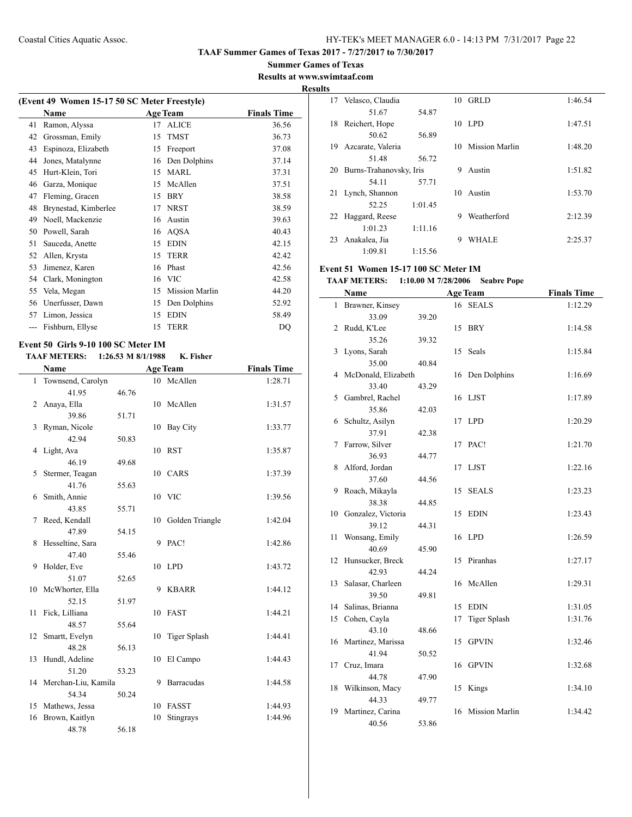**Summer Games of Texas Results at www.swimtaaf.com**

# **Results**

| (Event 49 Women 15-17 50 SC Meter Freestyle) |                      |    |                       |                    |  |
|----------------------------------------------|----------------------|----|-----------------------|--------------------|--|
|                                              | <b>Name</b>          |    | <b>Age Team</b>       | <b>Finals Time</b> |  |
| 41                                           | Ramon, Alyssa        | 17 | <b>ALICE</b>          | 36.56              |  |
| 42                                           | Grossman, Emily      | 15 | <b>TMST</b>           | 36.73              |  |
| 43                                           | Espinoza, Elizabeth  | 15 | Freeport              | 37.08              |  |
| 44                                           | Jones, Matalynne     | 16 | Den Dolphins          | 37.14              |  |
| 45                                           | Hurt-Klein, Tori     | 15 | <b>MARL</b>           | 37.31              |  |
| 46                                           | Garza, Monique       | 15 | McAllen               | 37.51              |  |
| 47                                           | Fleming, Gracen      | 15 | <b>BRY</b>            | 38.58              |  |
| 48                                           | Brynestad, Kimberlee | 17 | <b>NRST</b>           | 38.59              |  |
| 49                                           | Noell, Mackenzie     | 16 | Austin                | 39.63              |  |
| 50                                           | Powell, Sarah        | 16 | AQSA                  | 40.43              |  |
| 51                                           | Sauceda, Anette      | 15 | <b>EDIN</b>           | 42.15              |  |
| 52                                           | Allen, Krysta        | 15 | <b>TERR</b>           | 42.42              |  |
| 53                                           | Jimenez, Karen       | 16 | Phast                 | 42.56              |  |
| 54                                           | Clark, Monington     | 16 | <b>VIC</b>            | 42.58              |  |
| 55                                           | Vela, Megan          | 15 | <b>Mission Marlin</b> | 44.20              |  |
| 56                                           | Unerfusser, Dawn     | 15 | Den Dolphins          | 52.92              |  |
| 57                                           | Limon, Jessica       | 15 | <b>EDIN</b>           | 58.49              |  |
|                                              | Fishburn, Ellyse     | 15 | <b>TERR</b>           | DQ                 |  |
|                                              |                      |    |                       |                    |  |

#### **Event 50 Girls 9-10 100 SC Meter IM TAAF METERS: 1:26.53 M 8/1/1988 K. Fisher**

|    | <b>Name</b>            |       |    | <b>Age Team</b>     | <b>Finals Time</b> |
|----|------------------------|-------|----|---------------------|--------------------|
|    | 1 Townsend, Carolyn    |       |    | 10 McAllen          | 1:28.71            |
|    | 41.95                  | 46.76 |    |                     |                    |
| 2  | Anaya, Ella            |       |    | 10 McAllen          | 1:31.57            |
|    | 39.86                  | 51.71 |    |                     |                    |
| 3  | Ryman, Nicole          |       |    | 10 Bay City         | 1:33.77            |
|    | 42.94                  | 50.83 |    |                     |                    |
| 4  | Light, Ava             |       |    | 10 RST              | 1:35.87            |
|    | 46.19                  | 49.68 |    |                     |                    |
| 5  | Stermer, Teagan        |       |    | 10 CARS             | 1:37.39            |
|    | 41.76                  | 55.63 |    |                     |                    |
| 6  | Smith, Annie           |       |    | 10 VIC              | 1:39.56            |
|    | 43.85                  | 55.71 |    |                     |                    |
| 7  | Reed, Kendall          |       | 10 | Golden Triangle     | 1:42.04            |
|    | 47.89                  | 54.15 |    |                     |                    |
| 8  | Hesseltine, Sara       |       |    | 9 PAC!              | 1:42.86            |
|    | 47.40                  | 55.46 |    |                     |                    |
| 9  | Holder, Eve            |       |    | 10 LPD              | 1:43.72            |
|    | 51.07                  | 52.65 |    |                     |                    |
| 10 | McWhorter, Ella        |       | 9  | <b>KBARR</b>        | 1:44.12            |
|    | 52.15                  | 51.97 |    |                     |                    |
| 11 | Fick, Lilliana         |       |    | 10 FAST             | 1:44.21            |
|    | 48.57                  | 55.64 |    |                     |                    |
| 12 | Smartt, Evelyn         |       | 10 | <b>Tiger Splash</b> | 1:44.41            |
|    | 48.28                  | 56.13 |    |                     |                    |
| 13 | Hundl, Adeline         |       | 10 | El Campo            | 1:44.43            |
|    | 51.20                  | 53.23 |    |                     |                    |
|    | 14 Merchan-Liu, Kamila |       | 9  | Barracudas          | 1:44.58            |
|    | 54.34                  | 50.24 |    |                     |                    |
| 15 | Mathews, Jessa         |       | 10 | <b>FASST</b>        | 1:44.93            |
| 16 | Brown, Kaitlyn         |       | 10 | Stingrays           | 1:44.96            |
|    | 48.78                  | 56.18 |    |                     |                    |

| 17 | Velasco, Claudia        |         |    | $10$ GRLD             | 1:46.54 |
|----|-------------------------|---------|----|-----------------------|---------|
|    | 51.67                   | 54.87   |    |                       |         |
| 18 | Reichert, Hope          |         | 10 | LPD.                  | 1:47.51 |
|    | 50.62                   | 56.89   |    |                       |         |
| 19 | Azcarate, Valeria       |         | 10 | <b>Mission Marlin</b> | 1:48.20 |
|    | 51.48                   | 56.72   |    |                       |         |
| 20 | Burns-Trahanovsky, Iris |         | 9  | Austin                | 1:51.82 |
|    | 54.11                   | 57.71   |    |                       |         |
| 21 | Lynch, Shannon          |         | 10 | Austin                | 1:53.70 |
|    | 52.25                   | 1:01.45 |    |                       |         |
|    | 22 Haggard, Reese       |         | 9  | Weatherford           | 2:12.39 |
|    | 1:01.23                 | 1:11.16 |    |                       |         |
| 23 | Anakalea, Jia           |         | 9  | WHALE                 | 2:25.37 |
|    | 1:09.81                 | 1:15.56 |    |                       |         |

# **Event 51 Women 15-17 100 SC Meter IM**

### **TAAF METERS: 1:10.00 M 7/28/2006 Seabre Pope**

|              | Name                 |       |    | <b>Age Team</b>       | <b>Finals Time</b> |
|--------------|----------------------|-------|----|-----------------------|--------------------|
| $\mathbf{1}$ | Brawner, Kinsey      |       |    | 16 SEALS              | 1:12.29            |
|              | 33.09                | 39.20 |    |                       |                    |
| 2            | Rudd, K'Lee          |       |    | 15 BRY                | 1:14.58            |
|              | 35.26                | 39.32 |    |                       |                    |
| 3            | Lyons, Sarah         |       |    | 15 Seals              | 1:15.84            |
|              | 35.00                | 40.84 |    |                       |                    |
| 4            | McDonald, Elizabeth  |       | 16 | Den Dolphins          | 1:16.69            |
|              | 33.40                | 43.29 |    |                       |                    |
| 5            | Gambrel, Rachel      |       |    | 16 LJST               | 1:17.89            |
|              | 35.86                | 42.03 |    |                       |                    |
| 6            | Schultz, Asilyn      |       |    | 17 LPD                | 1:20.29            |
|              | 37.91                | 42.38 |    |                       |                    |
| 7            | Farrow, Silver       |       |    | 17 PAC!               | 1:21.70            |
|              | 36.93                | 44.77 |    |                       |                    |
| 8            | Alford, Jordan       |       |    | 17 LJST               | 1:22.16            |
|              | 37.60                | 44.56 |    |                       |                    |
| 9            | Roach, Mikayla       |       | 15 | <b>SEALS</b>          | 1:23.23            |
|              | 38.38                | 44.85 |    |                       |                    |
| 10           | Gonzalez, Victoria   |       | 15 | <b>EDIN</b>           | 1:23.43            |
|              | 39.12                | 44.31 |    |                       |                    |
| 11           | Wonsang, Emily       |       |    | 16 LPD                | 1:26.59            |
|              | 40.69                | 45.90 |    |                       |                    |
| 12           | Hunsucker, Breck     |       | 15 | Piranhas              | 1:27.17            |
|              | 42.93                | 44.24 |    |                       |                    |
| 13           | Salasar, Charleen    |       | 16 | McAllen               | 1:29.31            |
|              | 39.50                | 49.81 |    |                       |                    |
| 14           | Salinas, Brianna     |       | 15 | <b>EDIN</b>           | 1:31.05            |
| 15           | Cohen, Cayla         |       | 17 | <b>Tiger Splash</b>   | 1:31.76            |
|              | 43.10                | 48.66 |    |                       |                    |
|              | 16 Martinez, Marissa |       | 15 | <b>GPVIN</b>          | 1:32.46            |
|              | 41.94                | 50.52 |    |                       |                    |
| 17           | Cruz, Imara          |       | 16 | <b>GPVIN</b>          | 1:32.68            |
|              | 44.78                | 47.90 |    |                       |                    |
| 18           | Wilkinson, Macy      |       | 15 | Kings                 | 1:34.10            |
|              | 44.33                | 49.77 |    |                       |                    |
| 19           | Martinez, Carina     |       | 16 | <b>Mission Marlin</b> | 1:34.42            |
|              | 40.56                | 53.86 |    |                       |                    |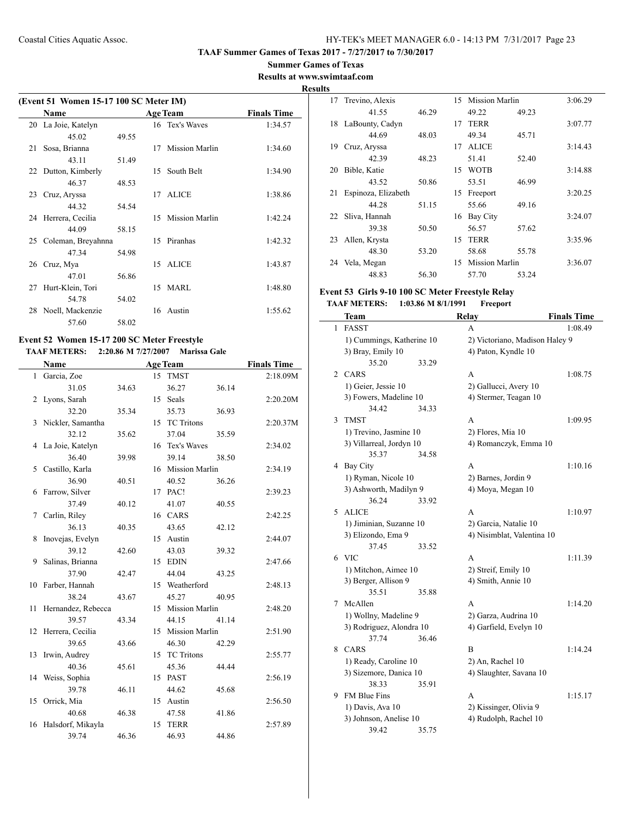**Summer Games of Texas Results at www.swimtaaf.com**

# **Results**

|    | (Event 51 Women 15-17 100 SC Meter IM)<br>Name |       |    | <b>Age Team</b>       | <b>Finals Time</b> |
|----|------------------------------------------------|-------|----|-----------------------|--------------------|
|    | 20 La Joie, Katelyn                            |       |    | 16 Tex's Waves        | 1:34.57            |
|    | 45.02                                          | 49.55 |    |                       |                    |
| 21 | Sosa, Brianna                                  |       | 17 | <b>Mission Marlin</b> | 1:34.60            |
|    | 43.11                                          | 51.49 |    |                       |                    |
|    | 22 Dutton, Kimberly                            |       | 15 | South Belt            | 1:34.90            |
|    | 46.37                                          | 48.53 |    |                       |                    |
|    | 23 Cruz, Aryssa                                |       |    | 17 ALICE              | 1:38.86            |
|    | 44.32                                          | 54.54 |    |                       |                    |
|    | 24 Herrera, Cecilia                            |       | 15 | Mission Marlin        | 1:42.24            |
|    | 44.09                                          | 58.15 |    |                       |                    |
|    | 25 Coleman, Breyahnna                          |       |    | 15 Piranhas           | 1:42.32            |
|    | 47.34                                          | 54.98 |    |                       |                    |
|    | 26 Cruz, Mya                                   |       | 15 | <b>ALICE</b>          | 1:43.87            |
|    | 47.01                                          | 56.86 |    |                       |                    |
| 27 | Hurt-Klein, Tori                               |       |    | 15 MARL               | 1:48.80            |
|    | 54.78                                          | 54.02 |    |                       |                    |
| 28 | Noell, Mackenzie                               |       |    | 16 Austin             | 1:55.62            |
|    | 57.60                                          | 58.02 |    |                       |                    |

### **Event 52 Women 15-17 200 SC Meter Freestyle TAAF METERS: 2:20.86 M 7/27/2007 Marissa Gale**

|              | Name               |       |         | <b>Age Team</b>   |       | <b>Finals Time</b> |
|--------------|--------------------|-------|---------|-------------------|-------|--------------------|
| $\mathbf{1}$ | Garcia, Zoe        |       | $15-15$ | <b>TMST</b>       |       | 2:18.09M           |
|              | 31.05              | 34.63 |         | 36.27             | 36.14 |                    |
| 2            | Lyons, Sarah       |       |         | 15 Seals          |       | 2:20.20M           |
|              | 32.20              | 35.34 |         | 35.73             | 36.93 |                    |
| 3            | Nickler, Samantha  |       | 15      | <b>TC Tritons</b> |       | 2:20.37M           |
|              | 32.12              | 35.62 |         | 37.04             | 35.59 |                    |
| 4            | La Joie, Katelyn   |       |         | 16 Tex's Waves    |       | 2:34.02            |
|              | 36.40              | 39.98 |         | 39.14             | 38.50 |                    |
| 5            | Castillo, Karla    |       |         | 16 Mission Marlin |       | 2:34.19            |
|              | 36.90              | 40.51 |         | 40.52             | 36.26 |                    |
| 6            | Farrow, Silver     |       |         | 17 PAC!           |       | 2:39.23            |
|              | 37.49              | 40.12 |         | 41.07             | 40.55 |                    |
| 7            | Carlin, Riley      |       |         | 16 CARS           |       | 2:42.25            |
|              | 36.13              | 40.35 |         | 43.65             | 42.12 |                    |
| 8            | Inovejas, Evelyn   |       |         | 15 Austin         |       | 2:44.07            |
|              | 39.12              | 42.60 |         | 43.03             | 39.32 |                    |
| 9            | Salinas, Brianna   |       |         | 15 EDIN           |       | 2:47.66            |
|              | 37.90              | 42.47 |         | 44.04             | 43.25 |                    |
| 10           | Farber, Hannah     |       |         | 15 Weatherford    |       | 2:48.13            |
|              | 38.24              | 43.67 |         | 45.27             | 40.95 |                    |
| 11           | Hernandez, Rebecca |       |         | 15 Mission Marlin |       | 2:48.20            |
|              | 39.57              | 43.34 |         | 44.15             | 41.14 |                    |
| 12           | Herrera, Cecilia   |       |         | 15 Mission Marlin |       | 2:51.90            |
|              | 39.65              | 43.66 |         | 46.30             | 42.29 |                    |
| 13           | Irwin, Audrey      |       |         | 15 TC Tritons     |       | 2:55.77            |
|              | 40.36              | 45.61 |         | 45.36             | 44.44 |                    |
|              | 14 Weiss, Sophia   |       |         | 15 PAST           |       | 2:56.19            |
|              | 39.78              | 46.11 |         | 44.62             | 45.68 |                    |
| 15           | Orrick, Mia        |       |         | 15 Austin         |       | 2:56.50            |
|              | 40.68              | 46.38 |         | 47.58             | 41.86 |                    |
| 16           | Halsdorf, Mikayla  |       |         | 15 TERR           |       | 2:57.89            |
|              | 39.74              | 46.36 |         | 46.93             | 44.86 |                    |

| 17 | Trevino, Alexis     |       | 15 | <b>Mission Marlin</b> |       | 3:06.29 |
|----|---------------------|-------|----|-----------------------|-------|---------|
|    | 41.55               | 46.29 |    | 49.22                 | 49.23 |         |
| 18 | LaBounty, Cadyn     |       | 17 | <b>TERR</b>           |       | 3:07.77 |
|    | 44.69               | 48.03 |    | 49.34                 | 45.71 |         |
| 19 | Cruz, Aryssa        |       | 17 | <b>ALICE</b>          |       | 3:14.43 |
|    | 42.39               | 48.23 |    | 51.41                 | 52.40 |         |
| 20 | Bible, Katie        |       | 15 | <b>WOTB</b>           |       | 3:14.88 |
|    | 43.52               | 50.86 |    | 53.51                 | 46.99 |         |
| 21 | Espinoza, Elizabeth |       | 15 | Freeport              |       | 3:20.25 |
|    | 44.28               | 51.15 |    | 55.66                 | 49.16 |         |
| 22 | Sliva, Hannah       |       | 16 | Bay City              |       | 3:24.07 |
|    | 39.38               | 50.50 |    | 56.57                 | 57.62 |         |
| 23 | Allen, Krysta       |       | 15 | <b>TERR</b>           |       | 3:35.96 |
|    | 48.30               | 53.20 |    | 58.68                 | 55.78 |         |
| 24 | Vela, Megan         |       | 15 | Mission Marlin        |       | 3:36.07 |
|    | 48.83               | 56.30 |    | 57.70                 | 53.24 |         |
|    |                     |       |    |                       |       |         |

### **Event 53 Girls 9-10 100 SC Meter Freestyle Relay TAAF METERS: 1:03.86 M 8/1/1991 Freeport**

|   | Team                      |       | Relay                          | <b>Finals Time</b> |
|---|---------------------------|-------|--------------------------------|--------------------|
| 1 | <b>FASST</b>              |       | A                              | 1:08.49            |
|   | 1) Cummings, Katherine 10 |       | 2) Victoriano, Madison Haley 9 |                    |
|   | 3) Bray, Emily 10         |       | 4) Paton, Kyndle 10            |                    |
|   | 35.20                     | 33.29 |                                |                    |
| 2 | CARS                      |       | A                              | 1:08.75            |
|   | 1) Geier, Jessie 10       |       | 2) Gallucci, Avery 10          |                    |
|   | 3) Fowers, Madeline 10    |       | 4) Stermer, Teagan 10          |                    |
|   | 34.42                     | 34.33 |                                |                    |
| 3 | TMST                      |       | A                              | 1:09.95            |
|   | 1) Trevino, Jasmine 10    |       | 2) Flores, Mia 10              |                    |
|   | 3) Villarreal, Jordyn 10  |       | 4) Romanczyk, Emma 10          |                    |
|   | 35.37                     | 34.58 |                                |                    |
| 4 | <b>Bay City</b>           |       | A                              | 1:10.16            |
|   | 1) Ryman, Nicole 10       |       | 2) Barnes, Jordin 9            |                    |
|   | 3) Ashworth, Madilyn 9    |       | 4) Moya, Megan 10              |                    |
|   | 36.24                     | 33.92 |                                |                    |
| 5 | <b>ALICE</b>              |       | A                              | 1:10.97            |
|   | 1) Jiminian, Suzanne 10   |       | 2) Garcia, Natalie 10          |                    |
|   | 3) Elizondo, Ema 9        |       | 4) Nisimblat, Valentina 10     |                    |
|   | 37.45                     | 33.52 |                                |                    |
| 6 | <b>VIC</b>                |       | A                              | 1:11.39            |
|   | 1) Mitchon, Aimee 10      |       | 2) Streif, Emily 10            |                    |
|   | 3) Berger, Allison 9      |       | 4) Smith, Annie 10             |                    |
|   | 35.51                     | 35.88 |                                |                    |
| 7 | McAllen                   |       | A                              | 1:14.20            |
|   | 1) Wollny, Madeline 9     |       | 2) Garza, Audrina 10           |                    |
|   | 3) Rodriguez, Alondra 10  |       | 4) Garfield, Evelyn 10         |                    |
|   | 37.74                     | 36.46 |                                |                    |
| 8 | CARS                      |       | B                              | 1:14.24            |
|   | 1) Ready, Caroline 10     |       | 2) An, Rachel 10               |                    |
|   | 3) Sizemore, Danica 10    |       | 4) Slaughter, Savana 10        |                    |
|   | 38.33                     | 35.91 |                                |                    |
| 9 | <b>FM Blue Fins</b>       |       | A                              | 1:15.17            |
|   | 1) Davis, Ava 10          |       | 2) Kissinger, Olivia 9         |                    |
|   | 3) Johnson, Anelise 10    |       | 4) Rudolph, Rachel 10          |                    |
|   | 39.42                     | 35.75 |                                |                    |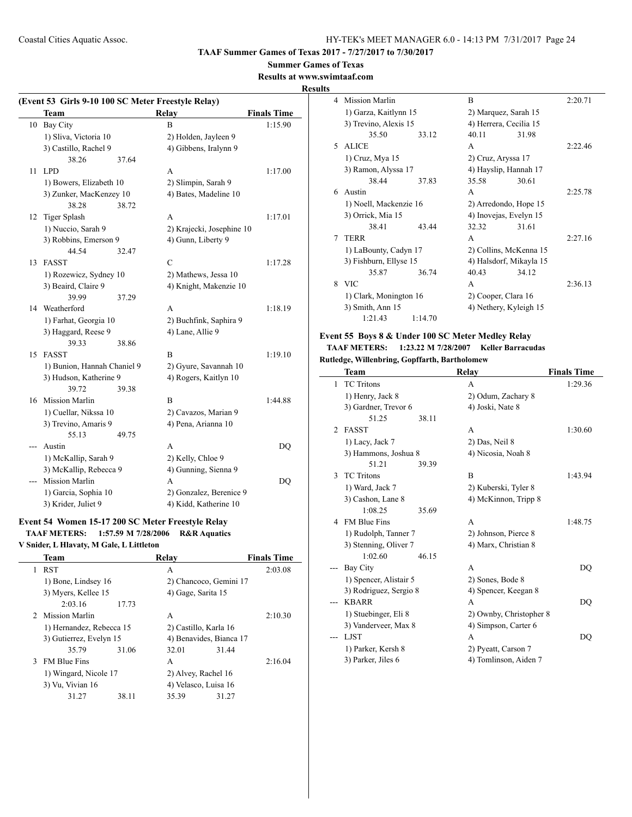# **Summer Games of Texas**

**Results at www.swimtaaf.com**

### **Results**

|    | (Event 53 Girls 9-10 100 SC Meter Freestyle Relay)<br>Team |       | Relay                     |                    |
|----|------------------------------------------------------------|-------|---------------------------|--------------------|
|    |                                                            |       |                           | <b>Finals Time</b> |
| 10 | <b>Bay City</b>                                            |       | B                         | 1:15.90            |
|    | 1) Sliva, Victoria 10                                      |       | 2) Holden, Jayleen 9      |                    |
|    | 3) Castillo, Rachel 9                                      |       | 4) Gibbens, Iralynn 9     |                    |
|    | 38.26                                                      | 37.64 |                           |                    |
| 11 | <b>LPD</b>                                                 |       | A                         | 1:17.00            |
|    | 1) Bowers, Elizabeth 10                                    |       | 2) Slimpin, Sarah 9       |                    |
|    | 3) Zunker, MacKenzey 10                                    |       | 4) Bates, Madeline 10     |                    |
|    | 38.28                                                      | 38.72 |                           |                    |
| 12 | Tiger Splash                                               |       | А                         | 1:17.01            |
|    | 1) Nuccio, Sarah 9                                         |       | 2) Krajecki, Josephine 10 |                    |
|    | 3) Robbins, Emerson 9                                      |       | 4) Gunn, Liberty 9        |                    |
|    | 44.54                                                      | 32.47 |                           |                    |
| 13 | <b>FASST</b>                                               |       | $\mathcal{C}$             | 1:17.28            |
|    | 1) Rozewicz, Sydney 10                                     |       | 2) Mathews, Jessa 10      |                    |
|    | 3) Beaird, Claire 9                                        |       | 4) Knight, Makenzie 10    |                    |
|    | 39.99                                                      | 37.29 |                           |                    |
|    | 14 Weatherford                                             |       | A                         | 1:18.19            |
|    | 1) Farhat, Georgia 10                                      |       | 2) Buchfink, Saphira 9    |                    |
|    | 3) Haggard, Reese 9                                        |       | 4) Lane, Allie 9          |                    |
|    | 39.33                                                      | 38.86 |                           |                    |
| 15 | <b>FASST</b>                                               |       | B                         | 1:19.10            |
|    | 1) Bunion, Hannah Chaniel 9                                |       | 2) Gyure, Savannah 10     |                    |
|    | 3) Hudson, Katherine 9                                     |       | 4) Rogers, Kaitlyn 10     |                    |
|    | 39.72                                                      | 39.38 |                           |                    |
| 16 | <b>Mission Marlin</b>                                      |       | B                         | 1:44.88            |
|    | 1) Cuellar, Nikssa 10                                      |       | 2) Cavazos, Marian 9      |                    |
|    | 3) Trevino, Amaris 9                                       |       | 4) Pena, Arianna 10       |                    |
|    | 55.13                                                      | 49.75 |                           |                    |
|    | Austin                                                     |       | A                         | DQ                 |
|    | 1) McKallip, Sarah 9                                       |       | 2) Kelly, Chloe 9         |                    |
|    | 3) McKallip, Rebecca 9                                     |       | 4) Gunning, Sienna 9      |                    |
|    | <b>Mission Marlin</b>                                      |       | A                         | DQ                 |
|    | 1) Garcia, Sophia 10                                       |       | 2) Gonzalez, Berenice 9   |                    |
|    | 3) Krider, Juliet 9                                        |       | 4) Kidd, Katherine 10     |                    |
|    |                                                            |       |                           |                    |

# **Event 54 Women 15-17 200 SC Meter Freestyle Relay**

**TAAF METERS: 1:57.59 M 7/28/2006 R&R Aquatics**

### **V Snider, L Hlavaty, M Gale, L Littleton**

|   | Team                     |       | Relav                   | <b>Finals Time</b> |
|---|--------------------------|-------|-------------------------|--------------------|
| 1 | <b>RST</b>               |       | А                       | 2:03.08            |
|   | 1) Bone, Lindsey 16      |       | 2) Chancoco, Gemini 17  |                    |
|   | 3) Myers, Kellee 15      |       | 4) Gage, Sarita 15      |                    |
|   | 2:03.16                  | 17.73 |                         |                    |
|   | 2 Mission Marlin         |       | A                       | 2:10.30            |
|   | 1) Hernandez, Rebecca 15 |       | 2) Castillo, Karla 16   |                    |
|   | 3) Gutierrez, Evelyn 15  |       | 4) Benavides, Bianca 17 |                    |
|   | 35.79                    | 31.06 | 32.01                   | 31.44              |
| 3 | <b>FM Blue Fins</b>      |       | A                       | 2:16.04            |
|   | 1) Wingard, Nicole 17    |       | 2) Alvey, Rachel 16     |                    |
|   | 3) Vu, Vivian 16         |       | 4) Velasco, Luisa 16    |                    |
|   | 31.27                    | 38.11 | 35.39                   | 31.27              |

| 4  | Mission Marlin         |         | R                       | 2:20.71                |         |  |
|----|------------------------|---------|-------------------------|------------------------|---------|--|
|    | 1) Garza, Kaitlynn 15  |         |                         | 2) Marquez, Sarah 15   |         |  |
|    | 3) Trevino, Alexis 15  |         | 4) Herrera, Cecilia 15  |                        |         |  |
|    | 35.50                  | 33.12   | 40.11                   | 31.98                  |         |  |
| 5. | <b>ALICE</b>           |         | A                       |                        | 2.22.46 |  |
|    | 1) Cruz, Mya 15        |         | 2) Cruz, Aryssa 17      |                        |         |  |
|    | 3) Ramon, Alyssa 17    |         | 4) Hayslip, Hannah 17   |                        |         |  |
|    | 38.44                  | 37.83   | 35.58                   | 30.61                  |         |  |
| 6  | Austin                 |         | A                       |                        | 2:25.78 |  |
|    | 1) Noell, Mackenzie 16 |         |                         | 2) Arredondo, Hope 15  |         |  |
|    | 3) Orrick, Mia 15      |         | 4) Inovejas, Evelyn 15  |                        |         |  |
|    | 38.41                  | 43.44   | 32.32                   | 31.61                  |         |  |
| 7  | <b>TERR</b>            |         | A                       |                        | 2:27.16 |  |
|    | 1) LaBounty, Cadyn 17  |         |                         | 2) Collins, McKenna 15 |         |  |
|    | 3) Fishburn, Ellyse 15 |         | 4) Halsdorf, Mikayla 15 |                        |         |  |
|    | 35.87                  | 36.74   | 40.43                   | 34.12                  |         |  |
| 8  | <b>VIC</b>             |         | A                       |                        | 2:36.13 |  |
|    | 1) Clark, Monington 16 |         | 2) Cooper, Clara 16     |                        |         |  |
|    | 3) Smith, Ann 15       |         |                         | 4) Nethery, Kyleigh 15 |         |  |
|    | 1:21.43                | 1:14.70 |                         |                        |         |  |

### **Event 55 Boys 8 & Under 100 SC Meter Medley Relay TAAF METERS: 1:23.22 M 7/28/2007 Keller Barracudas Rutledge, Willenbring, Gopffarth, Bartholomew**

|                | Team                   | Relay                   | <b>Finals Time</b> |
|----------------|------------------------|-------------------------|--------------------|
| 1              | <b>TC</b> Tritons      | A                       | 1:29.36            |
|                | 1) Henry, Jack 8       | 2) Odum, Zachary 8      |                    |
|                | 3) Gardner, Trevor 6   | 4) Joski, Nate 8        |                    |
|                | 51.25<br>38.11         |                         |                    |
| $\mathfrak{D}$ | <b>FASST</b>           | A                       | 1:30.60            |
|                | 1) Lacy, Jack 7        | 2) Das, Neil 8          |                    |
|                | 3) Hammons, Joshua 8   | 4) Nicosia, Noah 8      |                    |
|                | 51.21<br>39.39         |                         |                    |
| 3              | <b>TC</b> Tritons      | B                       | 1:43.94            |
|                | 1) Ward, Jack 7        | 2) Kuberski, Tyler 8    |                    |
|                | 3) Cashon, Lane 8      | 4) McKinnon, Tripp 8    |                    |
|                | 1:08.25<br>35.69       |                         |                    |
| 4              | <b>FM Blue Fins</b>    | A                       | 1:48.75            |
|                | 1) Rudolph, Tanner 7   | 2) Johnson, Pierce 8    |                    |
|                | 3) Stenning, Oliver 7  | 4) Marx, Christian 8    |                    |
|                | 1:02.60<br>46.15       |                         |                    |
|                | Bay City               | A                       | DQ                 |
|                | 1) Spencer, Alistair 5 | 2) Sones, Bode 8        |                    |
|                | 3) Rodriguez, Sergio 8 | 4) Spencer, Keegan 8    |                    |
|                | <b>KBARR</b>           | A                       | DQ                 |
|                | 1) Stuebinger, Eli 8   | 2) Ownby, Christopher 8 |                    |
|                | 3) Vanderveer, Max 8   | 4) Simpson, Carter 6    |                    |
|                | <b>LJST</b>            | A                       | DQ                 |
|                | 1) Parker, Kersh 8     | 2) Pyeatt, Carson 7     |                    |
|                | 3) Parker, Jiles 6     | 4) Tomlinson, Aiden 7   |                    |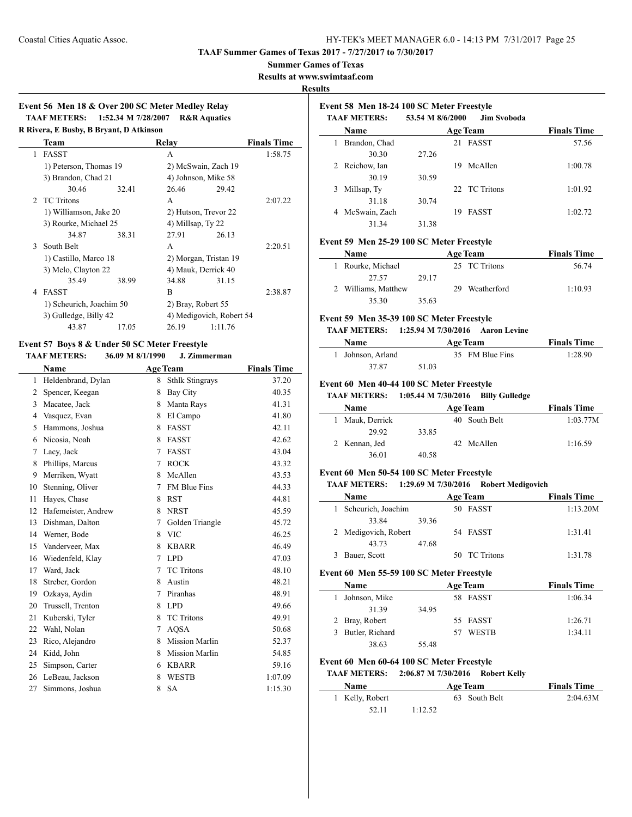**TAAF Summer Games of Texas 2017 - 7/27/2017 to 7/30/2017**

### **Summer Games of Texas**

**Results at www.swimtaaf.com**

#### **Results**

 $\overline{a}$ 

# **Event 56 Men 18 & Over 200 SC Meter Medley Relay TAAF METERS: 1:52.34 M 7/28/2007 R&R Aquatics**

| R Rivera, E Busby, B Bryant, D Atkinson |       |                                                                                                                                |       |                                                                                                                                                                             |  |  |  |
|-----------------------------------------|-------|--------------------------------------------------------------------------------------------------------------------------------|-------|-----------------------------------------------------------------------------------------------------------------------------------------------------------------------------|--|--|--|
| Team                                    |       |                                                                                                                                |       | <b>Finals Time</b>                                                                                                                                                          |  |  |  |
| <b>FASST</b>                            |       | A                                                                                                                              |       | 1:58.75                                                                                                                                                                     |  |  |  |
|                                         |       |                                                                                                                                |       |                                                                                                                                                                             |  |  |  |
| 3) Brandon, Chad 21                     |       |                                                                                                                                |       |                                                                                                                                                                             |  |  |  |
| 30.46                                   | 32.41 | 26.46                                                                                                                          | 29.42 |                                                                                                                                                                             |  |  |  |
| 2 TC Tritons                            |       | A                                                                                                                              |       | 2:07.22                                                                                                                                                                     |  |  |  |
|                                         |       |                                                                                                                                |       |                                                                                                                                                                             |  |  |  |
|                                         |       |                                                                                                                                |       |                                                                                                                                                                             |  |  |  |
| 34.87                                   | 38.31 | 27.91                                                                                                                          | 26.13 |                                                                                                                                                                             |  |  |  |
| South Belt                              |       | A                                                                                                                              |       | 2:20.51                                                                                                                                                                     |  |  |  |
| 1) Castillo, Marco 18                   |       | 2) Morgan, Tristan 19                                                                                                          |       |                                                                                                                                                                             |  |  |  |
| 3) Melo, Clayton 22                     |       |                                                                                                                                |       |                                                                                                                                                                             |  |  |  |
| 35.49                                   | 38.99 | 34.88                                                                                                                          | 31.15 |                                                                                                                                                                             |  |  |  |
| FASST                                   |       | B                                                                                                                              |       | 2:38.87                                                                                                                                                                     |  |  |  |
|                                         |       |                                                                                                                                |       |                                                                                                                                                                             |  |  |  |
|                                         |       |                                                                                                                                |       |                                                                                                                                                                             |  |  |  |
| 43.87                                   | 17.05 | 26.19                                                                                                                          |       |                                                                                                                                                                             |  |  |  |
|                                         |       | 1) Peterson, Thomas 19<br>1) Williamson, Jake 20<br>3) Rourke, Michael 25<br>1) Scheurich, Joachim 50<br>3) Gulledge, Billy 42 | Relay | 2) McSwain, Zach 19<br>4) Johnson, Mike 58<br>2) Hutson, Trevor 22<br>4) Millsap, Ty 22<br>4) Mauk, Derrick 40<br>2) Bray, Robert 55<br>4) Medigovich, Robert 54<br>1:11.76 |  |  |  |

#### **Event 57 Boys 8 & Under 50 SC Meter Freestyle TAAF METERS: 36.09 M 8/1/1990 J. Zimmerman**

|                | MI METERS.          | $30.02$ M $0.11177$ | о. Динистиан           |                    |
|----------------|---------------------|---------------------|------------------------|--------------------|
|                | <b>Name</b>         |                     | <b>Age Team</b>        | <b>Finals Time</b> |
| 1              | Heldenbrand, Dylan  | 8                   | <b>Sthlk Stingrays</b> | 37.20              |
| $\overline{2}$ | Spencer, Keegan     | 8                   | <b>Bay City</b>        | 40.35              |
| 3              | Macatee, Jack       | 8                   | Manta Rays             | 41.31              |
| 4              | Vasquez, Evan       | 8                   | El Campo               | 41.80              |
| 5              | Hammons, Joshua     | 8                   | <b>FASST</b>           | 42.11              |
| 6              | Nicosia, Noah       | 8                   | <b>FASST</b>           | 42.62              |
| 7              | Lacv, Jack          | 7                   | <b>FASST</b>           | 43.04              |
| 8              | Phillips, Marcus    | 7                   | <b>ROCK</b>            | 43.32              |
| 9              | Merriken, Wyatt     | 8                   | McAllen                | 43.53              |
| 10             | Stenning, Oliver    | 7                   | FM Blue Fins           | 44.33              |
| 11             | Hayes, Chase        | 8                   | <b>RST</b>             | 44.81              |
| 12             | Hafemeister, Andrew | 8                   | <b>NRST</b>            | 45.59              |
| 13             | Dishman, Dalton     | 7                   | Golden Triangle        | 45.72              |
| 14             | Werner, Bode        | 8                   | <b>VIC</b>             | 46.25              |
| 15             | Vanderveer, Max     | 8                   | <b>KBARR</b>           | 46.49              |
| 16             | Wiedenfeld, Klav    | 7                   | <b>LPD</b>             | 47.03              |
| 17             | Ward, Jack          | 7                   | <b>TC</b> Tritons      | 48.10              |
| 18             | Streber, Gordon     | 8                   | Austin                 | 48.21              |
| 19             | Ozkaya, Aydin       | 7                   | Piranhas               | 48.91              |
| 20             | Trussell, Trenton   | 8                   | <b>LPD</b>             | 49.66              |
| 21             | Kuberski, Tyler     | 8                   | <b>TC</b> Tritons      | 49.91              |
| 22             | Wahl, Nolan         | 7                   | <b>AQSA</b>            | 50.68              |
| 23             | Rico, Alejandro     | 8                   | Mission Marlin         | 52.37              |
| 24             | Kidd, John          | 8                   | <b>Mission Marlin</b>  | 54.85              |
| 25             | Simpson, Carter     | 6                   | <b>KBARR</b>           | 59.16              |
| 26             | LeBeau, Jackson     | 8                   | <b>WESTB</b>           | 1:07.09            |
| 27             | Simmons, Joshua     | 8                   | <b>SA</b>              | 1:15.30            |
|                |                     |                     |                        |                    |

|   | Event 58 Men 18-24 100 SC Meter Freestyle |                  |    |                 |                    |  |
|---|-------------------------------------------|------------------|----|-----------------|--------------------|--|
|   | <b>TAAF METERS:</b>                       | 53.54 M 8/6/2000 |    | Jim Svoboda     |                    |  |
|   | Name                                      |                  |    | <b>Age Team</b> | <b>Finals Time</b> |  |
| 1 | Brandon, Chad                             |                  | 21 | <b>FASST</b>    | 57.56              |  |
|   | 30.30                                     | 27.26            |    |                 |                    |  |
|   | 2 Reichow, Ian                            |                  | 19 | McAllen         | 1:00.78            |  |
|   | 30.19                                     | 30.59            |    |                 |                    |  |
| 3 | Millsap, Ty                               |                  |    | 22 TC Tritons   | 1:01.92            |  |
|   | 31.18                                     | 30.74            |    |                 |                    |  |
| 4 | McSwain, Zach                             |                  | 19 | <b>FASST</b>    | 1:02.72            |  |
|   | 31.34                                     | 31.38            |    |                 |                    |  |

#### **Event 59 Men 25-29 100 SC Meter Freestyle**

| Name                | <b>Age Team</b> |  |                | <b>Finals Time</b> |
|---------------------|-----------------|--|----------------|--------------------|
| 1 Rourke, Michael   |                 |  | 25 TC Tritons  | 56.74              |
| 27.57               | 29.17           |  |                |                    |
| 2 Williams, Matthew |                 |  | 29 Weatherford | 1:10.93            |
| 35.30               | 35.63           |  |                |                    |

#### **Event 59 Men 35-39 100 SC Meter Freestyle**

**TAAF METERS: 1:25.94 M 7/30/2016 Aaron Levine**

| <b>Name</b>       |       | <b>Age Team</b> | <b>Finals Time</b> |  |
|-------------------|-------|-----------------|--------------------|--|
| 1 Johnson, Arland |       | 35 FM Blue Fins | 1:28.90            |  |
| 37.87             | 51.03 |                 |                    |  |

#### **Event 60 Men 40-44 100 SC Meter Freestyle**

#### **TAAF METERS: 1:05.44 M 7/30/2016 Billy Gulledge**

| <b>Name</b>   | <b>Age Team</b> |  |               | <b>Finals Time</b> |  |
|---------------|-----------------|--|---------------|--------------------|--|
| Mauk, Derrick |                 |  | 40 South Belt | 1:03.77M           |  |
| 29.92         | 33.85           |  |               |                    |  |
| 2 Kennan, Jed |                 |  | 42 McAllen    | 1:16.59            |  |
| 36.01         | 40.58           |  |               |                    |  |

#### **Event 60 Men 50-54 100 SC Meter Freestyle**

**TAAF METERS: 1:29.69 M 7/30/2016 Robert Medigovich**

| Name                 |       | <b>Age Team</b> | <b>Finals Time</b> |
|----------------------|-------|-----------------|--------------------|
| Scheurich, Joachim   |       | 50 FASST        | 1:13.20M           |
| 33.84                | 39.36 |                 |                    |
| 2 Medigovich, Robert |       | 54 FASST        | 1:31.41            |
| 43.73                | 47.68 |                 |                    |
| Bauer, Scott         |       | TC Tritons      | 1:31.78            |

### **Event 60 Men 55-59 100 SC Meter Freestyle**

| Name |                   |       | <b>Age Team</b>    | <b>Finals Time</b> |  |
|------|-------------------|-------|--------------------|--------------------|--|
|      | Johnson, Mike     |       | 58 FASST           | 1:06.34            |  |
|      | 31.39             | 34.95 |                    |                    |  |
|      | 2 Bray, Robert    |       | 55 FASST           | 1:26.71            |  |
|      | 3 Butler, Richard |       | <b>WESTB</b><br>57 | 1:34.11            |  |
|      | 38.63             | 55.48 |                    |                    |  |

#### **Event 60 Men 60-64 100 SC Meter Freestyle**

**TAAF METERS: 2:06.87 M 7/30/2016 Robert Kelly**

| <b>Name</b>     | <b>Age Team</b> | <b>Finals Time</b> |
|-----------------|-----------------|--------------------|
| 1 Kelly, Robert | 63 South Belt   | 2:04.63M           |
| 52.11           | 1:12.52         |                    |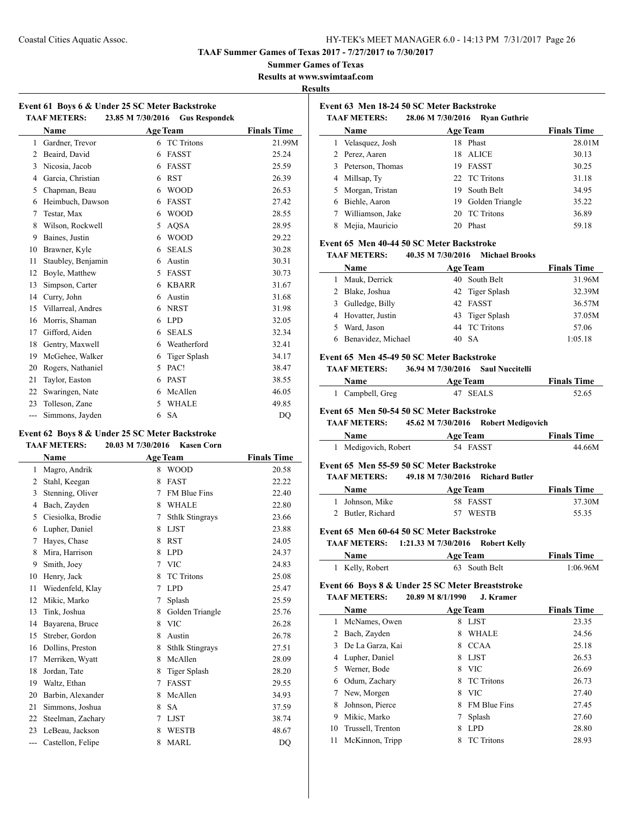**TAAF Summer Games of Texas 2017 - 7/27/2017 to 7/30/2017**

**Summer Games of Texas**

**Results at www.swimtaaf.com**

**Results**

|                     | Event 61 Boys 6 & Under 25 SC Meter Backstroke |                      |
|---------------------|------------------------------------------------|----------------------|
| <b>TAAF METERS:</b> | 23.85 M 7/30/2016                              | <b>Gus Respondek</b> |

|                | <b>Name</b>        |   | <b>Age Team</b>     | <b>Finals Time</b> |
|----------------|--------------------|---|---------------------|--------------------|
| $\mathbf{1}$   | Gardner, Trevor    | 6 | <b>TC</b> Tritons   | 21.99M             |
| $\overline{2}$ | Beaird, David      | 6 | <b>FASST</b>        | 25.24              |
| 3              | Nicosia, Jacob     | 6 | <b>FASST</b>        | 25.59              |
| 4              | Garcia, Christian  | 6 | <b>RST</b>          | 26.39              |
| 5              | Chapman, Beau      | 6 | <b>WOOD</b>         | 26.53              |
| 6              | Heimbuch, Dawson   | 6 | <b>FASST</b>        | 27.42              |
| 7              | Testar, Max        | 6 | <b>WOOD</b>         | 28.55              |
| 8              | Wilson, Rockwell   | 5 | <b>AOSA</b>         | 28.95              |
| 9              | Baines, Justin     | 6 | <b>WOOD</b>         | 29.22              |
| 10             | Brawner, Kyle      | 6 | <b>SEALS</b>        | 30.28              |
| 11             | Staubley, Benjamin | 6 | Austin              | 30.31              |
| 12             | Boyle, Matthew     | 5 | <b>FASST</b>        | 30.73              |
| 13             | Simpson, Carter    | 6 | <b>KBARR</b>        | 31.67              |
| 14             | Curry, John        | 6 | Austin              | 31.68              |
| 15             | Villarreal, Andres | 6 | <b>NRST</b>         | 31.98              |
| 16             | Morris, Shaman     | 6 | <b>LPD</b>          | 32.05              |
| 17             | Gifford, Aiden     | 6 | <b>SEALS</b>        | 32.34              |
| 18             | Gentry, Maxwell    | 6 | Weatherford         | 32.41              |
| 19             | McGehee, Walker    | 6 | <b>Tiger Splash</b> | 34.17              |
| 20             | Rogers, Nathaniel  | 5 | PAC!                | 38.47              |
| 21             | Taylor, Easton     | 6 | <b>PAST</b>         | 38.55              |
| 22             | Swaringen, Nate    | 6 | McAllen             | 46.05              |
| 23             | Tolleson, Zane     | 5 | <b>WHALE</b>        | 49.85              |
| ---            | Simmons, Jayden    | 6 | <b>SA</b>           | DQ                 |

# **Event 62 Boys 8 & Under 25 SC Meter Backstroke**

| <b>TAAF METERS:</b> |  | 20.03 M 7/30/2016 | Kasen Corn |
|---------------------|--|-------------------|------------|
|---------------------|--|-------------------|------------|

|       | Name              |   | <b>Age Team</b>        | <b>Finals Time</b> |
|-------|-------------------|---|------------------------|--------------------|
| 1     | Magro, Andrik     | 8 | <b>WOOD</b>            | 20.58              |
| 2     | Stahl, Keegan     | 8 | <b>FAST</b>            | 22.22              |
| 3     | Stenning, Oliver  | 7 | <b>FM Blue Fins</b>    | 22.40              |
| 4     | Bach, Zayden      | 8 | <b>WHALE</b>           | 22.80              |
| 5     | Ciesiolka, Brodie | 7 | <b>Sthlk Stingrays</b> | 23.66              |
| 6     | Lupher, Daniel    | 8 | <b>LJST</b>            | 23.88              |
| 7     | Hayes, Chase      | 8 | <b>RST</b>             | 24.05              |
| 8     | Mira, Harrison    | 8 | <b>LPD</b>             | 24.37              |
| 9     | Smith, Joev       | 7 | <b>VIC</b>             | 24.83              |
| 10    | Henry, Jack       | 8 | <b>TC</b> Tritons      | 25.08              |
| 11    | Wiedenfeld, Klay  | 7 | <b>LPD</b>             | 25.47              |
| 12    | Mikic, Marko      | 7 | Splash                 | 25.59              |
| 13    | Tink, Joshua      | 8 | Golden Triangle        | 25.76              |
| 14    | Bayarena, Bruce   | 8 | <b>VIC</b>             | 26.28              |
| 15    | Streber, Gordon   | 8 | Austin                 | 26.78              |
| 16    | Dollins, Preston  | 8 | <b>Sthlk Stingrays</b> | 27.51              |
| 17    | Merriken, Wyatt   | 8 | McAllen                | 28.09              |
| 18    | Jordan, Tate      | 8 | Tiger Splash           | 28.20              |
| 19    | Waltz, Ethan      | 7 | <b>FASST</b>           | 29.55              |
| 20    | Barbin, Alexander | 8 | McAllen                | 34.93              |
| 21    | Simmons, Joshua   | 8 | <b>SA</b>              | 37.59              |
| 22    | Steelman, Zachary | 7 | <b>LJST</b>            | 38.74              |
| 23    | LeBeau, Jackson   | 8 | <b>WESTB</b>           | 48.67              |
| $---$ | Castellon, Felipe | 8 | <b>MARL</b>            | D <sub>O</sub>     |

### **Event 63 Men 18-24 50 SC Meter Backstroke**

|    | <b>TAAF METERS:</b> | 28.06 M 7/30/2016 | <b>Ryan Guthrie</b> |                    |
|----|---------------------|-------------------|---------------------|--------------------|
|    | Name                |                   | <b>Age Team</b>     | <b>Finals Time</b> |
| l. | Velasquez, Josh     |                   | 18 Phast            | 28.01M             |
|    | 2 Perez, Aaren      |                   | 18 ALICE            | 30.13              |
|    | 3 Peterson, Thomas  | 19                | <b>FASST</b>        | 30.25              |
|    | 4 Millsap, Ty       |                   | 22 TC Tritons       | 31.18              |
|    | 5 Morgan, Tristan   | 19                | South Belt          | 34.95              |
| 6  | Biehle, Aaron       |                   | 19 Golden Triangle  | 35.22              |
|    | Williamson, Jake    | 20                | <b>TC Tritons</b>   | 36.89              |
|    | Mejia, Mauricio     | 20                | Phast               | 59.18              |

### **Event 65 Men 40-44 50 SC Meter Backstroke**

#### **TAAF METERS: 40.35 M 7/30/2016 Michael Brooks**

| <b>Name</b>          | <b>Age Team</b> | <b>Finals Time</b> |
|----------------------|-----------------|--------------------|
| Mauk, Derrick        | 40 South Belt   | 31.96M             |
| 2 Blake, Joshua      | 42 Tiger Splash | 32.39M             |
| 3 Gulledge, Billy    | 42 FASST        | 36.57M             |
| 4 Hovatter, Justin   | 43 Tiger Splash | 37.05M             |
| Ward, Jason          | 44 TC Tritons   | 57.06              |
| 6 Benavidez, Michael | 40 SA           | 1:05.18            |

#### **Event 65 Men 45-49 50 SC Meter Backstroke**

**TAAF METERS: 36.94 M 7/30/2016 Saul Nuccitelli**

| <b>Name</b>      | <b>Age Team</b> | <b>Finals Time</b> |
|------------------|-----------------|--------------------|
| 1 Campbell, Greg | 47 SEALS        | 52.65              |

#### **Event 65 Men 50-54 50 SC Meter Backstroke**

**TAAF METERS: 45.62 M 7/30/2016 Robert Medigovich Name Age Team Finals Time**

| iname                                         | Age ream | <b>Finals Time</b> |
|-----------------------------------------------|----------|--------------------|
| Medigovich, Robert                            | 54 FASST | 44.66M             |
| vant 65. Man 55. 50. 50. 96. Matau Daokstuaka |          |                    |

#### **Event 65 Men 55-59 50 SC Meter Backstroke TAAF METERS: 49.18 M 7/30/2016 Richard Butler**

|                   | $\tau$ . To $\mu$ $\mu$ $\sigma$ $\sigma$ is $\sigma$ is the set $\sigma$ |                    |
|-------------------|---------------------------------------------------------------------------|--------------------|
| <b>Name</b>       | Age Team                                                                  | <b>Finals Time</b> |
| 1 Johnson, Mike   | 58 FASST                                                                  | 37.30M             |
| 2 Butler, Richard | 57 WESTB                                                                  | 55.35              |

#### **Event 65 Men 60-64 50 SC Meter Backstroke**

**TAAF METERS: 1:21.33 M 7/30/2016 Robert Kelly**

| <b>Name</b>     | <b>Age Team</b> | <b>Finals Time</b> |
|-----------------|-----------------|--------------------|
| 1 Kelly, Robert | 63 South Belt   | 1:06.96M           |

## **Event 66 Boys 8 & Under 25 SC Meter Breaststroke**

### **TAAF METERS: 20.89 M 8/1/1990 J. Kramer**

 $\overline{a}$ 

|    | Name              |   | <b>Age Team</b>     | <b>Finals Time</b> |
|----|-------------------|---|---------------------|--------------------|
| 1  | McNames, Owen     | 8 | <b>LIST</b>         | 23.35              |
| 2  | Bach, Zayden      | 8 | <b>WHALE</b>        | 24.56              |
| 3  | De La Garza, Kai  | 8 | <b>CCAA</b>         | 25.18              |
| 4  | Lupher, Daniel    | 8 | <b>LIST</b>         | 26.53              |
| 5  | Werner, Bode      | 8 | <b>VIC</b>          | 26.69              |
| 6  | Odum, Zachary     | 8 | <b>TC</b> Tritons   | 26.73              |
|    | New, Morgen       | 8 | <b>VIC</b>          | 27.40              |
| 8  | Johnson, Pierce   | 8 | <b>FM Blue Fins</b> | 27.45              |
| 9  | Mikic, Marko      |   | Splash              | 27.60              |
| 10 | Trussell, Trenton | 8 | <b>LPD</b>          | 28.80              |
| 11 | McKinnon, Tripp   | 8 | <b>TC</b> Tritons   | 28.93              |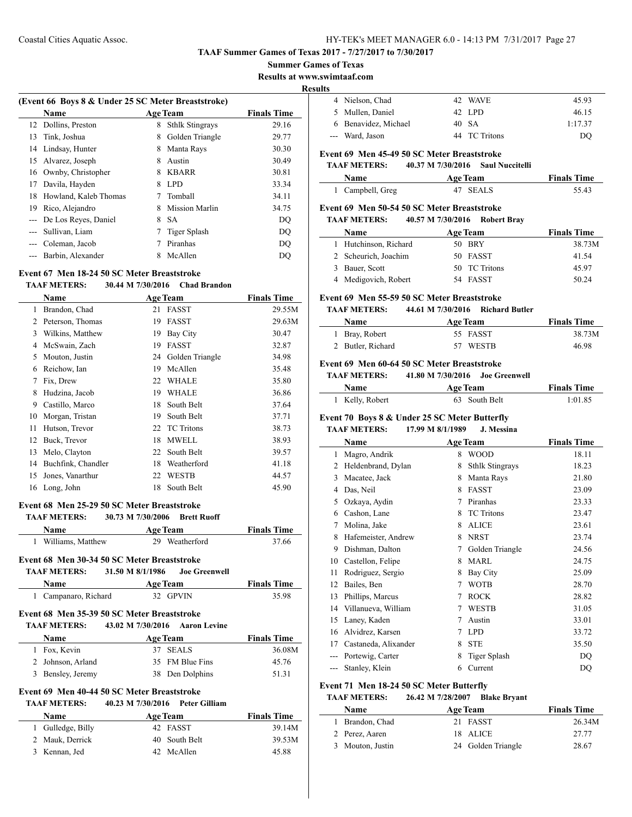#### **TAAF Summer Games of Texas 2017 - 7/27/2017 to 7/30/2017**

#### **Summer Games of Texas**

**Results at www.swimtaaf.com**

#### **Results**

 $\overline{a}$ 

 $\overline{\phantom{a}}$ 

| (Event 66 Boys 8 & Under 25 SC Meter Breaststroke) |                       |   |                        |                    |
|----------------------------------------------------|-----------------------|---|------------------------|--------------------|
|                                                    | <b>Name</b>           |   | <b>Age Team</b>        | <b>Finals Time</b> |
| 12                                                 | Dollins, Preston      | 8 | <b>Sthlk Stingrays</b> | 29.16              |
| 13                                                 | Tink, Joshua          | 8 | Golden Triangle        | 29.77              |
| 14                                                 | Lindsay, Hunter       | 8 | Manta Rays             | 30.30              |
| 15                                                 | Alvarez, Joseph       | 8 | Austin                 | 30.49              |
| 16                                                 | Ownby, Christopher    | 8 | <b>KBARR</b>           | 30.81              |
| 17                                                 | Davila, Hayden        | 8 | LPD.                   | 33.34              |
| 18                                                 | Howland, Kaleb Thomas |   | Tomball                | 34.11              |
| 19                                                 | Rico, Alejandro       | 8 | Mission Marlin         | 34.75              |
|                                                    | De Los Reves, Daniel  | 8 | -SA                    | DO                 |
|                                                    | Sullivan, Liam        |   | Tiger Splash           | DO                 |
| $---$                                              | Coleman, Jacob        |   | Piranhas               | DO                 |
|                                                    | Barbin, Alexander     | 8 | McAllen                | DO                 |

### **Event 67 Men 18-24 50 SC Meter Breaststroke**

#### **TAAF METERS: 30.44 M 7/30/2016 Chad Brandon**

|    | Name               |    | <b>Age Team</b>   | <b>Finals Time</b> |
|----|--------------------|----|-------------------|--------------------|
| 1  | Brandon, Chad      | 21 | FASST             | 29.55M             |
| 2  | Peterson, Thomas   | 19 | <b>FASST</b>      | 29.63M             |
| 3  | Wilkins, Matthew   | 19 | Bay City          | 30.47              |
| 4  | McSwain, Zach      | 19 | <b>FASST</b>      | 32.87              |
| 5  | Mouton, Justin     | 24 | Golden Triangle   | 34.98              |
| 6  | Reichow, Ian       | 19 | McAllen           | 35.48              |
| 7  | Fix, Drew          | 22 | <b>WHALE</b>      | 35.80              |
| 8  | Hudzina, Jacob     | 19 | <b>WHALE</b>      | 36.86              |
| 9  | Castillo, Marco    | 18 | South Belt        | 37.64              |
| 10 | Morgan, Tristan    | 19 | South Belt        | 37.71              |
| 11 | Hutson, Trevor     | 22 | <b>TC Tritons</b> | 38.73              |
| 12 | Buck, Trevor       | 18 | <b>MWELL</b>      | 38.93              |
| 13 | Melo, Clayton      | 22 | South Belt        | 39.57              |
| 14 | Buchfink, Chandler | 18 | Weatherford       | 41.18              |
| 15 | Jones, Vanarthur   | 22 | <b>WESTB</b>      | 44.57              |
| 16 | Long, John         | 18 | South Belt        | 45.90              |

### **Event 68 Men 25-29 50 SC Meter Breaststroke**

**TAAF METERS: 30.73 M 7/30/2006 Brett Ruoff**

| Name                | <b>Age Team</b> | <b>Finals Time</b> |
|---------------------|-----------------|--------------------|
| 1 Williams, Matthew | 29 Weatherford  | 37.66              |

# **Event 68 Men 30-34 50 SC Meter Breaststroke**

**TAAF METERS: 31.50 M 8/1/1986 Joe Greenwell**

| Name                 | <b>Age Team</b> | <b>Finals Time</b> |
|----------------------|-----------------|--------------------|
| 1 Campanaro, Richard | 32 GPVIN        | 35.98              |

#### **Event 68 Men 35-39 50 SC Meter Breaststroke TAAF METERS: 43.02 M 7/30/2016 Aaron Levine**

| 43.02 M 7/30/2016 Aaron Levine |                    |
|--------------------------------|--------------------|
| <b>Age Team</b>                | <b>Finals Time</b> |
| 37 SEALS                       | 36.08M             |
| 35 FM Blue Fins                | 45.76              |
| 38 Den Dolphins                | 51.31              |
|                                |                    |

### **Event 69 Men 40-44 50 SC Meter Breaststroke**

### **TAAF METERS: 40.23 M 7/30/2016 Peter Gilliam**

| Name              | <b>Age Team</b> | <b>Finals Time</b> |
|-------------------|-----------------|--------------------|
| 1 Gulledge, Billy | 42 FASST        | 39.14M             |
| 2 Mauk, Derrick   | 40 South Belt   | 39.53M             |
| 3 Kennan, Jed     | 42 McAllen      | 45.88              |

| . . |                      |               |         |
|-----|----------------------|---------------|---------|
|     | 4 Nielson, Chad      | 42 WAVE       | 45.93   |
|     | 5 Mullen, Daniel     | 42 LPD        | 46.15   |
|     | 6 Benavidez, Michael | 40 SA         | 1:17.37 |
|     | --- Ward, Jason      | 44 TC Tritons | DO      |

# **Event 69 Men 45-49 50 SC Meter Breaststroke**

#### **TAAF METERS: 40.37 M 7/30/2016 Saul Nuccitelli**

| Name             | <b>Age Team</b> | <b>Finals Time</b> |  |
|------------------|-----------------|--------------------|--|
| 1 Campbell, Greg | 47 SEALS        | 55.43              |  |

#### **Event 69 Men 50-54 50 SC Meter Breaststroke**

| <b>TAAF METERS:</b>   |                 | 40.57 M 7/30/2016 Robert Bray |                    |
|-----------------------|-----------------|-------------------------------|--------------------|
| <b>Name</b>           | <b>Age Team</b> |                               | <b>Finals Time</b> |
| 1 Hutchinson, Richard | 50 BRY          |                               | 38.73M             |
| 2 Scheurich, Joachim  |                 | 50 FASST                      | 41.54              |
| 3 Bauer, Scott        |                 | 50 TC Tritons                 | 45.97              |

# 4 Medigovich, Robert 54 FASST 50.24

### **Event 69 Men 55-59 50 SC Meter Breaststroke**

### **TAAF METERS: 44.61 M 7/30/2016 Richard Butler**

| <b>Age Team</b><br><b>Name</b> |          | <b>Finals Time</b> |
|--------------------------------|----------|--------------------|
| 1 Bray, Robert                 | 55 FASST | 38.73M             |
| 2 Butler, Richard              | 57 WESTB | 46.98              |

### **Event 69 Men 60-64 50 SC Meter Breaststroke**

| TAAF METERS: | 41.80 M 7/30/2016 Joe Greenwell |  |  |
|--------------|---------------------------------|--|--|
|              |                                 |  |  |

| Name            | <b>Age Team</b> | <b>Finals Time</b> |
|-----------------|-----------------|--------------------|
| 1 Kelly, Robert | 63 South Belt   | 1:01.85            |

#### **Event 70 Boys 8 & Under 25 SC Meter Butterfly**

#### **TAAF METERS: 17.99 M 8/1/1989 J. Messina**

|     | Name                 |   | <b>Age Team</b>        | <b>Finals Time</b> |
|-----|----------------------|---|------------------------|--------------------|
| 1   | Magro, Andrik        | 8 | <b>WOOD</b>            | 18.11              |
| 2   | Heldenbrand, Dylan   | 8 | <b>Sthlk Stingrays</b> | 18.23              |
| 3   | Macatee, Jack        | 8 | Manta Rays             | 21.80              |
| 4   | Das, Neil            | 8 | <b>FASST</b>           | 23.09              |
| 5   | Ozkaya, Aydin        | 7 | Piranhas               | 23.33              |
| 6   | Cashon, Lane         | 8 | <b>TC</b> Tritons      | 23.47              |
| 7   | Molina, Jake         | 8 | <b>ALICE</b>           | 23.61              |
| 8   | Hafemeister, Andrew  | 8 | <b>NRST</b>            | 23.74              |
| 9   | Dishman, Dalton      | 7 | Golden Triangle        | 24.56              |
| 10  | Castellon, Felipe    | 8 | <b>MARL</b>            | 24.75              |
| 11  | Rodriguez, Sergio    | 8 | Bay City               | 25.09              |
| 12  | Bailes, Ben          | 7 | <b>WOTB</b>            | 28.70              |
| 13  | Phillips, Marcus     | 7 | <b>ROCK</b>            | 28.82              |
| 14  | Villanueva, William  | 7 | WESTB                  | 31.05              |
| 15  | Laney, Kaden         | 7 | Austin                 | 33.01              |
| 16  | Alvidrez, Karsen     | 7 | <b>LPD</b>             | 33.72              |
| 17  | Castaneda, Alixander | 8 | <b>STE</b>             | 35.50              |
|     | Portewig, Carter     | 8 | Tiger Splash           | DQ                 |
| --- | Stanley, Klein       | 6 | Current                | DQ                 |

#### **Event 71 Men 18-24 50 SC Meter Butterfly**

#### **TAAF METERS: 26.42 M 7/28/2007 Blake Bryant**

| <b>Name</b>      | <b>Age Team</b>    | <b>Finals Time</b> |
|------------------|--------------------|--------------------|
| Brandon, Chad    | 21 FASST           | 26.34M             |
| 2 Perez, Aaren   | 18 ALICE           | 27.77              |
| 3 Mouton, Justin | 24 Golden Triangle | 28.67              |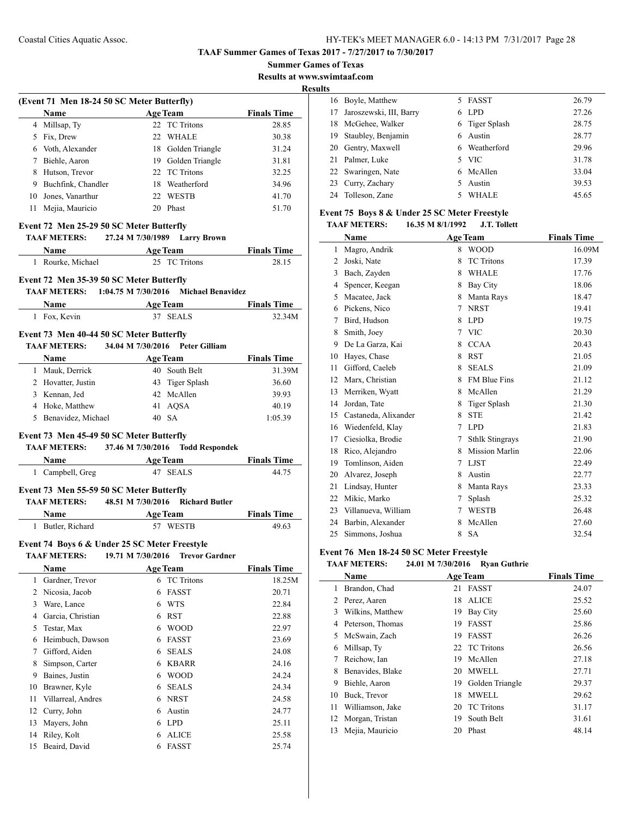**Summer Games of Texas**

**Results at www.swimtaaf.com**

<u>Its</u>

|    | (Event 71 Men 18-24 50 SC Meter Butterfly)    |                                                    |                    |
|----|-----------------------------------------------|----------------------------------------------------|--------------------|
|    | Name                                          | <b>Age Team</b>                                    | <b>Finals Time</b> |
|    | 4 Millsap, Ty                                 | 22 TC Tritons                                      | 28.85              |
|    | 5 Fix, Drew                                   | 22 WHALE                                           | 30.38              |
|    | 6 Voth, Alexander                             | 18 Golden Triangle                                 | 31.24              |
|    | 7 Biehle, Aaron                               | 19 Golden Triangle                                 | 31.81              |
|    | 8 Hutson, Trevor                              | 22 TC Tritons                                      | 32.25              |
|    | 9 Buchfink, Chandler                          | 18 Weatherford                                     | 34.96              |
|    | 10 Jones, Vanarthur                           | 22 WESTB                                           | 41.70              |
|    | 11 Mejia, Mauricio                            | 20 Phast                                           | 51.70              |
|    | Event 72 Men 25-29 50 SC Meter Butterfly      |                                                    |                    |
|    |                                               | TAAF METERS: 27.24 M 7/30/1989 Larry Brown         |                    |
|    |                                               | <b>Name</b> Age Team Finals Time<br>25 TC Tritons  |                    |
|    | 1 Rourke, Michael                             |                                                    | 28.15              |
|    | Event 72 Men 35-39 50 SC Meter Butterfly      |                                                    |                    |
|    |                                               | TAAF METERS: 1:04.75 M 7/30/2016 Michael Benavidez |                    |
|    |                                               | Name Age Team Finals Time                          |                    |
|    | 1 Fox, Kevin                                  | 37 SEALS                                           | 32.34M             |
|    | Event 73 Men 40-44 50 SC Meter Butterfly      |                                                    |                    |
|    |                                               | TAAF METERS: 34.04 M 7/30/2016 Peter Gilliam       |                    |
|    |                                               |                                                    |                    |
|    |                                               | <b>Name</b> Age Team                               | <b>Finals Time</b> |
|    | 1 Mauk, Derrick                               | 40 South Belt                                      | 31.39M             |
|    | 2 Hovatter, Justin                            | 43 Tiger Splash                                    | 36.60              |
|    | 3 Kennan, Jed                                 | 42 McAllen                                         | 39.93              |
|    | 4 Hoke, Matthew                               | 41 AQSA                                            | 40.19              |
|    | 5 Benavidez, Michael                          | 40 SA                                              | 1:05.39            |
|    | Event 73 Men 45-49 50 SC Meter Butterfly      |                                                    |                    |
|    |                                               | TAAF METERS: 37.46 M 7/30/2016 Todd Respondek      |                    |
|    |                                               | Name Age Team                                      | <b>Finals Time</b> |
|    | 1 Campbell, Greg                              | 47 SEALS                                           | 44.75              |
|    |                                               |                                                    |                    |
|    | Event 73 Men 55-59 50 SC Meter Butterfly      | TAAF METERS: 48.51 M 7/30/2016 Richard Butler      |                    |
|    |                                               |                                                    | <b>Finals Time</b> |
|    | 1 Butler, Richard                             | <b>Name</b> Age Team<br>57 WESTB                   | 49.63              |
|    |                                               |                                                    |                    |
|    | Event 74 Boys 6 & Under 25 SC Meter Freestyle |                                                    |                    |
|    | <b>TAAF METERS:</b>                           | 19.71 M 7/30/2016<br><b>Trevor Gardner</b>         |                    |
|    | Name                                          | <b>Age Team</b>                                    | <b>Finals Time</b> |
|    | 1 Gardner, Trevor                             | 6 TC Tritons                                       | 18.25M             |
|    | 2 Nicosia, Jacob                              | <b>FASST</b><br>6                                  | 20.71              |
| 3  | Ware, Lance                                   | 6 WTS                                              | 22.84              |
|    | 4 Garcia, Christian                           | 6 RST                                              | 22.88              |
| 5  | Testar, Max                                   | 6 WOOD                                             | 22.97              |
| 6  | Heimbuch, Dawson                              | 6 FASST                                            | 23.69              |
| 7  | Gifford, Aiden                                | 6 SEALS                                            | 24.08              |
| 8  | Simpson, Carter                               | 6 KBARR                                            | 24.16              |
|    | Baines, Justin                                | <b>WOOD</b><br>6                                   | 24.24              |
| 9  |                                               |                                                    |                    |
| 10 | Brawner, Kyle                                 | 6 SEALS                                            | 24.34              |
| 11 | Villarreal, Andres                            | 6 NRST                                             | 24.58              |
| 12 | Curry, John                                   | 6 Austin                                           | 24.77              |
| 13 | Mayers, John                                  | 6 LPD                                              | 25.11              |

15 Beaird, David 6 FASST 25.74

| э  |                         |    |                |       |
|----|-------------------------|----|----------------|-------|
|    | 16 Boyle, Matthew       | 5. | FASST          | 26.79 |
| 17 | Jaroszewski, III, Barry | 6. | LPD.           | 27.26 |
| 18 | McGehee, Walker         |    | 6 Tiger Splash | 28.75 |
|    | 19 Staubley, Benjamin   |    | 6 Austin       | 28.77 |
|    | 20 Gentry, Maxwell      |    | 6 Weatherford  | 29.96 |
|    | 21 Palmer, Luke         |    | 5 VIC          | 31.78 |
|    | 22 Swaringen, Nate      |    | 6 McAllen      | 33.04 |
|    | 23 Curry, Zachary       | 5. | Austin         | 39.53 |
|    | 24 Tolleson, Zane       |    | WHALE          | 45.65 |

### **Event 75 Boys 8 & Under 25 SC Meter Freestyle TAAF METERS: 16.35 M 8/1/1992 J.T. Tollett**

|    | Name                 | <b>Age Team</b> |                        | <b>Finals Time</b> |
|----|----------------------|-----------------|------------------------|--------------------|
| 1  | Magro, Andrik        | 8               | <b>WOOD</b>            | 16.09M             |
| 2  | Joski, Nate          | 8               | <b>TC</b> Tritons      | 17.39              |
| 3  | Bach, Zayden         | 8               | <b>WHALE</b>           | 17.76              |
| 4  | Spencer, Keegan      | 8               | <b>Bay City</b>        | 18.06              |
| 5  | Macatee, Jack        | 8               | Manta Rays             | 18.47              |
| 6  | Pickens, Nico        | 7               | <b>NRST</b>            | 19.41              |
| 7  | Bird, Hudson         | 8               | <b>LPD</b>             | 19.75              |
| 8  | Smith, Joey          | 7               | <b>VIC</b>             | 20.30              |
| 9  | De La Garza, Kai     | 8               | <b>CCAA</b>            | 20.43              |
| 10 | Hayes, Chase         | 8               | <b>RST</b>             | 21.05              |
| 11 | Gifford, Caeleb      | 8               | <b>SEALS</b>           | 21.09              |
| 12 | Marx, Christian      | 8               | <b>FM Blue Fins</b>    | 21.12              |
| 13 | Merriken, Wyatt      | 8               | McAllen                | 21.29              |
| 14 | Jordan, Tate         | 8               | Tiger Splash           | 21.30              |
| 15 | Castaneda, Alixander | 8               | <b>STE</b>             | 21.42              |
| 16 | Wiedenfeld, Klay     | 7               | <b>LPD</b>             | 21.83              |
| 17 | Ciesiolka, Brodie    | 7               | <b>Sthlk Stingrays</b> | 21.90              |
| 18 | Rico, Alejandro      | 8               | <b>Mission Marlin</b>  | 22.06              |
| 19 | Tomlinson, Aiden     | 7               | <b>LJST</b>            | 22.49              |
| 20 | Alvarez, Joseph      | 8               | Austin                 | 22.77              |
| 21 | Lindsay, Hunter      | 8               | Manta Rays             | 23.33              |
| 22 | Mikic, Marko         | 7               | Splash                 | 25.32              |
| 23 | Villanueva, William  | 7               | <b>WESTB</b>           | 26.48              |
| 24 | Barbin, Alexander    | 8               | McAllen                | 27.60              |
| 25 | Simmons, Joshua      | 8               | <b>SA</b>              | 32.54              |

# **Event 76 Men 18-24 50 SC Meter Freestyle**

#### **TAAF METERS: 24.01 M 7/30/2016 Ryan Guthrie**

|    | Name             | <b>Age Team</b> |                   | <b>Finals Time</b> |
|----|------------------|-----------------|-------------------|--------------------|
| 1  | Brandon, Chad    | 21              | <b>FASST</b>      | 24.07              |
| 2  | Perez, Aaren     | 18              | <b>ALICE</b>      | 25.52              |
| 3  | Wilkins, Matthew | 19              | Bay City          | 25.60              |
| 4  | Peterson, Thomas | 19              | <b>FASST</b>      | 25.86              |
| 5. | McSwain, Zach    | 19              | <b>FASST</b>      | 26.26              |
| 6  | Millsap, Ty      |                 | 22 TC Tritons     | 26.56              |
| 7  | Reichow, Ian     | 19              | McAllen           | 27.18              |
| 8  | Benavides, Blake |                 | 20 MWELL          | 27.71              |
| 9  | Biehle, Aaron    | 19              | Golden Triangle   | 29.37              |
| 10 | Buck, Trevor     | 18              | <b>MWELL</b>      | 29.62              |
| 11 | Williamson, Jake | 20              | <b>TC Tritons</b> | 31.17              |
| 12 | Morgan, Tristan  | 19              | South Belt        | 31.61              |
| 13 | Mejia, Mauricio  | 20              | Phast             | 48.14              |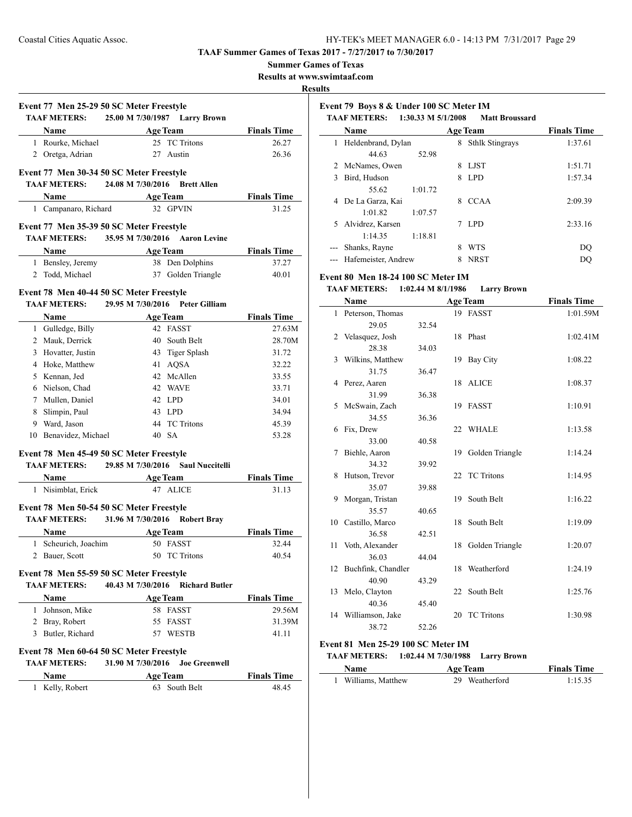**Summer Games of Texas**

**Results at www.swimtaaf.com**

**Results**

|                       |                                                   | R                  |
|-----------------------|---------------------------------------------------|--------------------|
|                       | Event 77 Men 25-29 50 SC Meter Freestyle          |                    |
|                       | <b>TAAF METERS:</b> 25.00 M 7/30/1987 Larry Brown |                    |
| Name                  | <b>Age Team</b>                                   | <b>Finals Time</b> |
| 1 Rourke, Michael     | 25 TC Tritons                                     | 26.27              |
| 2 Oretga, Adrian      | 27 Austin                                         | 26.36              |
|                       |                                                   |                    |
|                       | Event 77 Men 30-34 50 SC Meter Freestyle          |                    |
| <b>TAAF METERS:</b>   | 24.08 M 7/30/2016 Brett Allen                     |                    |
|                       | Name Age Team                                     | <b>Finals Time</b> |
| 1 Campanaro, Richard  | 32 GPVIN                                          | 31.25              |
|                       | Event 77 Men 35-39 50 SC Meter Freestyle          |                    |
| TAAF METERS:          | 35.95 M 7/30/2016 Aaron Levine                    |                    |
| Name                  | <b>Age Team</b>                                   | <b>Finals Time</b> |
| 1 Bensley, Jeremy     | 38 Den Dolphins                                   | 37.27              |
| 2 Todd, Michael       | 37 Golden Triangle                                | 40.01              |
|                       |                                                   |                    |
|                       | Event 78 Men 40-44 50 SC Meter Freestyle          |                    |
| <b>TAAF METERS:</b>   | 29.95 M 7/30/2016 Peter Gilliam                   |                    |
| Name                  | <b>Age Team</b>                                   | <b>Finals Time</b> |
| 1 Gulledge, Billy     | 42 FASST                                          | 27.63M             |
| 2 Mauk, Derrick       | 40 South Belt                                     | 28.70M             |
| 3 Hovatter, Justin    | 43 Tiger Splash                                   | 31.72              |
| 4 Hoke, Matthew       | 41 AQSA                                           | 32.22              |
| 5 Kennan, Jed         | 42 McAllen                                        | 33.55              |
| 6 Nielson, Chad       | 42 WAVE                                           | 33.71              |
| 7 Mullen, Daniel      | 42 LPD                                            | 34.01              |
| 8 Slimpin, Paul       | 43 LPD                                            | 34.94              |
| 9 Ward, Jason         | 44 TC Tritons                                     | 45.39              |
| 10 Benavidez, Michael | 40 SA                                             | 53.28              |
|                       | Event 78 Men 45-49 50 SC Meter Freestyle          |                    |
|                       | TAAF METERS: 29.85 M 7/30/2016 Saul Nuccitelli    |                    |
| Name                  | <b>Age Team</b>                                   | <b>Finals Time</b> |
| 1 Nisimblat, Erick    | 47 ALICE                                          | 31.13              |
|                       |                                                   |                    |
|                       | Event 78 Men 50-54 50 SC Meter Freestyle          |                    |
| <b>TAAF METERS:</b>   | 31.96 M 7/30/2016 Robert Bray                     |                    |
| Name                  | <b>Age Team</b>                                   | <b>Finals Time</b> |
| 1 Scheurich, Joachim  | 50 FASST                                          | 32.44              |
| 2 Bauer, Scott        | 50 TC Tritons                                     | 40.54              |
|                       | Event 78 Men 55-59 50 SC Meter Freestyle          |                    |
| <b>TAAF METERS:</b>   | 40.43 M 7/30/2016<br><b>Richard Butler</b>        |                    |
| Name                  | <b>Age Team</b>                                   | <b>Finals Time</b> |
| 1 Johnson, Mike       | 58 FASST                                          | 29.56M             |
| 2 Bray, Robert        | 55<br>FASST                                       | 31.39M             |
| 3 Butler, Richard     | 57<br>WESTB                                       | 41.11              |
|                       |                                                   |                    |
|                       | Event 78 Men 60-64 50 SC Meter Freestyle          |                    |
| <b>TAAF METERS:</b>   | 31.90 M 7/30/2016<br><b>Joe Greenwell</b>         |                    |
| Name                  | <b>Age Team</b>                                   | <b>Finals Time</b> |
| 1 Kelly, Robert       | 63 South Belt                                     | 48.45              |
|                       |                                                   |                    |

| Event 79 Boys 8 & Under 100 SC Meter IM<br>$1:30.33 \text{ M } 5/1/2008$<br>TAAF METERS:<br><b>Matt Broussard</b> |                     |         |   |                        |                    |
|-------------------------------------------------------------------------------------------------------------------|---------------------|---------|---|------------------------|--------------------|
|                                                                                                                   | Name                |         |   | <b>Age Team</b>        | <b>Finals Time</b> |
| 1                                                                                                                 | Heldenbrand, Dylan  |         | 8 | <b>Sthlk Stingrays</b> | 1:37.61            |
|                                                                                                                   | 44.63               | 52.98   |   |                        |                    |
|                                                                                                                   | 2 McNames, Owen     |         | 8 | <b>LJST</b>            | 1:51.71            |
| 3                                                                                                                 | Bird, Hudson        |         | 8 | LPD.                   | 1:57.34            |
|                                                                                                                   | 55.62               | 1:01.72 |   |                        |                    |
| 4                                                                                                                 | De La Garza, Kai    |         | 8 | <b>CCAA</b>            | 2:09.39            |
|                                                                                                                   | 1:01.82             | 1:07.57 |   |                        |                    |
| 5                                                                                                                 | Alvidrez, Karsen    |         |   | LPD.                   | 2:33.16            |
|                                                                                                                   | 1:14.35             | 1:18.81 |   |                        |                    |
|                                                                                                                   | Shanks, Rayne       |         | 8 | WTS                    | DO                 |
|                                                                                                                   | Hafemeister, Andrew |         |   | <b>NRST</b>            | DO                 |
|                                                                                                                   |                     |         |   |                        |                    |

# **Event 80 Men 18-24 100 SC Meter IM**

## **TAAF METERS: 1:02.44 M 8/1/1986 Larry Brown**

|    | Name                  |       |    | <b>Age Team</b>   | <b>Finals Time</b> |
|----|-----------------------|-------|----|-------------------|--------------------|
| 1  | Peterson, Thomas      |       |    | 19 FASST          | 1:01.59M           |
|    | 29.05                 | 32.54 |    |                   |                    |
| 2  | Velasquez, Josh       |       |    | 18 Phast          | 1:02.41M           |
|    | 28.38                 | 34.03 |    |                   |                    |
| 3  | Wilkins, Matthew      |       | 19 | Bay City          | 1:08.22            |
|    | 31.75                 | 36.47 |    |                   |                    |
| 4  | Perez, Aaren          |       | 18 | ALICE             | 1:08.37            |
|    | 31.99                 | 36.38 |    |                   |                    |
| 5  | McSwain, Zach         |       | 19 | FASST             | 1:10.91            |
|    | 34.55                 | 36.36 |    |                   |                    |
| 6  | Fix, Drew             |       |    | 22 WHALE          | 1:13.58            |
|    | 33.00                 | 40.58 |    |                   |                    |
| 7  | Biehle, Aaron         |       | 19 | Golden Triangle   | 1:14.24            |
|    | 34.32                 | 39.92 |    |                   |                    |
| 8  | Hutson, Trevor        |       | 22 | <b>TC</b> Tritons | 1:14.95            |
|    | 35.07                 | 39.88 |    |                   |                    |
| 9  | Morgan, Tristan       |       | 19 | South Belt        | 1:16.22            |
|    | 35.57                 | 40.65 |    |                   |                    |
| 10 | Castillo, Marco       |       | 18 | South Belt        | 1:19.09            |
|    | 36.58                 | 42.51 |    |                   |                    |
| 11 | Voth, Alexander       |       | 18 | Golden Triangle   | 1:20.07            |
|    | 36.03                 | 44.04 |    |                   |                    |
|    | 12 Buchfink, Chandler |       | 18 | Weatherford       | 1:24.19            |
|    | 40.90                 | 43.29 |    |                   |                    |
| 13 | Melo, Clayton         |       | 22 | South Belt        | 1:25.76            |
|    | 40.36                 | 45.40 |    |                   |                    |
| 14 | Williamson, Jake      |       | 20 | <b>TC</b> Tritons | 1:30.98            |
|    | 38.72                 | 52.26 |    |                   |                    |

### **Event 81 Men 25-29 100 SC Meter IM**

 $\overline{\phantom{a}}$ 

### **TAAF METERS: 1:02.44 M 7/30/1988 Larry Brown**

| <b>Name</b>       | <b>Age Team</b> | <b>Finals Time</b> |  |
|-------------------|-----------------|--------------------|--|
| Williams, Matthew | 29 Weatherford  | 1:15.35            |  |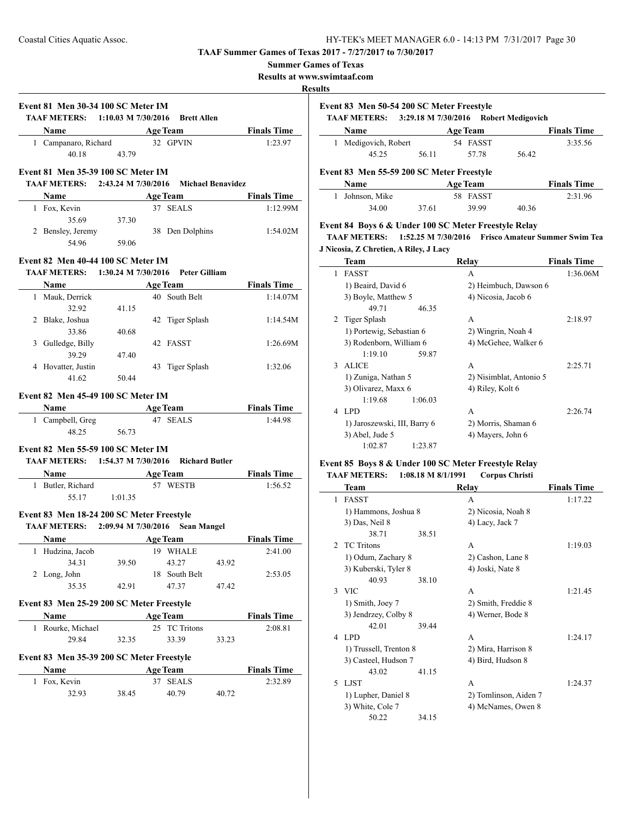#### **Summer Games of Texas**

**Results at www.swimtaaf.com**

#### **Results**

 $\overline{\phantom{a}}$ 

 $\overline{\phantom{0}}$ 

|                                                                                                                                 | <b>TAAF METERS:</b> 1:10.03 M 7/30/2016 Brett Allen |                 |       |                    |
|---------------------------------------------------------------------------------------------------------------------------------|-----------------------------------------------------|-----------------|-------|--------------------|
| <b>Name</b> Age Team Finals Time                                                                                                |                                                     |                 |       | 1:23.97            |
| 1 Campanaro, Richard 32 GPVIN<br>40.18 43.79                                                                                    |                                                     |                 |       |                    |
|                                                                                                                                 |                                                     |                 |       |                    |
| Event 81 Men 35-39 100 SC Meter IM                                                                                              |                                                     |                 |       |                    |
| TAAF METERS: 2:43.24 M 7/30/2016 Michael Benavidez                                                                              |                                                     |                 |       |                    |
| <b>Name</b> Age Team Finals Time                                                                                                |                                                     |                 |       |                    |
| 1 Fox, Kevin                                                                                                                    | 35.69 37.30                                         | 37 SEALS        |       | 1:12.99M           |
| 2 Bensley, Jeremy                                                                                                               |                                                     | 38 Den Dolphins |       | 1:54.02M           |
|                                                                                                                                 | 54.96 59.06                                         |                 |       |                    |
|                                                                                                                                 |                                                     |                 |       |                    |
| Event 82 Men 40-44 100 SC Meter IM                                                                                              |                                                     |                 |       |                    |
| <b>TAAF METERS:</b> 1:30.24 M 7/30/2016 Peter Gilliam                                                                           |                                                     |                 |       |                    |
| <b>Name</b> Age Team Finals Time<br>1 Mauk, Derrick                                                                             |                                                     | 40 South Belt   |       | 1:14.07M           |
|                                                                                                                                 | 32.92 41.15                                         |                 |       |                    |
| 2 Blake, Joshua                                                                                                                 |                                                     | 42 Tiger Splash |       | 1:14.54M           |
|                                                                                                                                 | 33.86 40.68                                         |                 |       |                    |
| 3 Gulledge, Billy                                                                                                               |                                                     | 42 FASST        |       | 1:26.69M           |
|                                                                                                                                 | 39.29 47.40                                         |                 |       |                    |
| 4 Hovatter, Justin                                                                                                              |                                                     | 43 Tiger Splash |       | 1:32.06            |
|                                                                                                                                 | 41.62 50.44                                         |                 |       |                    |
| Event 82 Men 45-49 100 SC Meter IM<br><b>Name</b><br>1 Campbell, Greg <b>Age Team</b><br>47 SEALS <b>Finals Time</b><br>1:44.98 |                                                     |                 |       |                    |
| Event 82 Men 55-59 100 SC Meter IM                                                                                              | $48.25$ 56.73                                       |                 |       |                    |
| TAAF METERS: 1:54.37 M 7/30/2016 Richard Butler                                                                                 |                                                     |                 |       |                    |
| <b>Name Age Team Finals Time</b>                                                                                                |                                                     |                 |       |                    |
| 1 Butler, Richard 57 WESTB                                                                                                      |                                                     |                 |       | 1:56.52            |
|                                                                                                                                 | 55.17 1:01.35                                       |                 |       |                    |
| Event 83 Men 18-24 200 SC Meter Freestyle                                                                                       |                                                     |                 |       |                    |
| TAAF METERS: 2:09.94 M 7/30/2016 Sean Mangel                                                                                    |                                                     |                 |       |                    |
| Name Age Team Finals Time                                                                                                       |                                                     |                 |       |                    |
| 1 Hudzina, Jacob 19 WHALE                                                                                                       |                                                     |                 |       | 2:41.00            |
| 34.31                                                                                                                           | 39.50                                               | 43.27           | 43.92 |                    |
| 2 Long, John                                                                                                                    |                                                     | 18 South Belt   |       | 2:53.05            |
| 35.35                                                                                                                           | 42.91                                               | 47.37           | 47.42 |                    |
| Event 83 Men 25-29 200 SC Meter Freestyle                                                                                       |                                                     |                 |       |                    |
| Name                                                                                                                            |                                                     | <b>Age Team</b> |       | <b>Finals Time</b> |
| 1 Rourke, Michael                                                                                                               |                                                     | 25 TC Tritons   |       | 2:08.81            |
| 29.84                                                                                                                           | 32.35                                               | 33.39           | 33.23 |                    |
| Event 83 Men 35-39 200 SC Meter Freestyle                                                                                       |                                                     |                 |       |                    |
| Name                                                                                                                            |                                                     | <b>Age Team</b> |       | <b>Finals Time</b> |
| 1 Fox, Kevin                                                                                                                    |                                                     | 37 SEALS        |       | 2:32.89            |

| Event 83 Men 50-54 200 SC Meter Freestyle<br>TAAF METERS: 3:29.18 M 7/30/2016<br><b>Robert Medigovich</b> |                                           |       |                 |       |                    |  |
|-----------------------------------------------------------------------------------------------------------|-------------------------------------------|-------|-----------------|-------|--------------------|--|
|                                                                                                           | <b>Name</b>                               |       | <b>Age Team</b> |       | <b>Finals Time</b> |  |
|                                                                                                           | Medigovich, Robert                        |       | 54 FASST        |       | 3:35.56            |  |
|                                                                                                           | 45.25                                     | 56.11 | 57.78           | 56.42 |                    |  |
|                                                                                                           | Event 83 Men 55-59 200 SC Meter Freestyle |       |                 |       |                    |  |
|                                                                                                           | Name                                      |       | <b>Age Team</b> |       | <b>Finals Time</b> |  |
|                                                                                                           | Johnson, Mike                             |       | 58 FASST        |       | 2:31.96            |  |
|                                                                                                           | 34.00                                     | 37.61 | 39.99           | 40.36 |                    |  |

### **Event 84 Boys 6 & Under 100 SC Meter Freestyle Relay**

**TAAF METERS: 1:52.25 M 7/30/2016 Frisco Amateur Summer Swim Tea J Nicosia, Z Chretien, A Riley, J Lacy**

|   | <b>Team</b>                  | Relay                   | <b>Finals Time</b> |
|---|------------------------------|-------------------------|--------------------|
| 1 | <b>FASST</b>                 | А                       | 1:36.06M           |
|   | 1) Beaird, David 6           | 2) Heimbuch, Dawson 6   |                    |
|   | 3) Boyle, Matthew 5          | 4) Nicosia, Jacob 6     |                    |
|   | 49.71<br>46.35               |                         |                    |
| 2 | Tiger Splash                 | A                       | 2:18.97            |
|   | 1) Portewig, Sebastian 6     | 2) Wingrin, Noah 4      |                    |
|   | 3) Rodenborn, William 6      | 4) McGehee, Walker 6    |                    |
|   | 1:19.10<br>59.87             |                         |                    |
| 3 | <b>ALICE</b>                 | A                       | 2:25.71            |
|   | 1) Zuniga, Nathan 5          | 2) Nisimblat, Antonio 5 |                    |
|   | 3) Olivarez, Maxx 6          | 4) Riley, Kolt 6        |                    |
|   | 1:19.68<br>1:06.03           |                         |                    |
| 4 | LPD.                         | A                       | 2:26.74            |
|   | 1) Jaroszewski, III, Barry 6 | 2) Morris, Shaman 6     |                    |
|   | 3) Abel, Jude 5              | 4) Mayers, John 6       |                    |
|   | 1:02.87<br>1:23.87           |                         |                    |

### **Event 85 Boys 8 & Under 100 SC Meter Freestyle Relay TAAF METERS: 1:08.18 M 8/1/1991 Corpus Christi**

|                | Team                   |       | Relay                 | <b>Finals Time</b> |
|----------------|------------------------|-------|-----------------------|--------------------|
| 1              | <b>FASST</b>           |       | A                     | 1:17.22            |
|                | 1) Hammons, Joshua 8   |       | 2) Nicosia, Noah 8    |                    |
|                | 3) Das, Neil 8         |       | 4) Lacy, Jack 7       |                    |
|                | 38.71                  | 38.51 |                       |                    |
| $\mathfrak{D}$ | <b>TC Tritons</b>      |       | A                     | 1:19.03            |
|                | 1) Odum, Zachary 8     |       | 2) Cashon, Lane 8     |                    |
|                | 3) Kuberski, Tyler 8   |       | 4) Joski, Nate 8      |                    |
|                | 40.93                  | 38.10 |                       |                    |
|                | 3 VIC                  |       | A                     | 1:21.45            |
|                | 1) Smith, Joey 7       |       | 2) Smith, Freddie 8   |                    |
|                | 3) Jendrzey, Colby 8   |       | 4) Werner, Bode 8     |                    |
|                | 42.01                  | 39.44 |                       |                    |
| 4              | LPD.                   |       | A                     | 1:24.17            |
|                | 1) Trussell, Trenton 8 |       | 2) Mira, Harrison 8   |                    |
|                | 3) Casteel, Hudson 7   |       | 4) Bird, Hudson 8     |                    |
|                | 43.02                  | 41.15 |                       |                    |
| 5              | <b>LJST</b>            |       | A                     | 1:24.37            |
|                | 1) Lupher, Daniel 8    |       | 2) Tomlinson, Aiden 7 |                    |
|                | 3) White, Cole 7       |       | 4) McNames, Owen 8    |                    |
|                | 50.22                  | 34.15 |                       |                    |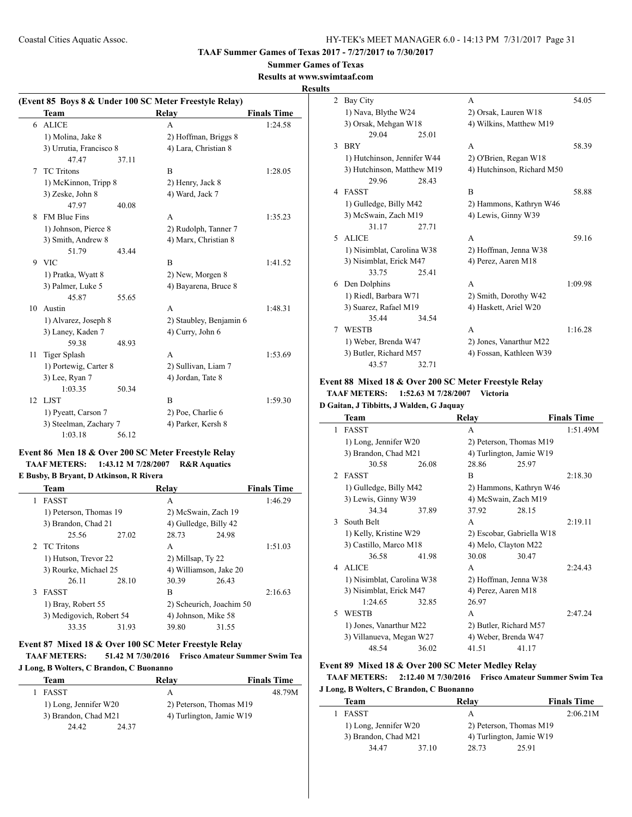**TAAF Summer Games of Texas 2017 - 7/27/2017 to 7/30/2017**

#### **Summer Games of Texas**

**Results at www.swimtaaf.com**

#### **Results**

| (Event 85 Boys 8 & Under 100 SC Meter Freestyle Relay) |                         |       |                         |                    |  |
|--------------------------------------------------------|-------------------------|-------|-------------------------|--------------------|--|
|                                                        | Team                    |       | Relay                   | <b>Finals Time</b> |  |
| 6                                                      | <b>ALICE</b>            |       | A                       | 1:24.58            |  |
|                                                        | 1) Molina, Jake 8       |       | 2) Hoffman, Briggs 8    |                    |  |
|                                                        | 3) Urrutia, Francisco 8 |       | 4) Lara, Christian 8    |                    |  |
|                                                        | 47.47                   | 37.11 |                         |                    |  |
| 7                                                      | <b>TC</b> Tritons       |       | B                       | 1:28.05            |  |
|                                                        | 1) McKinnon, Tripp 8    |       | 2) Henry, Jack 8        |                    |  |
|                                                        | 3) Zeske, John 8        |       | 4) Ward, Jack 7         |                    |  |
|                                                        | 47.97                   | 40.08 |                         |                    |  |
| 8                                                      | <b>FM Blue Fins</b>     |       | A                       | 1:35.23            |  |
|                                                        | 1) Johnson, Pierce 8    |       | 2) Rudolph, Tanner 7    |                    |  |
|                                                        | 3) Smith, Andrew 8      |       | 4) Marx, Christian 8    |                    |  |
|                                                        | 51.79                   | 43.44 |                         |                    |  |
| 9                                                      | <b>VIC</b>              |       | B                       | 1:41.52            |  |
|                                                        | 1) Pratka, Wyatt 8      |       | 2) New, Morgen 8        |                    |  |
|                                                        | 3) Palmer, Luke 5       |       | 4) Bayarena, Bruce 8    |                    |  |
|                                                        | 45.87                   | 55.65 |                         |                    |  |
| 10                                                     | Austin                  |       | A                       | 1:48.31            |  |
|                                                        | 1) Alvarez, Joseph 8    |       | 2) Staubley, Benjamin 6 |                    |  |
|                                                        | 3) Laney, Kaden 7       |       | 4) Curry, John 6        |                    |  |
|                                                        | 59.38                   | 48.93 |                         |                    |  |
| 11                                                     | <b>Tiger Splash</b>     |       | A                       | 1:53.69            |  |
|                                                        | 1) Portewig, Carter 8   |       | 2) Sullivan, Liam 7     |                    |  |
|                                                        | 3) Lee, Ryan 7          |       | 4) Jordan, Tate 8       |                    |  |
|                                                        | 1:03.35                 | 50.34 |                         |                    |  |
|                                                        | 12 LJST                 |       | B                       | 1:59.30            |  |
|                                                        | 1) Pyeatt, Carson 7     |       | 2) Poe, Charlie 6       |                    |  |
|                                                        | 3) Steelman, Zachary 7  |       | 4) Parker, Kersh 8      |                    |  |
|                                                        | 1:03.18                 | 56.12 |                         |                    |  |

# **Event 86 Men 18 & Over 200 SC Meter Freestyle Relay TAAF METERS: 1:43.12 M 7/28/2007 R&R Aquatics**

### **E Busby, B Bryant, D Atkinson, R Rivera**

|   | Team                     |       | Relay                    |       | <b>Finals Time</b> |
|---|--------------------------|-------|--------------------------|-------|--------------------|
| 1 | <b>FASST</b>             |       | А                        |       | 1:46.29            |
|   | 1) Peterson, Thomas 19   |       | 2) McSwain, Zach 19      |       |                    |
|   | 3) Brandon, Chad 21      |       | 4) Gulledge, Billy 42    |       |                    |
|   | 25.56                    | 27.02 | 28.73                    | 24.98 |                    |
|   | 2 TC Tritons             |       | A                        |       | 1:51.03            |
|   | 1) Hutson, Trevor 22     |       | 2) Millsap, Ty 22        |       |                    |
|   | 3) Rourke, Michael 25    |       | 4) Williamson, Jake 20   |       |                    |
|   | 26.11                    | 28.10 | 30.39                    | 26.43 |                    |
| 3 | <b>FASST</b>             |       | B                        |       | 2:16.63            |
|   | 1) Bray, Robert 55       |       | 2) Scheurich, Joachim 50 |       |                    |
|   | 3) Medigovich, Robert 54 |       | 4) Johnson, Mike 58      |       |                    |
|   | 33.35                    | 31.93 | 39.80                    | 31.55 |                    |
|   |                          |       |                          |       |                    |

# **Event 87 Mixed 18 & Over 100 SC Meter Freestyle Relay TAAF METERS: 51.42 M 7/30/2016 Frisco Amateur Summer Swim Tea**

### **J Long, B Wolters, C Brandon, C Buonanno**

| Team                  | Relav                    | <b>Finals Time</b> |
|-----------------------|--------------------------|--------------------|
| <b>FASST</b>          | А                        | 48.79M             |
| 1) Long, Jennifer W20 | 2) Peterson, Thomas M19  |                    |
| 3) Brandon, Chad M21  | 4) Turlington, Jamie W19 |                    |
| 24.42<br>24 37        |                          |                    |

| 2 | Bay City                    |       | A                          | 54.05   |
|---|-----------------------------|-------|----------------------------|---------|
|   | 1) Nava, Blythe W24         |       | 2) Orsak, Lauren W18       |         |
|   | 3) Orsak, Mehgan W18        |       | 4) Wilkins, Matthew M19    |         |
|   | 29.04                       | 25.01 |                            |         |
| 3 | <b>BRY</b>                  |       | A                          | 58.39   |
|   | 1) Hutchinson, Jennifer W44 |       | 2) O'Brien, Regan W18      |         |
|   | 3) Hutchinson, Matthew M19  |       | 4) Hutchinson, Richard M50 |         |
|   | 29.96                       | 28.43 |                            |         |
| 4 | <b>FASST</b>                |       | B                          | 58.88   |
|   | 1) Gulledge, Billy M42      |       | 2) Hammons, Kathryn W46    |         |
|   | 3) McSwain, Zach M19        |       | 4) Lewis, Ginny W39        |         |
|   | 31.17                       | 27.71 |                            |         |
| 5 | <b>ALICE</b>                |       | A                          | 59.16   |
|   | 1) Nisimblat, Carolina W38  |       | 2) Hoffman, Jenna W38      |         |
|   | 3) Nisimblat, Erick M47     |       | 4) Perez, Aaren M18        |         |
|   | 33.75                       | 25.41 |                            |         |
| 6 | Den Dolphins                |       | A                          | 1:09.98 |
|   | 1) Riedl, Barbara W71       |       | 2) Smith, Dorothy W42      |         |
|   | 3) Suarez, Rafael M19       |       | 4) Haskett, Ariel W20      |         |
|   | 35.44                       | 34.54 |                            |         |
| 7 | <b>WESTB</b>                |       | A                          | 1:16.28 |
|   | 1) Weber, Brenda W47        |       | 2) Jones, Vanarthur M22    |         |
|   | 3) Butler, Richard M57      |       | 4) Fossan, Kathleen W39    |         |
|   | 43.57                       | 32.71 |                            |         |

#### **Event 88 Mixed 18 & Over 200 SC Meter Freestyle Relay TAAF METERS: 1:52.63 M 7/28/2007 Victoria**

**D Gaitan, J Tibbitts, J Walden, G Jaquay**

|                | <b>Team</b>                |       | Relay                     |                         | <b>Finals Time</b> |
|----------------|----------------------------|-------|---------------------------|-------------------------|--------------------|
| 1              | <b>FASST</b>               |       | A                         |                         | 1:51.49M           |
|                | 1) Long, Jennifer W20      |       | 2) Peterson, Thomas M19   |                         |                    |
|                | 3) Brandon, Chad M21       |       | 4) Turlington, Jamie W19  |                         |                    |
|                | 30.58                      | 26.08 | 28.86                     | 25.97                   |                    |
| $\mathfrak{D}$ | <b>FASST</b>               |       | R                         |                         | 2:18.30            |
|                | 1) Gulledge, Billy M42     |       |                           | 2) Hammons, Kathryn W46 |                    |
|                | 3) Lewis, Ginny W39        |       | 4) McSwain, Zach M19      |                         |                    |
|                | 34.34                      | 37.89 | 37.92                     | 28.15                   |                    |
| $\mathcal{F}$  | South Belt                 |       | A                         |                         | 2:19.11            |
|                | 1) Kelly, Kristine W29     |       | 2) Escobar, Gabriella W18 |                         |                    |
|                | 3) Castillo, Marco M18     |       | 4) Melo, Clayton M22      |                         |                    |
|                | 36.58                      | 41.98 | 30.08                     | 30.47                   |                    |
| 4              | <b>ALICE</b>               |       | A                         |                         | 2:24.43            |
|                | 1) Nisimblat, Carolina W38 |       | 2) Hoffman, Jenna W38     |                         |                    |
|                | 3) Nisimblat, Erick M47    |       | 4) Perez, Aaren M18       |                         |                    |
|                | 1:24.65                    | 32.85 | 26.97                     |                         |                    |
| 5.             | WESTB                      |       | A                         |                         | 2:47.24            |
|                | 1) Jones, Vanarthur M22    |       | 2) Butler, Richard M57    |                         |                    |
|                | 3) Villanueva, Megan W27   |       | 4) Weber, Brenda W47      |                         |                    |
|                | 48.54                      | 36.02 | 41.51                     | 41.17                   |                    |

### **Event 89 Mixed 18 & Over 200 SC Meter Medley Relay TAAF METERS: 2:12.40 M 7/30/2016 Frisco Amateur Summer Swim Tea**

#### **J Long, B Wolters, C Brandon, C Buonanno**

| Team                  |       | Relay                    | <b>Finals Time</b> |
|-----------------------|-------|--------------------------|--------------------|
| <b>FASST</b>          |       | А                        | 2:06.21M           |
| 1) Long, Jennifer W20 |       | 2) Peterson, Thomas M19  |                    |
| 3) Brandon, Chad M21  |       | 4) Turlington, Jamie W19 |                    |
| 34 47                 | 37.10 | 28.73                    | 25.91              |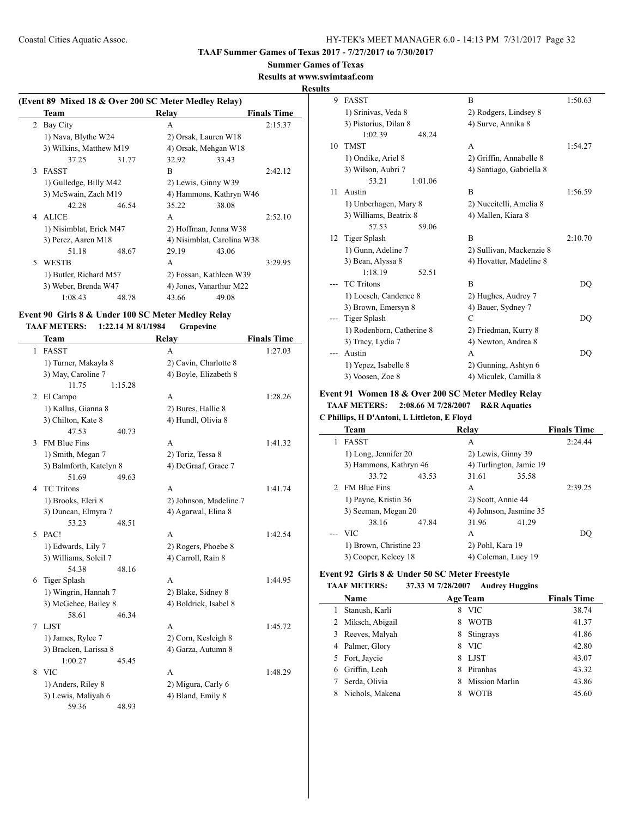#### **Summer Games of Texas**

**Results at www.swimtaaf.com**

#### **Results**

 $\overline{a}$ 

## **(Event 89 Mixed 18 & Over 200 SC Meter Medley Relay) Team Relay Finals Time** 2 Bay City A 2:15.37 1) Nava, Blythe W24 2) Orsak, Lauren W18 3) Wilkins, Matthew M19 4) Orsak, Mehgan W18 37.25 31.77 32.92 33.43 3 FASST B 2:42.12 1) Gulledge, Billy M42 2) Lewis, Ginny W39 3) McSwain, Zach M19 4) Hammons, Kathryn W46 42.28 46.54 35.22 38.08 4 ALICE A 2:52.10 1) Nisimblat, Erick M47 2) Hoffman, Jenna W38 3) Perez, Aaren M18 4) Nisimblat, Carolina W38 51.18 48.67 29.19 43.06 5 WESTB A 3:29.95 1) Butler, Richard M57 2) Fossan, Kathleen W39 3) Weber, Brenda W47 4) Jones, Vanarthur M22 1:08.43 48.78 43.66 49.08

#### **Event 90 Girls 8 & Under 100 SC Meter Medley Relay TAAF METERS: 1:22.14 M 8/1/1984 Grapevine**

|   | Team                    |         | Relay                  | <b>Finals Time</b> |
|---|-------------------------|---------|------------------------|--------------------|
| 1 | <b>FASST</b>            |         | A                      | 1:27.03            |
|   | 1) Turner, Makayla 8    |         | 2) Cavin, Charlotte 8  |                    |
|   | 3) May, Caroline 7      |         | 4) Boyle, Elizabeth 8  |                    |
|   | 11.75                   | 1:15.28 |                        |                    |
|   | 2 El Campo              |         | А                      | 1:28.26            |
|   | 1) Kallus, Gianna 8     |         | 2) Bures, Hallie 8     |                    |
|   | 3) Chilton, Kate 8      |         | 4) Hundl, Olivia 8     |                    |
|   | 47.53                   | 40.73   |                        |                    |
| 3 | <b>FM Blue Fins</b>     |         | A                      | 1:41.32            |
|   | 1) Smith, Megan 7       |         | 2) Toriz, Tessa 8      |                    |
|   | 3) Balmforth, Katelyn 8 |         | 4) DeGraaf, Grace 7    |                    |
|   | 51.69                   | 49.63   |                        |                    |
| 4 | <b>TC</b> Tritons       |         | A                      | 1:41.74            |
|   | 1) Brooks, Eleri 8      |         | 2) Johnson, Madeline 7 |                    |
|   | 3) Duncan, Elmyra 7     |         | 4) Agarwal, Elina 8    |                    |
|   | 53.23                   | 48.51   |                        |                    |
| 5 | PAC!                    |         | А                      | 1:42.54            |
|   | 1) Edwards, Lily 7      |         | 2) Rogers, Phoebe 8    |                    |
|   | 3) Williams, Soleil 7   |         | 4) Carroll, Rain 8     |                    |
|   | 54.38                   | 48.16   |                        |                    |
| 6 | Tiger Splash            |         | A                      | 1:44.95            |
|   | 1) Wingrin, Hannah 7    |         | 2) Blake, Sidney 8     |                    |
|   | 3) McGehee, Bailey 8    |         | 4) Boldrick, Isabel 8  |                    |
|   | 58.61                   | 46.34   |                        |                    |
| 7 | <b>LJST</b>             |         | A                      | 1:45.72            |
|   | 1) James, Rylee 7       |         | 2) Corn, Kesleigh 8    |                    |
|   | 3) Bracken, Larissa 8   |         | 4) Garza, Autumn 8     |                    |
|   | 1:00.27                 | 45.45   |                        |                    |
| 8 | <b>VIC</b>              |         | A                      | 1:48.29            |
|   | 1) Anders, Riley 8      |         | 2) Migura, Carly 6     |                    |
|   | 3) Lewis, Maliyah 6     |         | 4) Bland, Emily 8      |                    |
|   | 59.36                   | 48.93   |                        |                    |

| 9  | <b>FASST</b>              | B                        | 1:50.63 |
|----|---------------------------|--------------------------|---------|
|    | 1) Srinivas, Veda 8       | 2) Rodgers, Lindsey 8    |         |
|    | 3) Pistorius, Dilan 8     | 4) Surve, Annika 8       |         |
|    | 1:02.39<br>48.24          |                          |         |
| 10 | <b>TMST</b>               | A                        | 1:54.27 |
|    | 1) Ondike, Ariel 8        | 2) Griffin, Annabelle 8  |         |
|    | 3) Wilson, Aubri 7        | 4) Santiago, Gabriella 8 |         |
|    | 53.21<br>1:01.06          |                          |         |
| 11 | Austin                    | B                        | 1:56.59 |
|    | 1) Unberhagen, Mary 8     | 2) Nuccitelli, Amelia 8  |         |
|    | 3) Williams, Beatrix 8    | 4) Mallen, Kiara 8       |         |
|    | 57.53<br>59.06            |                          |         |
| 12 | Tiger Splash              | B                        | 2:10.70 |
|    | 1) Gunn, Adeline 7        | 2) Sullivan, Mackenzie 8 |         |
|    | 3) Bean, Alyssa 8         | 4) Hovatter, Madeline 8  |         |
|    | 1:18.19<br>52.51          |                          |         |
|    | <b>TC</b> Tritons         | B                        | DQ      |
|    | 1) Loesch, Candence 8     | 2) Hughes, Audrey 7      |         |
|    | 3) Brown, Emersyn 8       | 4) Bauer, Sydney 7       |         |
|    | Tiger Splash              | $\mathcal{C}$            | DQ      |
|    | 1) Rodenborn, Catherine 8 | 2) Friedman, Kurry 8     |         |
|    | 3) Tracy, Lydia 7         | 4) Newton, Andrea 8      |         |
|    | Austin                    | A                        | DQ      |
|    | 1) Yepez, Isabelle 8      | 2) Gunning, Ashtyn 6     |         |
|    | 3) Voosen, Zoe 8          | 4) Miculek, Camilla 8    |         |

### **Event 91 Women 18 & Over 200 SC Meter Medley Relay TAAF METERS: 2:08.66 M 7/28/2007 R&R Aquatics**

#### **C Phillips, H D'Antoni, L Littleton, E Floyd**

| <b>Team</b>            | Relay                   | <b>Finals Time</b> |
|------------------------|-------------------------|--------------------|
| <b>FASST</b>           | A                       | 2:24.44            |
| 1) Long, Jennifer 20   | 2) Lewis, Ginny 39      |                    |
| 3) Hammons, Kathryn 46 | 4) Turlington, Jamie 19 |                    |
| 33.72<br>43.53         | 35.58<br>31.61          |                    |
| <b>FM Blue Fins</b>    | A                       | 2:39.25            |
| 1) Payne, Kristin 36   | 2) Scott, Annie 44      |                    |
| 3) Seeman, Megan 20    | 4) Johnson, Jasmine 35  |                    |
| 38.16<br>47.84         | 31.96<br>41.29          |                    |
| $-$ VIC                | A                       | DO                 |
| 1) Brown, Christine 23 | 2) Pohl, Kara 19        |                    |
| 3) Cooper, Kelcey 18   | 4) Coleman, Lucy 19     |                    |

#### **Event 92 Girls 8 & Under 50 SC Meter Freestyle**

#### **TAAF METERS: 37.33 M 7/28/2007 Audrey Huggins**

|    | <b>Name</b>       |   | <b>Age Team</b>       | <b>Finals Time</b> |
|----|-------------------|---|-----------------------|--------------------|
|    | Stanush, Karli    | 8 | <b>VIC</b>            | 38.74              |
|    | 2 Miksch, Abigail | 8 | <b>WOTB</b>           | 41.37              |
| 3  | Reeves, Malyah    | 8 | Stingrays             | 41.86              |
|    | 4 Palmer, Glory   | 8 | <b>VIC</b>            | 42.80              |
| 5. | Fort, Jaycie      | 8 | <b>LJST</b>           | 43.07              |
|    | Griffin, Leah     | 8 | Piranhas              | 43.32              |
|    | Serda, Olivia     | 8 | <b>Mission Marlin</b> | 43.86              |
|    | Nichols, Makena   |   | WOTB                  | 45.60              |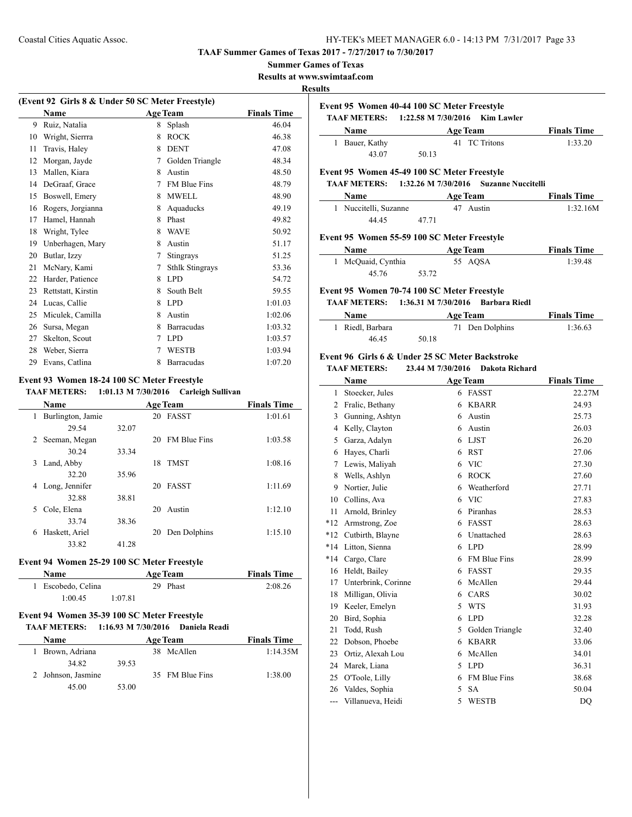**TAAF Summer Games of Texas 2017 - 7/27/2017 to 7/30/2017**

#### **Summer Games of Texas**

**Results at www.swimtaaf.com**

#### **Results**

 $\overline{a}$ 

 $\overline{\phantom{a}}$ 

 $\mathcal{L}$ 

|    | (Event 92 Girls 8 & Under 50 SC Meter Freestyle) |   |                        |                    |
|----|--------------------------------------------------|---|------------------------|--------------------|
|    | <b>Name</b>                                      |   | <b>Age Team</b>        | <b>Finals Time</b> |
| 9  | Ruiz, Natalia                                    | 8 | Splash                 | 46.04              |
| 10 | Wright, Sierrra                                  | 8 | <b>ROCK</b>            | 46.38              |
| 11 | Travis, Haley                                    | 8 | <b>DENT</b>            | 47.08              |
| 12 | Morgan, Jayde                                    | 7 | Golden Triangle        | 48.34              |
| 13 | Mallen, Kiara                                    | 8 | Austin                 | 48.50              |
| 14 | DeGraaf, Grace                                   | 7 | <b>FM Blue Fins</b>    | 48.79              |
| 15 | Boswell, Emery                                   | 8 | <b>MWELL</b>           | 48.90              |
| 16 | Rogers, Jorgianna                                | 8 | Aquaducks              | 49.19              |
| 17 | Hamel, Hannah                                    | 8 | Phast                  | 49.82              |
| 18 | Wright, Tylee                                    | 8 | <b>WAVE</b>            | 50.92              |
| 19 | Unberhagen, Mary                                 | 8 | Austin                 | 51.17              |
| 20 | Butlar, Izzy                                     | 7 | Stingrays              | 51.25              |
| 21 | McNary, Kami                                     | 7 | <b>Sthlk Stingrays</b> | 53.36              |
| 22 | Harder, Patience                                 | 8 | <b>LPD</b>             | 54.72              |
| 23 | Rettstatt, Kirstin                               | 8 | South Belt             | 59.55              |
| 24 | Lucas, Callie                                    | 8 | <b>LPD</b>             | 1:01.03            |
| 25 | Miculek, Camilla                                 | 8 | Austin                 | 1:02.06            |
| 26 | Sursa, Megan                                     | 8 | Barracudas             | 1:03.32            |
| 27 | Skelton, Scout                                   | 7 | LPD.                   | 1:03.57            |
| 28 | Weber, Sierra                                    | 7 | <b>WESTB</b>           | 1:03.94            |
| 29 | Evans, Catlina                                   | 8 | Barracudas             | 1:07.20            |
|    |                                                  |   |                        |                    |

# **Event 93 Women 18-24 100 SC Meter Freestyle**

### **TAAF METERS: 1:01.13 M 7/30/2016 Carleigh Sullivan**

| <b>Name</b>            |       |    | <b>Age Team</b>     | <b>Finals Time</b> |
|------------------------|-------|----|---------------------|--------------------|
| Burlington, Jamie<br>1 |       |    | 20 FASST            | 1:01.61            |
| 29.54                  | 32.07 |    |                     |                    |
| Seeman, Megan<br>2     |       | 20 | <b>FM Blue Fins</b> | 1:03.58            |
| 30.24                  | 33.34 |    |                     |                    |
| Land, Abby<br>3        |       |    | 18 TMST             | 1:08.16            |
| 32.20                  | 35.96 |    |                     |                    |
| Long, Jennifer<br>4    |       | 20 | FASST               | 1:11.69            |
| 32.88                  | 38.81 |    |                     |                    |
| Cole, Elena<br>5       |       | 20 | Austin              | 1:12.10            |
| 33.74                  | 38.36 |    |                     |                    |
| Haskett, Ariel<br>6    |       | 20 | Den Dolphins        | 1:15.10            |
| 33.82                  | 41.28 |    |                     |                    |

### **Event 94 Women 25-29 100 SC Meter Freestyle**

| <b>Name</b>        | <b>Age Team</b> | <b>Finals Time</b> |  |
|--------------------|-----------------|--------------------|--|
| 1 Escobedo, Celina | 29 Phast        | 2:08.26            |  |
| 1:00.45            | 1:07.81         |                    |  |

#### **Event 94 Women 35-39 100 SC Meter Freestyle TAAF METERS: 1:16.93 M 7/30/2016 Daniela Readi**

| Name               |       | <b>Age Team</b> | <b>Finals Time</b> |
|--------------------|-------|-----------------|--------------------|
| 1 Brown, Adriana   |       | 38 McAllen      | 1:14.35M           |
| 34.82              | 39.53 |                 |                    |
| 2 Johnson, Jasmine |       | 35 FM Blue Fins | 1:38.00            |
| 45.00              | 53.00 |                 |                    |

|                | TAAF METERS: 1:22.58 M 7/30/2016 Kim Lawler |                 |                    |
|----------------|---------------------------------------------|-----------------|--------------------|
| <b>Name</b>    |                                             | <b>Age Team</b> | <b>Finals Time</b> |
| 1 Bauer, Kathy |                                             | 41 TC Tritons   | 1:33.20            |
| 43.07          | 50.13                                       |                 |                    |

### **Event 95 Women 45-49 100 SC Meter Freestyle TAAF METERS: 1:32.26 M 7/30/2016 Suzanne Nuccitelli**

| ----------------<br>******************* |           |                    |  |  |  |
|-----------------------------------------|-----------|--------------------|--|--|--|
| <b>Name</b>                             | Age Team  | <b>Finals Time</b> |  |  |  |
| 1 Nuccitelli, Suzanne                   | 47 Austin | 1:32.16M           |  |  |  |
| 44.45                                   | 47.71     |                    |  |  |  |

# **Event 95 Women 55-59 100 SC Meter Freestyle**

| <b>Name</b>        |       | Age Team | <b>Finals Time</b> |
|--------------------|-------|----------|--------------------|
| 1 McQuaid, Cynthia |       | 55 AQSA  | 1:39.48            |
| 45.76              | 53.72 |          |                    |

### **Event 95 Women 70-74 100 SC Meter Freestyle**

### **TAAF METERS: 1:36.31 M 7/30/2016 Barbara Riedl**

| <b>Name</b>      |       | <b>Age Team</b> | <b>Finals Time</b> |
|------------------|-------|-----------------|--------------------|
| 1 Riedl, Barbara |       | 71 Den Dolphins | 1:36.63            |
| 46.45            | 50.18 |                 |                    |

### **Event 96 Girls 6 & Under 25 SC Meter Backstroke TAAF METERS: 23.44 M 7/30/2016 Dakota Richard**

|                | Name                |   | <b>Age Team</b>     | <b>Finals Time</b> |
|----------------|---------------------|---|---------------------|--------------------|
| 1              | Stoecker, Jules     | 6 | <b>FASST</b>        | 22.27M             |
| $\overline{c}$ | Fralic, Bethany     | 6 | <b>KBARR</b>        | 24.93              |
| 3              | Gunning, Ashtyn     | 6 | Austin              | 25.73              |
| 4              | Kelly, Clayton      | 6 | Austin              | 26.03              |
| 5              | Garza, Adalyn       | 6 | <b>LJST</b>         | 26.20              |
| 6              | Hayes, Charli       | 6 | <b>RST</b>          | 27.06              |
| 7              | Lewis, Maliyah      | 6 | <b>VIC</b>          | 27.30              |
| 8              | Wells, Ashlyn       | 6 | <b>ROCK</b>         | 27.60              |
| 9              | Nortier, Julie      | 6 | Weatherford         | 27.71              |
| 10             | Collins, Ava        | 6 | <b>VIC</b>          | 27.83              |
| 11             | Arnold, Brinley     | 6 | Piranhas            | 28.53              |
| $*12$          | Armstrong, Zoe      | 6 | <b>FASST</b>        | 28.63              |
| $*12$          | Cutbirth, Blayne    | 6 | Unattached          | 28.63              |
| *14            | Litton, Sienna      | 6 | <b>LPD</b>          | 28.99              |
| $*14$          | Cargo, Clare        | 6 | <b>FM Blue Fins</b> | 28.99              |
| 16             | Heldt, Bailey       | 6 | <b>FASST</b>        | 29.35              |
| 17             | Unterbrink, Corinne | 6 | McAllen             | 29.44              |
| 18             | Milligan, Olivia    | 6 | CARS                | 30.02              |
| 19             | Keeler, Emelyn      | 5 | <b>WTS</b>          | 31.93              |
| 20             | Bird, Sophia        | 6 | <b>LPD</b>          | 32.28              |
| 21             | Todd, Rush          | 5 | Golden Triangle     | 32.40              |
| 22             | Dobson, Phoebe      | 6 | <b>KBARR</b>        | 33.06              |
| 23             | Ortiz, Alexah Lou   | 6 | McAllen             | 34.01              |
| 24             | Marek, Liana        | 5 | <b>LPD</b>          | 36.31              |
| 25             | O'Toole, Lilly      | 6 | FM Blue Fins        | 38.68              |
| 26             | Valdes, Sophia      | 5 | <b>SA</b>           | 50.04              |
| ---            | Villanueva, Heidi   | 5 | <b>WESTB</b>        | DQ                 |
|                |                     |   |                     |                    |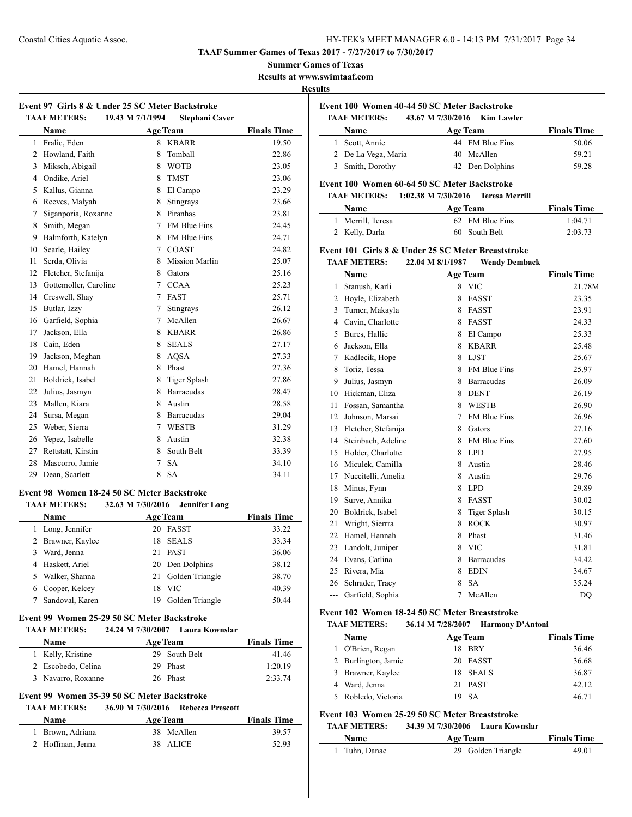**TAAF Summer Games of Texas 2017 - 7/27/2017 to 7/30/2017**

#### **Summer Games of Texas**

**Results at www.swimtaaf.com**

#### **Results**

 $\overline{a}$ 

 $\overline{\phantom{a}}$ 

### **Event 97 Girls 8 & Under 25 SC Meter Backstroke TAAF METERS: 19.43 M 7/1/1994 Stephani Caver**

|                | Name                  |   | <b>Age Team</b>       | <b>Finals Time</b> |
|----------------|-----------------------|---|-----------------------|--------------------|
| 1              | Fralic, Eden          | 8 | <b>KBARR</b>          | 19.50              |
| 2              | Howland, Faith        | 8 | Tomball               | 22.86              |
| 3              | Miksch, Abigail       | 8 | <b>WOTB</b>           | 23.05              |
| $\overline{4}$ | Ondike, Ariel         | 8 | <b>TMST</b>           | 23.06              |
| 5              | Kallus, Gianna        | 8 | El Campo              | 23.29              |
| 6              | Reeves, Malyah        | 8 | Stingrays             | 23.66              |
| 7              | Siganporia, Roxanne   | 8 | Piranhas              | 23.81              |
| 8              | Smith, Megan          | 7 | <b>FM Blue Fins</b>   | 24.45              |
| 9              | Balmforth, Katelyn    | 8 | FM Blue Fins          | 24.71              |
| 10             | Searle, Hailey        | 7 | <b>COAST</b>          | 24.82              |
| 11             | Serda, Olivia         | 8 | <b>Mission Marlin</b> | 25.07              |
| 12             | Fletcher, Stefanija   | 8 | Gators                | 25.16              |
| 13             | Gottemoller, Caroline | 7 | <b>CCAA</b>           | 25.23              |
| 14             | Creswell, Shay        | 7 | <b>FAST</b>           | 25.71              |
| 15             | Butlar, Izzy          | 7 | Stingrays             | 26.12              |
| 16             | Garfield, Sophia      | 7 | McAllen               | 26.67              |
| 17             | Jackson, Ella         | 8 | <b>KBARR</b>          | 26.86              |
| 18             | Cain, Eden            | 8 | <b>SEALS</b>          | 27.17              |
| 19             | Jackson, Meghan       | 8 | <b>AOSA</b>           | 27.33              |
| 20             | Hamel, Hannah         | 8 | Phast                 | 27.36              |
| 21             | Boldrick, Isabel      | 8 | Tiger Splash          | 27.86              |
| 22             | Julius, Jasmyn        | 8 | <b>Barracudas</b>     | 28.47              |
| 23             | Mallen, Kiara         | 8 | Austin                | 28.58              |
| 24             | Sursa, Megan          | 8 | <b>Barracudas</b>     | 29.04              |
| 25             | Weber, Sierra         | 7 | <b>WESTB</b>          | 31.29              |
| 26             | Yepez, Isabelle       | 8 | Austin                | 32.38              |
| 27             | Rettstatt, Kirstin    | 8 | South Belt            | 33.39              |
| 28             | Mascorro, Jamie       | 7 | <b>SA</b>             | 34.10              |
| 29             | Dean, Scarlett        | 8 | <b>SA</b>             | 34.11              |

#### **Event 98 Women 18-24 50 SC Meter Backstroke TAAF METERS: 32.63 M 7/30/2016 Jennifer Long**

|   | <b>Name</b>       |     | <b>Age Team</b>    | <b>Finals Time</b> |
|---|-------------------|-----|--------------------|--------------------|
|   | 1 Long, Jennifer  |     | 20 FASST           | 33.22              |
|   | 2 Brawner, Kaylee |     | 18 SEALS           | 33.34              |
| 3 | Ward, Jenna       |     | 21 PAST            | 36.06              |
|   | 4 Haskett, Ariel  |     | 20 Den Dolphins    | 38.12              |
|   | 5 Walker, Shanna  |     | 21 Golden Triangle | 38.70              |
|   | 6 Cooper, Kelcey  | 18. | <b>VIC</b>         | 40.39              |
|   | Sandoval, Karen   | 19  | Golden Triangle    | 50.44              |
|   |                   |     |                    |                    |

#### **Event 99 Women 25-29 50 SC Meter Backstroke**

#### **TAAF METERS: 24.24 M 7/30/2007 Laura Kownslar**

| Name               | <b>Age Team</b> | <b>Finals Time</b> |
|--------------------|-----------------|--------------------|
| 1 Kelly, Kristine  | 29 South Belt   | 41.46              |
| 2 Escobedo, Celina | 29 Phast        | 1:20.19            |
| 3 Navarro, Roxanne | 26 Phast        | 2:33.74            |

# **Event 99 Women 35-39 50 SC Meter Backstroke**

## **TAAF METERS: 36.90 M 7/30/2016 Rebecca Prescott**

| <b>Name</b>      | <b>Age Team</b> | <b>Finals Time</b> |
|------------------|-----------------|--------------------|
| 1 Brown, Adriana | 38 McAllen      | 39.57              |
| 2 Hoffman, Jenna | 38 ALICE        | 52.93              |

# **Event 100 Women 40-44 50 SC Meter Backstroke**

| <b>TAAF METERS:</b> | 43.67 M 7/30/2016 Kim Lawler |                 |                    |
|---------------------|------------------------------|-----------------|--------------------|
| Name                |                              | <b>Age Team</b> | <b>Finals Time</b> |
| 1 Scott, Annie      |                              | 44 FM Blue Fins | 50.06              |
| 2 De La Vega, Maria |                              | 40 McAllen      | 59.21              |
| 3 Smith, Dorothy    |                              | 42 Den Dolphins | 59.28              |

### **Event 100 Women 60-64 50 SC Meter Backstroke**

#### **TAAF METERS: 1:02.38 M 7/30/2016 Teresa Merrill**

| Name              | <b>Age Team</b> | <b>Finals Time</b> |
|-------------------|-----------------|--------------------|
| 1 Merrill, Teresa | 62 FM Blue Fins | 1:04.71            |
| 2 Kelly, Darla    | 60 South Belt   | 2:03.73            |

# **Event 101 Girls 8 & Under 25 SC Meter Breaststroke**

**TAAF METERS: 22.04 M 8/1/1987 Wendy Demback**

|     | Name                |   | <b>Age Team</b>     | <b>Finals Time</b> |
|-----|---------------------|---|---------------------|--------------------|
| 1   | Stanush, Karli      | 8 | <b>VIC</b>          | 21.78M             |
| 2   | Boyle, Elizabeth    | 8 | <b>FASST</b>        | 23.35              |
| 3   | Turner, Makayla     | 8 | <b>FASST</b>        | 23.91              |
| 4   | Cavin, Charlotte    | 8 | <b>FASST</b>        | 24.33              |
| 5   | Bures, Hallie       | 8 | El Campo            | 25.33              |
| 6   | Jackson, Ella       | 8 | <b>KBARR</b>        | 25.48              |
| 7   | Kadlecik, Hope      | 8 | <b>LJST</b>         | 25.67              |
| 8   | Toriz, Tessa        | 8 | FM Blue Fins        | 25.97              |
| 9   | Julius, Jasmyn      | 8 | <b>Barracudas</b>   | 26.09              |
| 10  | Hickman, Eliza      | 8 | <b>DENT</b>         | 26.19              |
| 11  | Fossan, Samantha    | 8 | <b>WESTB</b>        | 26.90              |
| 12  | Johnson, Marsai     | 7 | FM Blue Fins        | 26.96              |
| 13  | Fletcher, Stefanija | 8 | Gators              | 27.16              |
| 14  | Steinbach, Adeline  | 8 | FM Blue Fins        | 27.60              |
| 15  | Holder, Charlotte   | 8 | <b>LPD</b>          | 27.95              |
| 16  | Miculek, Camilla    | 8 | Austin              | 28.46              |
| 17  | Nuccitelli, Amelia  | 8 | Austin              | 29.76              |
| 18  | Minus, Fynn         | 8 | <b>LPD</b>          | 29.89              |
| 19  | Surve, Annika       | 8 | <b>FASST</b>        | 30.02              |
| 20  | Boldrick, Isabel    | 8 | <b>Tiger Splash</b> | 30.15              |
| 21  | Wright, Sierrra     | 8 | <b>ROCK</b>         | 30.97              |
| 22  | Hamel, Hannah       | 8 | Phast               | 31.46              |
| 23  | Landolt, Juniper    | 8 | <b>VIC</b>          | 31.81              |
| 24  | Evans, Catlina      | 8 | <b>Barracudas</b>   | 34.42              |
| 25  | Rivera, Mia         | 8 | <b>EDIN</b>         | 34.67              |
| 26  | Schrader, Tracy     | 8 | <b>SA</b>           | 35.24              |
| --- | Garfield, Sophia    | 7 | McAllen             | DO                 |

# **Event 102 Women 18-24 50 SC Meter Breaststroke**

# **TAAF METERS: 36.14 M 7/28/2007 Harmony D'Antoni**

| <b>Name</b>         | <b>Age Team</b> | <b>Finals Time</b> |
|---------------------|-----------------|--------------------|
| 1 O'Brien, Regan    | BRY<br>18.      | 36.46              |
| 2 Burlington, Jamie | 20 FASST        | 36.68              |
| 3 Brawner, Kaylee   | 18 SEALS        | 36.87              |
| Ward, Jenna         | 21 PAST         | 42.12              |
| 5 Robledo, Victoria | -SA             | 46.71              |

# **Event 103 Women 25-29 50 SC Meter Breaststroke**

### **TAAF METERS: 34.39 M 7/30/2006 Laura Kownslar**

| <b>Name</b> | <b>Age Team</b>    | <b>Finals Time</b> |
|-------------|--------------------|--------------------|
| Tuhn, Danae | 29 Golden Triangle | 49.01              |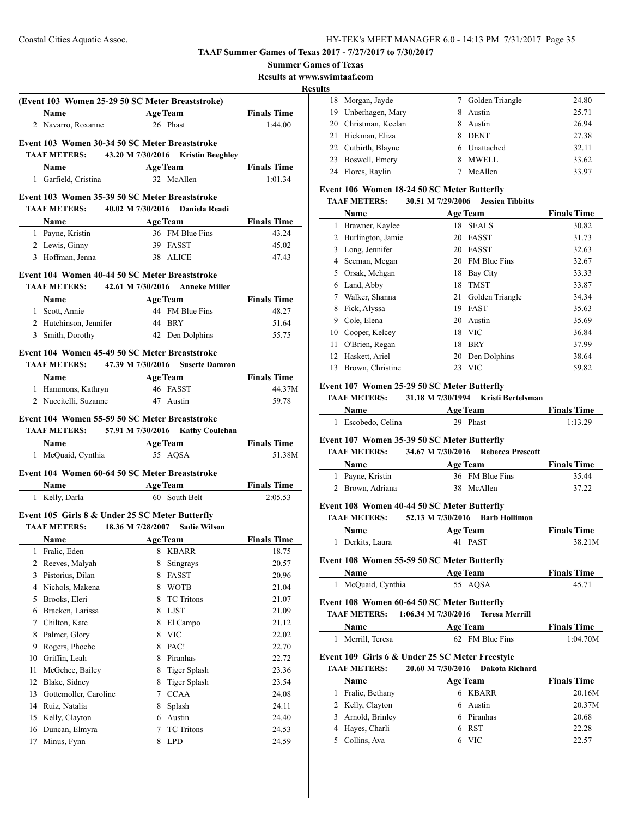| <b>Summer Games of Texas</b> |  |  |  |
|------------------------------|--|--|--|
|------------------------------|--|--|--|

**Results at www.swimtaaf.com**

#### **Results**

|              |                                  |                                                                                                 | <b>Resul</b>       |
|--------------|----------------------------------|-------------------------------------------------------------------------------------------------|--------------------|
|              |                                  | (Event 103 Women 25-29 50 SC Meter Breaststroke)                                                |                    |
|              |                                  | Name Age Team Finals Time                                                                       |                    |
|              | 2 Navarro, Roxanne               | 26 Phast                                                                                        | 1:44.00            |
|              |                                  | Event 103 Women 30-34 50 SC Meter Breaststroke                                                  |                    |
|              |                                  | TAAF METERS: 43.20 M 7/30/2016 Kristin Beeghley                                                 |                    |
|              |                                  | <b>Name</b> Age Team Finals Time                                                                |                    |
|              | 1 Garfield, Cristina             | 32 McAllen                                                                                      | 1:01.34            |
|              |                                  |                                                                                                 |                    |
|              |                                  | Event 103 Women 35-39 50 SC Meter Breaststroke                                                  |                    |
|              |                                  | TAAF METERS: 40.02 M 7/30/2016 Daniela Readi                                                    |                    |
|              |                                  | <b>Name</b> Age Team Finals Time                                                                |                    |
|              | 1 Payne, Kristin                 | 36 FM Blue Fins<br>39 FASST                                                                     | 43.24              |
|              | 2 Lewis, Ginny                   |                                                                                                 | 45.02              |
|              | 3 Hoffman, Jenna 38 ALICE        |                                                                                                 | 47.43              |
|              |                                  | Event 104 Women 40-44 50 SC Meter Breaststroke                                                  |                    |
|              |                                  | TAAF METERS: 42.61 M 7/30/2016 Anneke Miller                                                    |                    |
|              |                                  | <b>Example 2.1 Age Team</b> Finals Time                                                         |                    |
|              | 1 Scott, Annie                   | 44 FM Blue Fins                                                                                 | 48.27              |
|              | 2 Hutchinson, Jennifer 44 BRY    |                                                                                                 | 51.64              |
|              |                                  | 3 Smith, Dorothy 42 Den Dolphins                                                                | 55.75              |
|              |                                  |                                                                                                 |                    |
|              |                                  | Event 104 Women 45-49 50 SC Meter Breaststroke                                                  |                    |
|              |                                  | TAAF METERS: 47.39 M 7/30/2016 Susette Damron                                                   |                    |
|              |                                  | Name Age Team Finals Time                                                                       |                    |
|              | 1 Hammons, Kathryn 46 FASST      |                                                                                                 | 44.37M             |
|              |                                  |                                                                                                 |                    |
|              | 2 Nuccitelli, Suzanne 47 Austin  | Event 104 Women 55-59 50 SC Meter Breaststroke<br>TAAF METERS: 57.91 M 7/30/2016 Kathy Coulehan | 59.78              |
|              |                                  | <b>Name</b> Age Team Finals Time                                                                |                    |
|              | 1 McQuaid, Cynthia 55 AQSA       |                                                                                                 | 51.38M             |
|              |                                  | Event 104 Women 60-64 50 SC Meter Breaststroke                                                  |                    |
|              |                                  | <b>Name</b> Age Team                                                                            | <b>Finals Time</b> |
|              | 1 Kelly, Darla                   | 60 South Belt                                                                                   | 2:05.53            |
|              |                                  | Event 105 Girls 8 & Under 25 SC Meter Butterfly                                                 |                    |
|              |                                  | <b>TAAF METERS:</b> 18.36 M 7/28/2007 Sadie Wilson                                              |                    |
|              |                                  | Name Age Team Finals Time                                                                       |                    |
| $\mathbf{1}$ | Fralic, Eden                     | 8<br><b>KBARR</b>                                                                               | 18.75              |
| 2            | Reeves, Malyah                   | 8<br>Stingrays                                                                                  | 20.57              |
| 3            | Pistorius, Dilan                 | <b>FASST</b><br>8                                                                               | 20.96              |
|              | 4 Nichols, Makena                | 8 WOTB                                                                                          | 21.04              |
|              | 5 Brooks, Eleri                  | <b>TC</b> Tritons<br>8                                                                          | 21.07              |
|              | 6 Bracken, Larissa               | 8 LJST                                                                                          | 21.09              |
|              | 7 Chilton, Kate                  | El Campo<br>8                                                                                   | 21.12              |
| 8            | Palmer, Glory                    | <b>VIC</b><br>8                                                                                 | 22.02              |
|              | 9 Rogers, Phoebe                 | 8 PAC!                                                                                          | 22.70              |
| 10           | Griffin, Leah                    | 8 Piranhas                                                                                      | 22.72              |
| 11           |                                  | 8                                                                                               | 23.36              |
| 12           | McGehee, Bailey<br>Blake, Sidney | <b>Tiger Splash</b><br>8                                                                        | 23.54              |
| 13           | Gottemoller, Caroline            | <b>Tiger Splash</b><br><b>CCAA</b><br>$7^{\circ}$                                               | 24.08              |
| 14           | Ruiz, Natalia                    | 8                                                                                               | 24.11              |
| 15           |                                  | Splash<br>Austin<br>6                                                                           | 24.40              |
| 16           | Kelly, Clayton<br>Duncan, Elmyra | 7<br><b>TC</b> Tritons                                                                          | 24.53              |

| 18 Morgan, Jayde     | 7 | Golden Triangle | 24.80 |
|----------------------|---|-----------------|-------|
| 19 Unberhagen, Mary  | 8 | Austin          | 25.71 |
| 20 Christman, Keelan | 8 | Austin          | 26.94 |
| 21 Hickman, Eliza    | 8 | <b>DENT</b>     | 27.38 |
| 22 Cutbirth, Blayne  |   | 6 Unattached    | 32.11 |
| 23 Boswell, Emery    | 8 | <b>MWELL</b>    | 33.62 |
| 24 Flores, Raylin    |   | McAllen         | 33.97 |

### **Event 106 Women 18-24 50 SC Meter Butterfly**

#### **TAAF METERS: 30.51 M 7/29/2006 Jessica Tibbitts**

|    | Name              | <b>Age Team</b> | <b>Finals Time</b> |       |
|----|-------------------|-----------------|--------------------|-------|
| 1  | Brawner, Kaylee   | 18              | <b>SEALS</b>       | 30.82 |
| 2  | Burlington, Jamie | 20              | <b>FASST</b>       | 31.73 |
| 3  | Long, Jennifer    | 20              | <b>FASST</b>       | 32.63 |
| 4  | Seeman, Megan     | 20              | FM Blue Fins       | 32.67 |
| 5  | Orsak, Mehgan     | 18              | Bay City           | 33.33 |
| 6  | Land, Abby        | 18              | <b>TMST</b>        | 33.87 |
| 7  | Walker, Shanna    | 21              | Golden Triangle    | 34.34 |
| 8  | Fick, Alyssa      | 19              | <b>FAST</b>        | 35.63 |
| 9  | Cole, Elena       | 20              | Austin             | 35.69 |
| 10 | Cooper, Kelcey    | 18              | <b>VIC</b>         | 36.84 |
| 11 | O'Brien, Regan    | 18              | <b>BRY</b>         | 37.99 |
| 12 | Haskett, Ariel    | 20              | Den Dolphins       | 38.64 |
| 13 | Brown, Christine  | 23              | <b>VIC</b>         | 59.82 |

#### **Event 107 Women 25-29 50 SC Meter Butterfly**

#### **TAAF METERS: 31.18 M 7/30/1994 Kristi Bertelsman**

| Name               | <b>Age Team</b> | <b>Finals Time</b> |
|--------------------|-----------------|--------------------|
| 1 Escobedo, Celina | 29 Phast        | 1:13.29            |

### **Event 107 Women 35-39 50 SC Meter Butterfly**

# **TAAF METERS: 34.67 M 7/30/2016 Rebecca Prescott**

| <b>Name</b>      | <b>Age Team</b> | <b>Finals Time</b> |
|------------------|-----------------|--------------------|
| 1 Payne, Kristin | 36 FM Blue Fins | 35.44              |
| 2 Brown, Adriana | 38 McAllen      | 37.22              |

#### **Event 108 Women 40-44 50 SC Meter Butterfly**

**TAAF METERS: 52.13 M 7/30/2016 Barb Hollimon**

|    | Name                | <b>Age Team</b>                                                                             | <b>Finals Time</b> |
|----|---------------------|---------------------------------------------------------------------------------------------|--------------------|
| 1  | Derkits, Laura      | <b>PAST</b><br>41                                                                           | 38.21M             |
|    |                     | Event 108 Women 55-59 50 SC Meter Butterfly                                                 |                    |
|    | Name                | <b>Age Team</b>                                                                             | <b>Finals Time</b> |
| 1  | McQuaid, Cynthia    | 55 AOSA                                                                                     | 45.71              |
|    | <b>TAAF METERS:</b> | Event 108 Women 60-64 50 SC Meter Butterfly<br>1:06.34 M 7/30/2016<br><b>Teresa Merrill</b> |                    |
|    | Name                | <b>Age Team</b>                                                                             | <b>Finals Time</b> |
| 1  | Merrill, Teresa     | 62 FM Blue Fins                                                                             | 1:04.70M           |
|    |                     | Event 109 Girls 6 & Under 25 SC Meter Freestyle                                             |                    |
|    | <b>TAAF METERS:</b> | 20.60 M 7/30/2016 Dakota Richard                                                            |                    |
|    | Name                | <b>Age Team</b>                                                                             | <b>Finals Time</b> |
| 1  | Fralic, Bethany     | <b>KBARR</b><br>6.                                                                          | 20.16M             |
| 2  | Kelly, Clayton      | Austin<br>6                                                                                 | 20.37M             |
| 3  | Arnold, Brinley     | Piranhas<br>6                                                                               | 20.68              |
| 4  | Hayes, Charli       | <b>RST</b><br>6                                                                             | 22.28              |
| 5. | Collins, Ava        | 6 VIC                                                                                       | 22.57              |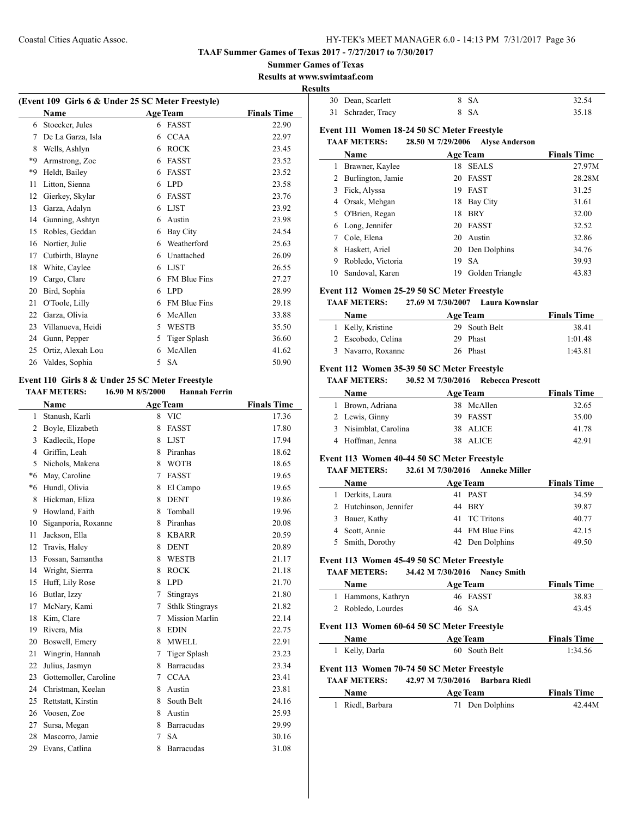**Summer Games of Texas**

**Results at www.swimtaaf.com**

#### **Results**

| (Event 109 Girls 6 & Under 25 SC Meter Freestyle) |                   |   |                     |                    |  |
|---------------------------------------------------|-------------------|---|---------------------|--------------------|--|
|                                                   | Name              |   | <b>Age Team</b>     | <b>Finals Time</b> |  |
| 6                                                 | Stoecker, Jules   | 6 | <b>FASST</b>        | 22.90              |  |
| 7                                                 | De La Garza, Isla | 6 | <b>CCAA</b>         | 22.97              |  |
| 8                                                 | Wells, Ashlyn     | 6 | <b>ROCK</b>         | 23.45              |  |
| *9                                                | Armstrong, Zoe    | 6 | <b>FASST</b>        | 23.52              |  |
| *9                                                | Heldt, Bailey     | 6 | <b>FASST</b>        | 23.52              |  |
| 11                                                | Litton, Sienna    | 6 | <b>LPD</b>          | 23.58              |  |
| 12                                                | Gierkey, Skylar   | 6 | <b>FASST</b>        | 23.76              |  |
| 13                                                | Garza, Adalyn     | 6 | <b>LJST</b>         | 23.92              |  |
| 14                                                | Gunning, Ashtyn   | 6 | Austin              | 23.98              |  |
| 15                                                | Robles, Geddan    | 6 | Bay City            | 24.54              |  |
| 16                                                | Nortier, Julie    | 6 | Weatherford         | 25.63              |  |
| 17                                                | Cutbirth, Blayne  | 6 | Unattached          | 26.09              |  |
| 18                                                | White, Caylee     | 6 | <b>LIST</b>         | 26.55              |  |
| 19                                                | Cargo, Clare      | 6 | <b>FM Blue Fins</b> | 27.27              |  |
| 20                                                | Bird, Sophia      | 6 | <b>LPD</b>          | 28.99              |  |
| 21                                                | O'Toole, Lilly    | 6 | <b>FM Blue Fins</b> | 29.18              |  |
| 22                                                | Garza, Olivia     | 6 | McAllen             | 33.88              |  |
| 23                                                | Villanueva, Heidi | 5 | <b>WESTB</b>        | 35.50              |  |
| 24                                                | Gunn, Pepper      | 5 | <b>Tiger Splash</b> | 36.60              |  |
| 25                                                | Ortiz, Alexah Lou | 6 | McAllen             | 41.62              |  |
| 26                                                | Valdes, Sophia    | 5 | <b>SA</b>           | 50.90              |  |
|                                                   |                   |   |                     |                    |  |

# **Event 110 Girls 8 & Under 25 SC Meter Freestyle**

L,

| 16.90 M 8/5/2000<br><b>TAAF METERS:</b><br><b>Hannah Ferrin</b> |
|-----------------------------------------------------------------|
|-----------------------------------------------------------------|

|                | <b>Name</b>           |                | <b>Age Team</b>        | <b>Finals Time</b> |
|----------------|-----------------------|----------------|------------------------|--------------------|
| 1              | Stanush, Karli        | 8              | <b>VIC</b>             | 17.36              |
| $\overline{2}$ | Boyle, Elizabeth      | 8              | <b>FASST</b>           | 17.80              |
| 3              | Kadlecik, Hope        | 8              | <b>LJST</b>            | 17.94              |
| 4              | Griffin, Leah         | 8              | Piranhas               | 18.62              |
| 5              | Nichols, Makena       | 8              | <b>WOTB</b>            | 18.65              |
| $*6$           | May, Caroline         | 7              | <b>FASST</b>           | 19.65              |
| $*6$           | Hundl, Olivia         | 8              | El Campo               | 19.65              |
| 8              | Hickman, Eliza        | 8              | <b>DENT</b>            | 19.86              |
| 9              | Howland, Faith        | 8              | Tomball                | 19.96              |
| 10             | Siganporia, Roxanne   | 8              | Piranhas               | 20.08              |
| 11             | Jackson, Ella         | 8              | <b>KBARR</b>           | 20.59              |
| 12             | Travis, Haley         | 8              | <b>DENT</b>            | 20.89              |
| 13             | Fossan, Samantha      | 8              | <b>WESTB</b>           | 21.17              |
| 14             | Wright, Sierrra       | 8              | <b>ROCK</b>            | 21.18              |
| 15             | Huff, Lily Rose       | 8              | <b>LPD</b>             | 21.70              |
| 16             | Butlar, Izzy          | 7              | Stingrays              | 21.80              |
| 17             | McNary, Kami          | 7              | <b>Sthlk Stingrays</b> | 21.82              |
| 18             | Kim, Clare            | 7              | <b>Mission Marlin</b>  | 22.14              |
| 19             | Rivera, Mia           | 8              | <b>EDIN</b>            | 22.75              |
| 20             | Boswell, Emery        | 8              | <b>MWELL</b>           | 22.91              |
| 21             | Wingrin, Hannah       | 7              | <b>Tiger Splash</b>    | 23.23              |
| 22             | Julius, Jasmyn        | 8              | <b>Barracudas</b>      | 23.34              |
| 23             | Gottemoller, Caroline | $\overline{7}$ | <b>CCAA</b>            | 23.41              |
| 24             | Christman, Keelan     | 8              | Austin                 | 23.81              |
| 25             | Rettstatt, Kirstin    | 8              | South Belt             | 24.16              |
| 26             | Voosen, Zoe           | 8              | Austin                 | 25.93              |
| 27             | Sursa, Megan          | 8              | <b>Barracudas</b>      | 29.99              |
| 28             | Mascorro, Jamie       | 7              | <b>SA</b>              | 30.16              |
| 29             | Evans, Catlina        | 8              | <b>Barracudas</b>      | 31.08              |
|                |                       |                |                        |                    |

| 30 Dean, Scarlett  | 8 SA | 32.54 |
|--------------------|------|-------|
| 31 Schrader, Tracy | 8 SA | 35.18 |

### **Event 111 Women 18-24 50 SC Meter Freestyle**

#### **TAAF METERS: 28.50 M 7/29/2006 Alyse Anderson**

|    | Name                |    | <b>Age Team</b> | <b>Finals Time</b> |
|----|---------------------|----|-----------------|--------------------|
| L  | Brawner, Kaylee     | 18 | <b>SEALS</b>    | 27.97M             |
|    | 2 Burlington, Jamie | 20 | FASST           | 28.28M             |
| 3  | Fick, Alyssa        | 19 | <b>FAST</b>     | 31.25              |
|    | 4 Orsak, Mehgan     | 18 | Bay City        | 31.61              |
|    | 5 O'Brien, Regan    | 18 | <b>BRY</b>      | 32.00              |
|    | 6 Long, Jennifer    |    | 20 FASST        | 32.52              |
|    | Cole, Elena         | 20 | Austin          | 32.86              |
| 8  | Haskett, Ariel      |    | 20 Den Dolphins | 34.76              |
| 9  | Robledo, Victoria   | 19 | <b>SA</b>       | 39.93              |
| 10 | Sandoval, Karen     | 19 | Golden Triangle | 43.83              |

#### **Event 112 Women 25-29 50 SC Meter Freestyle**

#### **TAAF METERS: 27.69 M 7/30/2007 Laura Kownslar**

| <b>Name</b>        | Age Team      | <b>Finals Time</b> |
|--------------------|---------------|--------------------|
| 1 Kelly, Kristine  | 29 South Belt | 38.41              |
| 2 Escobedo, Celina | 29 Phast      | 1:01.48            |
| 3 Navarro, Roxanne | 26 Phast      | 1:43.81            |

### **Event 112 Women 35-39 50 SC Meter Freestyle**

### **TAAF METERS: 30.52 M 7/30/2016 Rebecca Prescott**

| <b>Name</b>           | <b>Age Team</b> | <b>Finals Time</b> |
|-----------------------|-----------------|--------------------|
| Brown, Adriana        | 38 McAllen      | 32.65              |
| 2 Lewis, Ginny        | 39 FASST        | 35.00              |
| 3 Nisimblat, Carolina | 38 ALICE        | 41.78              |
| 4 Hoffman, Jenna      | 38 ALICE        | 42.91              |

### **Event 113 Women 40-44 50 SC Meter Freestyle**

### **TAAF METERS: 32.61 M 7/30/2016 Anneke Miller**

|    | <b>Name</b>            | <b>Age Team</b> | <b>Finals Time</b> |
|----|------------------------|-----------------|--------------------|
| 1. | Derkits, Laura         | 41 PAST         | 34.59              |
|    | 2 Hutchinson, Jennifer | 44 RRY          | 39.87              |
|    | 3 Bauer, Kathy         | 41 TC Tritons   | 40.77              |
|    | 4 Scott, Annie         | 44 FM Blue Fins | 42.15              |
|    | 5 Smith, Dorothy       | 42 Den Dolphins | 49.50              |

### **Event 113 Women 45-49 50 SC Meter Freestyle**

### **TAAF METERS: 34.42 M 7/30/2016 Nancy Smith**

| <b>Name</b>        | <b>Age Team</b> | <b>Finals Time</b> |
|--------------------|-----------------|--------------------|
| 1 Hammons, Kathryn | 46 FASST        | 38.83              |
| 2 Robledo, Lourdes | 46 SA           | 43.45              |

### **Event 113 Women 60-64 50 SC Meter Freestyle**

 $\overline{a}$ 

 $\overline{\phantom{a}}$ 

| <b>Name</b>         | <b>Age Team</b>                             | <b>Finals Time</b> |
|---------------------|---------------------------------------------|--------------------|
| 1 Kelly, Darla      | 60 South Belt                               | 1:34.56            |
|                     | Event 113 Women 70-74 50 SC Meter Freestyle |                    |
| <b>TAAF METERS:</b> | 42.97 M 7/30/2016 Barbara Riedl             |                    |
| <b>Name</b>         | <b>Age Team</b>                             | <b>Finals Time</b> |

| 1 Riedl, Barbara | 71 Den Dolphins | 42.44M |
|------------------|-----------------|--------|
|                  |                 |        |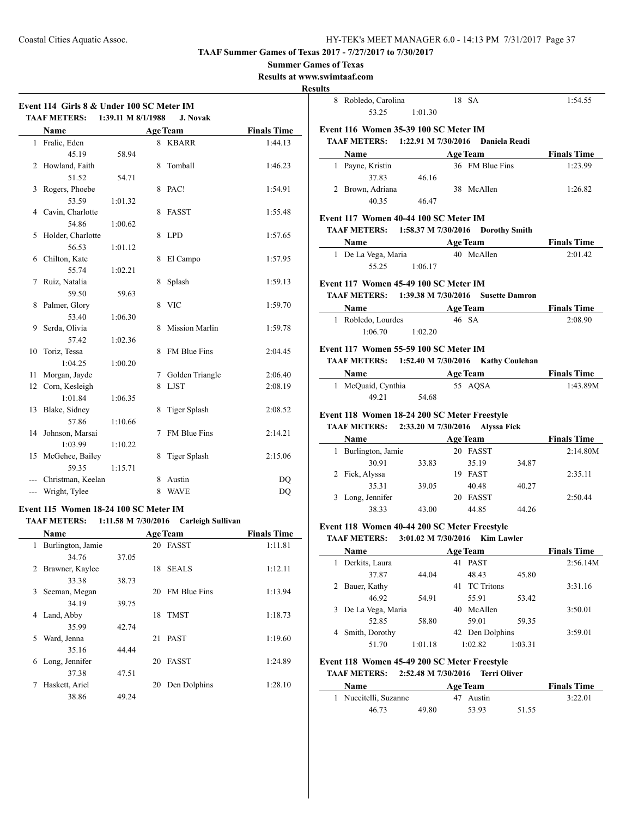### **Summer Games of Texas**

**Results at www.swimtaaf.com**

# **Results**

 $\frac{1}{1}$ 

 $\frac{1}{2}$ 

|     | Event 114 Girls 8 & Under 100 SC Meter IM<br><b>TAAF METERS:</b> | 1:39.11 M 8/1/1988  |   | <b>J. Novak</b>       |                    |
|-----|------------------------------------------------------------------|---------------------|---|-----------------------|--------------------|
|     | <b>Name</b>                                                      |                     |   | <b>Age Team</b>       | <b>Finals Time</b> |
|     | 1 Fralic, Eden                                                   |                     |   | 8 KBARR               | 1:44.13            |
|     | 45.19                                                            | 58.94               |   |                       |                    |
| 2   | Howland, Faith                                                   |                     | 8 | Tomball               | 1:46.23            |
|     | 51.52                                                            | 54.71               |   |                       |                    |
| 3   | Rogers, Phoebe                                                   |                     | 8 | PAC!                  | 1:54.91            |
|     | 53.59                                                            | 1:01.32             |   |                       |                    |
| 4   | Cavin, Charlotte                                                 |                     | 8 | <b>FASST</b>          | 1:55.48            |
|     | 54.86                                                            | 1:00.62             |   |                       |                    |
| 5   | Holder, Charlotte                                                |                     | 8 | <b>LPD</b>            | 1:57.65            |
|     | 56.53                                                            | 1:01.12             |   |                       |                    |
| 6   | Chilton, Kate                                                    |                     | 8 | El Campo              | 1:57.95            |
|     | 55.74                                                            | 1:02.21             |   |                       |                    |
| 7   | Ruiz, Natalia                                                    |                     | 8 | Splash                | 1:59.13            |
|     | 59.50                                                            | 59.63               |   |                       |                    |
| 8   | Palmer, Glory                                                    |                     | 8 | <b>VIC</b>            | 1:59.70            |
|     | 53.40                                                            | 1:06.30             |   |                       |                    |
| 9   | Serda, Olivia                                                    |                     | 8 | <b>Mission Marlin</b> | 1:59.78            |
|     | 57.42                                                            | 1:02.36             |   |                       |                    |
| 10  | Toriz, Tessa                                                     |                     | 8 | FM Blue Fins          | 2:04.45            |
|     | 1:04.25                                                          | 1:00.20             |   |                       |                    |
| 11  | Morgan, Jayde                                                    |                     |   | 7 Golden Triangle     | 2:06.40            |
| 12  | Corn, Kesleigh                                                   |                     | 8 | <b>LJST</b>           | 2:08.19            |
|     | 1:01.84                                                          | 1:06.35             |   |                       |                    |
| 13  | Blake, Sidney                                                    |                     | 8 | <b>Tiger Splash</b>   | 2:08.52            |
|     | 57.86                                                            | 1:10.66             |   |                       |                    |
| 14  | Johnson, Marsai                                                  |                     | 7 | <b>FM Blue Fins</b>   | 2:14.21            |
|     | 1:03.99                                                          | 1:10.22             |   |                       |                    |
| 15  | McGehee, Bailey                                                  |                     | 8 | Tiger Splash          | 2:15.06            |
|     | 59.35                                                            | 1:15.71             |   |                       |                    |
|     | Christman, Keelan                                                |                     | 8 | Austin                | DQ                 |
| --- | Wright, Tylee                                                    |                     | 8 | <b>WAVE</b>           | <b>DQ</b>          |
|     | Event 115 Women 18-24 100 SC Meter IM                            |                     |   |                       |                    |
|     | <b>TAAF METERS:</b>                                              | 1:11.58 M 7/30/2016 |   | Carleigh Sullivan     |                    |
|     | Name                                                             |                     |   | <b>Age Team</b>       | <b>Finals Time</b> |
|     | 1 Burlington, Jamie                                              |                     |   | 20 FASST              | 1:11.81            |

|    | Name              |       |    | Age leam        | rinais lime |
|----|-------------------|-------|----|-----------------|-------------|
| 1  | Burlington, Jamie |       |    | 20 FASST        | 1:11.81     |
|    | 34.76             | 37.05 |    |                 |             |
| 2  | Brawner, Kaylee   |       | 18 | <b>SEALS</b>    | 1:12.11     |
|    | 33.38             | 38.73 |    |                 |             |
| 3  | Seeman, Megan     |       |    | 20 FM Blue Fins | 1:13.94     |
|    | 34.19             | 39.75 |    |                 |             |
| 4  | Land, Abby        |       |    | 18 TMST         | 1:18.73     |
|    | 35.99             | 42.74 |    |                 |             |
| 5. | Ward, Jenna       |       | 21 | PAST            | 1:19.60     |
|    | 35.16             | 44.44 |    |                 |             |
| 6  | Long, Jennifer    |       | 20 | FASST           | 1:24.89     |
|    | 37.38             | 47.51 |    |                 |             |
|    | Haskett, Ariel    |       |    | 20 Den Dolphins | 1:28.10     |
|    | 38.86             | 49.24 |    |                 |             |
|    |                   |       |    |                 |             |

|     | swiiiitaal.com                                          |                                         |    |                                    |         |                    |
|-----|---------------------------------------------------------|-----------------------------------------|----|------------------------------------|---------|--------------------|
| lts | 8 Robledo, Carolina                                     |                                         |    | 18 SA                              |         | 1:54.55            |
|     | 53.25                                                   | 1:01.30                                 |    |                                    |         |                    |
|     |                                                         |                                         |    |                                    |         |                    |
|     | Event 116 Women 35-39 100 SC Meter IM                   |                                         |    |                                    |         |                    |
|     | <b>TAAF METERS:</b>                                     |                                         |    | 1:22.91 M 7/30/2016  Daniela Readi |         |                    |
|     | Name                                                    | <u> 1980 - Johann Barbara, martxa a</u> |    | <b>Age Team</b>                    |         | <b>Finals Time</b> |
|     | 1 Payne, Kristin                                        |                                         |    | 36 FM Blue Fins                    |         | 1:23.99            |
|     | 37.83                                                   | 46.16                                   |    |                                    |         |                    |
|     | 2 Brown, Adriana                                        |                                         |    | 38 McAllen                         |         | 1:26.82            |
|     | 40.35                                                   | 46.47                                   |    |                                    |         |                    |
|     | Event 117 Women 40-44 100 SC Meter IM                   |                                         |    |                                    |         |                    |
|     | TAAF METERS: 1:58.37 M 7/30/2016 Dorothy Smith          |                                         |    |                                    |         |                    |
|     | Name Age Team                                           |                                         |    |                                    |         | <b>Finals Time</b> |
|     | 1 De La Vega, Maria                                     |                                         |    | 40 McAllen                         |         | 2:01.42            |
|     | 55.25                                                   | 1:06.17                                 |    |                                    |         |                    |
|     |                                                         |                                         |    |                                    |         |                    |
|     | Event 117 Women 45-49 100 SC Meter IM                   |                                         |    |                                    |         |                    |
|     | TAAF METERS: 1:39.38 M 7/30/2016                        |                                         |    | <b>Susette Damron</b>              |         |                    |
|     | Name                                                    |                                         |    | <b>Example 2 Age Team</b>          |         | <b>Finals Time</b> |
|     | 1 Robledo, Lourdes                                      |                                         |    | 46 SA                              |         | 2:08.90            |
|     | 1:06.70                                                 | 1:02.20                                 |    |                                    |         |                    |
|     | Event 117 Women 55-59 100 SC Meter IM                   |                                         |    |                                    |         |                    |
|     | TAAF METERS: 1:52.40 M 7/30/2016 Kathy Coulehan         |                                         |    |                                    |         |                    |
|     |                                                         |                                         |    |                                    |         | <b>Finals Time</b> |
|     | Name<br><b>Example 2 Age Team</b><br>1 McQuaid, Cynthia |                                         |    | 55 AQSA                            |         | 1:43.89M           |
|     | 49.21                                                   | 54.68                                   |    |                                    |         |                    |
|     |                                                         |                                         |    |                                    |         |                    |
|     | Event 118 Women 18-24 200 SC Meter Freestyle            |                                         |    |                                    |         |                    |
|     | TAAF METERS: 2:33.20 M 7/30/2016 Alyssa Fick            |                                         |    |                                    |         |                    |
|     | Name Age Team                                           |                                         |    |                                    |         | <b>Finals Time</b> |
|     | 1 Burlington, Jamie                                     |                                         |    | 20 FASST                           |         | 2:14.80M           |
|     | 30.91                                                   | 33.83                                   |    | 35.19                              | 34.87   |                    |
|     | 2 Fick, Alyssa                                          |                                         |    | 19 FAST                            |         | 2:35.11            |
|     | 35.31                                                   | 39.05                                   |    | 40.48                              | 40.27   |                    |
|     | 3 Long, Jennifer                                        |                                         |    | 20 FASST                           |         | 2:50.44            |
|     | 38.33                                                   | 43.00                                   |    | 44.85                              | 44.26   |                    |
|     | Event 118 Women 40-44 200 SC Meter Freestyle            |                                         |    |                                    |         |                    |
|     | TAAF METERS: 3:01.02 M 7/30/2016 Kim Lawler             |                                         |    |                                    |         |                    |
|     | Name                                                    |                                         |    | Age Team                           |         | <b>Finals Time</b> |
|     | 1 Derkits, Laura                                        |                                         | 41 | PAST                               |         | 2:56.14M           |
|     | 37.87                                                   | 44.04                                   |    | 48.43                              | 45.80   |                    |
| 2   | Bauer, Kathy                                            |                                         | 41 | TC Tritons                         |         | 3:31.16            |
|     | 46.92                                                   | 54.91                                   |    | 55.91                              | 53.42   |                    |
| 3   | De La Vega, Maria                                       |                                         |    | 40 McAllen                         |         | 3:50.01            |
|     | 52.85                                                   | 58.80                                   |    | 59.01                              | 59.35   |                    |
| 4   | Smith, Dorothy                                          |                                         |    | 42 Den Dolphins                    |         | 3:59.01            |
|     | 51.70                                                   | 1:01.18                                 |    | 1:02.82                            | 1:03.31 |                    |
|     |                                                         |                                         |    |                                    |         |                    |
|     | Event 118 Women 45-49 200 SC Meter Freestyle            |                                         |    |                                    |         |                    |

**TAAF METERS: 2:52.48 M 7/30/2016 Terri Oliver**

| Name                  |       | <b>Age Team</b> |       | <b>Finals Time</b> |
|-----------------------|-------|-----------------|-------|--------------------|
| 1 Nuccitelli, Suzanne |       | 47 Austin       |       | 3:22.01            |
| 46.73                 | 49.80 | 53.93           | 51.55 |                    |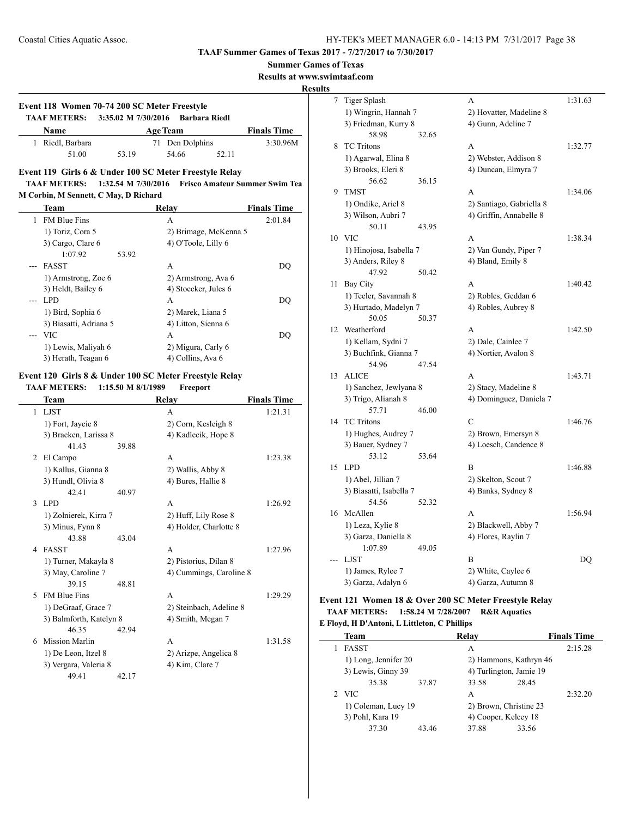**Summer Games of Texas**

**Results at www.swimtaaf.com**

**Results**

# **Event 118 Women 70-74 200 SC Meter Freestyle TAAF METERS: 3:35.02 M 7/30/2016 Barbara Riedl Name Age Team Finals Time**

| 1 Riedl, Barbara |       | 71 Den Dolphins |       | 3:30.96M |
|------------------|-------|-----------------|-------|----------|
| 51.00            | 53.19 | 54.66           | 52.11 |          |

### **Event 119 Girls 6 & Under 100 SC Meter Freestyle Relay TAAF METERS: 1:32.54 M 7/30/2016 Frisco Amateur Summer Swim Tea M Corbin, M Sennett, C May, D Richard**

| Team                   | Relay                 | <b>Finals Time</b> |
|------------------------|-----------------------|--------------------|
| <b>FM Blue Fins</b>    | А                     | 2:01.84            |
| 1) Toriz, Cora 5       | 2) Brimage, McKenna 5 |                    |
| 3) Cargo, Clare 6      | 4) O'Toole, Lilly 6   |                    |
| 1:07.92                | 53.92                 |                    |
| <b>FASST</b>           | А                     | DO                 |
| 1) Armstrong, Zoe 6    | 2) Armstrong, Ava 6   |                    |
| 3) Heldt, Bailey 6     | 4) Stoecker, Jules 6  |                    |
| LPD.                   | A                     | DO                 |
| 1) Bird, Sophia 6      | 2) Marek, Liana 5     |                    |
| 3) Biasatti, Adriana 5 | 4) Litton, Sienna 6   |                    |
| <b>VIC</b>             | А                     | DO                 |
| 1) Lewis, Maliyah 6    | 2) Migura, Carly 6    |                    |
| 3) Herath, Teagan 6    | 4) Collins, Ava 6     |                    |

### **Event 120 Girls 8 & Under 100 SC Meter Freestyle Relay TAAF METERS: 1:15.50 M 8/1/1989 Freeport**

|   | Team                    |       | Relay                   | <b>Finals Time</b> |
|---|-------------------------|-------|-------------------------|--------------------|
|   | 1 LJST                  |       | A                       | 1:21.31            |
|   | 1) Fort, Jaycie 8       |       | 2) Corn, Kesleigh 8     |                    |
|   | 3) Bracken, Larissa 8   |       | 4) Kadlecik, Hope 8     |                    |
|   | 41.43                   | 39.88 |                         |                    |
| 2 | El Campo                |       | A                       | 1:23.38            |
|   | 1) Kallus, Gianna 8     |       | 2) Wallis, Abby 8       |                    |
|   | 3) Hundl, Olivia 8      |       | 4) Bures, Hallie 8      |                    |
|   | 42.41                   | 40.97 |                         |                    |
| 3 | LPD.                    |       | A                       | 1:26.92            |
|   | 1) Zolnierek, Kirra 7   |       | 2) Huff, Lily Rose 8    |                    |
|   | 3) Minus, Fynn 8        |       | 4) Holder, Charlotte 8  |                    |
|   | 43.88                   | 43.04 |                         |                    |
| 4 | <b>FASST</b>            |       | A                       | 1:27.96            |
|   | 1) Turner, Makayla 8    |       | 2) Pistorius, Dilan 8   |                    |
|   | 3) May, Caroline 7      |       | 4) Cummings, Caroline 8 |                    |
|   | 39.15                   | 48.81 |                         |                    |
| 5 | <b>FM Blue Fins</b>     |       | A                       | 1:29.29            |
|   | 1) DeGraaf, Grace 7     |       | 2) Steinbach, Adeline 8 |                    |
|   | 3) Balmforth, Katelyn 8 |       | 4) Smith, Megan 7       |                    |
|   | 46.35                   | 42.94 |                         |                    |
| 6 | <b>Mission Marlin</b>   |       | A                       | 1:31.58            |
|   | 1) De Leon, Itzel 8     |       | 2) Arizpe, Angelica 8   |                    |
|   | 3) Vergara, Valeria 8   |       | 4) Kim, Clare 7         |                    |
|   | 49.41                   | 42.17 |                         |                    |

| $\overline{7}$ | <b>Tiger Splash</b>                     |       | A                        | 1:31.63 |
|----------------|-----------------------------------------|-------|--------------------------|---------|
|                | 1) Wingrin, Hannah 7                    |       | 2) Hovatter, Madeline 8  |         |
|                | 3) Friedman, Kurry 8                    |       | 4) Gunn, Adeline 7       |         |
|                | 58.98                                   | 32.65 |                          |         |
| 8              | <b>TC</b> Tritons                       |       | A                        | 1:32.77 |
|                | 1) Agarwal, Elina 8                     |       | 2) Webster, Addison 8    |         |
|                | 3) Brooks, Eleri 8                      |       | 4) Duncan, Elmyra 7      |         |
|                | 56.62                                   | 36.15 |                          |         |
| 9              | <b>TMST</b>                             |       | A                        | 1:34.06 |
|                | 1) Ondike, Ariel 8                      |       | 2) Santiago, Gabriella 8 |         |
|                | 3) Wilson, Aubri 7                      |       | 4) Griffin, Annabelle 8  |         |
|                | 50.11                                   | 43.95 |                          |         |
| 10             | <b>VIC</b>                              |       | A                        | 1:38.34 |
|                | 1) Hinojosa, Isabella 7                 |       | 2) Van Gundy, Piper 7    |         |
|                | 3) Anders, Riley 8                      |       | 4) Bland, Emily 8        |         |
|                | 47.92                                   | 50.42 |                          |         |
| 11             | Bay City                                |       | A                        | 1:40.42 |
|                | 1) Teeler, Savannah 8                   |       | 2) Robles, Geddan 6      |         |
|                | 3) Hurtado, Madelyn 7                   |       | 4) Robles, Aubrey 8      |         |
|                | 50.05                                   | 50.37 |                          |         |
| 12             | Weatherford                             |       | A                        | 1:42.50 |
|                | 1) Kellam, Sydni 7                      |       | 2) Dale, Cainlee 7       |         |
|                | 3) Buchfink, Gianna 7                   |       | 4) Nortier, Avalon 8     |         |
|                | 54.96                                   | 47.54 |                          |         |
| 13             | <b>ALICE</b>                            |       | A                        | 1:43.71 |
|                | 1) Sanchez, Jewlyana 8                  |       | 2) Stacy, Madeline 8     |         |
|                | 3) Trigo, Alianah 8                     |       | 4) Dominguez, Daniela 7  |         |
|                | 57.71                                   | 46.00 |                          |         |
| 14             | <b>TC</b> Tritons                       |       | C                        | 1:46.76 |
|                | 1) Hughes, Audrey 7                     |       | 2) Brown, Emersyn 8      |         |
|                | 3) Bauer, Sydney 7                      |       | 4) Loesch, Candence 8    |         |
|                | 53.12                                   | 53.64 |                          |         |
| 15             | <b>LPD</b>                              |       | B                        | 1:46.88 |
|                | 1) Abel, Jillian 7                      |       | 2) Skelton, Scout 7      |         |
|                | 3) Biasatti, Isabella 7                 |       | 4) Banks, Sydney 8       |         |
|                | 54.56                                   | 52.32 |                          |         |
| 16             | McAllen                                 |       | A                        | 1:56.94 |
|                | 1) Leza, Kylie 8                        |       | 2) Blackwell, Abby 7     |         |
|                | 3) Garza, Daniella 8                    |       | 4) Flores, Raylin 7      |         |
|                | 1:07.89<br><b>LJST</b>                  | 49.05 | В                        | DQ      |
|                |                                         |       |                          |         |
|                | 1) James, Rylee 7<br>3) Garza, Adalyn 6 |       | 2) White, Caylee 6       |         |
|                |                                         |       | 4) Garza, Autumn 8       |         |

### **Event 121 Women 18 & Over 200 SC Meter Freestyle Relay TAAF METERS: 1:58.24 M 7/28/2007 R&R Aquatics**

#### **E Floyd, H D'Antoni, L Littleton, C Phillips**

| <b>Team</b>          |       | Relay                   |       | <b>Finals Time</b> |
|----------------------|-------|-------------------------|-------|--------------------|
| <b>FASST</b>         |       | А                       |       | 2:15.28            |
| 1) Long, Jennifer 20 |       | 2) Hammons, Kathryn 46  |       |                    |
| 3) Lewis, Ginny 39   |       | 4) Turlington, Jamie 19 |       |                    |
| 35.38                | 37.87 | 33.58                   | 28.45 |                    |
| 2 VIC                |       | A                       |       | 2:32.20            |
| 1) Coleman, Lucy 19  |       | 2) Brown, Christine 23  |       |                    |
| 3) Pohl, Kara 19     |       | 4) Cooper, Kelcey 18    |       |                    |
| 37.30                | 43.46 | 37.88                   | 33.56 |                    |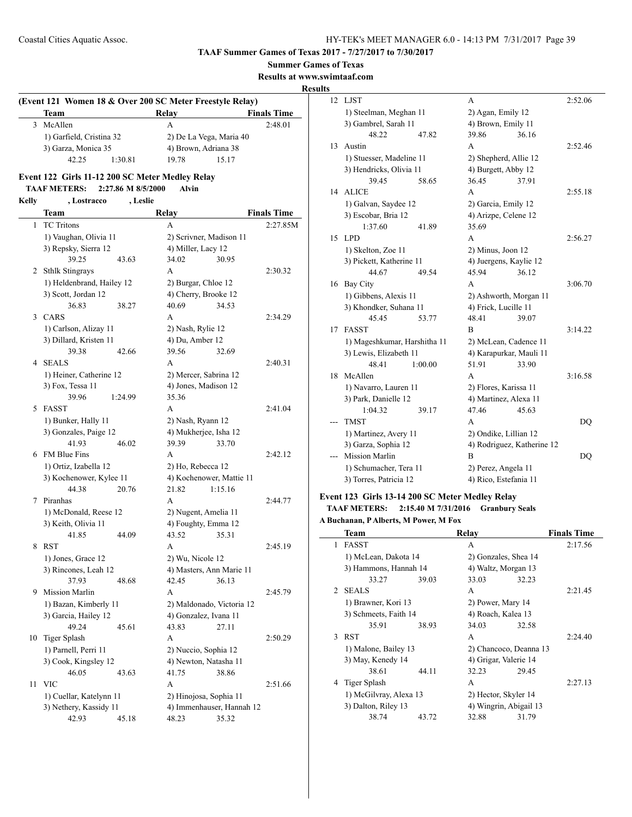**Summer Games of Texas**

**Results at www.swimtaaf.com**

### **Results**

| (Event 121 Women 18 & Over 200 SC Meter Freestyle Relay) |                          |         |       |                         |  |  |  |  |
|----------------------------------------------------------|--------------------------|---------|-------|-------------------------|--|--|--|--|
|                                                          | Team                     |         | Relay | <b>Finals Time</b>      |  |  |  |  |
| 3                                                        | McAllen                  |         | А     | 2:48.01                 |  |  |  |  |
|                                                          | 1) Garfield, Cristina 32 |         |       | 2) De La Vega, Maria 40 |  |  |  |  |
|                                                          | 3) Garza, Monica 35      |         |       | 4) Brown, Adriana 38    |  |  |  |  |
|                                                          | 42.25                    | 1:30.81 | 19.78 | 15 17                   |  |  |  |  |

### **Event 122 Girls 11-12 200 SC Meter Medley Relay TAAF METERS: 2:27.86 M 8/5/2000 Alvin**

# **Kelly , Lostracco , Leslie**

| <b>TC</b> Tritons<br>1<br>A<br>2:27.85M<br>1) Vaughan, Olivia 11<br>2) Scrivner, Madison 11<br>3) Repsky, Sierra 12<br>4) Miller, Lacy 12<br>39.25<br>34.02<br>30.95<br>43.63<br><b>Sthlk Stingrays</b><br>A<br>2:30.32<br>2<br>1) Heldenbrand, Hailey 12<br>2) Burgar, Chloe 12<br>3) Scott, Jordan 12<br>4) Cherry, Brooke 12<br>36.83<br>38.27<br>40.69<br>34.53<br><b>CARS</b><br>3<br>A<br>2:34.29<br>1) Carlson, Alizay 11<br>2) Nash, Rylie 12<br>3) Dillard, Kristen 11<br>4) Du, Amber 12<br>39.56<br>39.38<br>42.66<br>32.69<br><b>SEALS</b><br>A<br>2:40.31<br>4<br>1) Heiner, Catherine 12<br>2) Mercer, Sabrina 12<br>3) Fox, Tessa 11<br>4) Jones, Madison 12<br>39.96<br>35.36<br>1:24.99<br><b>FASST</b><br>5<br>А<br>2:41.04<br>1) Bunker, Hally 11<br>2) Nash, Ryann 12<br>4) Mukherjee, Isha 12<br>3) Gonzales, Paige 12<br>41.93<br>46.02<br>39.39<br>33.70<br><b>FM Blue Fins</b><br>A<br>2:42.12<br>6<br>1) Ortiz, Izabella 12<br>2) Ho, Rebecca 12<br>3) Kochenower, Kylee 11<br>4) Kochenower, Mattie 11 | <b>Team</b> | Relay            |  | <b>Finals Time</b> |
|----------------------------------------------------------------------------------------------------------------------------------------------------------------------------------------------------------------------------------------------------------------------------------------------------------------------------------------------------------------------------------------------------------------------------------------------------------------------------------------------------------------------------------------------------------------------------------------------------------------------------------------------------------------------------------------------------------------------------------------------------------------------------------------------------------------------------------------------------------------------------------------------------------------------------------------------------------------------------------------------------------------------------------|-------------|------------------|--|--------------------|
|                                                                                                                                                                                                                                                                                                                                                                                                                                                                                                                                                                                                                                                                                                                                                                                                                                                                                                                                                                                                                                  |             |                  |  |                    |
|                                                                                                                                                                                                                                                                                                                                                                                                                                                                                                                                                                                                                                                                                                                                                                                                                                                                                                                                                                                                                                  |             |                  |  |                    |
|                                                                                                                                                                                                                                                                                                                                                                                                                                                                                                                                                                                                                                                                                                                                                                                                                                                                                                                                                                                                                                  |             |                  |  |                    |
|                                                                                                                                                                                                                                                                                                                                                                                                                                                                                                                                                                                                                                                                                                                                                                                                                                                                                                                                                                                                                                  |             |                  |  |                    |
|                                                                                                                                                                                                                                                                                                                                                                                                                                                                                                                                                                                                                                                                                                                                                                                                                                                                                                                                                                                                                                  |             |                  |  |                    |
|                                                                                                                                                                                                                                                                                                                                                                                                                                                                                                                                                                                                                                                                                                                                                                                                                                                                                                                                                                                                                                  |             |                  |  |                    |
|                                                                                                                                                                                                                                                                                                                                                                                                                                                                                                                                                                                                                                                                                                                                                                                                                                                                                                                                                                                                                                  |             |                  |  |                    |
|                                                                                                                                                                                                                                                                                                                                                                                                                                                                                                                                                                                                                                                                                                                                                                                                                                                                                                                                                                                                                                  |             |                  |  |                    |
|                                                                                                                                                                                                                                                                                                                                                                                                                                                                                                                                                                                                                                                                                                                                                                                                                                                                                                                                                                                                                                  |             |                  |  |                    |
|                                                                                                                                                                                                                                                                                                                                                                                                                                                                                                                                                                                                                                                                                                                                                                                                                                                                                                                                                                                                                                  |             |                  |  |                    |
|                                                                                                                                                                                                                                                                                                                                                                                                                                                                                                                                                                                                                                                                                                                                                                                                                                                                                                                                                                                                                                  |             |                  |  |                    |
|                                                                                                                                                                                                                                                                                                                                                                                                                                                                                                                                                                                                                                                                                                                                                                                                                                                                                                                                                                                                                                  |             |                  |  |                    |
|                                                                                                                                                                                                                                                                                                                                                                                                                                                                                                                                                                                                                                                                                                                                                                                                                                                                                                                                                                                                                                  |             |                  |  |                    |
|                                                                                                                                                                                                                                                                                                                                                                                                                                                                                                                                                                                                                                                                                                                                                                                                                                                                                                                                                                                                                                  |             |                  |  |                    |
|                                                                                                                                                                                                                                                                                                                                                                                                                                                                                                                                                                                                                                                                                                                                                                                                                                                                                                                                                                                                                                  |             |                  |  |                    |
|                                                                                                                                                                                                                                                                                                                                                                                                                                                                                                                                                                                                                                                                                                                                                                                                                                                                                                                                                                                                                                  |             |                  |  |                    |
|                                                                                                                                                                                                                                                                                                                                                                                                                                                                                                                                                                                                                                                                                                                                                                                                                                                                                                                                                                                                                                  |             |                  |  |                    |
|                                                                                                                                                                                                                                                                                                                                                                                                                                                                                                                                                                                                                                                                                                                                                                                                                                                                                                                                                                                                                                  |             |                  |  |                    |
|                                                                                                                                                                                                                                                                                                                                                                                                                                                                                                                                                                                                                                                                                                                                                                                                                                                                                                                                                                                                                                  |             |                  |  |                    |
|                                                                                                                                                                                                                                                                                                                                                                                                                                                                                                                                                                                                                                                                                                                                                                                                                                                                                                                                                                                                                                  |             |                  |  |                    |
|                                                                                                                                                                                                                                                                                                                                                                                                                                                                                                                                                                                                                                                                                                                                                                                                                                                                                                                                                                                                                                  |             |                  |  |                    |
|                                                                                                                                                                                                                                                                                                                                                                                                                                                                                                                                                                                                                                                                                                                                                                                                                                                                                                                                                                                                                                  |             |                  |  |                    |
|                                                                                                                                                                                                                                                                                                                                                                                                                                                                                                                                                                                                                                                                                                                                                                                                                                                                                                                                                                                                                                  |             |                  |  |                    |
| 44.38<br>20.76<br>21.82<br>1:15.16                                                                                                                                                                                                                                                                                                                                                                                                                                                                                                                                                                                                                                                                                                                                                                                                                                                                                                                                                                                               |             |                  |  |                    |
| Piranhas<br>A<br>2:44.77<br>7                                                                                                                                                                                                                                                                                                                                                                                                                                                                                                                                                                                                                                                                                                                                                                                                                                                                                                                                                                                                    |             |                  |  |                    |
| 1) McDonald, Reese 12<br>2) Nugent, Amelia 11                                                                                                                                                                                                                                                                                                                                                                                                                                                                                                                                                                                                                                                                                                                                                                                                                                                                                                                                                                                    |             |                  |  |                    |
| 3) Keith, Olivia 11<br>4) Foughty, Emma 12                                                                                                                                                                                                                                                                                                                                                                                                                                                                                                                                                                                                                                                                                                                                                                                                                                                                                                                                                                                       |             |                  |  |                    |
| 41.85<br>44.09<br>43.52<br>35.31<br><b>RST</b><br>A<br>8<br>2:45.19                                                                                                                                                                                                                                                                                                                                                                                                                                                                                                                                                                                                                                                                                                                                                                                                                                                                                                                                                              |             |                  |  |                    |
| 1) Jones, Grace 12                                                                                                                                                                                                                                                                                                                                                                                                                                                                                                                                                                                                                                                                                                                                                                                                                                                                                                                                                                                                               |             |                  |  |                    |
| 3) Rincones, Leah 12<br>4) Masters, Ann Marie 11                                                                                                                                                                                                                                                                                                                                                                                                                                                                                                                                                                                                                                                                                                                                                                                                                                                                                                                                                                                 |             | 2) Wu, Nicole 12 |  |                    |
| 37.93<br>36.13<br>48.68<br>42.45                                                                                                                                                                                                                                                                                                                                                                                                                                                                                                                                                                                                                                                                                                                                                                                                                                                                                                                                                                                                 |             |                  |  |                    |
| Mission Marlin<br>A<br>2:45.79<br>9                                                                                                                                                                                                                                                                                                                                                                                                                                                                                                                                                                                                                                                                                                                                                                                                                                                                                                                                                                                              |             |                  |  |                    |
| 1) Bazan, Kimberly 11<br>2) Maldonado, Victoria 12                                                                                                                                                                                                                                                                                                                                                                                                                                                                                                                                                                                                                                                                                                                                                                                                                                                                                                                                                                               |             |                  |  |                    |
| 3) Garcia, Hailey 12<br>4) Gonzalez, Ivana 11                                                                                                                                                                                                                                                                                                                                                                                                                                                                                                                                                                                                                                                                                                                                                                                                                                                                                                                                                                                    |             |                  |  |                    |
| 49.24<br>43.83<br>45.61<br>27.11                                                                                                                                                                                                                                                                                                                                                                                                                                                                                                                                                                                                                                                                                                                                                                                                                                                                                                                                                                                                 |             |                  |  |                    |
| 10<br>Tiger Splash<br>2:50.29<br>A                                                                                                                                                                                                                                                                                                                                                                                                                                                                                                                                                                                                                                                                                                                                                                                                                                                                                                                                                                                               |             |                  |  |                    |
| 1) Parnell, Perri 11<br>2) Nuccio, Sophia 12                                                                                                                                                                                                                                                                                                                                                                                                                                                                                                                                                                                                                                                                                                                                                                                                                                                                                                                                                                                     |             |                  |  |                    |
| 3) Cook, Kingsley 12<br>4) Newton, Natasha 11                                                                                                                                                                                                                                                                                                                                                                                                                                                                                                                                                                                                                                                                                                                                                                                                                                                                                                                                                                                    |             |                  |  |                    |
| 46.05<br>41.75<br>43.63<br>38.86                                                                                                                                                                                                                                                                                                                                                                                                                                                                                                                                                                                                                                                                                                                                                                                                                                                                                                                                                                                                 |             |                  |  |                    |
| <b>VIC</b><br>11<br>A<br>2:51.66                                                                                                                                                                                                                                                                                                                                                                                                                                                                                                                                                                                                                                                                                                                                                                                                                                                                                                                                                                                                 |             |                  |  |                    |
| 1) Cuellar, Katelynn 11<br>2) Hinojosa, Sophia 11                                                                                                                                                                                                                                                                                                                                                                                                                                                                                                                                                                                                                                                                                                                                                                                                                                                                                                                                                                                |             |                  |  |                    |
| 3) Nethery, Kassidy 11<br>4) Immenhauser, Hannah 12                                                                                                                                                                                                                                                                                                                                                                                                                                                                                                                                                                                                                                                                                                                                                                                                                                                                                                                                                                              |             |                  |  |                    |
| 42.93<br>45.18<br>48.23<br>35.32                                                                                                                                                                                                                                                                                                                                                                                                                                                                                                                                                                                                                                                                                                                                                                                                                                                                                                                                                                                                 |             |                  |  |                    |

| 12 | <b>LJST</b>                  |         | A                       |                            | 2:52.06        |
|----|------------------------------|---------|-------------------------|----------------------------|----------------|
|    | 1) Steelman, Meghan 11       |         | 2) Agan, Emily 12       |                            |                |
|    | 3) Gambrel, Sarah 11         |         | 4) Brown, Emily 11      |                            |                |
|    | 48.22                        | 47.82   | 39.86                   | 36.16                      |                |
| 13 | Austin                       |         | A                       |                            | 2:52.46        |
|    | 1) Stuesser, Madeline 11     |         | 2) Shepherd, Allie 12   |                            |                |
|    | 3) Hendricks, Olivia 11      |         | 4) Burgett, Abby 12     |                            |                |
|    | 39.45                        | 58.65   | 36.45                   | 37.91                      |                |
| 14 | <b>ALICE</b>                 |         | A                       |                            | 2:55.18        |
|    | 1) Galvan, Saydee 12         |         | 2) Garcia, Emily 12     |                            |                |
|    | 3) Escobar, Bria 12          |         | 4) Arizpe, Celene 12    |                            |                |
|    | 1:37.60                      | 41.89   | 35.69                   |                            |                |
| 15 | <b>LPD</b>                   |         | A                       |                            | 2:56.27        |
|    | 1) Skelton, Zoe 11           |         | 2) Minus, Joon 12       |                            |                |
|    | 3) Pickett, Katherine 11     |         | 4) Juergens, Kaylie 12  |                            |                |
|    | 44.67                        | 49.54   | 45.94                   | 36.12                      |                |
| 16 | Bay City                     |         | A                       |                            | 3:06.70        |
|    | 1) Gibbens, Alexis 11        |         | 2) Ashworth, Morgan 11  |                            |                |
|    | 3) Khondker, Suhana 11       |         | 4) Frick, Lucille 11    |                            |                |
|    | 45.45                        | 53.77   | 48.41                   | 39.07                      |                |
| 17 | <b>FASST</b>                 |         | B                       |                            | 3:14.22        |
|    | 1) Mageshkumar, Harshitha 11 |         | 2) McLean, Cadence 11   |                            |                |
|    | 3) Lewis, Elizabeth 11       |         | 4) Karapurkar, Mauli 11 |                            |                |
|    | 48.41                        | 1:00.00 | 51.91                   | 33.90                      |                |
| 18 | McAllen                      |         | A                       |                            | 3:16.58        |
|    | 1) Navarro, Lauren 11        |         | 2) Flores, Karissa 11   |                            |                |
|    | 3) Park, Danielle 12         |         | 4) Martinez, Alexa 11   |                            |                |
|    | 1:04.32                      | 39.17   | 47.46                   | 45.63                      |                |
|    | <b>TMST</b>                  |         | A                       |                            | D <sub>O</sub> |
|    | 1) Martinez, Avery 11        |         | 2) Ondike, Lillian 12   |                            |                |
|    | 3) Garza, Sophia 12          |         |                         | 4) Rodriguez, Katherine 12 |                |
|    | <b>Mission Marlin</b>        |         | B                       |                            | DQ             |
|    | 1) Schumacher, Tera 11       |         | 2) Perez, Angela 11     |                            |                |
|    | 3) Torres, Patricia 12       |         | 4) Rico, Estefania 11   |                            |                |

# **Event 123 Girls 13-14 200 SC Meter Medley Relay TAAF METERS: 2:15.40 M 7/31/2016 Granbury Seals**

**A Buchanan, P Alberts, M Power, M Fox**

|              | <b>Team</b>            |       | Relay                  |       | <b>Finals Time</b> |
|--------------|------------------------|-------|------------------------|-------|--------------------|
| $\mathbf{1}$ | <b>FASST</b>           |       | A                      |       | 2:17.56            |
|              | 1) McLean, Dakota 14   |       | 2) Gonzales, Shea 14   |       |                    |
|              | 3) Hammons, Hannah 14  |       | 4) Waltz, Morgan 13    |       |                    |
|              | 33.27                  | 39.03 | 33.03                  | 32.23 |                    |
|              | 2 SEALS                |       | A                      |       | 2:21.45            |
|              | 1) Brawner, Kori 13    |       | 2) Power, Mary 14      |       |                    |
|              | 3) Schmeets, Faith 14  |       | 4) Roach, Kalea 13     |       |                    |
|              | 35.91                  | 38.93 | 34.03                  | 32.58 |                    |
|              | 3 RST                  |       | A                      |       | 2:24.40            |
|              | 1) Malone, Bailey 13   |       | 2) Chancoco, Deanna 13 |       |                    |
|              | 3) May, Kenedy 14      |       | 4) Grigar, Valerie 14  |       |                    |
|              | 38.61                  | 44.11 | 32.23                  | 29.45 |                    |
|              | 4 Tiger Splash         |       | A                      |       | 2:27.13            |
|              | 1) McGilvray, Alexa 13 |       | 2) Hector, Skyler 14   |       |                    |
|              | 3) Dalton, Riley 13    |       | 4) Wingrin, Abigail 13 |       |                    |
|              | 38.74                  | 43.72 | 32.88                  | 31.79 |                    |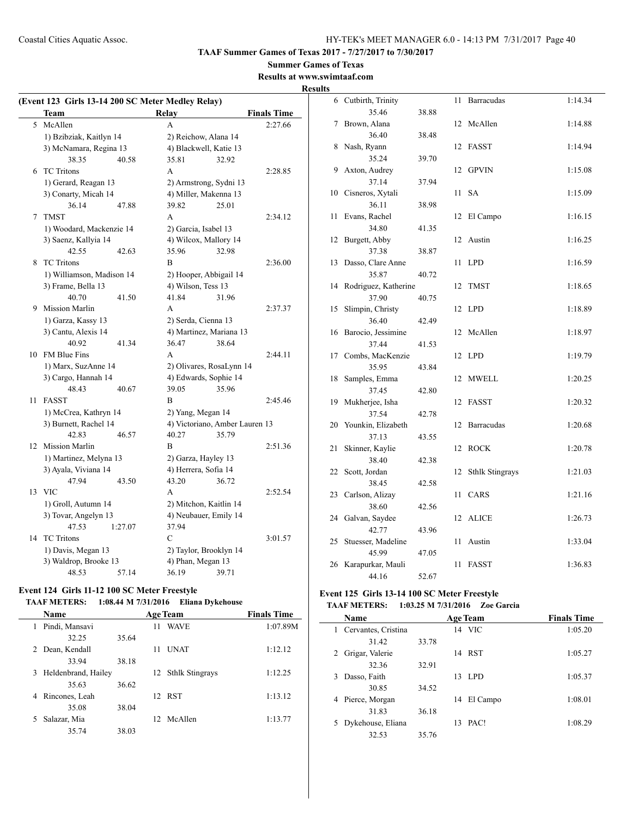# **Summer Games of Texas**

### **Results at www.swimtaaf.com Results**

|    | <b>Team</b>               |         | (Event 123 Girls 13-14 200 SC Meter Medley Relay)<br>Relay |                                | <b>Finals Time</b> |
|----|---------------------------|---------|------------------------------------------------------------|--------------------------------|--------------------|
| 5  | McAllen                   |         | A                                                          |                                | 2:27.66            |
|    | 1) Bzibziak, Kaitlyn 14   |         |                                                            | 2) Reichow, Alana 14           |                    |
|    | 3) McNamara, Regina 13    |         |                                                            | 4) Blackwell, Katie 13         |                    |
|    | 38.35                     | 40.58   | 35.81                                                      | 32.92                          |                    |
| 6  | <b>TC</b> Tritons         |         | A                                                          |                                | 2:28.85            |
|    | 1) Gerard, Reagan 13      |         |                                                            | 2) Armstrong, Sydni 13         |                    |
|    | 3) Conarty, Micah 14      |         |                                                            | 4) Miller, Makenna 13          |                    |
|    | 36.14                     | 47.88   | 39.82                                                      | 25.01                          |                    |
| 7  | <b>TMST</b>               |         | A                                                          |                                | 2:34.12            |
|    | 1) Woodard, Mackenzie 14  |         | 2) Garcia, Isabel 13                                       |                                |                    |
|    | 3) Saenz, Kallyia 14      |         |                                                            | 4) Wilcox, Mallory 14          |                    |
|    | 42.55                     | 42.63   | 35.96                                                      | 32.98                          |                    |
| 8  | <b>TC</b> Tritons         |         | B                                                          |                                | 2:36.00            |
|    | 1) Williamson, Madison 14 |         |                                                            | 2) Hooper, Abbigail 14         |                    |
|    | 3) Frame, Bella 13        |         | 4) Wilson, Tess 13                                         |                                |                    |
|    | 40.70                     | 41.50   | 41.84                                                      | 31.96                          |                    |
| 9  | <b>Mission Marlin</b>     |         | A                                                          |                                | 2:37.37            |
|    | 1) Garza, Kassy 13        |         | 2) Serda, Cienna 13                                        |                                |                    |
|    | 3) Cantu, Alexis 14       |         |                                                            | 4) Martinez, Mariana 13        |                    |
|    | 40.92                     | 41.34   | 36.47                                                      | 38.64                          |                    |
| 10 | <b>FM Blue Fins</b>       |         | A                                                          |                                | 2:44.11            |
|    | 1) Marx, SuzAnne 14       |         |                                                            | 2) Olivares, RosaLynn 14       |                    |
|    | 3) Cargo, Hannah 14       |         |                                                            | 4) Edwards, Sophie 14          |                    |
|    | 48.43                     | 40.67   | 39.05                                                      | 35.96                          |                    |
| 11 | <b>FASST</b>              |         | B                                                          |                                | 2:45.46            |
|    | 1) McCrea, Kathryn 14     |         |                                                            | 2) Yang, Megan 14              |                    |
|    | 3) Burnett, Rachel 14     |         |                                                            | 4) Victoriano, Amber Lauren 13 |                    |
|    | 42.83                     | 46.57   | 40.27                                                      | 35.79                          |                    |
| 12 | <b>Mission Marlin</b>     |         | B                                                          |                                | 2:51.36            |
|    | 1) Martinez, Melyna 13    |         | 2) Garza, Hayley 13                                        |                                |                    |
|    | 3) Ayala, Viviana 14      |         | 4) Herrera, Sofia 14                                       |                                |                    |
|    | 47.94                     | 43.50   | 43.20                                                      | 36.72                          |                    |
| 13 | <b>VIC</b>                |         | A                                                          |                                | 2:52.54            |
|    | 1) Groll, Autumn 14       |         |                                                            | 2) Mitchon, Kaitlin 14         |                    |
|    | 3) Tovar, Angelyn 13      |         |                                                            | 4) Neubauer, Emily 14          |                    |
|    | 47.53                     | 1:27.07 | 37.94                                                      |                                |                    |
| 14 | <b>TC</b> Tritons         |         | C                                                          |                                | 3:01.57            |
|    | 1) Davis, Megan 13        |         |                                                            | 2) Taylor, Brooklyn 14         |                    |
|    | 3) Waldrop, Brooke 13     |         | 4) Phan, Megan 13                                          |                                |                    |
|    |                           |         | 36.19                                                      | 39.71                          |                    |

# **Event 124 Girls 11-12 100 SC Meter Freestyle**

# **TAAF METERS: 1:08.44 M 7/31/2016 Eliana Dykehouse**

| Name                  |       | <b>Age Team</b> | <b>Finals Time</b> |          |
|-----------------------|-------|-----------------|--------------------|----------|
| Pindi, Mansavi<br>1   |       | 11              | <b>WAVE</b>        | 1:07.89M |
| 32.25                 | 35.64 |                 |                    |          |
| 2 Dean, Kendall       |       | 11              | <b>UNAT</b>        | 1:12.12  |
| 33.94                 | 38.18 |                 |                    |          |
| 3 Heldenbrand, Hailey |       |                 | 12 Sthlk Stingrays | 1:12.25  |
| 35.63                 | 36.62 |                 |                    |          |
| Rincones, Leah<br>4   |       |                 | 12 RST             | 1:13.12  |
| 35.08                 | 38.04 |                 |                    |          |
| Salazar, Mia<br>5.    |       |                 | 12 McAllen         | 1:13.77  |
| 35.74                 | 38.03 |                 |                    |          |

|             | 6 Cutbirth, Trinity         |       | 11 | <b>Barracudas</b>      | 1:14.34 |
|-------------|-----------------------------|-------|----|------------------------|---------|
|             | 35.46                       | 38.88 |    |                        |         |
| $7^{\circ}$ | Brown, Alana                |       | 12 | McAllen                | 1:14.88 |
|             | 36.40                       | 38.48 |    |                        |         |
| 8           | Nash, Ryann                 |       | 12 | <b>FASST</b>           | 1:14.94 |
|             | 35.24                       | 39.70 |    |                        |         |
| 9           | Axton, Audrey               |       | 12 | <b>GPVIN</b>           | 1:15.08 |
|             | 37.14                       | 37.94 |    |                        |         |
| 10          | Cisneros, Xytali            |       | 11 | <b>SA</b>              | 1:15.09 |
|             | 36.11                       | 38.98 |    |                        |         |
| 11          | Evans, Rachel               |       | 12 | El Campo               | 1:16.15 |
|             | 34.80                       | 41.35 |    |                        |         |
| 12          | Burgett, Abby               |       | 12 | Austin                 | 1:16.25 |
|             | 37.38                       | 38.87 |    |                        |         |
| 13          | Dasso, Clare Anne           |       | 11 | <b>LPD</b>             | 1:16.59 |
|             | 35.87                       | 40.72 |    |                        |         |
| 14          | Rodriguez, Katherine        |       | 12 | <b>TMST</b>            | 1:18.65 |
|             | 37.90                       | 40.75 |    |                        |         |
| 15          | Slimpin, Christy            |       | 12 | <b>LPD</b>             | 1:18.89 |
|             | 36.40                       | 42.49 |    | McAllen                |         |
| 16          | Barocio, Jessimine<br>37.44 | 41.53 | 12 |                        | 1:18.97 |
| 17          | Combs, MacKenzie            |       | 12 | <b>LPD</b>             | 1:19.79 |
|             | 35.95                       | 43.84 |    |                        |         |
| 18          | Samples, Emma               |       | 12 | <b>MWELL</b>           | 1:20.25 |
|             | 37.45                       | 42.80 |    |                        |         |
| 19          | Mukherjee, Isha             |       | 12 | <b>FASST</b>           | 1:20.32 |
|             | 37.54                       | 42.78 |    |                        |         |
| 20          | Younkin, Elizabeth          |       | 12 | Barracudas             | 1:20.68 |
|             | 37.13                       | 43.55 |    |                        |         |
| 21          | Skinner, Kaylie             |       | 12 | <b>ROCK</b>            | 1:20.78 |
|             | 38.40                       | 42.38 |    |                        |         |
| 22          | Scott, Jordan               |       | 12 | <b>Sthlk Stingrays</b> | 1:21.03 |
|             | 38.45                       | 42.58 |    |                        |         |
| 23          | Carlson, Alizay             |       | 11 | CARS                   | 1:21.16 |
|             | 38.60                       | 42.56 |    |                        |         |
| 24          | Galvan, Saydee              |       | 12 | <b>ALICE</b>           | 1:26.73 |
|             | 42.77                       | 43.96 |    |                        |         |
| 25          | Stuesser, Madeline          |       | 11 | Austin                 | 1:33.04 |
|             | 45.99                       | 47.05 |    |                        |         |
| 26          | Karapurkar, Mauli           |       | 11 | <b>FASST</b>           | 1:36.83 |
|             | 44.16                       | 52.67 |    |                        |         |

# **Event 125 Girls 13-14 100 SC Meter Freestyle**

 $\overline{a}$ 

# **TAAF METERS: 1:03.25 M 7/31/2016 Zoe Garcia**

|   | Name                | <b>Age Team</b> |     |             | <b>Finals Time</b> |
|---|---------------------|-----------------|-----|-------------|--------------------|
| 1 | Cervantes, Cristina |                 |     | 14 VIC      | 1:05.20            |
|   | 31.42               | 33.78           |     |             |                    |
| 2 | Grigar, Valerie     |                 |     | 14 RST      | 1:05.27            |
|   | 32.36               | 32.91           |     |             |                    |
| 3 | Dasso, Faith        |                 | 13  | <b>LPD</b>  | 1:05.37            |
|   | 30.85               | 34.52           |     |             |                    |
| 4 | Pierce, Morgan      |                 |     | 14 El Campo | 1:08.01            |
|   | 31.83               | 36.18           |     |             |                    |
|   | Dykehouse, Eliana   |                 | 13. | PAC!        | 1:08.29            |
|   | 32.53               | 35.76           |     |             |                    |
|   |                     |                 |     |             |                    |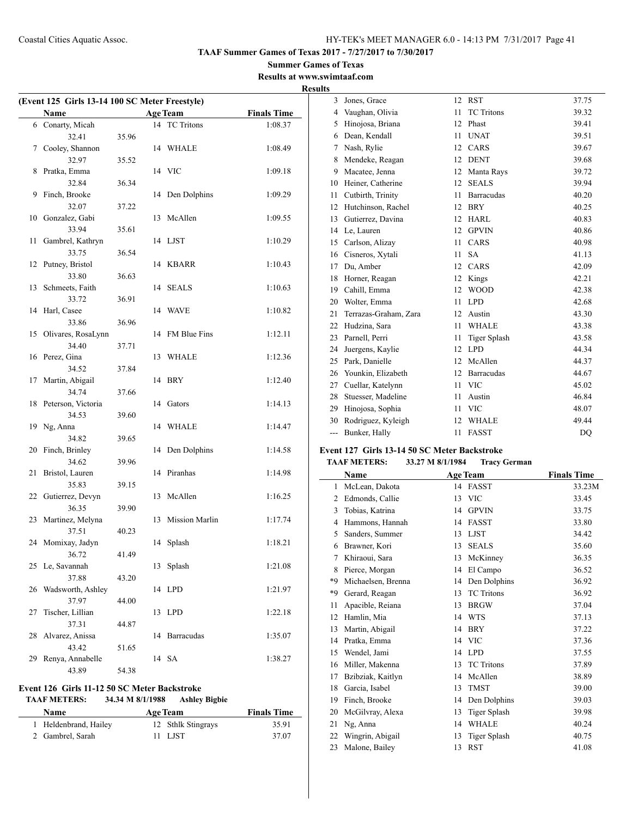### **Summer Games of Texas Results at www.swimtaaf.com**

**Results**

 $\overline{\phantom{a}}$ 

| (Event 125 Girls 13-14 100 SC Meter Freestyle) |                           |       |    |                       |                    |  |
|------------------------------------------------|---------------------------|-------|----|-----------------------|--------------------|--|
|                                                | <b>Name</b>               |       |    | <b>Age Team</b>       | <b>Finals Time</b> |  |
|                                                | 6 Conarty, Micah          |       |    | 14 TC Tritons         | 1:08.37            |  |
|                                                | 32.41                     | 35.96 |    |                       |                    |  |
| 7                                              | Cooley, Shannon           |       |    | 14 WHALE              | 1:08.49            |  |
|                                                | 32.97                     | 35.52 |    |                       |                    |  |
| 8                                              | Pratka, Emma              |       | 14 | <b>VIC</b>            | 1:09.18            |  |
|                                                | 32.84                     | 36.34 |    |                       |                    |  |
| 9                                              | Finch, Brooke             |       | 14 | Den Dolphins          | 1:09.29            |  |
|                                                | 32.07                     | 37.22 |    |                       |                    |  |
| 10                                             | Gonzalez, Gabi            |       | 13 | McAllen               | 1:09.55            |  |
|                                                | 33.94                     | 35.61 |    |                       |                    |  |
| 11                                             | Gambrel, Kathryn          |       |    | 14 LJST               | 1:10.29            |  |
|                                                | 33.75                     | 36.54 |    |                       |                    |  |
| 12                                             | Putney, Bristol           |       |    | 14 KBARR              | 1:10.43            |  |
|                                                | 33.80                     | 36.63 |    |                       |                    |  |
| 13                                             | Schmeets, Faith           |       | 14 | <b>SEALS</b>          | 1:10.63            |  |
|                                                | 33.72                     | 36.91 |    |                       |                    |  |
| 14                                             | Harl, Casee               |       |    | 14 WAVE               | 1:10.82            |  |
|                                                | 33.86                     | 36.96 |    |                       |                    |  |
| 15                                             | Olivares, RosaLynn        |       | 14 | FM Blue Fins          | 1:12.11            |  |
|                                                | 34.40                     | 37.71 |    |                       |                    |  |
|                                                | 16 Perez, Gina            |       | 13 | <b>WHALE</b>          | 1:12.36            |  |
|                                                | 34.52                     | 37.84 |    |                       |                    |  |
| 17                                             | Martin, Abigail           |       |    | 14 BRY                | 1:12.40            |  |
|                                                | 34.74                     | 37.66 |    |                       |                    |  |
| 18                                             | Peterson, Victoria        |       |    | 14 Gators             | 1:14.13            |  |
|                                                | 34.53                     | 39.60 |    |                       |                    |  |
| 19                                             | Ng, Anna                  |       | 14 | WHALE                 | 1:14.47            |  |
|                                                | 34.82                     | 39.65 |    |                       |                    |  |
| 20                                             | Finch, Brinley            |       | 14 | Den Dolphins          | 1:14.58            |  |
|                                                | 34.62                     | 39.96 |    |                       |                    |  |
| 21                                             | Bristol, Lauren           |       | 14 | Piranhas              | 1:14.98            |  |
|                                                | 35.83                     | 39.15 |    |                       |                    |  |
| 22                                             | Gutierrez, Devyn          |       | 13 | McAllen               | 1:16.25            |  |
|                                                | 36.35                     | 39.90 |    |                       |                    |  |
| 23                                             | Martinez, Melyna          |       | 13 | <b>Mission Marlin</b> | 1:17.74            |  |
|                                                | 37.51                     | 40.23 |    |                       |                    |  |
| 24                                             | Momixay, Jadyn            |       |    | 14 Splash             | 1:18.21            |  |
|                                                | 36.72                     | 41.49 |    |                       |                    |  |
|                                                | 25 Le, Savannah           |       | 13 | Splash                | 1:21.08            |  |
|                                                | 37.88                     | 43.20 |    |                       |                    |  |
| 26                                             | Wadsworth, Ashley         |       | 14 | <b>LPD</b>            | 1:21.97            |  |
|                                                | 37.97                     | 44.00 |    |                       |                    |  |
| 27                                             | Tischer, Lillian<br>37.31 |       | 13 | <b>LPD</b>            | 1:22.18            |  |
| 28                                             |                           | 44.87 | 14 | Barracudas            | 1:35.07            |  |
|                                                | Alvarez, Anissa<br>43.42  | 51.65 |    |                       |                    |  |
| 29                                             | Renya, Annabelle          |       |    | 14 SA                 | 1:38.27            |  |
|                                                | 43.89                     | 54.38 |    |                       |                    |  |
|                                                |                           |       |    |                       |                    |  |

# **Event 126 Girls 11-12 50 SC Meter Backstroke**

### **TAAF METERS: 34.34 M 8/1/1988 Ashley Bigbie**

| Name                  | <b>Age Team</b>    | <b>Finals Time</b> |
|-----------------------|--------------------|--------------------|
| 1 Heldenbrand, Hailey | 12 Sthlk Stingrays | 35.91              |
| 2 Gambrel, Sarah      | 11 LJST            | 37.07              |

| 3   | Jones, Grace          | 12 | <b>RST</b>          | 37.75 |
|-----|-----------------------|----|---------------------|-------|
| 4   | Vaughan, Olivia       | 11 | <b>TC</b> Tritons   | 39.32 |
| 5   | Hinojosa, Briana      | 12 | Phast               | 39.41 |
| 6   | Dean, Kendall         | 11 | <b>UNAT</b>         | 39.51 |
| 7   | Nash, Rylie           | 12 | CARS                | 39.67 |
| 8   | Mendeke, Reagan       | 12 | <b>DENT</b>         | 39.68 |
| 9   | Macatee, Jenna        | 12 | Manta Rays          | 39.72 |
| 10  | Heiner, Catherine     | 12 | <b>SEALS</b>        | 39.94 |
| 11  | Cutbirth, Trinity     | 11 | Barracudas          | 40.20 |
| 12  | Hutchinson, Rachel    | 12 | <b>BRY</b>          | 40.25 |
| 13  | Gutierrez, Davina     | 12 | <b>HARL</b>         | 40.83 |
| 14  | Le, Lauren            | 12 | <b>GPVIN</b>        | 40.86 |
| 15  | Carlson, Alizay       | 11 | CARS                | 40.98 |
| 16  | Cisneros, Xytali      | 11 | <b>SA</b>           | 41.13 |
| 17  | Du, Amber             | 12 | CARS                | 42.09 |
| 18  | Horner, Reagan        | 12 | Kings               | 42.21 |
| 19  | Cahill, Emma          | 12 | <b>WOOD</b>         | 42.38 |
| 20  | Wolter, Emma          | 11 | <b>LPD</b>          | 42.68 |
| 21  | Terrazas-Graham, Zara | 12 | Austin              | 43.30 |
| 22  | Hudzina, Sara         | 11 | <b>WHALE</b>        | 43.38 |
| 23  | Parnell, Perri        | 11 | <b>Tiger Splash</b> | 43.58 |
| 24  | Juergens, Kaylie      | 12 | <b>LPD</b>          | 44.34 |
| 25  | Park, Danielle        | 12 | McAllen             | 44.37 |
| 26  | Younkin, Elizabeth    | 12 | <b>Barracudas</b>   | 44.67 |
| 27  | Cuellar, Katelynn     | 11 | <b>VIC</b>          | 45.02 |
| 28  | Stuesser, Madeline    | 11 | Austin              | 46.84 |
| 29  | Hinojosa, Sophia      | 11 | <b>VIC</b>          | 48.07 |
| 30  | Rodriguez, Kyleigh    | 12 | <b>WHALE</b>        | 49.44 |
| --- | Bunker, Hally         | 11 | <b>FASST</b>        | DQ    |

### **Event 127 Girls 13-14 50 SC Meter Backstroke**

### **TAAF METERS: 33.27 M 8/1/1984 Tracy German**

|                | Name               |    | <b>Age Team</b>     | <b>Finals Time</b> |
|----------------|--------------------|----|---------------------|--------------------|
| 1              | McLean, Dakota     | 14 | <b>FASST</b>        | 33.23M             |
| $\overline{2}$ | Edmonds, Callie    | 13 | <b>VIC</b>          | 33.45              |
| 3              | Tobias, Katrina    | 14 | <b>GPVIN</b>        | 33.75              |
| 4              | Hammons, Hannah    | 14 | <b>FASST</b>        | 33.80              |
| 5              | Sanders, Summer    | 13 | <b>LJST</b>         | 34.42              |
| 6              | Brawner, Kori      | 13 | <b>SEALS</b>        | 35.60              |
| $\tau$         | Khiraoui, Sara     | 13 | McKinney            | 36.35              |
| 8              | Pierce, Morgan     | 14 | El Campo            | 36.52              |
| *9             | Michaelsen, Brenna | 14 | Den Dolphins        | 36.92              |
| *9             | Gerard, Reagan     | 13 | <b>TC</b> Tritons   | 36.92              |
| 11             | Apacible, Reiana   | 13 | <b>BRGW</b>         | 37.04              |
| 12             | Hamlin, Mia        | 14 | <b>WTS</b>          | 37.13              |
| 13             | Martin, Abigail    | 14 | <b>BRY</b>          | 37.22              |
| 14             | Pratka, Emma       | 14 | <b>VIC</b>          | 37.36              |
| 15             | Wendel, Jami       | 14 | <b>LPD</b>          | 37.55              |
| 16             | Miller, Makenna    | 13 | <b>TC</b> Tritons   | 37.89              |
| 17             | Bzibziak, Kaitlyn  | 14 | McAllen             | 38.89              |
| 18             | Garcia, Isabel     | 13 | <b>TMST</b>         | 39.00              |
| 19             | Finch, Brooke      | 14 | Den Dolphins        | 39.03              |
| 20             | McGilvray, Alexa   | 13 | <b>Tiger Splash</b> | 39.98              |
| 21             | Ng, Anna           | 14 | <b>WHALE</b>        | 40.24              |
| 22             | Wingrin, Abigail   | 13 | Tiger Splash        | 40.75              |
| 23             | Malone, Bailey     | 13 | <b>RST</b>          | 41.08              |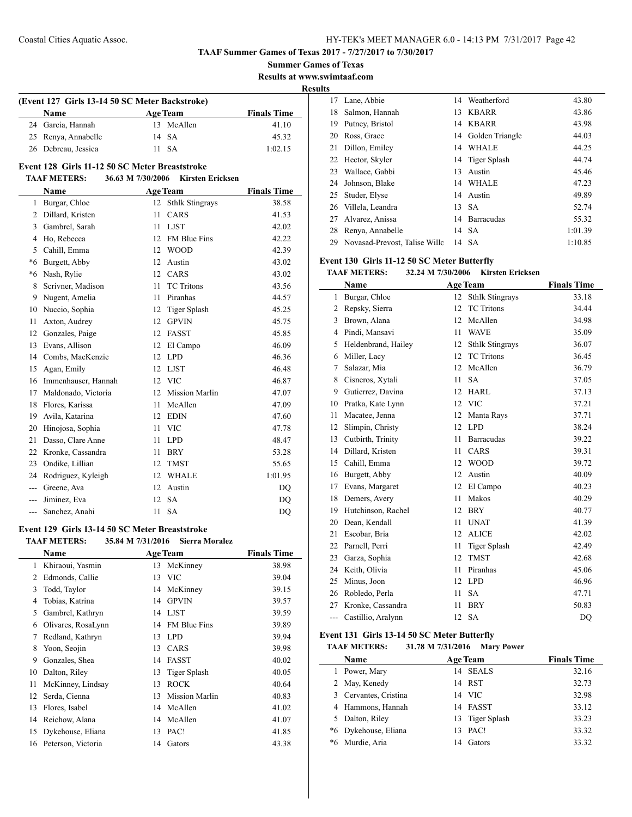$\overline{a}$ 

**TAAF Summer Games of Texas 2017 - 7/27/2017 to 7/30/2017**

**Summer Games of Texas Results at www.swimtaaf.com**

**Results**

 $\overline{\phantom{a}}$ 

 $\overline{\phantom{a}}$ 

| (Event 127 Girls 13-14 50 SC Meter Backstroke) |  |                 |                    |  |  |
|------------------------------------------------|--|-----------------|--------------------|--|--|
| Name                                           |  | <b>Age Team</b> | <b>Finals Time</b> |  |  |
| 24 Garcia, Hannah                              |  | 13 McAllen      | 41.10              |  |  |
| 25 Renya, Annabelle                            |  | 14 SA           | 45.32              |  |  |
| 26 Debreau, Jessica                            |  | 11 SA           | 1:02.15            |  |  |

# **Event 128 Girls 11-12 50 SC Meter Breaststroke**

# **TAAF METERS: 36.63 M 7/30/2006 Kirsten Ericksen**

|       | Name                |    | <b>Age Team</b>        | <b>Finals Time</b> |
|-------|---------------------|----|------------------------|--------------------|
| 1     | Burgar, Chloe       | 12 | <b>Sthlk Stingrays</b> | 38.58              |
| 2     | Dillard, Kristen    | 11 | CARS                   | 41.53              |
| 3     | Gambrel, Sarah      | 11 | <b>LJST</b>            | 42.02              |
| 4     | Ho, Rebecca         | 12 | FM Blue Fins           | 42.22              |
| 5     | Cahill, Emma        | 12 | <b>WOOD</b>            | 42.39              |
| *6    | Burgett, Abby       | 12 | Austin                 | 43.02              |
| *6    | Nash, Rylie         | 12 | CARS                   | 43.02              |
| 8     | Scrivner, Madison   | 11 | <b>TC</b> Tritons      | 43.56              |
| 9     | Nugent, Amelia      | 11 | Piranhas               | 44.57              |
| 10    | Nuccio, Sophia      | 12 | Tiger Splash           | 45.25              |
| 11    | Axton, Audrey       | 12 | <b>GPVIN</b>           | 45.75              |
| 12    | Gonzales, Paige     | 12 | FASST                  | 45.85              |
| 13    | Evans, Allison      | 12 | El Campo               | 46.09              |
| 14    | Combs, MacKenzie    | 12 | <b>LPD</b>             | 46.36              |
| 15    | Agan, Emily         | 12 | <b>LJST</b>            | 46.48              |
| 16    | Immenhauser, Hannah | 12 | <b>VIC</b>             | 46.87              |
| 17    | Maldonado, Victoria | 12 | <b>Mission Marlin</b>  | 47.07              |
| 18    | Flores, Karissa     | 11 | McAllen                | 47.09              |
| 19    | Avila, Katarina     | 12 | <b>EDIN</b>            | 47.60              |
| 20    | Hinojosa, Sophia    | 11 | <b>VIC</b>             | 47.78              |
| 21    | Dasso, Clare Anne   | 11 | <b>LPD</b>             | 48.47              |
| 22    | Kronke, Cassandra   | 11 | <b>BRY</b>             | 53.28              |
| 23    | Ondike, Lillian     | 12 | <b>TMST</b>            | 55.65              |
| 24    | Rodriguez, Kyleigh  | 12 | <b>WHALE</b>           | 1:01.95            |
| $---$ | Greene, Ava         | 12 | Austin                 | <b>DQ</b>          |
|       | Jiminez, Eva        | 12 | <b>SA</b>              | D <sub>O</sub>     |
| $---$ | Sanchez, Anahi      | 11 | <b>SA</b>              | DQ                 |

### **Event 129 Girls 13-14 50 SC Meter Breaststroke TAAF METERS: 35.84 M 7/31/2016 Sierra Moralez**

|               | Name               |    | <b>Age Team</b>       | <b>Finals Time</b> |
|---------------|--------------------|----|-----------------------|--------------------|
| 1             | Khiraoui, Yasmin   | 13 | McKinney              | 38.98              |
| $\mathcal{L}$ | Edmonds, Callie    | 13 | - VIC                 | 39.04              |
| 3             | Todd, Taylor       | 14 | McKinney              | 39.15              |
| 4             | Tobias, Katrina    | 14 | <b>GPVIN</b>          | 39.57              |
| 5             | Gambrel, Kathryn   | 14 | LJST                  | 39.59              |
| 6             | Olivares, RosaLynn | 14 | <b>FM Blue Fins</b>   | 39.89              |
| 7             | Redland, Kathryn   | 13 | LPD.                  | 39.94              |
| 8             | Yoon, Seojin       | 13 | <b>CARS</b>           | 39.98              |
| 9             | Gonzales, Shea     | 14 | <b>FASST</b>          | 40.02              |
| 10            | Dalton, Riley      | 13 | Tiger Splash          | 40.05              |
| 11            | McKinney, Lindsay  | 13 | <b>ROCK</b>           | 40.64              |
| 12            | Serda, Cienna      | 13 | <b>Mission Marlin</b> | 40.83              |
| 13            | Flores, Isabel     | 14 | McAllen               | 41.02              |
| 14            | Reichow, Alana     | 14 | McAllen               | 41.07              |
| 15            | Dykehouse, Eliana  | 13 | PAC!                  | 41.85              |
| 16            | Peterson, Victoria | 14 | Gators                | 43.38              |
|               |                    |    |                       |                    |

| ື້ |                                  |    |                    |         |
|----|----------------------------------|----|--------------------|---------|
| 17 | Lane, Abbie                      | 14 | Weatherford        | 43.80   |
| 18 | Salmon, Hannah                   | 13 | <b>KBARR</b>       | 43.86   |
| 19 | Putney, Bristol                  |    | 14 KBARR           | 43.98   |
| 20 | Ross, Grace                      |    | 14 Golden Triangle | 44.03   |
| 21 | Dillon, Emiley                   | 14 | <b>WHALE</b>       | 44.25   |
|    | 22 Hector, Skyler                |    | 14 Tiger Splash    | 44.74   |
| 23 | Wallace, Gabbi                   | 13 | Austin             | 45.46   |
| 24 | Johnson, Blake                   |    | 14 WHALE           | 47.23   |
| 25 | Studer, Elyse                    |    | 14 Austin          | 49.89   |
| 26 | Villela, Leandra                 | 13 | -SA                | 52.74   |
| 27 | Alvarez, Anissa                  | 14 | Barracudas         | 55.32   |
| 28 | Renya, Annabelle                 |    | 14 SA              | 1:01.39 |
|    | 29 Novasad-Prevost, Talise Wille |    | 14 SA              | 1:10.85 |

#### **Event 130 Girls 11-12 50 SC Meter Butterfly**

### **TAAF METERS: 32.24 M 7/30/2006 Kirsten Ericksen**

|              | Name                | <b>Age Team</b> |                        | <b>Finals Time</b> |
|--------------|---------------------|-----------------|------------------------|--------------------|
| $\mathbf{1}$ | Burgar, Chloe       | 12              | <b>Sthlk Stingrays</b> | 33.18              |
| 2            | Repsky, Sierra      | 12              | <b>TC</b> Tritons      | 34.44              |
| 3            | Brown, Alana        | 12              | McAllen                | 34.98              |
| 4            | Pindi, Mansavi      | 11              | <b>WAVE</b>            | 35.09              |
| 5            | Heldenbrand, Hailey | 12              | <b>Sthlk Stingrays</b> | 36.07              |
| 6            | Miller, Lacy        | 12              | <b>TC</b> Tritons      | 36.45              |
| 7            | Salazar, Mia        | 12              | McAllen                | 36.79              |
| 8            | Cisneros, Xytali    | 11              | <b>SA</b>              | 37.05              |
| 9            | Gutierrez, Davina   | 12              | <b>HARL</b>            | 37.13              |
| 10           | Pratka, Kate Lynn   | 12              | <b>VIC</b>             | 37.21              |
| 11           | Macatee, Jenna      | 12              | Manta Rays             | 37.71              |
| 12           | Slimpin, Christy    | 12              | <b>LPD</b>             | 38.24              |
| 13           | Cutbirth, Trinity   | 11              | <b>Barracudas</b>      | 39.22              |
| 14           | Dillard, Kristen    | 11              | CARS                   | 39.31              |
| 15           | Cahill, Emma        | 12              | <b>WOOD</b>            | 39.72              |
| 16           | Burgett, Abby       | 12              | Austin                 | 40.09              |
| 17           | Evans, Margaret     | 12              | El Campo               | 40.23              |
| 18           | Demers, Avery       | 11              | Makos                  | 40.29              |
| 19           | Hutchinson, Rachel  | 12              | <b>BRY</b>             | 40.77              |
| 20           | Dean, Kendall       | 11              | <b>UNAT</b>            | 41.39              |
| 21           | Escobar, Bria       | 12              | <b>ALICE</b>           | 42.02              |
| 22           | Parnell, Perri      | 11              | <b>Tiger Splash</b>    | 42.49              |
| 23           | Garza, Sophia       | 12              | <b>TMST</b>            | 42.68              |
| 24           | Keith, Olivia       | 11              | Piranhas               | 45.06              |
| 25           | Minus, Joon         | 12              | <b>LPD</b>             | 46.96              |
| 26           | Robledo, Perla      | 11              | <b>SA</b>              | 47.71              |
| 27           | Kronke, Cassandra   | 11              | <b>BRY</b>             | 50.83              |
| ---          | Castillio, Aralynn  | 12              | <b>SA</b>              | DO                 |

### **Event 131 Girls 13-14 50 SC Meter Butterfly**

**TAAF METERS: 31.78 M 7/31/2016 Mary Power**

| <b>Name</b>           | <b>Age Team</b> | <b>Finals Time</b> |
|-----------------------|-----------------|--------------------|
| 1 Power, Mary         | 14 SEALS        | 32.16              |
| 2 May, Kenedy         | 14 RST          | 32.73              |
| 3 Cervantes, Cristina | 14 VIC          | 32.98              |
| 4 Hammons, Hannah     | 14 FASST        | 33.12              |
| 5 Dalton, Riley       | 13 Tiger Splash | 33.23              |
| *6 Dykehouse, Eliana  | PAC!<br>13      | 33.32              |
| *6 Murdie, Aria       | Gators<br>14    | 33.32              |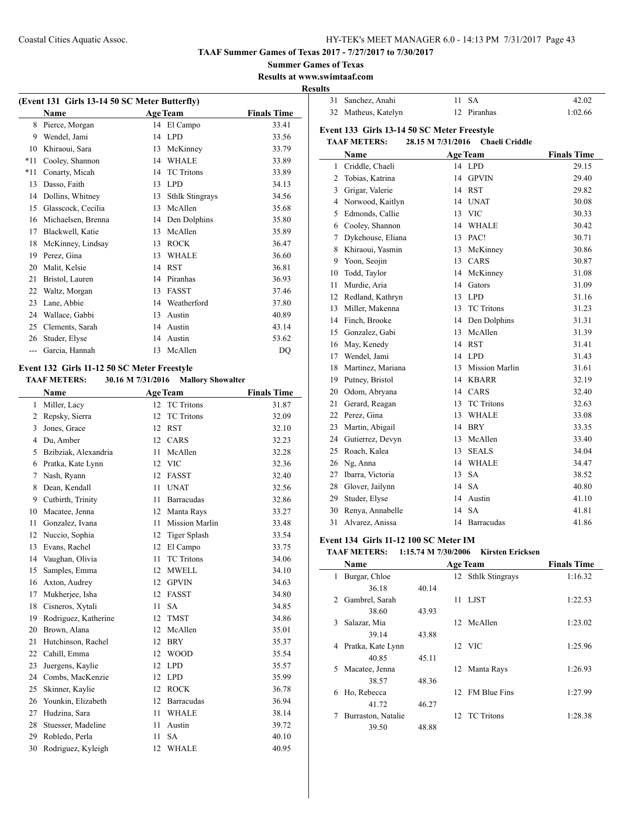**TAAF Summer Games of Texas 2017 - 7/27/2017 to 7/30/2017**

**Summer Games of Texas**

**Results at www.swimtaaf.com**

**Results**

| 31 Sanchez, Anahi   | 11 SA       | 42.02   |
|---------------------|-------------|---------|
| 32 Matheus, Katelyn | 12 Piranhas | 1:02.66 |

**Event 133 Girls 13-14 50 SC Meter Freestyle**

**TAAF METERS: 28.15 M 7/31/2016 Chaeli Criddle**

# **(Event 131 Girls 13-14 50 SC Meter Butterfly) Name Age Team Finals Time** 8 Pierce, Morgan 14 El Campo 33.41 Wendel, Jami 14 LPD 33.56 Khiraoui, Sara 13 McKinney 33.79 \*11 Cooley, Shannon 14 WHALE 33.89 \*11 Conarty, Micah 14 TC Tritons 33.89 Dasso, Faith 13 LPD 34.13 Dollins, Whitney 13 Sthlk Stingrays 34.56 15 Glasscock, Cecilia 13 McAllen 35.68 Michaelsen, Brenna 14 Den Dolphins 35.80 Blackwell, Katie 13 McAllen 35.89 18 McKinney, Lindsay 13 ROCK 36.47 19 Perez, Gina 13 WHALE 36.60 Malit, Kelsie 14 RST 36.81 Bristol, Lauren 14 Piranhas 36.93 22 Waltz, Morgan 13 FASST 37.46 Lane, Abbie 14 Weatherford 37.80 Wallace, Gabbi 13 Austin 40.89 Clements, Sarah 14 Austin 43.14 26 Studer, Elyse 14 Austin 53.62 --- Garcia, Hannah 13 McAllen DQ

# **Event 132 Girls 11-12 50 SC Meter Freestyle**

**TAAF METERS: 30.16 M 7/31/2016 Mallory Showalter**

|    | Name                 |    | <b>Age Team</b>       | <b>Finals Time</b> |
|----|----------------------|----|-----------------------|--------------------|
| 1  | Miller, Lacy         | 12 | <b>TC</b> Tritons     | 31.87              |
| 2  | Repsky, Sierra       | 12 | <b>TC</b> Tritons     | 32.09              |
| 3  | Jones, Grace         | 12 | <b>RST</b>            | 32.10              |
| 4  | Du, Amber            | 12 | CARS                  | 32.23              |
| 5  | Bzibziak, Alexandria | 11 | McAllen               | 32.28              |
| 6  | Pratka, Kate Lynn    | 12 | <b>VIC</b>            | 32.36              |
| 7  | Nash, Ryann          | 12 | <b>FASST</b>          | 32.40              |
| 8  | Dean, Kendall        | 11 | <b>UNAT</b>           | 32.56              |
| 9  | Cutbirth, Trinity    | 11 | <b>Barracudas</b>     | 32.86              |
| 10 | Macatee, Jenna       | 12 | Manta Rays            | 33.27              |
| 11 | Gonzalez, Ivana      | 11 | <b>Mission Marlin</b> | 33.48              |
| 12 | Nuccio, Sophia       | 12 | <b>Tiger Splash</b>   | 33.54              |
| 13 | Evans, Rachel        | 12 | El Campo              | 33.75              |
| 14 | Vaughan, Olivia      | 11 | <b>TC</b> Tritons     | 34.06              |
| 15 | Samples, Emma        | 12 | <b>MWELL</b>          | 34.10              |
| 16 | Axton, Audrey        | 12 | <b>GPVIN</b>          | 34.63              |
| 17 | Mukherjee, Isha      | 12 | <b>FASST</b>          | 34.80              |
| 18 | Cisneros, Xytali     | 11 | <b>SA</b>             | 34.85              |
| 19 | Rodriguez, Katherine | 12 | <b>TMST</b>           | 34.86              |
| 20 | Brown, Alana         | 12 | McAllen               | 35.01              |
| 21 | Hutchinson, Rachel   | 12 | <b>BRY</b>            | 35.37              |
| 22 | Cahill, Emma         | 12 | <b>WOOD</b>           | 35.54              |
| 23 | Juergens, Kaylie     | 12 | <b>LPD</b>            | 35.57              |
| 24 | Combs, MacKenzie     | 12 | <b>LPD</b>            | 35.99              |
| 25 | Skinner, Kaylie      | 12 | <b>ROCK</b>           | 36.78              |
| 26 | Younkin, Elizabeth   | 12 | <b>Barracudas</b>     | 36.94              |
| 27 | Hudzina, Sara        | 11 | <b>WHALE</b>          | 38.14              |
| 28 | Stuesser, Madeline   | 11 | Austin                | 39.72              |
| 29 | Robledo, Perla       | 11 | <b>SA</b>             | 40.10              |
| 30 | Rodriguez, Kyleigh   | 12 | <b>WHALE</b>          | 40.95              |

|                | Name              |    | <b>Age Team</b>       | <b>Finals Time</b> |
|----------------|-------------------|----|-----------------------|--------------------|
| 1              | Criddle, Chaeli   | 14 | <b>LPD</b>            | 29.15              |
| $\overline{c}$ | Tobias, Katrina   | 14 | <b>GPVIN</b>          | 29.40              |
| 3              | Grigar, Valerie   | 14 | <b>RST</b>            | 29.82              |
| 4              | Norwood, Kaitlyn  | 14 | <b>UNAT</b>           | 30.08              |
| 5              | Edmonds, Callie   | 13 | <b>VIC</b>            | 30.33              |
| 6              | Cooley, Shannon   | 14 | <b>WHALE</b>          | 30.42              |
| $\tau$         | Dykehouse, Eliana | 13 | PAC!                  | 30.71              |
| 8              | Khiraoui, Yasmin  | 13 | McKinney              | 30.86              |
| 9              | Yoon, Seojin      | 13 | CARS                  | 30.87              |
| 10             | Todd, Taylor      | 14 | McKinney              | 31.08              |
| 11             | Murdie, Aria      | 14 | Gators                | 31.09              |
| 12             | Redland, Kathryn  | 13 | <b>LPD</b>            | 31.16              |
| 13             | Miller, Makenna   | 13 | <b>TC</b> Tritons     | 31.23              |
| 14             | Finch, Brooke     |    | 14 Den Dolphins       | 31.31              |
| 15             | Gonzalez, Gabi    | 13 | McAllen               | 31.39              |
| 16             | May, Kenedy       | 14 | <b>RST</b>            | 31.41              |
| 17             | Wendel, Jami      | 14 | <b>LPD</b>            | 31.43              |
| 18             | Martinez, Mariana | 13 | <b>Mission Marlin</b> | 31.61              |
| 19             | Putney, Bristol   | 14 | <b>KBARR</b>          | 32.19              |
| 20             | Odom, Abryana     | 14 | CARS                  | 32.40              |
| 21             | Gerard, Reagan    | 13 | <b>TC</b> Tritons     | 32.63              |
| 22             | Perez, Gina       | 13 | <b>WHALE</b>          | 33.08              |
| 23             | Martin, Abigail   | 14 | <b>BRY</b>            | 33.35              |
| 24             | Gutierrez, Devyn  | 13 | McAllen               | 33.40              |
| 25             | Roach, Kalea      | 13 | <b>SEALS</b>          | 34.04              |
| 26             | Ng, Anna          | 14 | <b>WHALE</b>          | 34.47              |
| 27             | Ibarra, Victoria  | 13 | <b>SA</b>             | 38.52              |
| 28             | Glover, Jailynn   | 14 | SA                    | 40.80              |
| 29             | Studer, Elyse     | 14 | Austin                | 41.10              |
| 30             | Renya, Annabelle  | 14 | <b>SA</b>             | 41.81              |
| 31             | Alvarez, Anissa   | 14 | Barracudas            | 41.86              |

#### **Event 134 Girls 11-12 100 SC Meter IM**

### **TAAF METERS: 1:15.74 M 7/30/2006 Kirsten Ericksen**

|    | <b>Name</b>        |       |    | <b>Age Team</b>    | <b>Finals Time</b> |
|----|--------------------|-------|----|--------------------|--------------------|
| 1  | Burgar, Chloe      |       |    | 12 Sthlk Stingrays | 1:16.32            |
|    | 36.18              | 40.14 |    |                    |                    |
| 2  | Gambrel, Sarah     |       | 11 | LJST               | 1:22.53            |
|    | 38.60              | 43.93 |    |                    |                    |
| 3  | Salazar, Mia       |       |    | 12 McAllen         | 1:23.02            |
|    | 39.14              | 43.88 |    |                    |                    |
| 4  | Pratka, Kate Lynn  |       |    | 12 VIC             | 1:25.96            |
|    | 40.85              | 45.11 |    |                    |                    |
| 5. | Macatee, Jenna     |       | 12 | Manta Rays         | 1:26.93            |
|    | 38.57              | 48.36 |    |                    |                    |
| 6  | Ho, Rebecca        |       |    | 12 FM Blue Fins    | 1:27.99            |
|    | 41.72              | 46.27 |    |                    |                    |
|    | Burraston, Natalie |       |    | 12 TC Tritons      | 1:28.38            |
|    | 39.50              | 48.88 |    |                    |                    |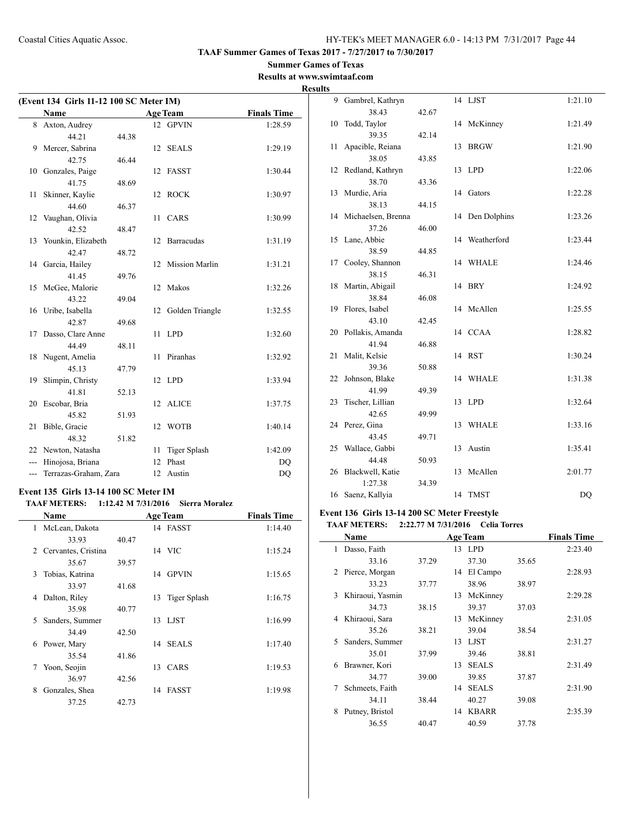**TAAF Summer Games of Texas 2017 - 7/27/2017 to 7/30/2017**

### **Summer Games of Texas Results at www.swimtaaf.com**

**Results**

| (Event 134 Girls 11-12 100 SC Meter IM) |                       |       |    |                       |                    |  |
|-----------------------------------------|-----------------------|-------|----|-----------------------|--------------------|--|
|                                         | <b>Name</b>           |       |    | <b>Age Team</b>       | <b>Finals Time</b> |  |
|                                         | 8 Axton, Audrey       |       |    | 12 GPVIN              | 1:28.59            |  |
|                                         | 44.21                 | 44.38 |    |                       |                    |  |
| 9                                       | Mercer, Sabrina       |       | 12 | <b>SEALS</b>          | 1:29.19            |  |
|                                         | 42.75                 | 46.44 |    |                       |                    |  |
| 10                                      | Gonzales, Paige       |       | 12 | <b>FASST</b>          | 1:30.44            |  |
|                                         | 41.75                 | 48.69 |    |                       |                    |  |
| 11                                      | Skinner, Kaylie       |       | 12 | <b>ROCK</b>           | 1:30.97            |  |
|                                         | 44.60                 | 46.37 |    |                       |                    |  |
| 12                                      | Vaughan, Olivia       |       | 11 | CARS                  | 1:30.99            |  |
|                                         | 42.52                 | 48.47 |    |                       |                    |  |
| 13                                      | Younkin, Elizabeth    |       | 12 | Barracudas            | 1:31.19            |  |
|                                         | 42.47                 | 48.72 |    |                       |                    |  |
|                                         | 14 Garcia, Hailey     |       | 12 | <b>Mission Marlin</b> | 1:31.21            |  |
|                                         | 41.45                 | 49.76 |    |                       |                    |  |
| 15                                      | McGee, Malorie        |       |    | 12 Makos              | 1:32.26            |  |
|                                         | 43.22                 | 49.04 |    |                       |                    |  |
|                                         | 16 Uribe, Isabella    |       |    | 12 Golden Triangle    | 1:32.55            |  |
|                                         | 42.87                 | 49.68 |    |                       |                    |  |
| 17                                      | Dasso, Clare Anne     |       | 11 | <b>LPD</b>            | 1:32.60            |  |
|                                         | 44.49                 | 48.11 |    |                       |                    |  |
| 18                                      | Nugent, Amelia        |       | 11 | Piranhas              | 1:32.92            |  |
|                                         | 45.13                 | 47.79 |    |                       |                    |  |
| 19                                      | Slimpin, Christy      |       | 12 | <b>LPD</b>            | 1:33.94            |  |
|                                         | 41.81                 | 52.13 |    |                       |                    |  |
| 20                                      | Escobar, Bria         |       | 12 | <b>ALICE</b>          | 1:37.75            |  |
|                                         | 45.82                 | 51.93 |    |                       |                    |  |
| 21                                      | Bible, Gracie         |       | 12 | <b>WOTB</b>           | 1:40.14            |  |
|                                         | 48.32                 | 51.82 |    |                       |                    |  |
| 22                                      | Newton, Natasha       |       | 11 | Tiger Splash          | 1:42.09            |  |
| ---                                     | Hinojosa, Briana      |       | 12 | Phast                 | DQ                 |  |
| ---                                     | Terrazas-Graham, Zara |       |    | 12 Austin             | DQ                 |  |

### **Event 135 Girls 13-14 100 SC Meter IM TAAF METERS: 1:12.42 M 7/31/2016 Sierra Moralez**

### **Name Age Team Finals Time** 1 McLean, Dakota 14 FASST 1:14.40 33.93 40.47 2 Cervantes, Cristina 14 VIC 1:15.24 35.67 39.57 3 Tobias, Katrina 14 GPVIN 1:15.65 33.97 41.68 4 Dalton, Riley 13 Tiger Splash 1:16.75 35.98 40.77 5 Sanders, Summer 13 LJST 1:16.99 34.49 42.50 6 Power, Mary 14 SEALS 1:17.40 35.54 41.86 7 Yoon, Seojin 13 CARS 1:19.53 36.97 42.56 8 Gonzales, Shea 14 FASST 1:19.98 37.25 42.73

| 9  | Gambrel, Kathryn          |       |    | 14 LJST         | 1:21.10        |
|----|---------------------------|-------|----|-----------------|----------------|
|    | 38.43                     | 42.67 |    |                 |                |
| 10 | Todd, Taylor              |       |    | 14 McKinney     | 1:21.49        |
|    | 39.35                     | 42.14 |    |                 |                |
| 11 | Apacible, Reiana          |       | 13 | <b>BRGW</b>     | 1:21.90        |
|    | 38.05                     | 43.85 |    |                 |                |
|    | 12 Redland, Kathryn       |       |    | 13 LPD          | 1:22.06        |
|    | 38.70                     | 43.36 |    |                 |                |
| 13 | Murdie, Aria              |       |    | 14 Gators       | 1:22.28        |
|    | 38.13                     | 44.15 |    |                 |                |
|    | 14 Michaelsen, Brenna     |       |    | 14 Den Dolphins | 1:23.26        |
|    | 37.26                     | 46.00 |    |                 |                |
| 15 | Lane, Abbie               |       |    | 14 Weatherford  | 1:23.44        |
|    | 38.59                     | 44.85 |    |                 |                |
| 17 | Cooley, Shannon           |       |    | 14 WHALE        | 1:24.46        |
|    | 38.15                     | 46.31 |    |                 |                |
| 18 | Martin, Abigail           |       |    | 14 BRY          | 1:24.92        |
|    | 38.84                     | 46.08 |    |                 |                |
| 19 | Flores, Isabel            |       |    | 14 McAllen      | 1:25.55        |
|    | 43.10                     | 42.45 |    |                 |                |
|    | 20 Pollakis, Amanda       |       |    | 14 CCAA         | 1:28.82        |
|    | 41.94                     | 46.88 |    |                 |                |
| 21 | Malit, Kelsie             |       |    | 14 RST          | 1:30.24        |
|    | 39.36                     | 50.88 |    |                 |                |
| 22 | Johnson, Blake            |       |    | 14 WHALE        | 1:31.38        |
| 23 | 41.99                     | 49.39 |    | <b>LPD</b>      | 1:32.64        |
|    | Tischer, Lillian<br>42.65 | 49.99 | 13 |                 |                |
| 24 | Perez, Gina               |       | 13 | <b>WHALE</b>    | 1:33.16        |
|    | 43.45                     | 49.71 |    |                 |                |
| 25 | Wallace, Gabbi            |       | 13 | Austin          | 1:35.41        |
|    | 44.48                     | 50.93 |    |                 |                |
| 26 | Blackwell, Katie          |       | 13 | McAllen         | 2:01.77        |
|    | 1:27.38                   | 34.39 |    |                 |                |
| 16 | Saenz, Kallyia            |       | 14 | <b>TMST</b>     | D <sub>O</sub> |
|    |                           |       |    |                 |                |

### **Event 136 Girls 13-14 200 SC Meter Freestyle**

|             | <b>TAAF METERS:</b> | 2:22.77 M 7/31/2016 |    | <b>Celia Torres</b> |       |                    |
|-------------|---------------------|---------------------|----|---------------------|-------|--------------------|
|             | Name                |                     |    | <b>Age Team</b>     |       | <b>Finals Time</b> |
| 1           | Dasso, Faith        |                     | 13 | <b>LPD</b>          |       | 2:23.40            |
|             | 33.16               | 37.29               |    | 37.30               | 35.65 |                    |
| $2^{\circ}$ | Pierce, Morgan      |                     | 14 | El Campo            |       | 2:28.93            |
|             | 33.23               | 37.77               |    | 38.96               | 38.97 |                    |
| 3           | Khiraoui, Yasmin    |                     | 13 | McKinney            |       | 2:29.28            |
|             | 34.73               | 38.15               |    | 39.37               | 37.03 |                    |
| 4           | Khiraoui, Sara      |                     | 13 | McKinney            |       | 2:31.05            |
|             | 35.26               | 38.21               |    | 39.04               | 38.54 |                    |
| 5           | Sanders, Summer     |                     | 13 | <b>LJST</b>         |       | 2:31.27            |
|             | 35.01               | 37.99               |    | 39.46               | 38.81 |                    |
| 6           | Brawner, Kori       |                     | 13 | <b>SEALS</b>        |       | 2:31.49            |
|             | 34.77               | 39.00               |    | 39.85               | 37.87 |                    |
| 7           | Schmeets, Faith     |                     | 14 | <b>SEALS</b>        |       | 2:31.90            |
|             | 34.11               | 38.44               |    | 40.27               | 39.08 |                    |
| 8           | Putney, Bristol     |                     | 14 | <b>KBARR</b>        |       | 2:35.39            |
|             | 36.55               | 40.47               |    | 40.59               | 37.78 |                    |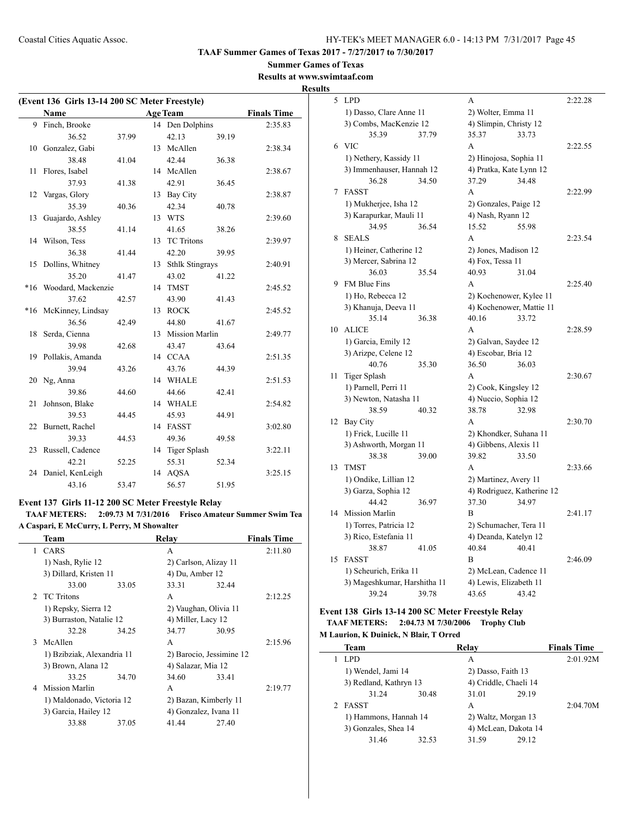**Summer Games of Texas Results at www.swimtaaf.com**

# **Results**

| (Event 136 Girls 13-14 200 SC Meter Freestyle) |                        |       |    |                    |       |                    |  |
|------------------------------------------------|------------------------|-------|----|--------------------|-------|--------------------|--|
| <b>Name</b><br><b>Age Team</b>                 |                        |       |    |                    |       | <b>Finals Time</b> |  |
| 9                                              | Finch, Brooke          |       |    | 14 Den Dolphins    |       | 2:35.83            |  |
|                                                | 36.52                  | 37.99 |    | 42.13              | 39.19 |                    |  |
| 10                                             | Gonzalez, Gabi         |       |    | 13 McAllen         |       | 2:38.34            |  |
|                                                | 38.48                  | 41.04 |    | 42.44              | 36.38 |                    |  |
| 11                                             | Flores, Isabel         |       |    | 14 McAllen         |       | 2:38.67            |  |
|                                                | 37.93                  | 41.38 |    | 42.91              | 36.45 |                    |  |
| 12                                             | Vargas, Glory          |       |    | 13 Bay City        |       | 2:38.87            |  |
|                                                | 35.39                  | 40.36 |    | 42.34              | 40.78 |                    |  |
| 13                                             | Guajardo, Ashley       |       |    | 13 WTS             |       | 2:39.60            |  |
|                                                | 38.55                  | 41.14 |    | 41.65              | 38.26 |                    |  |
| 14                                             | Wilson, Tess           |       | 13 | <b>TC Tritons</b>  |       | 2:39.97            |  |
|                                                | 36.38                  | 41.44 |    | 42.20              | 39.95 |                    |  |
| 15                                             | Dollins, Whitney       |       |    | 13 Sthlk Stingrays |       | 2:40.91            |  |
|                                                | 35.20                  | 41.47 |    | 43.02              | 41.22 |                    |  |
|                                                | *16 Woodard, Mackenzie |       |    | 14 TMST            |       | 2:45.52            |  |
|                                                | 37.62                  | 42.57 |    | 43.90              | 41.43 |                    |  |
|                                                | *16 McKinney, Lindsay  |       |    | 13 ROCK            |       | 2:45.52            |  |
|                                                | 36.56                  | 42.49 |    | 44.80              | 41.67 |                    |  |
| 18                                             | Serda, Cienna          |       |    | 13 Mission Marlin  |       | 2:49.77            |  |
|                                                | 39.98                  | 42.68 |    | 43.47              | 43.64 |                    |  |
| 19                                             | Pollakis, Amanda       |       |    | 14 CCAA            |       | 2:51.35            |  |
|                                                | 39.94                  | 43.26 |    | 43.76              | 44.39 |                    |  |
| 20                                             | Ng, Anna               |       |    | 14 WHALE           |       | 2:51.53            |  |
|                                                | 39.86                  | 44.60 |    | 44.66              | 42.41 |                    |  |
| 21                                             | Johnson, Blake         |       |    | 14 WHALE           |       | 2:54.82            |  |
|                                                | 39.53                  | 44.45 |    | 45.93              | 44.91 |                    |  |
|                                                | 22 Burnett, Rachel     |       |    | 14 FASST           |       | 3:02.80            |  |
|                                                | 39.33                  | 44.53 |    | 49.36              | 49.58 |                    |  |
| 23                                             | Russell, Cadence       |       |    | 14 Tiger Splash    |       | 3:22.11            |  |
|                                                | 42.21                  | 52.25 |    | 55.31              | 52.34 |                    |  |
| 24                                             | Daniel, KenLeigh       |       |    | 14 AQSA            |       | 3:25.15            |  |
|                                                | 43.16                  | 53.47 |    | 56.57              | 51.95 |                    |  |

### **Event 137 Girls 11-12 200 SC Meter Freestyle Relay**

**TAAF METERS: 2:09.73 M 7/31/2016 Frisco Amateur Summer Swim Tea A Caspari, E McCurry, L Perry, M Showalter**

|   | Team                       |       | Relay                    |       | <b>Finals Time</b> |
|---|----------------------------|-------|--------------------------|-------|--------------------|
|   | 1 CARS                     |       | A                        |       | 2:11.80            |
|   | 1) Nash, Rylie 12          |       | 2) Carlson, Alizay 11    |       |                    |
|   | 3) Dillard, Kristen 11     |       | 4) Du, Amber 12          |       |                    |
|   | 33.00                      | 33.05 | 33.31                    | 32.44 |                    |
|   | 2 TC Tritons               |       | A                        |       | 2:12.25            |
|   | 1) Repsky, Sierra 12       |       | 2) Vaughan, Olivia 11    |       |                    |
|   | 3) Burraston, Natalie 12   |       | 4) Miller, Lacy 12       |       |                    |
|   | 32.28                      | 34.25 | 34.77                    | 30.95 |                    |
|   | 3 McAllen                  |       | A                        |       | 2:15.96            |
|   | 1) Bzibziak, Alexandria 11 |       | 2) Barocio, Jessimine 12 |       |                    |
|   | 3) Brown, Alana 12         |       | 4) Salazar, Mia 12       |       |                    |
|   | 33.25                      | 34.70 | 34.60                    | 33.41 |                    |
| 4 | Mission Marlin             |       | A                        |       | 2:19.77            |
|   | 1) Maldonado, Victoria 12  |       | 2) Bazan, Kimberly 11    |       |                    |
|   | 3) Garcia, Hailey 12       |       | 4) Gonzalez, Ivana 11    |       |                    |
|   | 33.88                      | 37.05 | 41.44                    | 27.40 |                    |
|   |                            |       |                          |       |                    |

| <u>s</u> |                              |       |                          |                            |         |
|----------|------------------------------|-------|--------------------------|----------------------------|---------|
| 5        | <b>LPD</b>                   |       | А                        |                            | 2:22.28 |
|          | 1) Dasso, Clare Anne 11      |       | 2) Wolter, Emma 11       |                            |         |
|          | 3) Combs, MacKenzie 12       |       | 4) Slimpin, Christy 12   |                            |         |
|          | 35.39                        | 37.79 | 35.37                    | 33.73                      |         |
| 6        | <b>VIC</b>                   |       | A                        |                            | 2:22.55 |
|          | 1) Nethery, Kassidy 11       |       | 2) Hinojosa, Sophia 11   |                            |         |
|          | 3) Immenhauser, Hannah 12    |       | 4) Pratka, Kate Lynn 12  |                            |         |
|          | 36.28                        | 34.50 | 37.29                    | 34.48                      |         |
| 7        | <b>FASST</b>                 |       | A                        |                            | 2:22.99 |
|          | 1) Mukherjee, Isha 12        |       | 2) Gonzales, Paige 12    |                            |         |
|          | 3) Karapurkar, Mauli 11      |       | 4) Nash, Ryann 12        |                            |         |
|          | 34.95                        | 36.54 | 15.52                    | 55.98                      |         |
| 8        | <b>SEALS</b>                 |       | A                        |                            | 2:23.54 |
|          | 1) Heiner, Catherine 12      |       | 2) Jones, Madison 12     |                            |         |
|          | 3) Mercer, Sabrina 12        |       | 4) Fox, Tessa 11         |                            |         |
|          | 36.03                        | 35.54 | 40.93                    | 31.04                      |         |
| 9        | FM Blue Fins                 |       | А                        |                            | 2:25.40 |
|          | 1) Ho, Rebecca 12            |       | 2) Kochenower, Kylee 11  |                            |         |
|          | 3) Khanuja, Deeva 11         |       | 4) Kochenower, Mattie 11 |                            |         |
|          | 35.14                        | 36.38 | 40.16                    | 33.72                      |         |
| 10       | <b>ALICE</b>                 |       | A                        |                            | 2:28.59 |
|          | 1) Garcia, Emily 12          |       | 2) Galvan, Saydee 12     |                            |         |
|          | 3) Arizpe, Celene 12         |       | 4) Escobar, Bria 12      |                            |         |
|          | 40.76                        | 35.30 | 36.50                    | 36.03                      |         |
| 11       | Tiger Splash                 |       | A                        |                            | 2:30.67 |
|          | 1) Parnell, Perri 11         |       | 2) Cook, Kingsley 12     |                            |         |
|          | 3) Newton, Natasha 11        |       | 4) Nuccio, Sophia 12     |                            |         |
|          | 38.59                        | 40.32 | 38.78                    | 32.98                      |         |
| 12       | Bay City                     |       | A                        |                            | 2:30.70 |
|          | 1) Frick, Lucille 11         |       | 2) Khondker, Suhana 11   |                            |         |
|          | 3) Ashworth, Morgan 11       |       | 4) Gibbens, Alexis 11    |                            |         |
|          | 38.38                        | 39.00 | 39.82                    | 33.50                      |         |
| 13       | <b>TMST</b>                  |       | A                        |                            | 2:33.66 |
|          | 1) Ondike, Lillian 12        |       | 2) Martinez, Avery 11    |                            |         |
|          | 3) Garza, Sophia 12          |       |                          | 4) Rodriguez, Katherine 12 |         |
|          | 44.42                        | 36.97 | 37.30                    | 34.97                      |         |
| 14       | Mission Marlin               |       | B                        |                            | 2:41.17 |
|          | 1) Torres, Patricia 12       |       | 2) Schumacher, Tera 11   |                            |         |
|          | 3) Rico, Estefania 11        |       | 4) Deanda, Katelyn 12    |                            |         |
|          | 38.87                        | 41.05 | 40.84                    | 40.41                      |         |
| 15       | <b>FASST</b>                 |       | В                        |                            | 2:46.09 |
|          | 1) Scheurich, Erika 11       |       | 2) McLean, Cadence 11    |                            |         |
|          | 3) Mageshkumar, Harshitha 11 |       | 4) Lewis, Elizabeth 11   |                            |         |
|          | 39.24                        | 39.78 | 43.65                    | 43.42                      |         |

### **Event 138 Girls 13-14 200 SC Meter Freestyle Relay TAAF METERS: 2:04.73 M 7/30/2006 Trophy Club M Laurion, K Duinick, N Blair, T Orred**

 $\frac{1}{2}$ 

| <b>Team</b>            |       | Relay                 |       | <b>Finals Time</b> |
|------------------------|-------|-----------------------|-------|--------------------|
| LPD                    |       | A                     |       | 2:01.92M           |
| 1) Wendel, Jami 14     |       | 2) Dasso, Faith 13    |       |                    |
| 3) Redland, Kathryn 13 |       | 4) Criddle, Chaeli 14 |       |                    |
| 31.24                  | 30.48 | 31.01                 | 29.19 |                    |
| <b>FASST</b>           |       | A                     |       | 2:04.70M           |
| 1) Hammons, Hannah 14  |       | 2) Waltz, Morgan 13   |       |                    |
| 3) Gonzales, Shea 14   |       | 4) McLean, Dakota 14  |       |                    |
| 31.46                  | 32.53 | 31.59                 | 29.12 |                    |